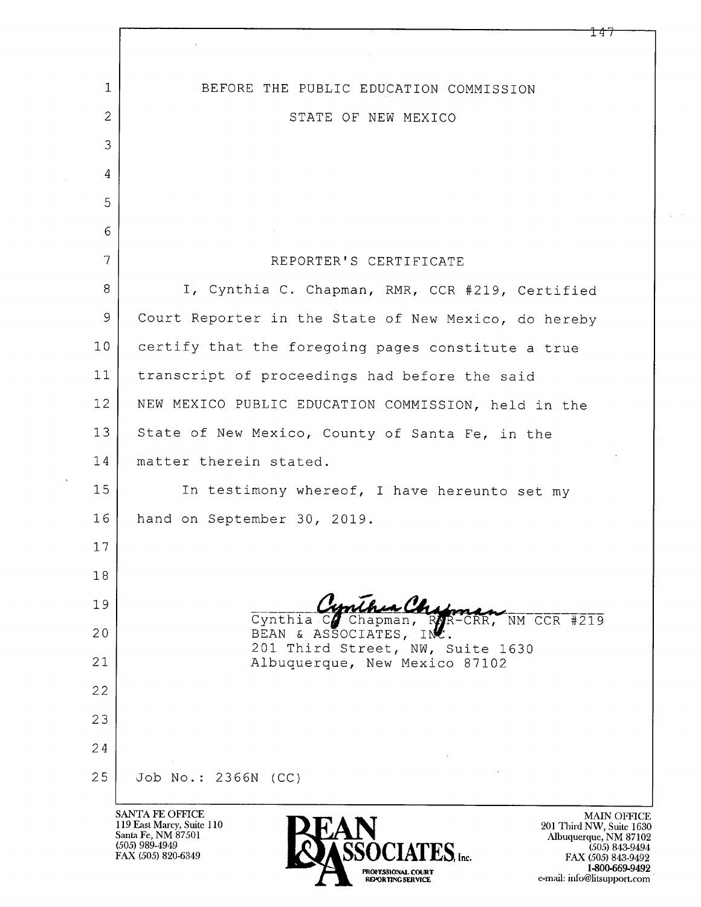| $\mathbf{1}$   | BEFORE THE PUBLIC EDUCATION COMMISSION                 |
|----------------|--------------------------------------------------------|
| $\overline{2}$ | STATE OF NEW MEXICO                                    |
| 3              |                                                        |
| 4              |                                                        |
| 5              |                                                        |
| 6              |                                                        |
| 7              | REPORTER'S CERTIFICATE                                 |
| 8              | I, Cynthia C. Chapman, RMR, CCR #219, Certified        |
| 9              | Court Reporter in the State of New Mexico, do hereby   |
| 10             | certify that the foregoing pages constitute a true     |
| 11             | transcript of proceedings had before the said          |
| 12             | NEW MEXICO PUBLIC EDUCATION COMMISSION, held in the    |
| 13             | State of New Mexico, County of Santa Fe, in the        |
| 14             | matter therein stated.                                 |
| 15             | In testimony whereof, I have hereunto set my           |
| 16             | hand on September 30, 2019.                            |
| 17             |                                                        |
| 18             |                                                        |
| 19             | Cynthia Comthurchy<br>$NT CCR +219$                    |
| 20             | BEAN & ASSOCIATES,<br>201 Third Street, NW, Suite 1630 |
| 21             | Albuquerque, New Mexico 87102                          |
| 22             |                                                        |
| 23             |                                                        |
| 24             |                                                        |
| 25             | Job No.: 2366N (CC)                                    |
|                | SANTA FE OFFICE<br><b>MAIN OFF</b>                     |

SAN IA FE OFFICE<br>119 East Marcy, Suite 110<br>Santa Fe, NM 87501<br>(505) 989-4949<br>FAX (505) 820-6349

 $\bar{\mathbf{v}}$ 



MAIN OFFICE<br>
201 Third NW, Suite 1630<br>
Albuquerque, NM 87102<br>
(505) 843-9494<br>
FAX (505) 843-9492<br>
1-800-669-9492<br>
e-mail: info@litsupport.com

 $147$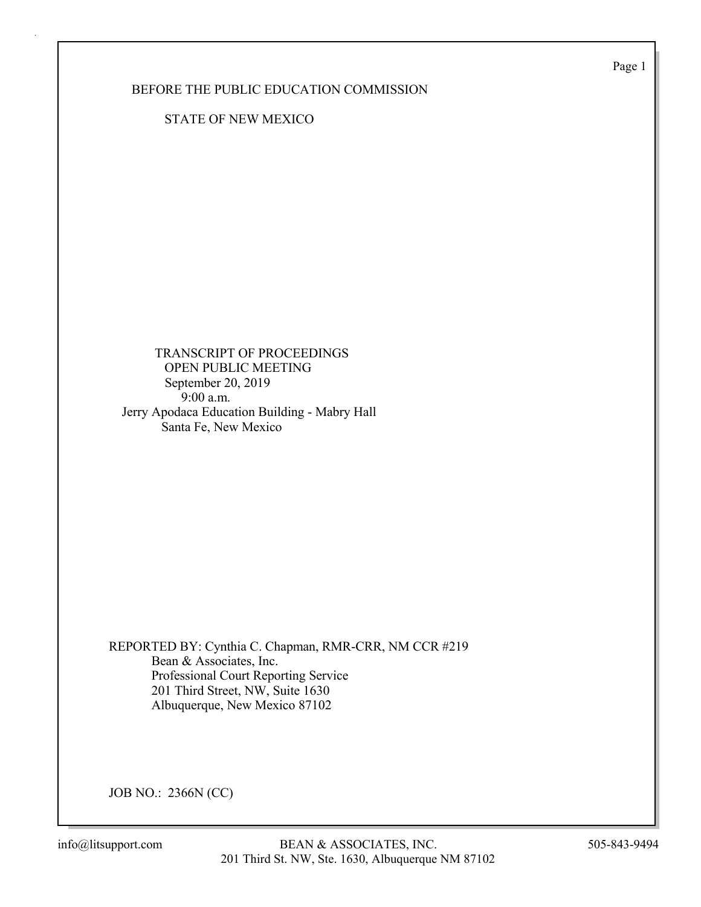Page 1

BEFORE THE PUBLIC EDUCATION COMMISSION

STATE OF NEW MEXICO

 TRANSCRIPT OF PROCEEDINGS OPEN PUBLIC MEETING September 20, 2019 9:00 a.m. Jerry Apodaca Education Building - Mabry Hall Santa Fe, New Mexico

REPORTED BY: Cynthia C. Chapman, RMR-CRR, NM CCR #219 Bean & Associates, Inc. Professional Court Reporting Service 201 Third Street, NW, Suite 1630 Albuquerque, New Mexico 87102

JOB NO.: 2366N (CC)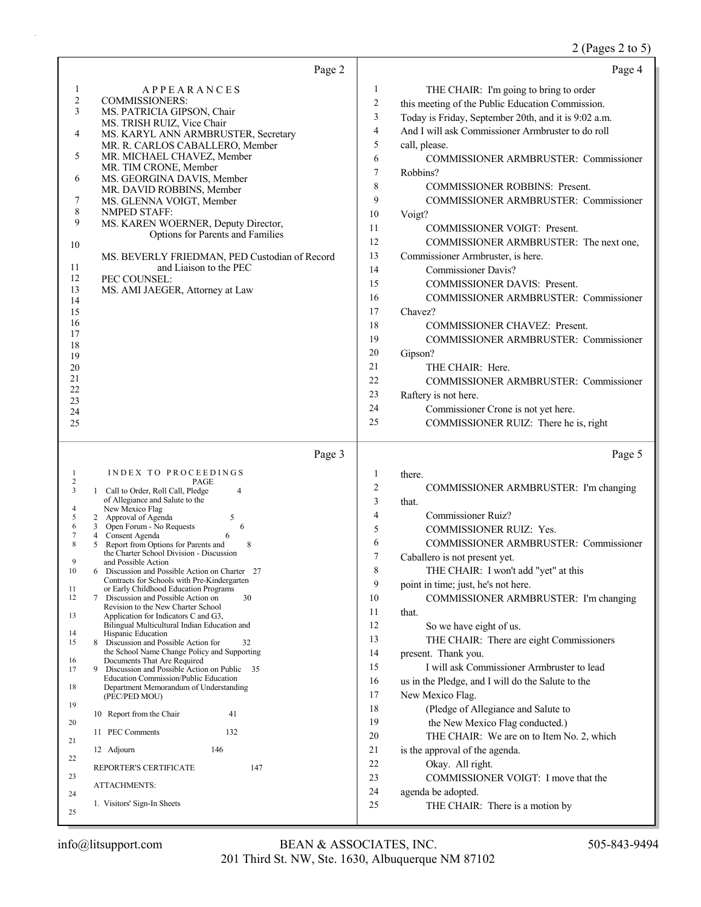# 2 (Pages 2 to 5)

| Page 2                                                                                                                                                                                                                                                                                                                                                                                                                                                                                                                                                                                                                                                                                                                                                                                                                                                                                                                                                                                                                                                                                                                                                                                                                                                                                                         | Page 4                                                                                                                                                                                                                                                                                                                                                                                                                                                                                                                                                                                                                                                                                                                                                                                                                                                                                                                                                                                                                                                    |
|----------------------------------------------------------------------------------------------------------------------------------------------------------------------------------------------------------------------------------------------------------------------------------------------------------------------------------------------------------------------------------------------------------------------------------------------------------------------------------------------------------------------------------------------------------------------------------------------------------------------------------------------------------------------------------------------------------------------------------------------------------------------------------------------------------------------------------------------------------------------------------------------------------------------------------------------------------------------------------------------------------------------------------------------------------------------------------------------------------------------------------------------------------------------------------------------------------------------------------------------------------------------------------------------------------------|-----------------------------------------------------------------------------------------------------------------------------------------------------------------------------------------------------------------------------------------------------------------------------------------------------------------------------------------------------------------------------------------------------------------------------------------------------------------------------------------------------------------------------------------------------------------------------------------------------------------------------------------------------------------------------------------------------------------------------------------------------------------------------------------------------------------------------------------------------------------------------------------------------------------------------------------------------------------------------------------------------------------------------------------------------------|
| <b>APPEARANCES</b><br>1<br>$\overline{c}$<br><b>COMMISSIONERS:</b><br>3<br>MS. PATRICIA GIPSON, Chair<br>MS. TRISH RUIZ, Vice Chair<br>4<br>MS. KARYL ANN ARMBRUSTER, Secretary<br>MR. R. CARLOS CABALLERO, Member<br>MR. MICHAEL CHAVEZ, Member<br>5<br>MR. TIM CRONE, Member<br>MS. GEORGINA DAVIS, Member<br>6<br>MR. DAVID ROBBINS, Member<br>7<br>MS. GLENNA VOIGT, Member<br>8<br><b>NMPED STAFF:</b><br>9<br>MS. KAREN WOERNER, Deputy Director,<br>Options for Parents and Families<br>10<br>MS. BEVERLY FRIEDMAN, PED Custodian of Record<br>and Liaison to the PEC<br>11<br>12<br>PEC COUNSEL:<br>13<br>MS. AMI JAEGER, Attorney at Law<br>14<br>15<br>16<br>17<br>18<br>19<br>20<br>21<br>22<br>23<br>24<br>25                                                                                                                                                                                                                                                                                                                                                                                                                                                                                                                                                                                      | 1<br>THE CHAIR: I'm going to bring to order<br>$\overline{c}$<br>this meeting of the Public Education Commission.<br>3<br>Today is Friday, September 20th, and it is 9:02 a.m.<br>$\overline{4}$<br>And I will ask Commissioner Armbruster to do roll<br>5<br>call, please.<br>6<br>COMMISSIONER ARMBRUSTER: Commissioner<br>7<br>Robbins?<br>8<br><b>COMMISSIONER ROBBINS: Present.</b><br>9<br>COMMISSIONER ARMBRUSTER: Commissioner<br>10<br>Voigt?<br>11<br>COMMISSIONER VOIGT: Present.<br>12<br>COMMISSIONER ARMBRUSTER: The next one,<br>13<br>Commissioner Armbruster, is here.<br>14<br>Commissioner Davis?<br>15<br><b>COMMISSIONER DAVIS: Present.</b><br>16<br><b>COMMISSIONER ARMBRUSTER: Commissioner</b><br>17<br>Chavez?<br>18<br>COMMISSIONER CHAVEZ: Present.<br>19<br>COMMISSIONER ARMBRUSTER: Commissioner<br>20<br>Gipson?<br>21<br>THE CHAIR: Here.<br>22<br><b>COMMISSIONER ARMBRUSTER: Commissioner</b><br>23<br>Raftery is not here.<br>24<br>Commissioner Crone is not yet here.<br>25<br>COMMISSIONER RUIZ: There he is, right |
| Page 3                                                                                                                                                                                                                                                                                                                                                                                                                                                                                                                                                                                                                                                                                                                                                                                                                                                                                                                                                                                                                                                                                                                                                                                                                                                                                                         | Page 5                                                                                                                                                                                                                                                                                                                                                                                                                                                                                                                                                                                                                                                                                                                                                                                                                                                                                                                                                                                                                                                    |
| INDEX TO PROCEEDINGS<br>1<br>2<br>PAGE<br>3<br>1 Call to Order, Roll Call, Pledge<br>$\overline{4}$<br>of Allegiance and Salute to the<br>New Mexico Flag<br>4<br>5<br>2 Approval of Agenda<br>5<br>6<br>6<br>3 Open Forum - No Requests<br>7<br>4 Consent Agenda<br>8<br>Report from Options for Parents and<br>8<br>5.<br>the Charter School Division - Discussion<br>9<br>and Possible Action<br>10<br>6 Discussion and Possible Action on Charter 27<br>Contracts for Schools with Pre-Kindergarten<br>or Early Childhood Education Programs<br>11<br>7<br>12<br>Discussion and Possible Action on<br>30<br>Revision to the New Charter School<br>13<br>Application for Indicators C and G3,<br>Bilingual Multicultural Indian Education and<br>Hispanic Education<br>14<br>15<br>Discussion and Possible Action for<br>8<br>32<br>the School Name Change Policy and Supporting<br>Documents That Are Required<br>16<br>17<br>9<br>Discussion and Possible Action on Public 35<br>Education Commission/Public Education<br>Department Memorandum of Understanding<br>18<br>(PEC/PED MOU)<br>19<br>10 Report from the Chair<br>41<br>20<br>11 PEC Comments<br>132<br>21<br>146<br>12 Adjourn<br>22<br>REPORTER'S CERTIFICATE<br>147<br>23<br><b>ATTACHMENTS:</b><br>24<br>1. Visitors' Sign-In Sheets<br>25 | there.<br>1<br>$\overline{2}$<br>COMMISSIONER ARMBRUSTER: I'm changing<br>3<br>that.<br>Commissioner Ruiz?<br>4<br>5<br>COMMISSIONER RUIZ: Yes.<br>6<br>COMMISSIONER ARMBRUSTER: Commissioner<br>7<br>Caballero is not present yet.<br>8<br>THE CHAIR: I won't add "yet" at this<br>9<br>point in time; just, he's not here.<br>10<br>COMMISSIONER ARMBRUSTER: I'm changing<br>11<br>that.<br>12<br>So we have eight of us.<br>13<br>THE CHAIR: There are eight Commissioners<br>14<br>present. Thank you.<br>15<br>I will ask Commissioner Armbruster to lead<br>16<br>us in the Pledge, and I will do the Salute to the<br>17<br>New Mexico Flag.<br>18<br>(Pledge of Allegiance and Salute to<br>19<br>the New Mexico Flag conducted.)<br>20<br>THE CHAIR: We are on to Item No. 2, which<br>21<br>is the approval of the agenda.<br>22<br>Okay. All right.<br>23<br>COMMISSIONER VOIGT: I move that the<br>24<br>agenda be adopted.<br>25<br>THE CHAIR: There is a motion by                                                                          |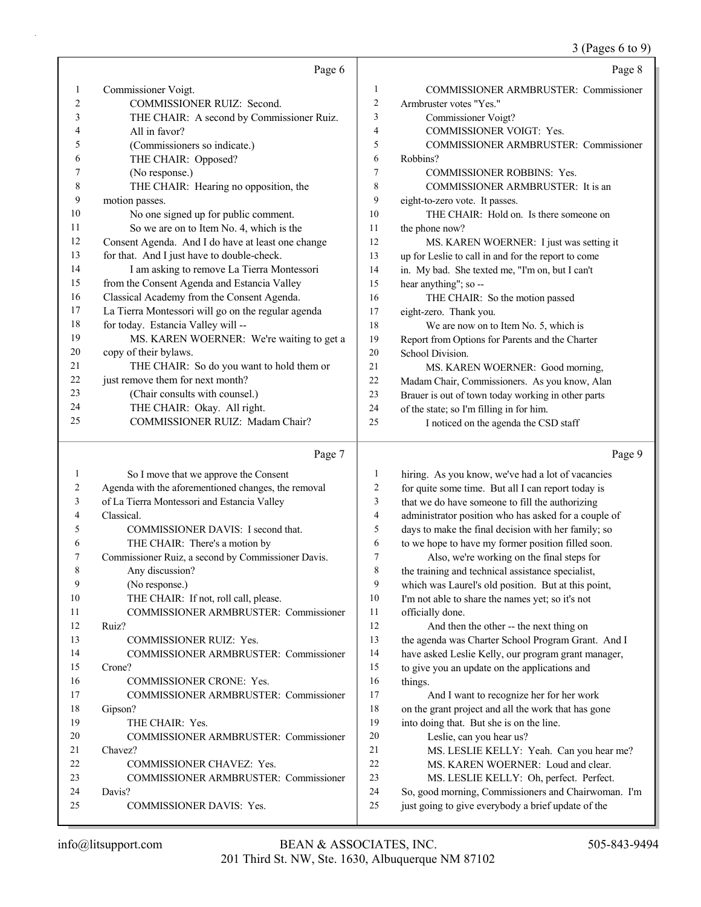|                |                                                     |                         | 3 (Pages 6 to 9)                                     |
|----------------|-----------------------------------------------------|-------------------------|------------------------------------------------------|
|                | Page 6                                              |                         | Page 8                                               |
| 1              | Commissioner Voigt.                                 | $\mathbf{1}$            | <b>COMMISSIONER ARMBRUSTER: Commissioner</b>         |
| 2              | COMMISSIONER RUIZ: Second.                          | $\overline{c}$          | Armbruster votes "Yes."                              |
| 3              | THE CHAIR: A second by Commissioner Ruiz.           | 3                       | Commissioner Voigt?                                  |
| 4              | All in favor?                                       | $\overline{4}$          | COMMISSIONER VOIGT: Yes.                             |
| 5              | (Commissioners so indicate.)                        | 5                       | <b>COMMISSIONER ARMBRUSTER: Commissioner</b>         |
| 6              | THE CHAIR: Opposed?                                 | 6                       | Robbins?                                             |
| 7              | (No response.)                                      | 7                       | <b>COMMISSIONER ROBBINS: Yes.</b>                    |
| 8              | THE CHAIR: Hearing no opposition, the               | 8                       | COMMISSIONER ARMBRUSTER: It is an                    |
| 9              | motion passes.                                      | 9                       | eight-to-zero vote. It passes.                       |
| 10             | No one signed up for public comment.                | 10                      | THE CHAIR: Hold on. Is there someone on              |
| 11             | So we are on to Item No. 4, which is the            | 11                      | the phone now?                                       |
| 12             | Consent Agenda. And I do have at least one change   | 12                      | MS. KAREN WOERNER: I just was setting it             |
| 13             | for that. And I just have to double-check.          | 13                      | up for Leslie to call in and for the report to come  |
| 14             | I am asking to remove La Tierra Montessori          | 14                      | in. My bad. She texted me, "I'm on, but I can't      |
| 15             | from the Consent Agenda and Estancia Valley         | 15                      | hear anything"; so --                                |
| 16             | Classical Academy from the Consent Agenda.          | 16                      | THE CHAIR: So the motion passed                      |
| 17             | La Tierra Montessori will go on the regular agenda  | 17                      | eight-zero. Thank you.                               |
| 18             | for today. Estancia Valley will --                  | 18                      | We are now on to Item No. 5, which is                |
| 19             | MS. KAREN WOERNER: We're waiting to get a           | 19                      | Report from Options for Parents and the Charter      |
| 20             | copy of their bylaws.                               | 20                      | School Division.                                     |
| 21             | THE CHAIR: So do you want to hold them or           | 21                      | MS. KAREN WOERNER: Good morning,                     |
| 22             | just remove them for next month?                    | 22                      | Madam Chair, Commissioners. As you know, Alan        |
| 23             | (Chair consults with counsel.)                      | 23                      | Brauer is out of town today working in other parts   |
| 24             | THE CHAIR: Okay. All right.                         | 24                      | of the state; so I'm filling in for him.             |
| 25             | COMMISSIONER RUIZ: Madam Chair?                     | 25                      | I noticed on the agenda the CSD staff                |
|                | Page 7                                              |                         | Page 9                                               |
| $\mathbf{1}$   | So I move that we approve the Consent               | $\mathbf{1}$            | hiring. As you know, we've had a lot of vacancies    |
| $\overline{c}$ | Agenda with the aforementioned changes, the removal | $\sqrt{2}$              | for quite some time. But all I can report today is   |
| 3              | of La Tierra Montessori and Estancia Valley         | 3                       | that we do have someone to fill the authorizing      |
| 4              | Classical.                                          | $\overline{\mathbf{4}}$ | administrator position who has asked for a couple of |
| 5              | COMMISSIONER DAVIS: I second that.                  | 5                       | days to make the final decision with her family; so  |
| 6              | THE CHAIR: There's a motion by                      | 6                       | to we hope to have my former position filled soon.   |
| 7              | Commissioner Ruiz, a second by Commissioner Davis.  | $\tau$                  | Also, we're working on the final steps for           |
| 8              | Any discussion?                                     | $\,$ 8 $\,$             | the training and technical assistance specialist,    |
| $\Omega$       | $(N_0$ response)                                    | $\mathbf Q$             | which was I aurel's old position. But at this point  |

|    | So I move that we approve the Consent               | 1  | hiring. As you know, we've had a lot of vacancies    |
|----|-----------------------------------------------------|----|------------------------------------------------------|
| 2  | Agenda with the aforementioned changes, the removal | 2  | for quite some time. But all I can report today is   |
| 3  | of La Tierra Montessori and Estancia Valley         | 3  | that we do have someone to fill the authorizing      |
| 4  | Classical.                                          | 4  | administrator position who has asked for a couple of |
| 5  | COMMISSIONER DAVIS: I second that.                  | 5  | days to make the final decision with her family; so  |
| 6  | THE CHAIR: There's a motion by                      | 6  | to we hope to have my former position filled soon.   |
| 7  | Commissioner Ruiz, a second by Commissioner Davis.  | 7  | Also, we're working on the final steps for           |
| 8  | Any discussion?                                     | 8  | the training and technical assistance specialist,    |
| 9  | (No response.)                                      | 9  | which was Laurel's old position. But at this point,  |
| 10 | THE CHAIR: If not, roll call, please.               | 10 | I'm not able to share the names yet; so it's not     |
| 11 | COMMISSIONER ARMBRUSTER: Commissioner               | 11 | officially done.                                     |
| 12 | Ruiz?                                               | 12 | And then the other -- the next thing on              |
| 13 | COMMISSIONER RUIZ: Yes.                             | 13 | the agenda was Charter School Program Grant. And I   |
| 14 | <b>COMMISSIONER ARMBRUSTER: Commissioner</b>        | 14 | have asked Leslie Kelly, our program grant manager,  |
| 15 | Crone?                                              | 15 | to give you an update on the applications and        |
| 16 | <b>COMMISSIONER CRONE: Yes.</b>                     | 16 | things.                                              |
| 17 | <b>COMMISSIONER ARMBRUSTER: Commissioner</b>        | 17 | And I want to recognize her for her work             |
| 18 | Gipson?                                             | 18 | on the grant project and all the work that has gone  |
| 19 | THE CHAIR: Yes.                                     | 19 | into doing that. But she is on the line.             |
| 20 | <b>COMMISSIONER ARMBRUSTER: Commissioner</b>        | 20 | Leslie, can you hear us?                             |
| 21 | Chavez?                                             | 21 | MS. LESLIE KELLY: Yeah. Can you hear me?             |
| 22 | <b>COMMISSIONER CHAVEZ: Yes.</b>                    | 22 | MS. KAREN WOERNER: Loud and clear.                   |
| 23 | COMMISSIONER ARMBRUSTER: Commissioner               | 23 | MS. LESLIE KELLY: Oh, perfect. Perfect.              |
| 24 | Davis?                                              | 24 | So, good morning, Commissioners and Chairwoman. I'm  |
| 25 | <b>COMMISSIONER DAVIS: Yes.</b>                     | 25 | just going to give everybody a brief update of the   |
|    |                                                     |    |                                                      |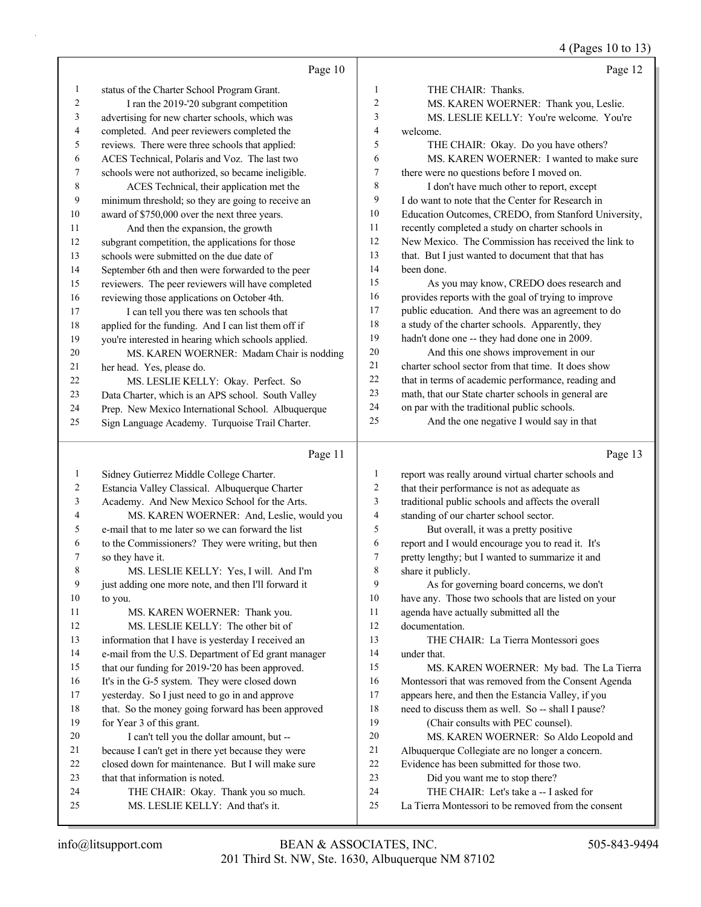4 (Pages 10 to 13)

|    | Page 10                                             |                | Page 12                                              |
|----|-----------------------------------------------------|----------------|------------------------------------------------------|
| 1  | status of the Charter School Program Grant.         | 1              | THE CHAIR: Thanks.                                   |
| 2  | I ran the 2019-'20 subgrant competition             | $\overline{c}$ | MS. KAREN WOERNER: Thank you, Leslie.                |
| 3  | advertising for new charter schools, which was      | 3              | MS. LESLIE KELLY: You're welcome. You're             |
| 4  | completed. And peer reviewers completed the         | 4              | welcome.                                             |
| 5  | reviews. There were three schools that applied:     | 5              | THE CHAIR: Okay. Do you have others?                 |
| 6  | ACES Technical, Polaris and Voz. The last two       | 6              | MS. KAREN WOERNER: I wanted to make sure             |
| 7  | schools were not authorized, so became ineligible.  | 7              | there were no questions before I moved on.           |
| 8  | ACES Technical, their application met the           | 8              | I don't have much other to report, except            |
| 9  | minimum threshold; so they are going to receive an  | 9              | I do want to note that the Center for Research in    |
| 10 | award of \$750,000 over the next three years.       | 10             | Education Outcomes, CREDO, from Stanford University, |
| 11 | And then the expansion, the growth                  | 11             | recently completed a study on charter schools in     |
| 12 | subgrant competition, the applications for those    | 12             | New Mexico. The Commission has received the link to  |
| 13 | schools were submitted on the due date of           | 13             | that. But I just wanted to document that that has    |
| 14 | September 6th and then were forwarded to the peer   | 14             | been done.                                           |
| 15 | reviewers. The peer reviewers will have completed   | 15             | As you may know, CREDO does research and             |
| 16 | reviewing those applications on October 4th.        | 16             | provides reports with the goal of trying to improve  |
| 17 | I can tell you there was ten schools that           | 17             | public education. And there was an agreement to do   |
| 18 | applied for the funding. And I can list them off if | 18             | a study of the charter schools. Apparently, they     |
| 19 | you're interested in hearing which schools applied. | 19             | hadn't done one -- they had done one in 2009.        |
| 20 | MS. KAREN WOERNER: Madam Chair is nodding           | 20             | And this one shows improvement in our                |
| 21 | her head. Yes, please do.                           | 21             | charter school sector from that time. It does show   |
| 22 | MS. LESLIE KELLY: Okay. Perfect. So                 | 22             | that in terms of academic performance, reading and   |
| 23 | Data Charter, which is an APS school. South Valley  | 23             | math, that our State charter schools in general are  |
| 24 | Prep. New Mexico International School. Albuquerque  | 24             | on par with the traditional public schools.          |
| 25 | Sign Language Academy. Turquoise Trail Charter.     | 25             | And the one negative I would say in that             |
|    | Page 11                                             |                | Page 13                                              |
| 1  | Sidney Gutierrez Middle College Charter.            | 1              | report was really around virtual charter schools and |

| 1  | Sidney Gutierrez Middle College Charter.            | 1              | report was really around virtual charter schools and |
|----|-----------------------------------------------------|----------------|------------------------------------------------------|
| 2  | Estancia Valley Classical. Albuquerque Charter      | $\overline{c}$ | that their performance is not as adequate as         |
| 3  | Academy. And New Mexico School for the Arts.        | 3              | traditional public schools and affects the overall   |
| 4  | MS. KAREN WOERNER: And, Leslie, would you           | 4              | standing of our charter school sector.               |
| 5  | e-mail that to me later so we can forward the list  | 5              | But overall, it was a pretty positive                |
| 6  | to the Commissioners? They were writing, but then   | 6              | report and I would encourage you to read it. It's    |
| 7  | so they have it.                                    | 7              | pretty lengthy; but I wanted to summarize it and     |
| 8  | MS. LESLIE KELLY: Yes, I will. And I'm              | 8              | share it publicly.                                   |
| 9  | just adding one more note, and then I'll forward it | 9              | As for governing board concerns, we don't            |
| 10 | to you.                                             | 10             | have any. Those two schools that are listed on your  |
| 11 | MS. KAREN WOERNER: Thank you.                       | 11             | agenda have actually submitted all the               |
| 12 | MS. LESLIE KELLY: The other bit of                  | 12             | documentation.                                       |
| 13 | information that I have is yesterday I received an  | 13             | THE CHAIR: La Tierra Montessori goes                 |
| 14 | e-mail from the U.S. Department of Ed grant manager | 14             | under that.                                          |
| 15 | that our funding for 2019-'20 has been approved.    | 15             | MS. KAREN WOERNER: My bad. The La Tierra             |
| 16 | It's in the G-5 system. They were closed down       | 16             | Montessori that was removed from the Consent Agenda  |
| 17 | yesterday. So I just need to go in and approve      | 17             | appears here, and then the Estancia Valley, if you   |
| 18 | that. So the money going forward has been approved  | 18             | need to discuss them as well. So -- shall I pause?   |
| 19 | for Year 3 of this grant.                           | 19             | (Chair consults with PEC counsel).                   |
| 20 | I can't tell you the dollar amount, but --          | 20             | MS. KAREN WOERNER: So Aldo Leopold and               |
| 21 | because I can't get in there yet because they were  | 21             | Albuquerque Collegiate are no longer a concern.      |
| 22 | closed down for maintenance. But I will make sure   | 22             | Evidence has been submitted for those two.           |
| 23 | that that information is noted.                     | 23             | Did you want me to stop there?                       |
| 24 | THE CHAIR: Okay. Thank you so much.                 | 24             | THE CHAIR: Let's take a -- I asked for               |
| 25 | MS. LESLIE KELLY: And that's it.                    | 25             | La Tierra Montessori to be removed from the consent  |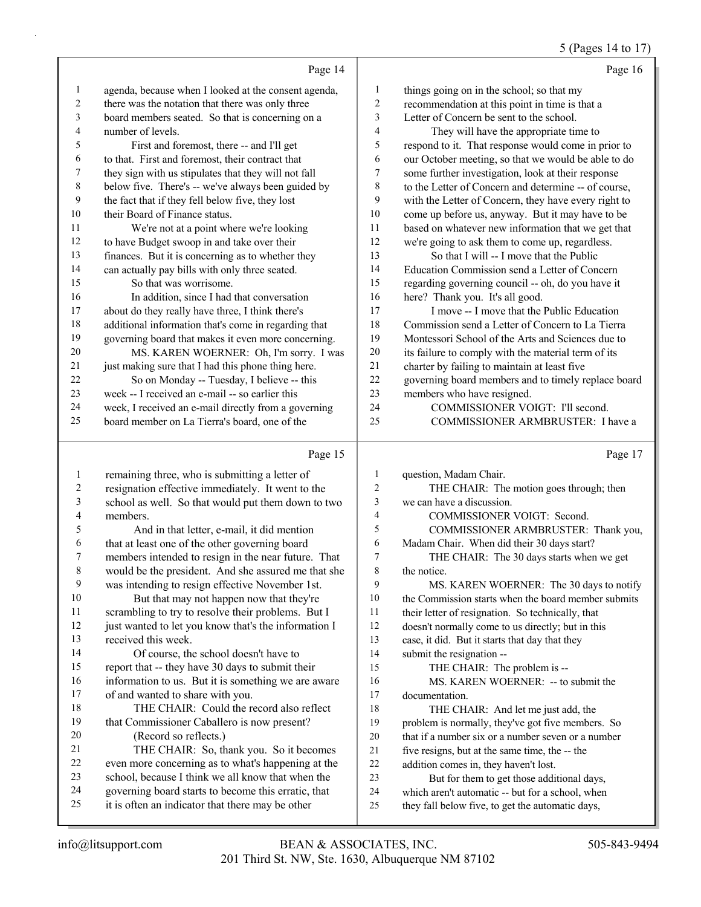#### 5 (Pages 14 to 17)

|    | Page 14                                              |                | Page 16                                              |
|----|------------------------------------------------------|----------------|------------------------------------------------------|
| 1  | agenda, because when I looked at the consent agenda, | 1              | things going on in the school; so that my            |
| 2  | there was the notation that there was only three     | $\overline{c}$ | recommendation at this point in time is that a       |
| 3  | board members seated. So that is concerning on a     | 3              | Letter of Concern be sent to the school.             |
| 4  | number of levels.                                    | 4              | They will have the appropriate time to               |
| 5  | First and foremost, there -- and I'll get            | 5              | respond to it. That response would come in prior to  |
| 6  | to that. First and foremost, their contract that     | 6              | our October meeting, so that we would be able to do  |
| 7  | they sign with us stipulates that they will not fall | 7              | some further investigation, look at their response   |
| 8  | below five. There's -- we've always been guided by   | 8              | to the Letter of Concern and determine -- of course, |
| 9  | the fact that if they fell below five, they lost     | 9              | with the Letter of Concern, they have every right to |
| 10 | their Board of Finance status.                       | 10             | come up before us, anyway. But it may have to be     |
| 11 | We're not at a point where we're looking             | 11             | based on whatever new information that we get that   |
| 12 | to have Budget swoop in and take over their          | 12             | we're going to ask them to come up, regardless.      |
| 13 | finances. But it is concerning as to whether they    | 13             | So that I will -- I move that the Public             |
| 14 | can actually pay bills with only three seated.       | 14             | Education Commission send a Letter of Concern        |
| 15 | So that was worrisome.                               | 15             | regarding governing council -- oh, do you have it    |
| 16 | In addition, since I had that conversation           | 16             | here? Thank you. It's all good.                      |
| 17 | about do they really have three, I think there's     | 17             | I move -- I move that the Public Education           |
| 18 | additional information that's come in regarding that | 18             | Commission send a Letter of Concern to La Tierra     |
| 19 | governing board that makes it even more concerning.  | 19             | Montessori School of the Arts and Sciences due to    |
| 20 | MS. KAREN WOERNER: Oh, I'm sorry. I was              | 20             | its failure to comply with the material term of its  |
| 21 | just making sure that I had this phone thing here.   | 21             | charter by failing to maintain at least five         |
| 22 | So on Monday -- Tuesday, I believe -- this           | 22             | governing board members and to timely replace board  |
| 23 | week -- I received an e-mail -- so earlier this      | 23             | members who have resigned.                           |
| 24 | week, I received an e-mail directly from a governing | 24             | COMMISSIONER VOIGT: I'll second.                     |
| 25 | board member on La Tierra's board, one of the        | 25             | COMMISSIONER ARMBRUSTER: I have a                    |
|    | Page 15                                              |                | Page 17                                              |

|--|

 remaining three, who is submitting a letter of resignation effective immediately. It went to the school as well. So that would put them down to two members. 5 And in that letter, e-mail, it did mention that at least one of the other governing board members intended to resign in the near future. That would be the president. And she assured me that she was intending to resign effective November 1st. 10 But that may not happen now that they're scrambling to try to resolve their problems. But I 12 just wanted to let you know that's the information I received this week. 14 Of course, the school doesn't have to report that -- they have 30 days to submit their 16 information to us. But it is something we are aware of and wanted to share with you. 18 THE CHAIR: Could the record also reflect that Commissioner Caballero is now present? 20 (Record so reflects.) 21 THE CHAIR: So, thank you. So it becomes even more concerning as to what's happening at the school, because I think we all know that when the governing board starts to become this erratic, that it is often an indicator that there may be other question, Madam Chair. 2 THE CHAIR: The motion goes through; then we can have a discussion. 4 COMMISSIONER VOIGT: Second. 5 COMMISSIONER ARMBRUSTER: Thank you, Madam Chair. When did their 30 days start? 7 THE CHAIR: The 30 days starts when we get the notice. 9 MS. KAREN WOERNER: The 30 days to notify the Commission starts when the board member submits their letter of resignation. So technically, that doesn't normally come to us directly; but in this case, it did. But it starts that day that they submit the resignation -- 15 THE CHAIR: The problem is -- 16 MS. KAREN WOERNER: -- to submit the documentation. 18 THE CHAIR: And let me just add, the problem is normally, they've got five members. So that if a number six or a number seven or a number five resigns, but at the same time, the -- the addition comes in, they haven't lost. 23 But for them to get those additional days, which aren't automatic -- but for a school, when they fall below five, to get the automatic days,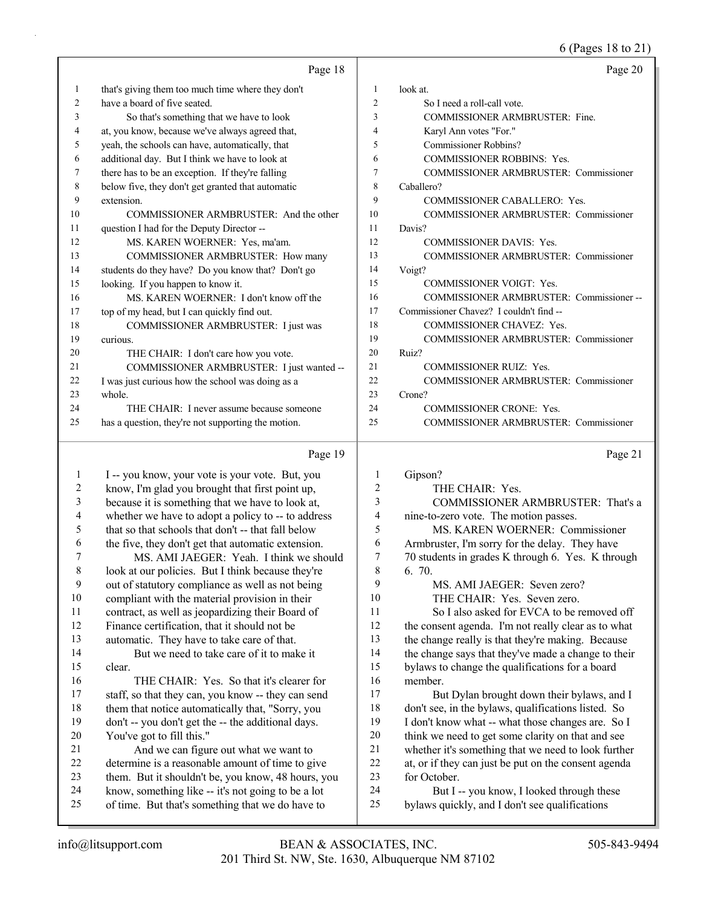6 (Pages 18 to 21)

|    |                                                    |                | 6 (Pages 18 to 21)                                  |
|----|----------------------------------------------------|----------------|-----------------------------------------------------|
|    | Page 18                                            |                | Page 20                                             |
| 1  | that's giving them too much time where they don't  | 1              | look at.                                            |
| 2  | have a board of five seated.                       | 2              | So I need a roll-call vote.                         |
| 3  | So that's something that we have to look           | 3              | COMMISSIONER ARMBRUSTER: Fine.                      |
| 4  | at, you know, because we've always agreed that,    | 4              | Karyl Ann votes "For."                              |
| 5  | yeah, the schools can have, automatically, that    | 5              | Commissioner Robbins?                               |
| 6  | additional day. But I think we have to look at     | 6              | COMMISSIONER ROBBINS: Yes.                          |
| 7  | there has to be an exception. If they're falling   | 7              | COMMISSIONER ARMBRUSTER: Commissioner               |
| 8  | below five, they don't get granted that automatic  | 8              | Caballero?                                          |
| 9  | extension.                                         | 9              | COMMISSIONER CABALLERO: Yes.                        |
| 10 | COMMISSIONER ARMBRUSTER: And the other             | 10             | COMMISSIONER ARMBRUSTER: Commissioner               |
| 11 | question I had for the Deputy Director --          | 11             | Davis?                                              |
| 12 | MS. KAREN WOERNER: Yes, ma'am.                     | 12             | COMMISSIONER DAVIS: Yes.                            |
| 13 | COMMISSIONER ARMBRUSTER: How many                  | 13             | COMMISSIONER ARMBRUSTER: Commissioner               |
| 14 | students do they have? Do you know that? Don't go  | 14             | Voigt?                                              |
| 15 | looking. If you happen to know it.                 | 15             | COMMISSIONER VOIGT: Yes.                            |
| 16 | MS. KAREN WOERNER: I don't know off the            | 16             | COMMISSIONER ARMBRUSTER: Commissioner--             |
| 17 | top of my head, but I can quickly find out.        | 17             | Commissioner Chavez? I couldn't find --             |
| 18 | COMMISSIONER ARMBRUSTER: I just was                | 18             | COMMISSIONER CHAVEZ: Yes.                           |
| 19 | curious.                                           | 19             | <b>COMMISSIONER ARMBRUSTER: Commissioner</b>        |
| 20 | THE CHAIR: I don't care how you vote.              | 20             | Ruiz?                                               |
| 21 | COMMISSIONER ARMBRUSTER: I just wanted --          | 21             | <b>COMMISSIONER RUIZ: Yes.</b>                      |
| 22 | I was just curious how the school was doing as a   | 22             | COMMISSIONER ARMBRUSTER: Commissioner               |
| 23 | whole.                                             | 23             | Crone?                                              |
| 24 | THE CHAIR: I never assume because someone          | 24             | <b>COMMISSIONER CRONE: Yes.</b>                     |
| 25 | has a question, they're not supporting the motion. | 25             | COMMISSIONER ARMBRUSTER: Commissioner               |
|    | Page 19                                            |                | Page 21                                             |
| 1  | I -- you know, your vote is your vote. But, you    | 1              | Gipson?                                             |
| 2  | know, I'm glad you brought that first point up,    | 2              | THE CHAIR: Yes.                                     |
| 3  | because it is something that we have to look at,   | 3              | COMMISSIONER ARMBRUSTER: That's a                   |
| 4  | whether we have to adopt a policy to -- to address | 4              | nine-to-zero vote. The motion passes.               |
| 5  | that so that schools that don't -- that fall below | 5              | MS. KAREN WOERNER: Commissioner                     |
| 6  | the five, they don't get that automatic extension. | 6              | Armbruster, I'm sorry for the delay. They have      |
|    | MS. AMI JAEGER: Yeah. I think we should            | $\overline{7}$ | 70 students in grades K through 6. Yes. K through   |
| 8  | look at our policies. But I think because they're  | 8              | 6. 70.                                              |
| 9  | out of statutory compliance as well as not being   | 9              | MS. AMI JAEGER: Seven zero?                         |
| 10 | compliant with the material provision in their     | 10             | THE CHAIR: Yes. Seven zero.                         |
| 11 | contract, as well as jeopardizing their Board of   | 11             | So I also asked for EVCA to be removed off          |
| 12 | Finance certification, that it should not be       | 12             | the consent agenda. I'm not really clear as to what |
| 13 | automatic. They have to take care of that.         | 13             | the change really is that they're making. Because   |
| 14 | But we need to take care of it to make it          | 14             | the change says that they've made a change to their |
| 15 | clear.                                             | 15             | bylaws to change the qualifications for a board     |
| 16 | THE CHAIR: Yes. So that it's clearer for           | 16             | member.                                             |
| 17 | staff, so that they can, you know -- they can send | 17             | But Dylan brought down their bylaws, and I          |

18 them that notice automatically that, "Sorry, you don't -- you don't get the -- the additional days. 21 And we can figure out what we want to determine is a reasonable amount of time to give them. But it shouldn't be, you know, 48 hours, you know, something like -- it's not going to be a lot 17 But Dylan brought down their bylaws, and I don't see, in the bylaws, qualifications listed. So I don't know what -- what those changes are. So I think we need to get some clarity on that and see whether it's something that we need to look further at, or if they can just be put on the consent agenda for October.

24 But I -- you know, I looked through these 25 bylaws quickly, and I don't see qualifications

20 You've got to fill this."

25 of time. But that's something that we do have to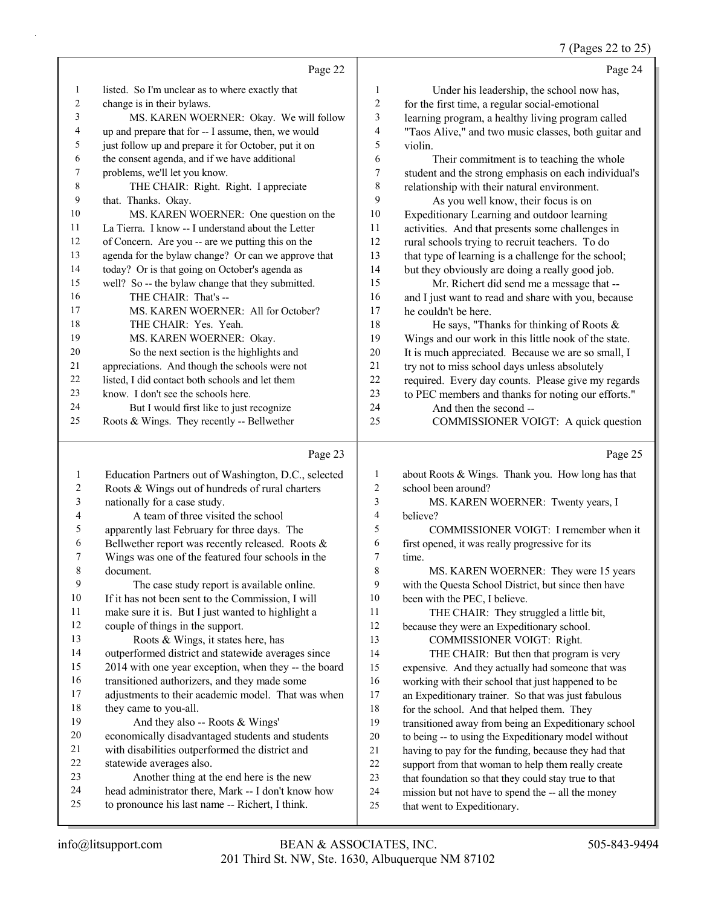# 7 (Pages 22 to 25)

|    | Page 22                                              |    | Page 24                                              |
|----|------------------------------------------------------|----|------------------------------------------------------|
| 1  | listed. So I'm unclear as to where exactly that      | 1  | Under his leadership, the school now has,            |
| 2  | change is in their bylaws.                           | 2  | for the first time, a regular social-emotional       |
| 3  | MS. KAREN WOERNER: Okay. We will follow              | 3  | learning program, a healthy living program called    |
| 4  | up and prepare that for -- I assume, then, we would  | 4  | "Taos Alive," and two music classes, both guitar and |
| 5  | just follow up and prepare it for October, put it on | 5  | violin.                                              |
| 6  | the consent agenda, and if we have additional        | 6  | Their commitment is to teaching the whole            |
| 7  | problems, we'll let you know.                        | 7  | student and the strong emphasis on each individual's |
| 8  | THE CHAIR: Right. Right. I appreciate                | 8  | relationship with their natural environment.         |
| 9  | that. Thanks. Okay.                                  | 9  | As you well know, their focus is on                  |
| 10 | MS. KAREN WOERNER: One question on the               | 10 | Expeditionary Learning and outdoor learning          |
| 11 | La Tierra. I know -- I understand about the Letter   | 11 | activities. And that presents some challenges in     |
| 12 | of Concern. Are you -- are we putting this on the    | 12 | rural schools trying to recruit teachers. To do      |
| 13 | agenda for the bylaw change? Or can we approve that  | 13 | that type of learning is a challenge for the school; |
| 14 | today? Or is that going on October's agenda as       | 14 | but they obviously are doing a really good job.      |
| 15 | well? So -- the bylaw change that they submitted.    | 15 | Mr. Richert did send me a message that --            |
| 16 | THE CHAIR: That's --                                 | 16 | and I just want to read and share with you, because  |
| 17 | MS. KAREN WOERNER: All for October?                  | 17 | he couldn't be here.                                 |
| 18 | THE CHAIR: Yes. Yeah.                                | 18 | He says, "Thanks for thinking of Roots $\&$          |
| 19 | MS. KAREN WOERNER: Okay.                             | 19 | Wings and our work in this little nook of the state. |
| 20 | So the next section is the highlights and            | 20 | It is much appreciated. Because we are so small, I   |
| 21 | appreciations. And though the schools were not       | 21 | try not to miss school days unless absolutely        |
| 22 | listed, I did contact both schools and let them      | 22 | required. Every day counts. Please give my regards   |
| 23 | know. I don't see the schools here.                  | 23 | to PEC members and thanks for noting our efforts."   |
| 24 | But I would first like to just recognize             | 24 | And then the second --                               |
| 25 | Roots & Wings. They recently -- Bellwether           | 25 | COMMISSIONER VOIGT: A quick question                 |
|    | Page 23                                              |    | Page 25                                              |
|    | $\mathbf{C}$<br>$T1$ $T2$                            |    | $1 \cdot R \cdot R$<br>T <sub>1</sub>                |

| 1  | Education Partners out of Washington, D.C., selected | 1  | about Roots & Wings. Thank you. How long has that    |
|----|------------------------------------------------------|----|------------------------------------------------------|
| 2  | Roots & Wings out of hundreds of rural charters      | 2  | school been around?                                  |
| 3  | nationally for a case study.                         | 3  | MS. KAREN WOERNER: Twenty years, I                   |
| 4  | A team of three visited the school                   | 4  | believe?                                             |
| 5  | apparently last February for three days. The         | 5  | COMMISSIONER VOIGT: I remember when it               |
| 6  | Bellwether report was recently released. Roots &     | 6  | first opened, it was really progressive for its      |
| 7  | Wings was one of the featured four schools in the    | 7  | time.                                                |
| 8  | document.                                            | 8  | MS. KAREN WOERNER: They were 15 years                |
| 9  | The case study report is available online.           | 9  | with the Questa School District, but since then have |
| 10 | If it has not been sent to the Commission, I will    | 10 | been with the PEC, I believe.                        |
| 11 | make sure it is. But I just wanted to highlight a    | 11 | THE CHAIR: They struggled a little bit,              |
| 12 | couple of things in the support.                     | 12 | because they were an Expeditionary school.           |
| 13 | Roots & Wings, it states here, has                   | 13 | COMMISSIONER VOIGT: Right.                           |
| 14 | outperformed district and statewide averages since   | 14 | THE CHAIR: But then that program is very             |
| 15 | 2014 with one year exception, when they -- the board | 15 | expensive. And they actually had someone that was    |
| 16 | transitioned authorizers, and they made some         | 16 | working with their school that just happened to be   |
| 17 | adjustments to their academic model. That was when   | 17 | an Expeditionary trainer. So that was just fabulous  |
| 18 | they came to you-all.                                | 18 | for the school. And that helped them. They           |
| 19 | And they also -- Roots & Wings'                      | 19 | transitioned away from being an Expeditionary school |
| 20 | economically disadvantaged students and students     | 20 | to being -- to using the Expeditionary model without |
| 21 | with disabilities outperformed the district and      | 21 | having to pay for the funding, because they had that |
| 22 | statewide averages also.                             | 22 | support from that woman to help them really create   |
| 23 | Another thing at the end here is the new             | 23 | that foundation so that they could stay true to that |
| 24 | head administrator there, Mark -- I don't know how   | 24 | mission but not have to spend the -- all the money   |
| 25 | to pronounce his last name -- Richert, I think.      | 25 | that went to Expeditionary.                          |
|    |                                                      |    |                                                      |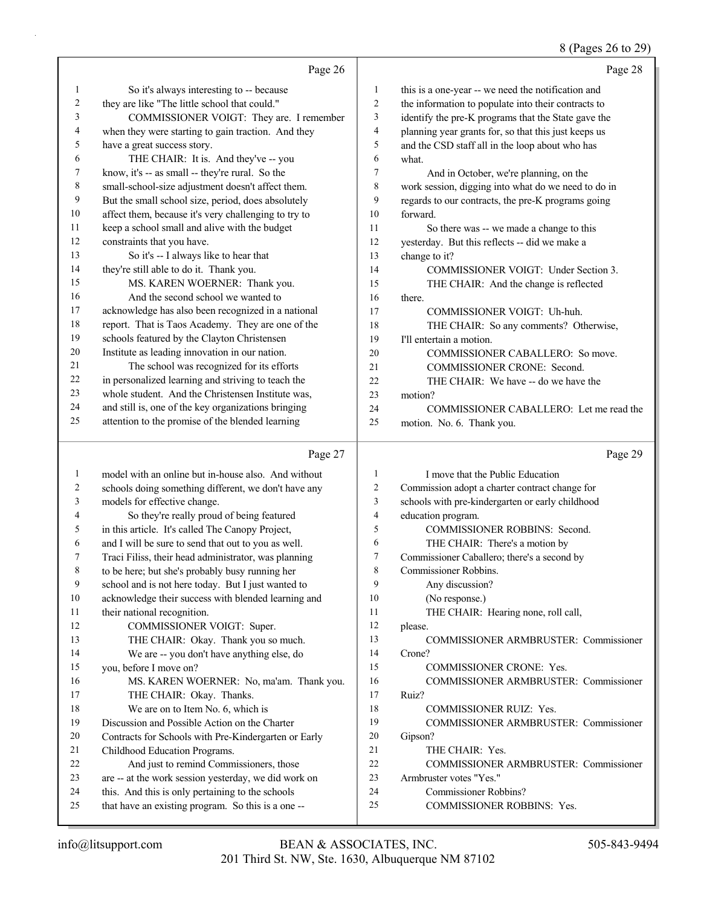#### 8 (Pages 26 to 29)

|    | Page 26                                              |                | Page 28                                              |
|----|------------------------------------------------------|----------------|------------------------------------------------------|
| 1  | So it's always interesting to -- because             | 1              | this is a one-year -- we need the notification and   |
| 2  | they are like "The little school that could."        | $\overline{c}$ | the information to populate into their contracts to  |
| 3  | COMMISSIONER VOIGT: They are. I remember             | 3              | identify the pre-K programs that the State gave the  |
| 4  | when they were starting to gain traction. And they   | $\overline{4}$ | planning year grants for, so that this just keeps us |
| 5  | have a great success story.                          | 5              | and the CSD staff all in the loop about who has      |
| 6  | THE CHAIR: It is. And they've -- you                 | 6              | what.                                                |
| 7  | know, it's -- as small -- they're rural. So the      | 7              | And in October, we're planning, on the               |
| 8  | small-school-size adjustment doesn't affect them.    | 8              | work session, digging into what do we need to do in  |
| 9  | But the small school size, period, does absolutely   | 9              | regards to our contracts, the pre-K programs going   |
| 10 | affect them, because it's very challenging to try to | 10             | forward.                                             |
| 11 | keep a school small and alive with the budget        | 11             | So there was -- we made a change to this             |
| 12 | constraints that you have.                           | 12             | yesterday. But this reflects -- did we make a        |
| 13 | So it's -- I always like to hear that                | 13             | change to it?                                        |
| 14 | they're still able to do it. Thank you.              | 14             | COMMISSIONER VOIGT: Under Section 3.                 |
| 15 | MS. KAREN WOERNER: Thank you.                        | 15             | THE CHAIR: And the change is reflected               |
| 16 | And the second school we wanted to                   | 16             | there.                                               |
| 17 | acknowledge has also been recognized in a national   | 17             | COMMISSIONER VOIGT: Uh-huh.                          |
| 18 | report. That is Taos Academy. They are one of the    | 18             | THE CHAIR: So any comments? Otherwise,               |
| 19 | schools featured by the Clayton Christensen          | 19             | I'll entertain a motion.                             |
| 20 | Institute as leading innovation in our nation.       | 20             | COMMISSIONER CABALLERO: So move.                     |
| 21 | The school was recognized for its efforts            | 21             | COMMISSIONER CRONE: Second.                          |
| 22 | in personalized learning and striving to teach the   | 22             | THE CHAIR: We have -- do we have the                 |
| 23 | whole student. And the Christensen Institute was,    | 23             | motion?                                              |
| 24 | and still is, one of the key organizations bringing  | 24             | COMMISSIONER CABALLERO: Let me read the              |
| 25 | attention to the promise of the blended learning     | 25             | motion. No. 6. Thank you.                            |
|    | Page 27                                              |                | Page 29                                              |
| 1  | model with an online but in-house also. And without  | 1              | I move that the Public Education                     |
| 2  | schools doing something different, we don't have any | 2              | Commission adopt a charter contract change for       |
| 3  | models for effective change.                         | 3              | schools with pre-kindergarten or early childhood     |
| 4  | So they're really proud of being featured            | $\overline{4}$ | education program.                                   |
| 5  | in this article. It's called The Canopy Project,     | 5              | COMMISSIONER ROBBINS: Second.                        |
| 6  | and I will be sure to send that out to you as well.  | 6              | THE CHAIR: There's a motion by                       |
| 7  | Traci Filiss, their head administrator, was planning | 7              | Commissioner Caballero; there's a second by          |
| 8  | to be here; but she's probably busy running her      | 8              | Commissioner Robbins.                                |
| 9  | school and is not here today. But I just wanted to   | 9              | Any discussion?                                      |
| 10 | acknowledge their success with blended learning and  | 10             | (No response.)                                       |
| 11 | their national recognition.                          | 11             | THE CHAIR: Hearing none, roll call,                  |
| 12 | COMMISSIONER VOIGT: Super.                           | 12             | please.                                              |
| 13 | THE CHAIR: Okay. Thank you so much.                  | 13             | <b>COMMISSIONER ARMBRUSTER: Commissioner</b>         |
| 14 | We are -- you don't have anything else, do           | 14             | Crone?                                               |

14 We are -- you don't have anything else, do 15 you, before I move on? 16 MS. KAREN WOERNER: No, ma'am. Thank you. 17 THE CHAIR: Okay. Thanks. 18 We are on to Item No. 6, which is 19 Discussion and Possible Action on the Charter 20 Contracts for Schools with Pre-Kindergarten or Early 21 Childhood Education Programs. 22 And just to remind Commissioners, those 23 are -- at the work session yesterday, we did work on 24 this. And this is only pertaining to the schools

25 that have an existing program. So this is a one --

17 Ruiz?

20 Gipson?

15 COMMISSIONER CRONE: Yes.

18 COMMISSIONER RUIZ: Yes.

25 COMMISSIONER ROBBINS: Yes.

21 THE CHAIR: Yes.

23 Armbruster votes "Yes." 24 Commissioner Robbins?

16 COMMISSIONER ARMBRUSTER: Commissioner

19 COMMISSIONER ARMBRUSTER: Commissioner

22 COMMISSIONER ARMBRUSTER: Commissioner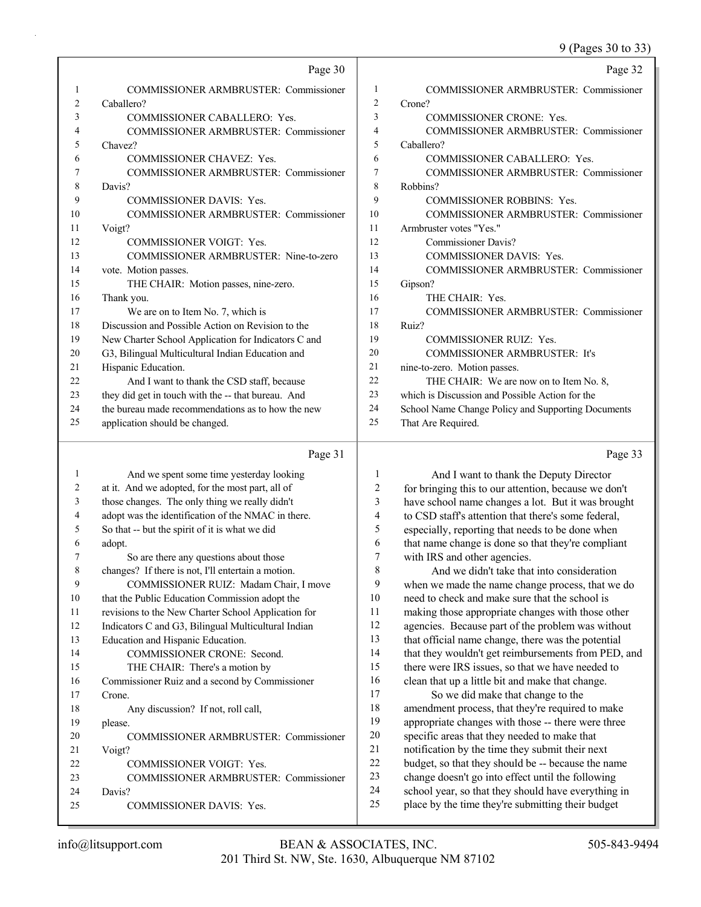9 (Pages 30 to 33)

|    | Page 30                                             |    | Page 32                                            |
|----|-----------------------------------------------------|----|----------------------------------------------------|
|    | <b>COMMISSIONER ARMBRUSTER: Commissioner</b>        | 1  | <b>COMMISSIONER ARMBRUSTER: Commissioner</b>       |
| 2  | Caballero?                                          | 2  | Crone?                                             |
| 3  | <b>COMMISSIONER CABALLERO: Yes.</b>                 | 3  | <b>COMMISSIONER CRONE: Yes.</b>                    |
| 4  | COMMISSIONER ARMBRUSTER: Commissioner               | 4  | <b>COMMISSIONER ARMBRUSTER: Commissioner</b>       |
| 5  | Chavez?                                             | 5  | Caballero?                                         |
| 6  | <b>COMMISSIONER CHAVEZ: Yes.</b>                    | 6  | COMMISSIONER CABALLERO: Yes.                       |
|    | <b>COMMISSIONER ARMBRUSTER: Commissioner</b>        | 7  | <b>COMMISSIONER ARMBRUSTER: Commissioner</b>       |
| 8  | Davis?                                              | 8  | Robbins?                                           |
| 9  | <b>COMMISSIONER DAVIS: Yes.</b>                     | 9  | <b>COMMISSIONER ROBBINS: Yes.</b>                  |
| 10 | COMMISSIONER ARMBRUSTER: Commissioner               | 10 | COMMISSIONER ARMBRUSTER: Commissioner              |
| 11 | Voigt?                                              | 11 | Armbruster votes "Yes."                            |
| 12 | <b>COMMISSIONER VOIGT: Yes.</b>                     | 12 | Commissioner Davis?                                |
| 13 | COMMISSIONER ARMBRUSTER: Nine-to-zero               | 13 | <b>COMMISSIONER DAVIS: Yes.</b>                    |
| 14 | vote. Motion passes.                                | 14 | COMMISSIONER ARMBRUSTER: Commissioner              |
| 15 | THE CHAIR: Motion passes, nine-zero.                | 15 | Gipson?                                            |
| 16 | Thank you.                                          | 16 | THE CHAIR: Yes.                                    |
| 17 | We are on to Item No. 7, which is                   | 17 | <b>COMMISSIONER ARMBRUSTER: Commissioner</b>       |
| 18 | Discussion and Possible Action on Revision to the   | 18 | Ruiz?                                              |
| 19 | New Charter School Application for Indicators C and | 19 | <b>COMMISSIONER RUIZ: Yes.</b>                     |
| 20 | G3, Bilingual Multicultural Indian Education and    | 20 | <b>COMMISSIONER ARMBRUSTER: It's</b>               |
| 21 | Hispanic Education.                                 | 21 | nine-to-zero. Motion passes.                       |
| 22 | And I want to thank the CSD staff, because          | 22 | THE CHAIR: We are now on to Item No. 8,            |
| 23 | they did get in touch with the -- that bureau. And  | 23 | which is Discussion and Possible Action for the    |
| 24 | the bureau made recommendations as to how the new   | 24 | School Name Change Policy and Supporting Documents |
| 25 | application should be changed.                      | 25 | That Are Required.                                 |
|    |                                                     |    |                                                    |

#### Page 31

|    | Page 31                                             |                | Page 33                                              |
|----|-----------------------------------------------------|----------------|------------------------------------------------------|
|    | And we spent some time yesterday looking            | 1              | And I want to thank the Deputy Director              |
| 2  | at it. And we adopted, for the most part, all of    | $\overline{2}$ | for bringing this to our attention, because we don't |
| 3  | those changes. The only thing we really didn't      | 3              | have school name changes a lot. But it was brought   |
| 4  | adopt was the identification of the NMAC in there.  | 4              | to CSD staff's attention that there's some federal,  |
| 5  | So that -- but the spirit of it is what we did      | 5              | especially, reporting that needs to be done when     |
| 6  | adopt.                                              | 6              | that name change is done so that they're compliant   |
| 7  | So are there any questions about those              | 7              | with IRS and other agencies.                         |
| 8  | changes? If there is not, I'll entertain a motion.  | 8              | And we didn't take that into consideration           |
| 9  | COMMISSIONER RUIZ: Madam Chair, I move              | 9              | when we made the name change process, that we do     |
| 10 | that the Public Education Commission adopt the      | 10             | need to check and make sure that the school is       |
| 11 | revisions to the New Charter School Application for | 11             | making those appropriate changes with those other    |
| 12 | Indicators C and G3, Bilingual Multicultural Indian | 12             | agencies. Because part of the problem was without    |
| 13 | Education and Hispanic Education.                   | 13             | that official name change, there was the potential   |
| 14 | <b>COMMISSIONER CRONE: Second.</b>                  | 14             | that they wouldn't get reimbursements from PED, and  |
| 15 | THE CHAIR: There's a motion by                      | 15             | there were IRS issues, so that we have needed to     |
| 16 | Commissioner Ruiz and a second by Commissioner      | 16             | clean that up a little bit and make that change.     |
| 17 | Crone.                                              | 17             | So we did make that change to the                    |
| 18 | Any discussion? If not, roll call,                  | 18             | amendment process, that they're required to make     |
| 19 | please.                                             | 19             | appropriate changes with those -- there were three   |
| 20 | COMMISSIONER ARMBRUSTER: Commissioner               | 20             | specific areas that they needed to make that         |
| 21 | Voigt?                                              | 21             | notification by the time they submit their next      |
| 22 | <b>COMMISSIONER VOIGT: Yes.</b>                     | 22             | budget, so that they should be -- because the name   |
| 23 | <b>COMMISSIONER ARMBRUSTER: Commissioner</b>        | 23             | change doesn't go into effect until the following    |
| 24 | Davis?                                              | 24             | school year, so that they should have everything in  |
| 25 | <b>COMMISSIONER DAVIS: Yes.</b>                     | 25             | place by the time they're submitting their budget    |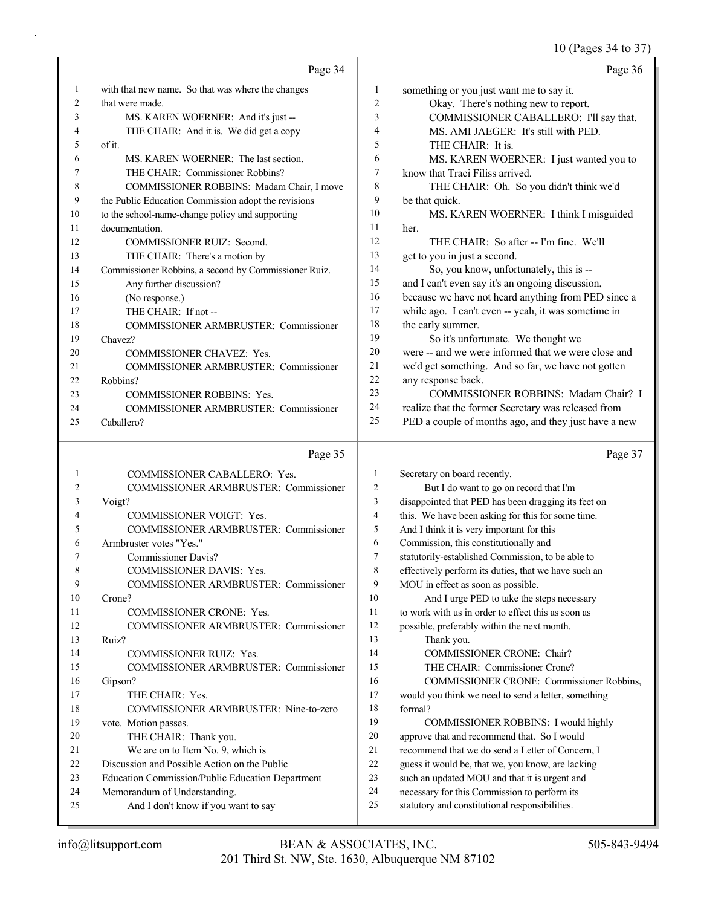#### 10 (Pages 34 to 37)

|                | Page 34                                              |                  | Page 36                                              |
|----------------|------------------------------------------------------|------------------|------------------------------------------------------|
|                | with that new name. So that was where the changes    | 1                | something or you just want me to say it.             |
| $\overline{2}$ | that were made.                                      | $\overline{2}$   | Okay. There's nothing new to report.                 |
| 3              | MS. KAREN WOERNER: And it's just --                  | 3                | COMMISSIONER CABALLERO: I'll say that.               |
| 4              | THE CHAIR: And it is. We did get a copy              | 4                | MS. AMI JAEGER: It's still with PED.                 |
| 5              | of it.                                               | 5                | THE CHAIR: It is.                                    |
| 6              | MS. KAREN WOERNER: The last section.                 | 6                | MS. KAREN WOERNER: I just wanted you to              |
|                | THE CHAIR: Commissioner Robbins?                     | 7                | know that Traci Filiss arrived.                      |
| 8              | COMMISSIONER ROBBINS: Madam Chair, I move            | 8                | THE CHAIR: Oh. So you didn't think we'd              |
| 9              | the Public Education Commission adopt the revisions  | 9                | be that quick.                                       |
| 10             | to the school-name-change policy and supporting      | 10 <sup>10</sup> | MS. KAREN WOERNER: I think I misguided               |
| 11             | documentation.                                       | 11               | her.                                                 |
| 12             | COMMISSIONER RUIZ: Second.                           | 12               | THE CHAIR: So after -- I'm fine. We'll               |
| 13             | THE CHAIR: There's a motion by                       | 13               | get to you in just a second.                         |
| 14             | Commissioner Robbins, a second by Commissioner Ruiz. | 14               | So, you know, unfortunately, this is --              |
| 15             | Any further discussion?                              | 15               | and I can't even say it's an ongoing discussion,     |
| 16             | (No response.)                                       | 16               | because we have not heard anything from PED since a  |
| 17             | THE CHAIR: If not --                                 | 17               | while ago. I can't even -- yeah, it was sometime in  |
| 18             | <b>COMMISSIONER ARMBRUSTER: Commissioner</b>         | 18               | the early summer.                                    |
| 19             | Chavez?                                              | 19               | So it's unfortunate. We thought we                   |
| 20             | <b>COMMISSIONER CHAVEZ: Yes.</b>                     | 20               | were -- and we were informed that we were close and  |
| 21             | <b>COMMISSIONER ARMBRUSTER: Commissioner</b>         | 21               | we'd get something. And so far, we have not gotten   |
| 22             | Robbins?                                             | 22               | any response back.                                   |
| 23             | <b>COMMISSIONER ROBBINS: Yes.</b>                    | 23               | COMMISSIONER ROBBINS: Madam Chair? I                 |
| 24             | <b>COMMISSIONER ARMBRUSTER: Commissioner</b>         | 24               | realize that the former Secretary was released from  |
| 25             | Caballero?                                           | 25               | PED a couple of months ago, and they just have a new |
|                | Page 35                                              |                  | Page 37                                              |

### Page 35 |

| 1  | <b>COMMISSIONER CABALLERO: Yes.</b>              | 1              |
|----|--------------------------------------------------|----------------|
| 2  | COMMISSIONER ARMBRUSTER: Commissioner            | $\overline{2}$ |
| 3  | Voigt?                                           | 3              |
| 4  | <b>COMMISSIONER VOIGT: Yes.</b>                  | 4              |
| 5  | COMMISSIONER ARMBRUSTER: Commissioner            | 5              |
| 6  | Armbruster votes "Yes."                          | 6              |
| 7  | Commissioner Davis?                              | 7              |
| 8  | <b>COMMISSIONER DAVIS: Yes.</b>                  | 8              |
| 9  | COMMISSIONER ARMBRUSTER: Commissioner            | 9              |
| 10 | Crone?                                           | 10             |
| 11 | <b>COMMISSIONER CRONE: Yes.</b>                  | 11             |
| 12 | COMMISSIONER ARMBRUSTER: Commissioner            | 12             |
| 13 | Ruiz?                                            | 13             |
| 14 | <b>COMMISSIONER RUIZ: Yes.</b>                   | 14             |
| 15 | COMMISSIONER ARMBRUSTER: Commissioner            | 15             |
| 16 | Gipson?                                          | 16             |
| 17 | THE CHAIR: Yes.                                  | 17             |
| 18 | COMMISSIONER ARMBRUSTER: Nine-to-zero            | 18             |
| 19 | vote. Motion passes.                             | 19             |
| 20 | THE CHAIR: Thank you.                            | 20             |
| 21 | We are on to Item No. 9, which is                | 21             |
| 22 | Discussion and Possible Action on the Public     | 22             |
| 23 | Education Commission/Public Education Department | 23             |
| 24 | Memorandum of Understanding.                     | 24             |
| 25 | And I don't know if you want to say              | 25             |

#### Secretary on board recently. 2 But I do want to go on record that I'm disappointed that PED has been dragging its feet on this. We have been asking for this for some time. And I think it is very important for this Commission, this constitutionally and statutorily-established Commission, to be able to effectively perform its duties, that we have such an MOU in effect as soon as possible. And I urge PED to take the steps necessary to work with us in order to effect this as soon as possible, preferably within the next month. Thank you. COMMISSIONER CRONE: Chair? THE CHAIR: Commissioner Crone? 16 COMMISSIONER CRONE: Commissioner Robbins, would you think we need to send a letter, something formal? 19 COMMISSIONER ROBBINS: I would highly approve that and recommend that. So I would recommend that we do send a Letter of Concern, I guess it would be, that we, you know, are lacking

such an updated MOU and that it is urgent and

necessary for this Commission to perform its statutory and constitutional responsibilities.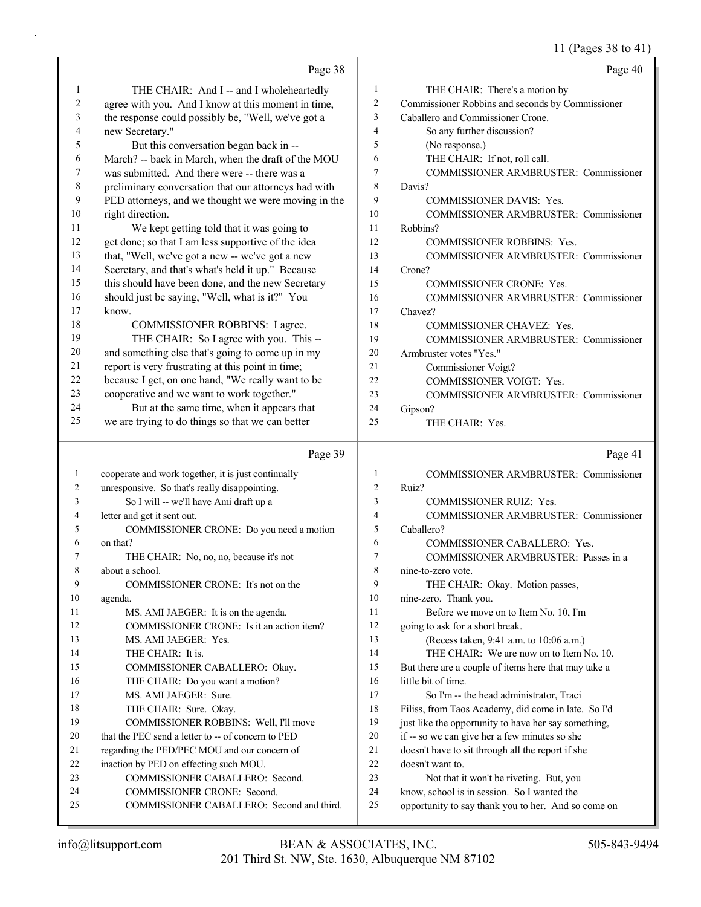11 (Pages 38 to 41)

|    |                                                      |                | $11 \left(1 \frac{u}{v}\right)$                      |
|----|------------------------------------------------------|----------------|------------------------------------------------------|
|    | Page 38                                              |                | Page 40                                              |
| 1  | THE CHAIR: And I -- and I wholeheartedly             | 1              | THE CHAIR: There's a motion by                       |
| 2  | agree with you. And I know at this moment in time,   | $\overline{2}$ | Commissioner Robbins and seconds by Commissioner     |
| 3  | the response could possibly be, "Well, we've got a   | 3              | Caballero and Commissioner Crone.                    |
| 4  | new Secretary."                                      | $\overline{4}$ | So any further discussion?                           |
| 5  | But this conversation began back in --               | 5              | (No response.)                                       |
| 6  | March? -- back in March, when the draft of the MOU   | 6              | THE CHAIR: If not, roll call.                        |
| 7  | was submitted. And there were -- there was a         | 7              | COMMISSIONER ARMBRUSTER: Commissioner                |
| 8  | preliminary conversation that our attorneys had with | 8              | Davis?                                               |
| 9  | PED attorneys, and we thought we were moving in the  | 9              | <b>COMMISSIONER DAVIS: Yes.</b>                      |
| 10 | right direction.                                     | 10             | <b>COMMISSIONER ARMBRUSTER: Commissioner</b>         |
| 11 | We kept getting told that it was going to            | 11             | Robbins?                                             |
| 12 | get done; so that I am less supportive of the idea   | 12             | <b>COMMISSIONER ROBBINS: Yes.</b>                    |
| 13 | that, "Well, we've got a new -- we've got a new      | 13             | COMMISSIONER ARMBRUSTER: Commissioner                |
| 14 | Secretary, and that's what's held it up." Because    | 14             | Crone?                                               |
| 15 | this should have been done, and the new Secretary    | 15             | <b>COMMISSIONER CRONE: Yes.</b>                      |
| 16 | should just be saying, "Well, what is it?" You       | 16             | <b>COMMISSIONER ARMBRUSTER: Commissioner</b>         |
| 17 | know.                                                | 17             | Chavez?                                              |
| 18 | COMMISSIONER ROBBINS: I agree.                       | 18             | COMMISSIONER CHAVEZ: Yes.                            |
| 19 | THE CHAIR: So I agree with you. This --              | 19             | COMMISSIONER ARMBRUSTER: Commissioner                |
| 20 | and something else that's going to come up in my     | 20             | Armbruster votes "Yes."                              |
| 21 | report is very frustrating at this point in time;    | 21             | Commissioner Voigt?                                  |
| 22 | because I get, on one hand, "We really want to be    | 22             | COMMISSIONER VOIGT: Yes.                             |
| 23 | cooperative and we want to work together."           | 23             | COMMISSIONER ARMBRUSTER: Commissioner                |
| 24 | But at the same time, when it appears that           | 24             | Gipson?                                              |
| 25 | we are trying to do things so that we can better     | 25             | THE CHAIR: Yes.                                      |
|    |                                                      |                |                                                      |
|    | Page 39                                              |                | Page 41                                              |
| 1  | cooperate and work together, it is just continually  | 1              | COMMISSIONER ARMBRUSTER: Commissioner                |
| 2  | unresponsive. So that's really disappointing.        | $\overline{2}$ | Ruiz?                                                |
| 3  | So I will -- we'll have Ami draft up a               | 3              | <b>COMMISSIONER RUIZ: Yes.</b>                       |
| 4  | letter and get it sent out.                          | $\overline{4}$ | COMMISSIONER ARMBRUSTER: Commissioner                |
| 5  | COMMISSIONER CRONE: Do you need a motion             | 5              | Caballero?                                           |
| 6  | on that?                                             | 6              | COMMISSIONER CABALLERO: Yes.                         |
| 7  | THE CHAIR: No, no, no, because it's not              | 7              | COMMISSIONER ARMBRUSTER: Passes in a                 |
| 8  | about a school.                                      | 8              |                                                      |
| 9  |                                                      |                | nine-to-zero vote.                                   |
| 10 | COMMISSIONER CRONE: It's not on the                  | 9              | THE CHAIR: Okay. Motion passes,                      |
|    | agenda.                                              | 10             | nine-zero. Thank you.                                |
| 11 | MS. AMI JAEGER: It is on the agenda.                 | 11             | Before we move on to Item No. 10, I'm                |
| 12 | COMMISSIONER CRONE: Is it an action item?            | 12             | going to ask for a short break.                      |
| 13 | MS. AMI JAEGER: Yes.                                 | 13             | (Recess taken, 9:41 a.m. to 10:06 a.m.)              |
| 14 | THE CHAIR: It is.                                    | 14             | THE CHAIR: We are now on to Item No. 10.             |
| 15 | COMMISSIONER CABALLERO: Okay.                        | 15             | But there are a couple of items here that may take a |
| 16 | THE CHAIR: Do you want a motion?                     | 16             | little bit of time.                                  |
| 17 | MS. AMI JAEGER: Sure.                                | 17             | So I'm -- the head administrator, Traci              |
| 18 | THE CHAIR: Sure. Okay.                               | 18             | Filiss, from Taos Academy, did come in late. So I'd  |
| 19 | COMMISSIONER ROBBINS: Well, I'll move                | 19             | just like the opportunity to have her say something, |
| 20 | that the PEC send a letter to -- of concern to PED   | 20             | if -- so we can give her a few minutes so she        |
| 21 | regarding the PED/PEC MOU and our concern of         | 21             | doesn't have to sit through all the report if she    |
| 22 | inaction by PED on effecting such MOU.               | 22             | doesn't want to.                                     |
| 23 | COMMISSIONER CABALLERO: Second.                      | 23             | Not that it won't be riveting. But, you              |
| 24 | COMMISSIONER CRONE: Second.                          | 24             | know, school is in session. So I wanted the          |
| 25 | COMMISSIONER CABALLERO: Second and third.            | 25             | opportunity to say thank you to her. And so come on  |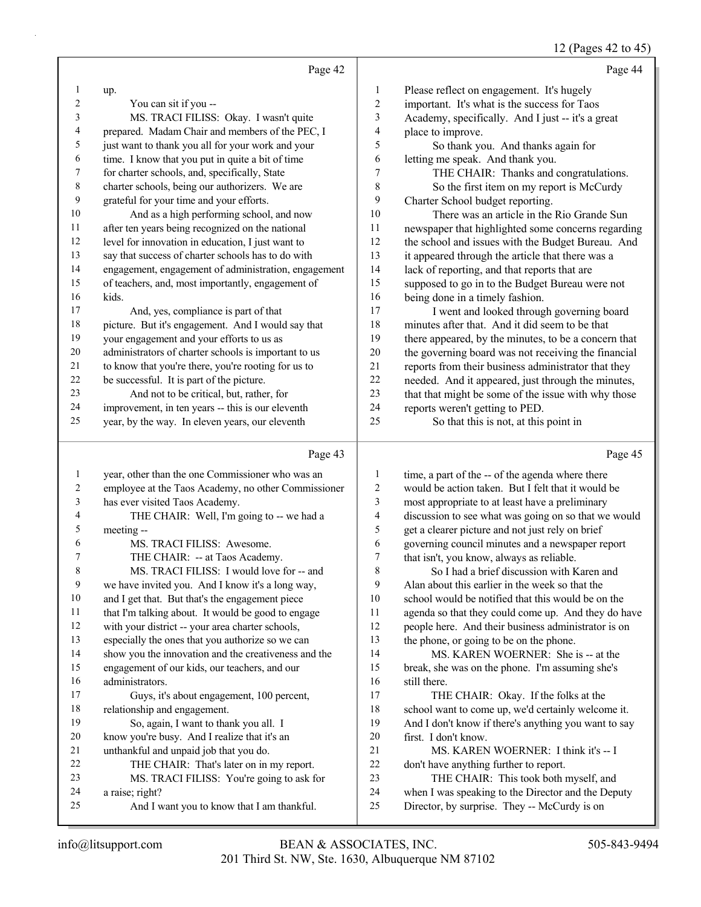# 12 (Pages 42 to 45)

|    | Page 42                                              |                | Page 44                                              |
|----|------------------------------------------------------|----------------|------------------------------------------------------|
|    | up.                                                  | 1              | Please reflect on engagement. It's hugely            |
| 2  | You can sit if you --                                | $\overline{2}$ | important. It's what is the success for Taos         |
| 3  | MS. TRACI FILISS: Okay. I wasn't quite               | 3              | Academy, specifically. And I just -- it's a great    |
| 4  | prepared. Madam Chair and members of the PEC, I      | 4              | place to improve.                                    |
| 5  | just want to thank you all for your work and your    | 5              | So thank you. And thanks again for                   |
| 6  | time. I know that you put in quite a bit of time     | 6              | letting me speak. And thank you.                     |
| 7  | for charter schools, and, specifically, State        | $\overline{7}$ | THE CHAIR: Thanks and congratulations.               |
| 8  | charter schools, being our authorizers. We are       | 8              | So the first item on my report is McCurdy            |
| 9  | grateful for your time and your efforts.             | 9              | Charter School budget reporting.                     |
| 10 | And as a high performing school, and now             | 10             | There was an article in the Rio Grande Sun           |
| 11 | after ten years being recognized on the national     | 11             | newspaper that highlighted some concerns regarding   |
| 12 | level for innovation in education, I just want to    | 12             | the school and issues with the Budget Bureau. And    |
| 13 | say that success of charter schools has to do with   | 13             | it appeared through the article that there was a     |
| 14 | engagement, engagement of administration, engagement | 14             | lack of reporting, and that reports that are         |
| 15 | of teachers, and, most importantly, engagement of    | 15             | supposed to go in to the Budget Bureau were not      |
| 16 | kids.                                                | 16             | being done in a timely fashion.                      |
| 17 | And, yes, compliance is part of that                 | 17             | I went and looked through governing board            |
| 18 | picture. But it's engagement. And I would say that   | 18             | minutes after that. And it did seem to be that       |
| 19 | your engagement and your efforts to us as            | 19             | there appeared, by the minutes, to be a concern that |
| 20 | administrators of charter schools is important to us | 20             | the governing board was not receiving the financial  |
| 21 | to know that you're there, you're rooting for us to  | 21             | reports from their business administrator that they  |
| 22 | be successful. It is part of the picture.            | 22             | needed. And it appeared, just through the minutes,   |
| 23 | And not to be critical, but, rather, for             | 23             | that that might be some of the issue with why those  |
| 24 | improvement, in ten years -- this is our eleventh    | 24             | reports weren't getting to PED.                      |
| 25 | year, by the way. In eleven years, our eleventh      | 25             | So that this is not, at this point in                |
|    | Page 43                                              |                | Page 45                                              |

|    | Page 43                                              |                | Page 45                                              |
|----|------------------------------------------------------|----------------|------------------------------------------------------|
| 1  | year, other than the one Commissioner who was an     | 1              | time, a part of the -- of the agenda where there     |
| 2  | employee at the Taos Academy, no other Commissioner  | $\overline{2}$ | would be action taken. But I felt that it would be   |
| 3  | has ever visited Taos Academy.                       | 3              | most appropriate to at least have a preliminary      |
| 4  | THE CHAIR: Well, I'm going to -- we had a            | $\overline{4}$ | discussion to see what was going on so that we would |
| 5  | meeting --                                           | 5              | get a clearer picture and not just rely on brief     |
| 6  | MS. TRACI FILISS: Awesome.                           | 6              | governing council minutes and a newspaper report     |
| 7  | THE CHAIR: -- at Taos Academy.                       | 7              | that isn't, you know, always as reliable.            |
| 8  | MS. TRACI FILISS: I would love for -- and            | 8              | So I had a brief discussion with Karen and           |
| 9  | we have invited you. And I know it's a long way,     | 9              | Alan about this earlier in the week so that the      |
| 10 | and I get that. But that's the engagement piece      | 10             | school would be notified that this would be on the   |
| 11 | that I'm talking about. It would be good to engage   | 11             | agenda so that they could come up. And they do have  |
| 12 | with your district -- your area charter schools,     | 12             | people here. And their business administrator is on  |
| 13 | especially the ones that you authorize so we can     | 13             | the phone, or going to be on the phone.              |
| 14 | show you the innovation and the creativeness and the | 14             | MS. KAREN WOERNER: She is -- at the                  |
| 15 | engagement of our kids, our teachers, and our        | 15             | break, she was on the phone. I'm assuming she's      |
| 16 | administrators.                                      | 16             | still there.                                         |
| 17 | Guys, it's about engagement, 100 percent,            | 17             | THE CHAIR: Okay. If the folks at the                 |
| 18 | relationship and engagement.                         | 18             | school want to come up, we'd certainly welcome it.   |
| 19 | So, again, I want to thank you all. I                | 19             | And I don't know if there's anything you want to say |
| 20 | know you're busy. And I realize that it's an         | 20             | first. I don't know.                                 |
| 21 | unthankful and unpaid job that you do.               | 21             | MS. KAREN WOERNER: I think it's -- I                 |
| 22 | THE CHAIR: That's later on in my report.             | 22             | don't have anything further to report.               |
| 23 | MS. TRACI FILISS: You're going to ask for            | 23             | THE CHAIR: This took both myself, and                |
| 24 | a raise; right?                                      | 24             | when I was speaking to the Director and the Deputy   |
| 25 | And I want you to know that I am thankful.           | 25             | Director, by surprise. They -- McCurdy is on         |
|    |                                                      |                |                                                      |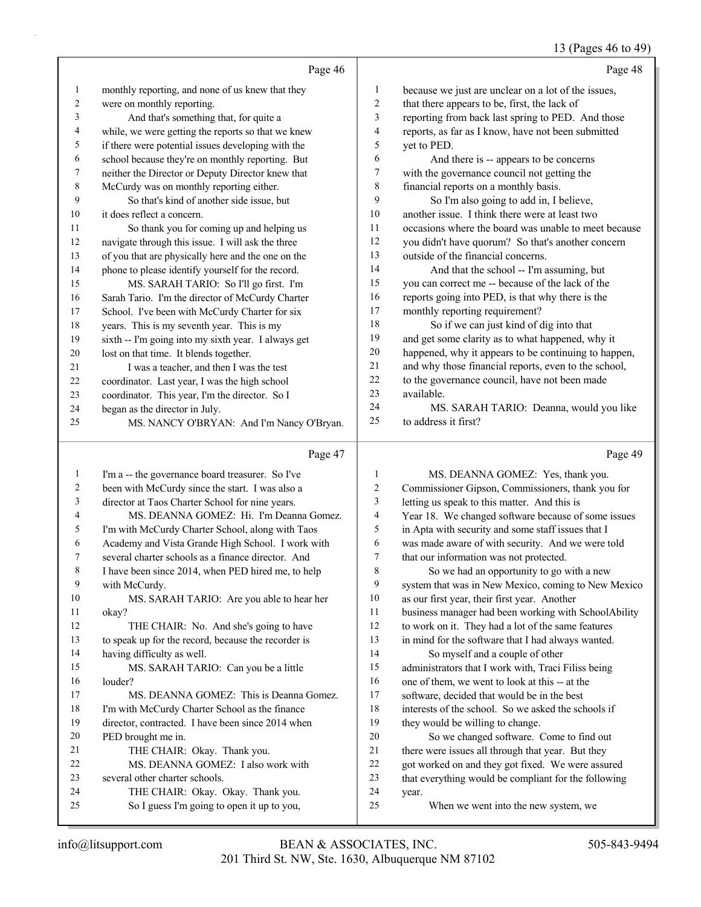## 13 (Pages 46 to 49)

|                |                                                                                                       |                | $13 \text{ (14gcs)}$ TV to $77$                                                              |
|----------------|-------------------------------------------------------------------------------------------------------|----------------|----------------------------------------------------------------------------------------------|
|                | Page 46                                                                                               |                | Page 48                                                                                      |
| $\mathbf{1}$   | monthly reporting, and none of us knew that they                                                      | 1              | because we just are unclear on a lot of the issues,                                          |
| $\overline{c}$ | were on monthly reporting.                                                                            | $\overline{2}$ | that there appears to be, first, the lack of                                                 |
| 3              | And that's something that, for quite a                                                                | 3              | reporting from back last spring to PED. And those                                            |
| 4              | while, we were getting the reports so that we knew                                                    | $\overline{4}$ | reports, as far as I know, have not been submitted                                           |
| 5              | if there were potential issues developing with the                                                    | 5              | yet to PED.                                                                                  |
| 6              | school because they're on monthly reporting. But                                                      | 6              | And there is -- appears to be concerns                                                       |
| 7              | neither the Director or Deputy Director knew that                                                     | 7              | with the governance council not getting the                                                  |
| 8              | McCurdy was on monthly reporting either.                                                              | 8              | financial reports on a monthly basis.                                                        |
| 9              | So that's kind of another side issue, but                                                             | 9              | So I'm also going to add in, I believe,                                                      |
| 10             | it does reflect a concern.                                                                            | 10             | another issue. I think there were at least two                                               |
| 11             | So thank you for coming up and helping us                                                             | 11             | occasions where the board was unable to meet because                                         |
| 12             | navigate through this issue. I will ask the three                                                     | 12             | you didn't have quorum? So that's another concern                                            |
| 13             | of you that are physically here and the one on the                                                    | 13             | outside of the financial concerns.                                                           |
| 14             | phone to please identify yourself for the record.                                                     | 14             | And that the school -- I'm assuming, but                                                     |
| 15             | MS. SARAH TARIO: So I'll go first. I'm                                                                | 15             | you can correct me -- because of the lack of the                                             |
| 16             | Sarah Tario. I'm the director of McCurdy Charter                                                      | 16             | reports going into PED, is that why there is the                                             |
| 17             | School. I've been with McCurdy Charter for six                                                        | 17             | monthly reporting requirement?                                                               |
| 18             | years. This is my seventh year. This is my                                                            | 18             | So if we can just kind of dig into that                                                      |
| 19             | sixth -- I'm going into my sixth year. I always get                                                   | 19             | and get some clarity as to what happened, why it                                             |
| 20             | lost on that time. It blends together.                                                                | 20             | happened, why it appears to be continuing to happen,                                         |
| 21             | I was a teacher, and then I was the test                                                              | 21             | and why those financial reports, even to the school,                                         |
| 22             | coordinator. Last year, I was the high school                                                         | 22             | to the governance council, have not been made                                                |
| 23             | coordinator. This year, I'm the director. So I                                                        | 23             | available.                                                                                   |
| 24             | began as the director in July.                                                                        | 24             | MS. SARAH TARIO: Deanna, would you like                                                      |
| 25             | MS. NANCY O'BRYAN: And I'm Nancy O'Bryan.                                                             | 25             | to address it first?                                                                         |
|                | Page 47                                                                                               |                | Page 49                                                                                      |
| $\mathbf{1}$   | I'm a -- the governance board treasurer. So I've                                                      | 1              | MS. DEANNA GOMEZ: Yes, thank you.                                                            |
| $\overline{c}$ | been with McCurdy since the start. I was also a                                                       | 2              | Commissioner Gipson, Commissioners, thank you for                                            |
| 3              | director at Taos Charter School for nine years.                                                       | 3              | letting us speak to this matter. And this is                                                 |
| 4              | MS. DEANNA GOMEZ: Hi. I'm Deanna Gomez.                                                               |                |                                                                                              |
| 5              |                                                                                                       | 4              |                                                                                              |
| 6              |                                                                                                       | 5              | Year 18. We changed software because of some issues                                          |
|                | I'm with McCurdy Charter School, along with Taos<br>Academy and Vista Grande High School. I work with | 6              | in Apta with security and some staff issues that I                                           |
| 7              | several charter schools as a finance director. And                                                    | 7              | was made aware of with security. And we were told<br>that our information was not protected. |
| $\,$ 8 $\,$    | I have been since 2014, when PED hired me, to help                                                    | 8              | So we had an opportunity to go with a new                                                    |
| 9              | with McCurdy.                                                                                         | 9              | system that was in New Mexico, coming to New Mexico                                          |
| 10             | MS. SARAH TARIO: Are you able to hear her                                                             | 10             | as our first year, their first year. Another                                                 |
| 11             | okay?                                                                                                 | 11             | business manager had been working with SchoolAbility                                         |
| 12             | THE CHAIR: No. And she's going to have                                                                | 12             | to work on it. They had a lot of the same features                                           |
| 13             | to speak up for the record, because the recorder is                                                   | 13             | in mind for the software that I had always wanted.                                           |
| 14             | having difficulty as well.                                                                            | 14             | So myself and a couple of other                                                              |
| 15             | MS. SARAH TARIO: Can you be a little                                                                  | 15             | administrators that I work with, Traci Filiss being                                          |
| 16             | louder?                                                                                               | 16             | one of them, we went to look at this -- at the                                               |
| 17             | MS. DEANNA GOMEZ: This is Deanna Gomez.                                                               | 17             | software, decided that would be in the best                                                  |
| 18             | I'm with McCurdy Charter School as the finance                                                        | 18             | interests of the school. So we asked the schools if                                          |
| 19             | director, contracted. I have been since 2014 when                                                     | 19             | they would be willing to change.                                                             |
| 20             | PED brought me in.                                                                                    | 20             | So we changed software. Come to find out                                                     |
| 21             | THE CHAIR: Okay. Thank you.                                                                           | 21             | there were issues all through that year. But they                                            |
| 22             | MS. DEANNA GOMEZ: I also work with                                                                    | $22\,$         | got worked on and they got fixed. We were assured                                            |
| 23             | several other charter schools.                                                                        | 23             | that everything would be compliant for the following                                         |
| 24<br>25       | THE CHAIR: Okay. Okay. Thank you.<br>So I guess I'm going to open it up to you,                       | 24<br>25       | year.<br>When we went into the new system, we                                                |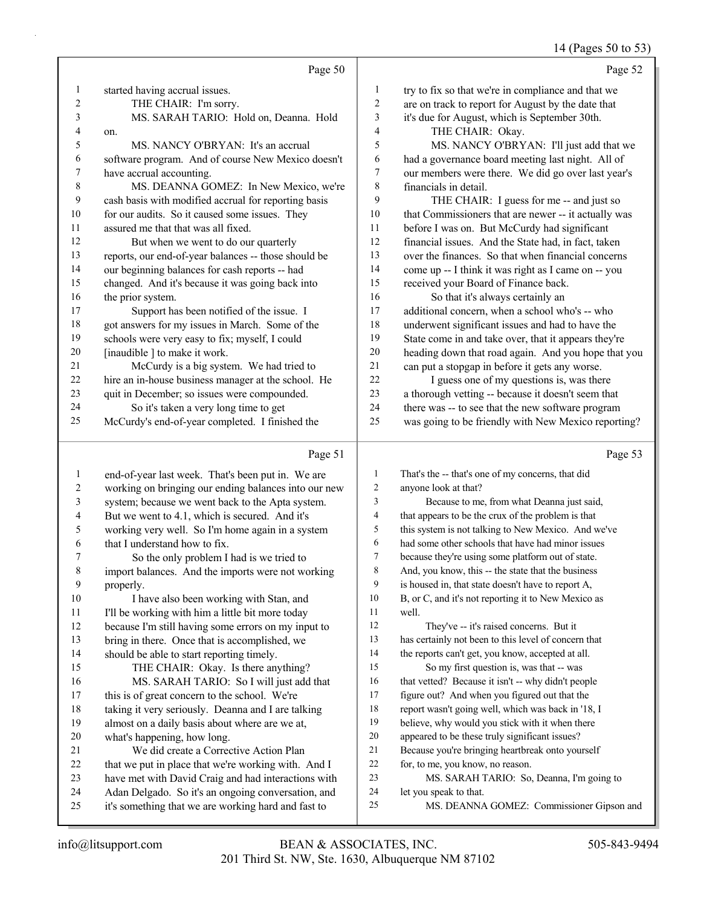#### 14 (Pages 50 to 53)

|                |                                                      |                | - 1 - 10                                             |
|----------------|------------------------------------------------------|----------------|------------------------------------------------------|
|                | Page 50                                              |                | Page 52                                              |
| 1              | started having accrual issues.                       | 1              | try to fix so that we're in compliance and that we   |
| $\overline{2}$ | THE CHAIR: I'm sorry.                                | $\overline{c}$ | are on track to report for August by the date that   |
| 3              | MS. SARAH TARIO: Hold on, Deanna. Hold               | 3              | it's due for August, which is September 30th.        |
| 4              | on.                                                  | 4              | THE CHAIR: Okay.                                     |
| 5              | MS. NANCY O'BRYAN: It's an accrual                   | 5              | MS. NANCY O'BRYAN: I'll just add that we             |
| 6              | software program. And of course New Mexico doesn't   | 6              | had a governance board meeting last night. All of    |
| 7              | have accrual accounting.                             | $\overline{7}$ | our members were there. We did go over last year's   |
| 8              | MS. DEANNA GOMEZ: In New Mexico, we're               | 8              | financials in detail.                                |
| 9              | cash basis with modified accrual for reporting basis | 9              | THE CHAIR: I guess for me -- and just so             |
| 10             | for our audits. So it caused some issues. They       | 10             | that Commissioners that are newer -- it actually was |
| 11             | assured me that that was all fixed.                  | 11             | before I was on. But McCurdy had significant         |
| 12             | But when we went to do our quarterly                 | 12             | financial issues. And the State had, in fact, taken  |
| 13             | reports, our end-of-year balances -- those should be | 13             | over the finances. So that when financial concerns   |
| 14             | our beginning balances for cash reports -- had       | 14             | come up -- I think it was right as I came on -- you  |
| 15             | changed. And it's because it was going back into     | 15             | received your Board of Finance back.                 |
| 16             | the prior system.                                    | 16             | So that it's always certainly an                     |
| 17             | Support has been notified of the issue. I            | 17             | additional concern, when a school who's -- who       |
| 18             | got answers for my issues in March. Some of the      | 18             | underwent significant issues and had to have the     |
| 19             | schools were very easy to fix; myself, I could       | 19             | State come in and take over, that it appears they're |
| 20             | [inaudible ] to make it work.                        | 20             | heading down that road again. And you hope that you  |
| 21             | McCurdy is a big system. We had tried to             | 21             | can put a stopgap in before it gets any worse.       |
| 22             | hire an in-house business manager at the school. He  | 22             | I guess one of my questions is, was there            |
| 23             | quit in December; so issues were compounded.         | 23             | a thorough vetting -- because it doesn't seem that   |
| 24             | So it's taken a very long time to get                | 24             | there was -- to see that the new software program    |
| 25             | McCurdy's end-of-year completed. I finished the      | 25             | was going to be friendly with New Mexico reporting?  |
|                | Page 51                                              |                | Page 53                                              |
| 1              | end-of-year last week. That's been put in. We are    | $\mathbf{1}$   | That's the -- that's one of my concerns, that did    |
| $\overline{c}$ | working on bringing our ending balances into our new | $\overline{c}$ | anyone look at that?                                 |
| 3              | system; because we went back to the Apta system.     | 3              | Because to me, from what Deanna just said,           |
|                |                                                      |                |                                                      |

- But we went to 4.1, which is secured. And it's working very well. So I'm home again in a system
- that I understand how to fix. 7 So the only problem I had is we tried to

 import balances. And the imports were not working properly.

- 10 I have also been working with Stan, and 11 I'll be working with him a little bit more today
- because I'm still having some errors on my input to
- bring in there. Once that is accomplished, we

should be able to start reporting timely.

# 15 THE CHAIR: Okay. Is there anything? 16 MS. SARAH TARIO: So I will just add that

- this is of great concern to the school. We're 18 taking it very seriously. Deanna and I are talking almost on a daily basis about where are we at,
- what's happening, how long. 21 We did create a Corrective Action Plan
- 22 that we put in place that we're working with. And I
- have met with David Craig and had interactions with
- Adan Delgado. So it's an ongoing conversation, and
- it's something that we are working hard and fast to

# that appears to be the crux of the problem is that this system is not talking to New Mexico. And we've

 had some other schools that have had minor issues because they're using some platform out of state. And, you know, this -- the state that the business is housed in, that state doesn't have to report A,

 B, or C, and it's not reporting it to New Mexico as well.

- 12 They've -- it's raised concerns. But it has certainly not been to this level of concern that the reports can't get, you know, accepted at all.
- 15 So my first question is, was that -- was 16 that vetted? Because it isn't -- why didn't people
- figure out? And when you figured out that the
- report wasn't going well, which was back in '18, I
- believe, why would you stick with it when there
- appeared to be these truly significant issues?
- Because you're bringing heartbreak onto yourself
- for, to me, you know, no reason.
- 23 MS. SARAH TARIO: So, Deanna, I'm going to
- let you speak to that.
- 25 MS. DEANNA GOMEZ: Commissioner Gipson and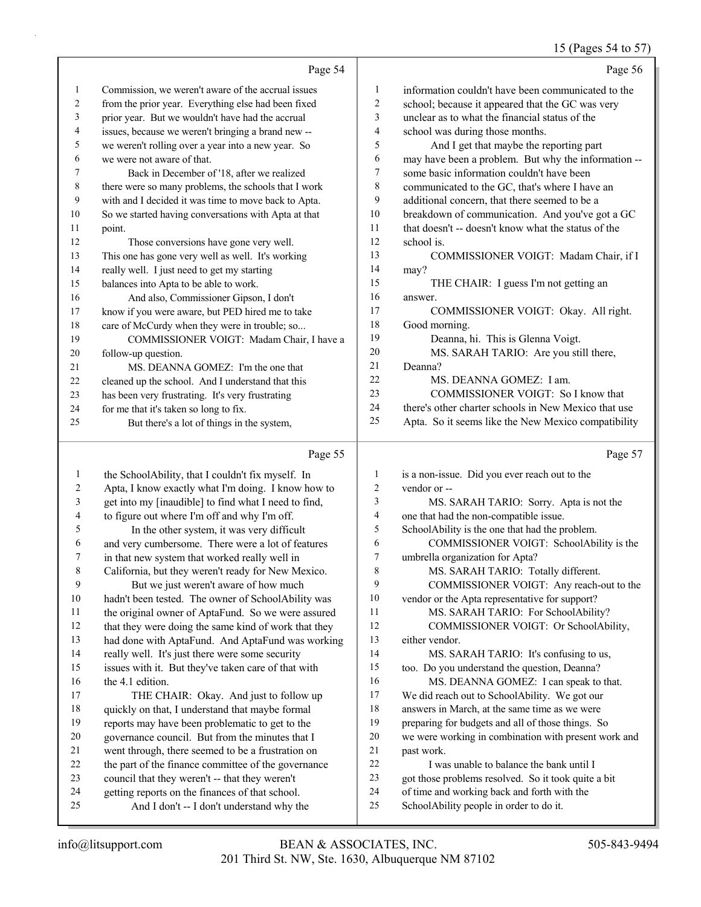# 15 (Pages 54 to 57)

|    | Page 54                                              |    | Page 56                                              |
|----|------------------------------------------------------|----|------------------------------------------------------|
| -1 | Commission, we weren't aware of the accrual issues   | 1  | information couldn't have been communicated to the   |
| 2  | from the prior year. Everything else had been fixed  | 2  | school; because it appeared that the GC was very     |
| 3  | prior year. But we wouldn't have had the accrual     | 3  | unclear as to what the financial status of the       |
| 4  | issues, because we weren't bringing a brand new --   | 4  | school was during those months.                      |
| 5  | we weren't rolling over a year into a new year. So   | 5  | And I get that maybe the reporting part              |
| 6  | we were not aware of that.                           | 6  | may have been a problem. But why the information --  |
| 7  | Back in December of '18, after we realized           | 7  | some basic information couldn't have been            |
| 8  | there were so many problems, the schools that I work | 8  | communicated to the GC, that's where I have an       |
| 9  | with and I decided it was time to move back to Apta. | 9  | additional concern, that there seemed to be a        |
| 10 | So we started having conversations with Apta at that | 10 | breakdown of communication. And you've got a GC      |
| 11 | point.                                               | 11 | that doesn't -- doesn't know what the status of the  |
| 12 | Those conversions have gone very well.               | 12 | school is.                                           |
| 13 | This one has gone very well as well. It's working    | 13 | COMMISSIONER VOIGT: Madam Chair, if I                |
| 14 | really well. I just need to get my starting          | 14 | may?                                                 |
| 15 | balances into Apta to be able to work.               | 15 | THE CHAIR: I guess I'm not getting an                |
| 16 | And also, Commissioner Gipson, I don't               | 16 | answer.                                              |
| 17 | know if you were aware, but PED hired me to take     | 17 | COMMISSIONER VOIGT: Okay. All right.                 |
| 18 | care of McCurdy when they were in trouble; so        | 18 | Good morning.                                        |
| 19 | COMMISSIONER VOIGT: Madam Chair, I have a            | 19 | Deanna, hi. This is Glenna Voigt.                    |
| 20 | follow-up question.                                  | 20 | MS. SARAH TARIO: Are you still there,                |
| 21 | MS. DEANNA GOMEZ: I'm the one that                   | 21 | Deanna?                                              |
| 22 | cleaned up the school. And I understand that this    | 22 | MS. DEANNA GOMEZ: I am.                              |
| 23 | has been very frustrating. It's very frustrating     | 23 | COMMISSIONER VOIGT: So I know that                   |
| 24 | for me that it's taken so long to fix.               | 24 | there's other charter schools in New Mexico that use |
| 25 | But there's a lot of things in the system,           | 25 | Apta. So it seems like the New Mexico compatibility  |
|    | Page 55                                              |    | Page 57                                              |

| 1  | the SchoolAbility, that I couldn't fix myself. In    | 1  | is a non-issue. Did you ever reach out to the        |
|----|------------------------------------------------------|----|------------------------------------------------------|
| 2  | Apta, I know exactly what I'm doing. I know how to   | 2  | vendor or --                                         |
| 3  | get into my [inaudible] to find what I need to find, | 3  | MS. SARAH TARIO: Sorry. Apta is not the              |
| 4  | to figure out where I'm off and why I'm off.         | 4  | one that had the non-compatible issue.               |
| 5  | In the other system, it was very difficult           | 5  | SchoolAbility is the one that had the problem.       |
| 6  | and very cumbersome. There were a lot of features    | 6  | COMMISSIONER VOIGT: SchoolAbility is the             |
| 7  | in that new system that worked really well in        | 7  | umbrella organization for Apta?                      |
| 8  | California, but they weren't ready for New Mexico.   | 8  | MS. SARAH TARIO: Totally different.                  |
| 9  | But we just weren't aware of how much                | 9  | COMMISSIONER VOIGT: Any reach-out to the             |
| 10 | hadn't been tested. The owner of SchoolAbility was   | 10 | vendor or the Apta representative for support?       |
| 11 | the original owner of AptaFund. So we were assured   | 11 | MS. SARAH TARIO: For SchoolAbility?                  |
| 12 | that they were doing the same kind of work that they | 12 | COMMISSIONER VOIGT: Or SchoolAbility,                |
| 13 | had done with AptaFund. And AptaFund was working     | 13 | either vendor.                                       |
| 14 | really well. It's just there were some security      | 14 | MS. SARAH TARIO: It's confusing to us,               |
| 15 | issues with it. But they've taken care of that with  | 15 | too. Do you understand the question, Deanna?         |
| 16 | the 4.1 edition.                                     | 16 | MS. DEANNA GOMEZ: I can speak to that.               |
| 17 | THE CHAIR: Okay. And just to follow up               | 17 | We did reach out to SchoolAbility. We got our        |
| 18 | quickly on that, I understand that maybe formal      | 18 | answers in March, at the same time as we were        |
| 19 | reports may have been problematic to get to the      | 19 | preparing for budgets and all of those things. So    |
| 20 | governance council. But from the minutes that I      | 20 | we were working in combination with present work and |
| 21 | went through, there seemed to be a frustration on    | 21 | past work.                                           |
| 22 | the part of the finance committee of the governance  | 22 | I was unable to balance the bank until I             |
| 23 | council that they weren't -- that they weren't       | 23 | got those problems resolved. So it took quite a bit  |
| 24 | getting reports on the finances of that school.      | 24 | of time and working back and forth with the          |
| 25 | And I don't -- I don't understand why the            | 25 | SchoolAbility people in order to do it.              |
|    |                                                      |    |                                                      |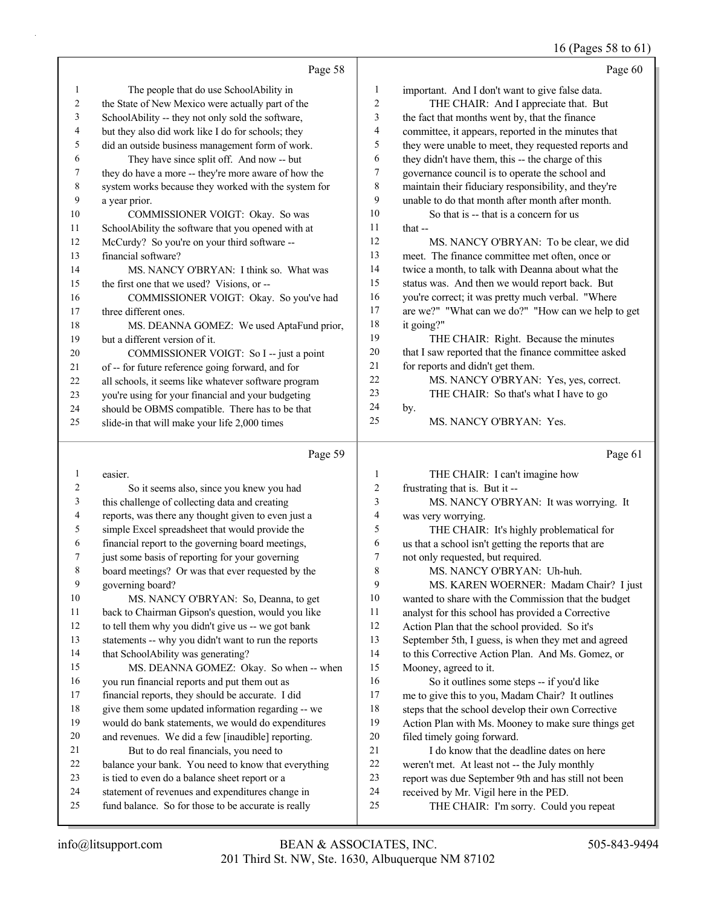### 16 (Pages 58 to 61)

|                | Page 58                                              |              | Page 60                                              |
|----------------|------------------------------------------------------|--------------|------------------------------------------------------|
| $\mathbf{1}$   | The people that do use SchoolAbility in              | $\mathbf{1}$ | important. And I don't want to give false data.      |
| $\overline{c}$ | the State of New Mexico were actually part of the    | 2            | THE CHAIR: And I appreciate that. But                |
| 3              | SchoolAbility -- they not only sold the software,    | 3            | the fact that months went by, that the finance       |
| 4              | but they also did work like I do for schools; they   | 4            | committee, it appears, reported in the minutes that  |
| 5              | did an outside business management form of work.     | 5            | they were unable to meet, they requested reports and |
| 6              | They have since split off. And now -- but            | 6            | they didn't have them, this -- the charge of this    |
| 7              | they do have a more -- they're more aware of how the | 7            | governance council is to operate the school and      |
| 8              | system works because they worked with the system for | 8            | maintain their fiduciary responsibility, and they're |
| 9              | a year prior.                                        | 9            | unable to do that month after month after month.     |
| 10             | COMMISSIONER VOIGT: Okay. So was                     | 10           | So that is -- that is a concern for us               |
| 11             | SchoolAbility the software that you opened with at   | 11           | that $-$                                             |
| 12             | McCurdy? So you're on your third software --         | 12           | MS. NANCY O'BRYAN: To be clear, we did               |
| 13             | financial software?                                  | 13           | meet. The finance committee met often, once or       |
| 14             | MS. NANCY O'BRYAN: I think so. What was              | 14           | twice a month, to talk with Deanna about what the    |
| 15             | the first one that we used? Visions, or --           | 15           | status was. And then we would report back. But       |
| 16             | COMMISSIONER VOIGT: Okay. So you've had              | 16           | you're correct; it was pretty much verbal. "Where    |
| 17             | three different ones.                                | 17           | are we?" "What can we do?" "How can we help to get   |
| 18             | MS. DEANNA GOMEZ: We used AptaFund prior,            | 18           | it going?"                                           |
| 19             | but a different version of it.                       | 19           | THE CHAIR: Right. Because the minutes                |
| 20             | COMMISSIONER VOIGT: So I -- just a point             | 20           | that I saw reported that the finance committee asked |
| 21             | of -- for future reference going forward, and for    | $21\,$       | for reports and didn't get them.                     |
| 22             | all schools, it seems like whatever software program | 22           | MS. NANCY O'BRYAN: Yes, yes, correct.                |
| 23             | you're using for your financial and your budgeting   | 23           | THE CHAIR: So that's what I have to go               |
| 24             | should be OBMS compatible. There has to be that      | 24           | by.                                                  |
| 25             | slide-in that will make your life 2,000 times        | 25           | MS. NANCY O'BRYAN: Yes.                              |
|                | Page 59                                              |              | Page 61                                              |
| $\mathbf{1}$   | easier.                                              | $\mathbf{1}$ | THE CHAIR: I can't imagine how                       |
| 2              | So it seems also, since you knew you had             | 2            | frustrating that is. But it --                       |
| 3              | this challenge of collecting data and creating       | 3            | MS. NANCY O'BRYAN: It was worrying. It               |
| 4              | reports, was there any thought given to even just a  | 4            | was very worrying.                                   |
| 5              | simple Excel spreadsheet that would provide the      | 5            | THE CHAIR: It's highly problematical for             |
| 6              | financial report to the governing board meetings,    | 6            | us that a school isn't getting the reports that are  |
| 7              | just some basis of reporting for your governing      | 7            | not only requested, but required.                    |
| 8              | board meetings? Or was that ever requested by the    | 8            | MS. NANCY O'BRYAN: Uh-huh.                           |
| 9              | governing board?                                     | 9            | MS. KAREN WOERNER: Madam Chair? I just               |
| 10             | MS. NANCY O'BRYAN: So, Deanna, to get                | 10           | wanted to share with the Commission that the budget  |
| 11             | back to Chairman Gipson's question, would you like   | 11           | analyst for this school has provided a Corrective    |
| 12             | to tell them why you didn't give us -- we got bank   | 12           | Action Plan that the school provided. So it's        |
| 13             | statements -- why you didn't want to run the reports | 13           | September 5th, I guess, is when they met and agreed  |
| 14             | that SchoolAbility was generating?                   | 14           | to this Corrective Action Plan. And Ms. Gomez, or    |
| 15             | MS. DEANNA GOMEZ: Okay. So when -- when              | 15           | Mooney, agreed to it.                                |
| 16             | you run financial reports and put them out as        | 16           | So it outlines some steps -- if you'd like           |
| 17             | financial reports, they should be accurate. I did    | 17           | me to give this to you, Madam Chair? It outlines     |
| 18             | give them some updated information regarding -- we   | 18           | steps that the school develop their own Corrective   |
| 19             | would do bank statements, we would do expenditures   | 19           | Action Plan with Ms. Mooney to make sure things get  |
| 20             | and revenues. We did a few [inaudible] reporting.    | 20           | filed timely going forward.                          |
| 21             | But to do real financials, you need to               | 21           | I do know that the deadline dates on here            |
| 22             | balance your bank. You need to know that everything  | $22\,$       | weren't met. At least not -- the July monthly        |

- balance your bank. You need to know that everything
- is tied to even do a balance sheet report or a
- statement of revenues and expenditures change in
- fund balance. So for those to be accurate is really

report was due September 9th and has still not been

25 THE CHAIR: I'm sorry. Could you repeat

received by Mr. Vigil here in the PED.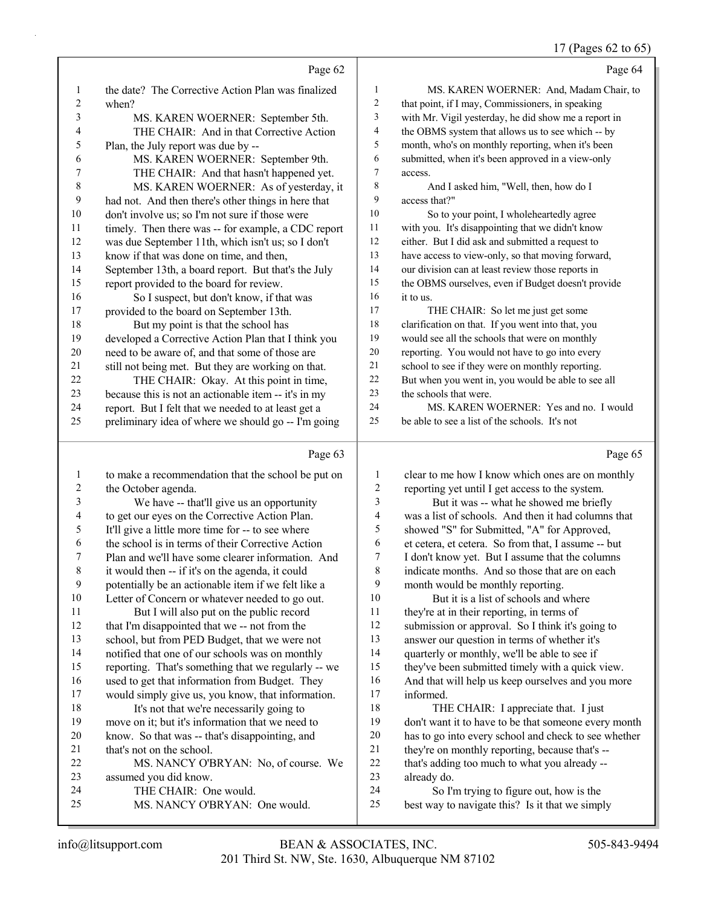#### 17 (Pages 62 to 65)

|                  | Page 62                                              |                          | Page 64                                              |
|------------------|------------------------------------------------------|--------------------------|------------------------------------------------------|
| $\mathbf{1}$     | the date? The Corrective Action Plan was finalized   | $\mathbf{1}$             | MS. KAREN WOERNER: And, Madam Chair, to              |
| $\boldsymbol{2}$ | when?                                                | $\sqrt{2}$               | that point, if I may, Commissioners, in speaking     |
| 3                | MS. KAREN WOERNER: September 5th.                    | $\mathfrak{Z}$           | with Mr. Vigil yesterday, he did show me a report in |
| 4                | THE CHAIR: And in that Corrective Action             | $\overline{\mathcal{A}}$ | the OBMS system that allows us to see which -- by    |
| 5                | Plan, the July report was due by --                  | 5                        | month, who's on monthly reporting, when it's been    |
| 6                | MS. KAREN WOERNER: September 9th.                    | 6                        | submitted, when it's been approved in a view-only    |
| 7                | THE CHAIR: And that hasn't happened yet.             | $\tau$                   | access.                                              |
| $\,$ $\,$        | MS. KAREN WOERNER: As of yesterday, it               | 8                        | And I asked him, "Well, then, how do I               |
| 9                | had not. And then there's other things in here that  | 9                        | access that?"                                        |
| 10               | don't involve us; so I'm not sure if those were      | 10                       | So to your point, I wholeheartedly agree             |
| 11               | timely. Then there was -- for example, a CDC report  | 11                       | with you. It's disappointing that we didn't know     |
| 12               | was due September 11th, which isn't us; so I don't   | 12                       | either. But I did ask and submitted a request to     |
| 13               | know if that was done on time, and then,             | 13                       | have access to view-only, so that moving forward,    |
| 14               | September 13th, a board report. But that's the July  | 14                       | our division can at least review those reports in    |
| 15               | report provided to the board for review.             | 15                       | the OBMS ourselves, even if Budget doesn't provide   |
| 16               | So I suspect, but don't know, if that was            | 16                       | it to us.                                            |
| 17               | provided to the board on September 13th.             | 17                       | THE CHAIR: So let me just get some                   |
| 18               | But my point is that the school has                  | $18\,$                   | clarification on that. If you went into that, you    |
| 19               | developed a Corrective Action Plan that I think you  | 19                       | would see all the schools that were on monthly       |
| $20\,$           | need to be aware of, and that some of those are      | $20\,$                   | reporting. You would not have to go into every       |
| 21               | still not being met. But they are working on that.   | 21                       | school to see if they were on monthly reporting.     |
| 22               | THE CHAIR: Okay. At this point in time,              | $22\,$                   | But when you went in, you would be able to see all   |
| 23               | because this is not an actionable item -- it's in my | 23                       | the schools that were.                               |
| 24               | report. But I felt that we needed to at least get a  | 24                       | MS. KAREN WOERNER: Yes and no. I would               |
| 25               | preliminary idea of where we should go -- I'm going  | 25                       | be able to see a list of the schools. It's not       |
|                  |                                                      |                          |                                                      |
|                  | Page 63                                              |                          | Page 65                                              |
| $\mathbf{1}$     | to make a recommendation that the school be put on   | $\mathbf{1}$             | clear to me how I know which ones are on monthly     |
| $\overline{c}$   | the October agenda.                                  | 2                        | reporting yet until I get access to the system.      |
| 3                | We have -- that'll give us an opportunity            | 3                        | But it was -- what he showed me briefly              |
| 4                | to get our eyes on the Corrective Action Plan.       | 4                        | was a list of schools. And then it had columns that  |
| 5                | It'll give a little more time for -- to see where    | 5                        | showed "S" for Submitted, "A" for Approved,          |
| 6                | the school is in terms of their Corrective Action    | 6                        | et cetera, et cetera. So from that, I assume -- but  |
| 7                | Plan and we'll have some clearer information. And    | 7                        | I don't know yet. But I assume that the columns      |
| $\,$ $\,$        | it would then -- if it's on the agenda, it could     | $\,$ $\,$                | indicate months. And so those that are on each       |
| 9                | potentially be an actionable item if we felt like a  | 9                        | month would be monthly reporting.                    |
| $10\,$           | Letter of Concern or whatever needed to go out.      | 10                       | But it is a list of schools and where                |
| 11               | But I will also put on the public record             | 11                       | they're at in their reporting, in terms of           |
| 12               | that I'm disappointed that we -- not from the        | 12                       | submission or approval. So I think it's going to     |
| 13               | school, but from PED Budget, that we were not        | 13                       | answer our question in terms of whether it's         |
| 14               | notified that one of our schools was on monthly      | 14                       | quarterly or monthly, we'll be able to see if        |

- reporting. That's something that we regularly -- we would simply give us, you know, that information. they've been submitted timely with a quick view. And that will help us keep ourselves and you more informed.
	- 18 THE CHAIR: I appreciate that. I just don't want it to have to be that someone every month has to go into every school and check to see whether they're on monthly reporting, because that's -- that's adding too much to what you already --

already do.

24 So I'm trying to figure out, how is the best way to navigate this? Is it that we simply

21 that's not on the school.

assumed you did know.

24 THE CHAIR: One would.

used to get that information from Budget. They

22 MS. NANCY O'BRYAN: No, of course. We

18 It's not that we're necessarily going to move on it; but it's information that we need to know. So that was -- that's disappointing, and

25 MS. NANCY O'BRYAN: One would.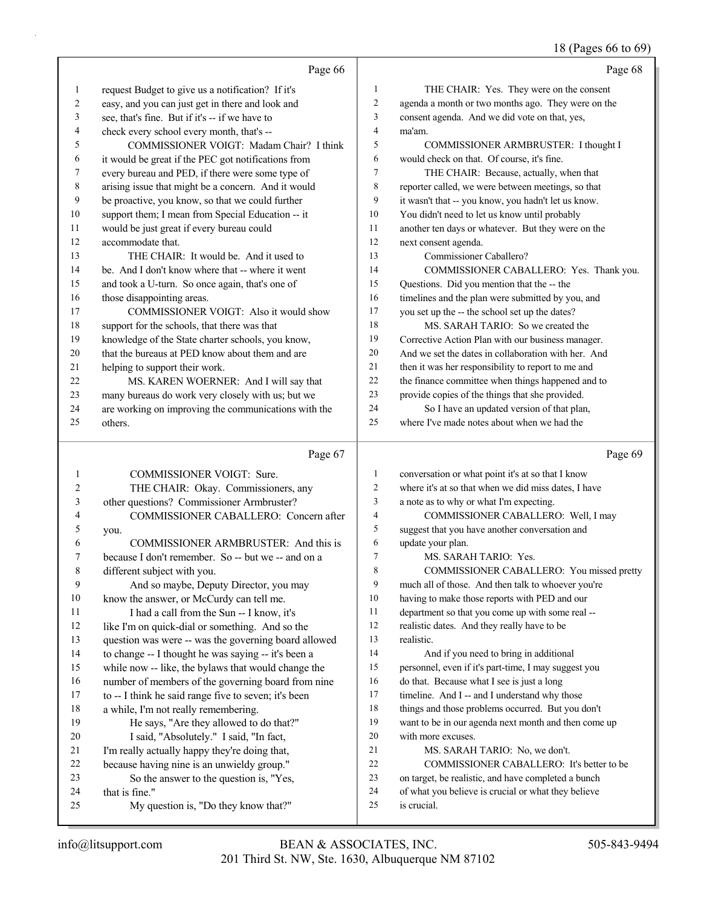### 18 (Pages 66 to 69)

|          | Page 66                                                |                | Page 68                                                            |
|----------|--------------------------------------------------------|----------------|--------------------------------------------------------------------|
| 1        | request Budget to give us a notification? If it's      | $\mathbf{1}$   | THE CHAIR: Yes. They were on the consent                           |
| 2        | easy, and you can just get in there and look and       | $\overline{c}$ | agenda a month or two months ago. They were on the                 |
| 3        | see, that's fine. But if it's -- if we have to         | 3              | consent agenda. And we did vote on that, yes,                      |
| 4        | check every school every month, that's --              | $\overline{4}$ | ma'am.                                                             |
| 5        | COMMISSIONER VOIGT: Madam Chair? I think               | 5              | COMMISSIONER ARMBRUSTER: I thought I                               |
| 6        | it would be great if the PEC got notifications from    | 6              | would check on that. Of course, it's fine.                         |
| 7        | every bureau and PED, if there were some type of       | 7              | THE CHAIR: Because, actually, when that                            |
| 8        | arising issue that might be a concern. And it would    | 8              | reporter called, we were between meetings, so that                 |
| 9        | be proactive, you know, so that we could further       | 9              | it wasn't that -- you know, you hadn't let us know.                |
| 10       | support them; I mean from Special Education -- it      | 10             | You didn't need to let us know until probably                      |
| 11       | would be just great if every bureau could              | 11             | another ten days or whatever. But they were on the                 |
| 12       | accommodate that.                                      | 12             | next consent agenda.                                               |
| 13       | THE CHAIR: It would be. And it used to                 | 13             | Commissioner Caballero?                                            |
| 14       | be. And I don't know where that -- where it went       | 14             | COMMISSIONER CABALLERO: Yes. Thank you.                            |
| 15       | and took a U-turn. So once again, that's one of        | 15             | Questions. Did you mention that the -- the                         |
| 16       | those disappointing areas.                             | 16             | timelines and the plan were submitted by you, and                  |
| 17       | COMMISSIONER VOIGT: Also it would show                 | 17             | you set up the -- the school set up the dates?                     |
| 18       | support for the schools, that there was that           | 18             | MS. SARAH TARIO: So we created the                                 |
| 19       | knowledge of the State charter schools, you know,      | 19             | Corrective Action Plan with our business manager.                  |
| 20       | that the bureaus at PED know about them and are        | 20             | And we set the dates in collaboration with her. And                |
| 21       | helping to support their work.                         | 21             | then it was her responsibility to report to me and                 |
| 22       | MS. KAREN WOERNER: And I will say that                 | 22             | the finance committee when things happened and to                  |
| 23       | many bureaus do work very closely with us; but we      | 23             | provide copies of the things that she provided.                    |
| 24       | are working on improving the communications with the   | 24             | So I have an updated version of that plan,                         |
| 25       | others.                                                | 25             | where I've made notes about when we had the                        |
|          |                                                        |                |                                                                    |
|          | Page 67                                                |                | Page 69                                                            |
| 1        | COMMISSIONER VOIGT: Sure.                              | 1              | conversation or what point it's at so that I know                  |
| 2        | THE CHAIR: Okay. Commissioners, any                    | $\overline{c}$ | where it's at so that when we did miss dates, I have               |
| 3        | other questions? Commissioner Armbruster?              | 3              | a note as to why or what I'm expecting.                            |
| 4        | COMMISSIONER CABALLERO: Concern after                  | 4              | COMMISSIONER CABALLERO: Well, I may                                |
| 5        | you.                                                   | 5              | suggest that you have another conversation and                     |
| 6        | COMMISSIONER ARMBRUSTER: And this is                   | 6              | update your plan.                                                  |
| 7        | because I don't remember. So -- but we -- and on a     | 7              | MS. SARAH TARIO: Yes.                                              |
| 8        | different subject with you.                            | 8              | COMMISSIONER CABALLERO: You missed pretty                          |
| 9        | And so maybe, Deputy Director, you may                 | 9              | much all of those. And then talk to whoever you're                 |
| 10       | know the answer, or McCurdy can tell me.               | 10             | having to make those reports with PED and our                      |
| 11       | I had a call from the Sun -- I know, it's              | 11             | department so that you come up with some real --                   |
| 12       | like I'm on quick-dial or something. And so the        | 12             | realistic dates. And they really have to be                        |
| 13       | question was were -- was the governing board allowed   | 13             | realistic.                                                         |
| 14       | to change -- I thought he was saying -- it's been a    | 14             | And if you need to bring in additional                             |
| 15       | while now -- like, the bylaws that would change the    | 15             | personnel, even if it's part-time, I may suggest you               |
| 16       | number of members of the governing board from nine     | 16             | do that. Because what I see is just a long                         |
| 17       | to -- I think he said range five to seven; it's been   | 17             | timeline. And I -- and I understand why those                      |
| 18       | a while, I'm not really remembering.                   | 18             | things and those problems occurred. But you don't                  |
| 19       | He says, "Are they allowed to do that?"                | 19             | want to be in our agenda next month and then come up               |
| 20       | I said, "Absolutely." I said, "In fact,                | 20             | with more excuses.                                                 |
| 21       | I'm really actually happy they're doing that,          | 21             | MS. SARAH TARIO: No, we don't.                                     |
| 22       | because having nine is an unwieldy group."             | $22\,$         | COMMISSIONER CABALLERO: It's better to be                          |
| 23       | So the answer to the question is, "Yes,                | 23             | on target, be realistic, and have completed a bunch                |
| 24<br>25 | that is fine."<br>My question is, "Do they know that?" | 24<br>25       | of what you believe is crucial or what they believe<br>is crucial. |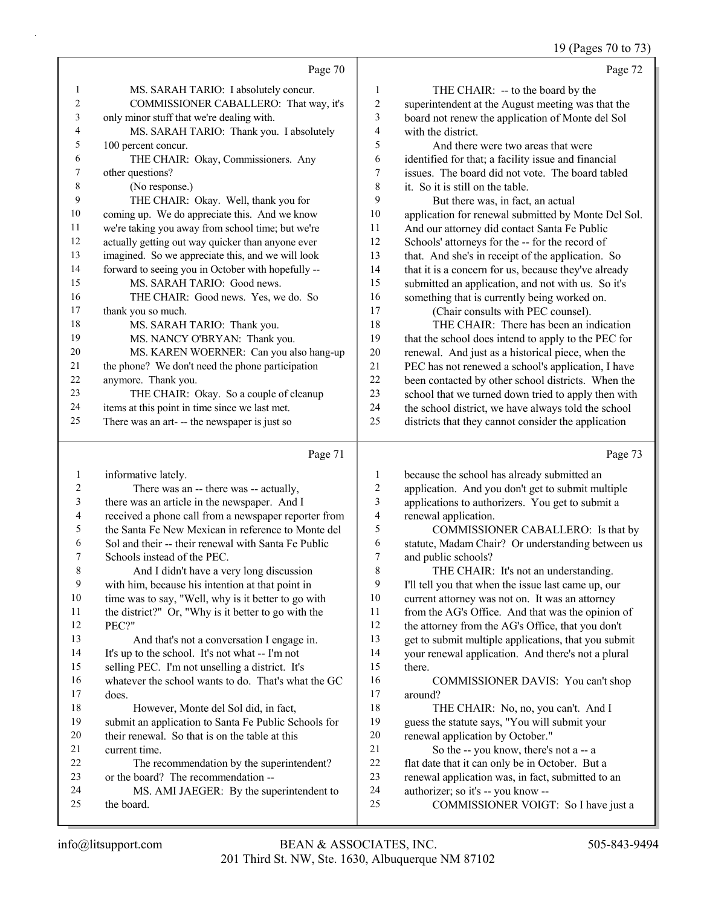19 (Pages 70 to 73)

|                  |                                                        |                | $12$ (1 ages 70 to 75)                                                     |
|------------------|--------------------------------------------------------|----------------|----------------------------------------------------------------------------|
|                  | Page 70                                                |                | Page 72                                                                    |
| 1                | MS. SARAH TARIO: I absolutely concur.                  | $\mathbf{1}$   | THE CHAIR: -- to the board by the                                          |
| 2                | COMMISSIONER CABALLERO: That way, it's                 | $\sqrt{2}$     | superintendent at the August meeting was that the                          |
| 3                | only minor stuff that we're dealing with.              | $\mathfrak{Z}$ | board not renew the application of Monte del Sol                           |
| 4                | MS. SARAH TARIO: Thank you. I absolutely               | 4              | with the district.                                                         |
| 5                | 100 percent concur.                                    | 5              | And there were two areas that were                                         |
| 6                | THE CHAIR: Okay, Commissioners. Any                    | 6              | identified for that; a facility issue and financial                        |
| 7                | other questions?                                       | 7              | issues. The board did not vote. The board tabled                           |
| 8                | (No response.)                                         | $\,$ $\,$      | it. So it is still on the table.                                           |
| 9                | THE CHAIR: Okay. Well, thank you for                   | 9              | But there was, in fact, an actual                                          |
| 10               | coming up. We do appreciate this. And we know          | $10\,$         | application for renewal submitted by Monte Del Sol.                        |
| 11               | we're taking you away from school time; but we're      | 11             | And our attorney did contact Santa Fe Public                               |
| 12               | actually getting out way quicker than anyone ever      | 12             | Schools' attorneys for the -- for the record of                            |
| 13               | imagined. So we appreciate this, and we will look      | 13             | that. And she's in receipt of the application. So                          |
| 14               | forward to seeing you in October with hopefully --     | 14             | that it is a concern for us, because they've already                       |
| 15               | MS. SARAH TARIO: Good news.                            | 15             | submitted an application, and not with us. So it's                         |
| 16               | THE CHAIR: Good news. Yes, we do. So                   | 16             | something that is currently being worked on.                               |
| 17               | thank you so much.                                     | 17             | (Chair consults with PEC counsel).                                         |
| 18               | MS. SARAH TARIO: Thank you.                            | 18             | THE CHAIR: There has been an indication                                    |
| 19               | MS. NANCY O'BRYAN: Thank you.                          | 19             | that the school does intend to apply to the PEC for                        |
| 20               | MS. KAREN WOERNER: Can you also hang-up                | $20\,$         | renewal. And just as a historical piece, when the                          |
| 21               | the phone? We don't need the phone participation       | 21             | PEC has not renewed a school's application, I have                         |
| 22               | anymore. Thank you.                                    | $22\,$         | been contacted by other school districts. When the                         |
| 23               | THE CHAIR: Okay. So a couple of cleanup                | 23             | school that we turned down tried to apply then with                        |
| 24               | items at this point in time since we last met.         | 24             | the school district, we have always told the school                        |
| 25               | There was an art- -- the newspaper is just so          | 25             | districts that they cannot consider the application                        |
|                  | Page 71                                                |                | Page 73                                                                    |
| $\mathbf{1}$     | informative lately.                                    | 1              | because the school has already submitted an                                |
| $\boldsymbol{2}$ | There was an -- there was -- actually,                 | $\sqrt{2}$     | application. And you don't get to submit multiple                          |
| $\mathfrak{Z}$   | there was an article in the newspaper. And I           | 3              | applications to authorizers. You get to submit a                           |
| 4                | received a phone call from a newspaper reporter from   | $\overline{4}$ | renewal application.                                                       |
| 5                | the Santa Fe New Mexican in reference to Monte del     | 5              | COMMISSIONER CABALLERO: Is that by                                         |
| 6                | Sol and their -- their renewal with Santa Fe Public    | 6              | statute, Madam Chair? Or understanding between us                          |
| 7                | Schools instead of the PEC.                            | $\overline{7}$ | and public schools?                                                        |
| 8                | And I didn't have a very long discussion               | $\,8\,$        | THE CHAIR: It's not an understanding.                                      |
| 9                | with him, because his intention at that point in       | 9              | I'll tell you that when the issue last came up, our                        |
| 10               | time was to say, "Well, why is it better to go with    | $10\,$         | current attorney was not on. It was an attorney                            |
| 11               | the district?" Or, "Why is it better to go with the    | 11             | from the AG's Office. And that was the opinion of                          |
| 12               | PEC?"                                                  | 12             | the attorney from the AG's Office, that you don't                          |
| 13               | And that's not a conversation I engage in.             | 13             | get to submit multiple applications, that you submit                       |
| 14               | It's up to the school. It's not what -- I'm not        | 14             | your renewal application. And there's not a plural                         |
| 15               | selling PEC. I'm not unselling a district. It's        | 15             | there.                                                                     |
| 16               | whatever the school wants to do. That's what the GC    | 16             | COMMISSIONER DAVIS: You can't shop                                         |
| 17               | does.                                                  | 17             | around?                                                                    |
| 18               | However, Monte del Sol did, in fact,                   | $18\,$         | THE CHAIR: No, no, you can't. And I                                        |
| 19               | submit an application to Santa Fe Public Schools for   | 19             | guess the statute says, "You will submit your                              |
| 20               | their renewal. So that is on the table at this         | $20\,$         | renewal application by October."                                           |
| 21               | current time.                                          | 21             | So the -- you know, there's not a -- a                                     |
| 22               | The recommendation by the superintendent?              | $22\,$         | flat date that it can only be in October. But a                            |
| 23               | or the board? The recommendation --                    | 23             | renewal application was, in fact, submitted to an                          |
|                  |                                                        |                |                                                                            |
| 24<br>25         | MS. AMI JAEGER: By the superintendent to<br>the board. | 24<br>$25\,$   | authorizer; so it's -- you know --<br>COMMISSIONER VOIGT: So I have just a |

25 COMMISSIONER VOIGT: So I have just a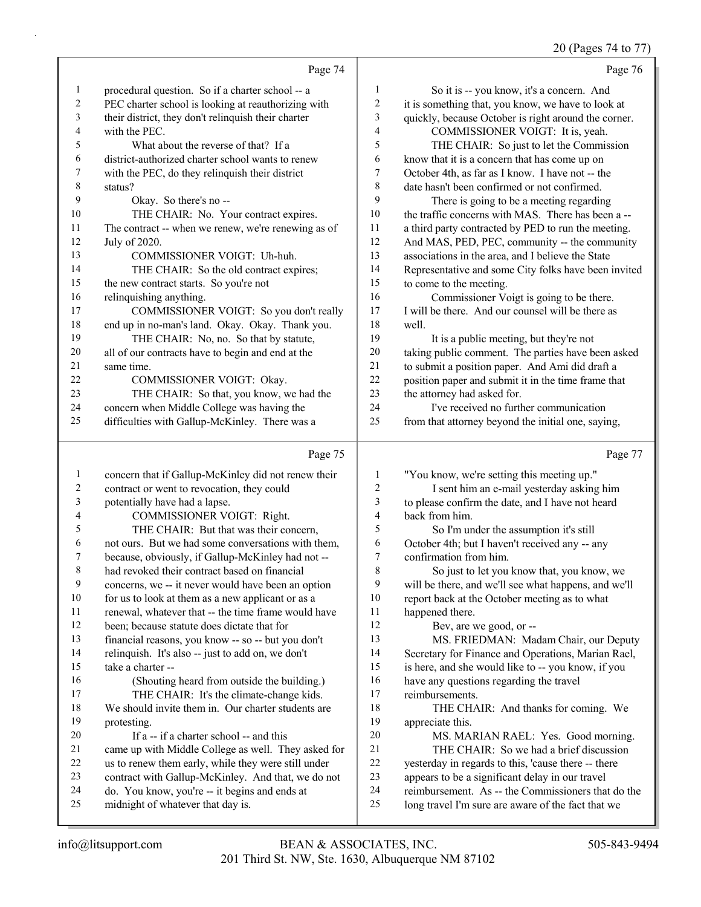20 (Pages 74 to 77)

|              | Page 74                                             |                | Page 76                                              |
|--------------|-----------------------------------------------------|----------------|------------------------------------------------------|
| $\mathbf{1}$ | procedural question. So if a charter school -- a    | 1              | So it is -- you know, it's a concern. And            |
| 2            | PEC charter school is looking at reauthorizing with | $\overline{c}$ | it is something that, you know, we have to look at   |
| 3            | their district, they don't relinquish their charter | 3              | quickly, because October is right around the corner. |
| 4            | with the PEC.                                       | 4              | COMMISSIONER VOIGT: It is, yeah.                     |
| 5            | What about the reverse of that? If a                | 5              | THE CHAIR: So just to let the Commission             |
| 6            | district-authorized charter school wants to renew   | 6              | know that it is a concern that has come up on        |
| 7            | with the PEC, do they relinquish their district     | 7              | October 4th, as far as I know. I have not -- the     |
| 8            | status?                                             | 8              | date hasn't been confirmed or not confirmed.         |
| 9            | Okay. So there's no --                              | 9              | There is going to be a meeting regarding             |
| 10           | THE CHAIR: No. Your contract expires.               | 10             | the traffic concerns with MAS. There has been a --   |
| 11           | The contract -- when we renew, we're renewing as of | 11             | a third party contracted by PED to run the meeting.  |
| 12           | July of 2020.                                       | 12             | And MAS, PED, PEC, community -- the community        |
| 13           | COMMISSIONER VOIGT: Uh-huh.                         | 13             | associations in the area, and I believe the State    |
| 14           | THE CHAIR: So the old contract expires;             | 14             | Representative and some City folks have been invited |
| 15           | the new contract starts. So you're not              | 15             | to come to the meeting.                              |
| 16           | relinquishing anything.                             | 16             | Commissioner Voigt is going to be there.             |
| 17           | COMMISSIONER VOIGT: So you don't really             | 17             | I will be there. And our counsel will be there as    |
| 18           | end up in no-man's land. Okay. Okay. Thank you.     | 18             | well.                                                |
| 19           | THE CHAIR: No, no. So that by statute,              | 19             | It is a public meeting, but they're not              |
| 20           | all of our contracts have to begin and end at the   | 20             | taking public comment. The parties have been asked   |
| 21           | same time.                                          | 21             | to submit a position paper. And Ami did draft a      |
| 22           | COMMISSIONER VOIGT: Okay.                           | 22             | position paper and submit it in the time frame that  |
| 23           | THE CHAIR: So that, you know, we had the            | 23             | the attorney had asked for.                          |
| 24           | concern when Middle College was having the          | 24             | I've received no further communication               |
| 25           | difficulties with Gallup-McKinley. There was a      | 25             | from that attorney beyond the initial one, saying,   |
|              | Page 75                                             |                | Page 77                                              |

# Page 75  $\vert$

| 1  | concern that if Gallup-McKinley did not renew their | 1  | "You know, we're setting this meeting up."           |
|----|-----------------------------------------------------|----|------------------------------------------------------|
| 2  | contract or went to revocation, they could          | 2  | I sent him an e-mail yesterday asking him            |
| 3  | potentially have had a lapse.                       | 3  | to please confirm the date, and I have not heard     |
| 4  | COMMISSIONER VOIGT: Right.                          | 4  | back from him.                                       |
| 5  | THE CHAIR: But that was their concern,              | 5  | So I'm under the assumption it's still               |
| 6  | not ours. But we had some conversations with them,  | 6  | October 4th; but I haven't received any -- any       |
| 7  | because, obviously, if Gallup-McKinley had not --   | 7  | confirmation from him.                               |
| 8  | had revoked their contract based on financial       | 8  | So just to let you know that, you know, we           |
| 9  | concerns, we -- it never would have been an option  | 9  | will be there, and we'll see what happens, and we'll |
| 10 | for us to look at them as a new applicant or as a   | 10 | report back at the October meeting as to what        |
| 11 | renewal, whatever that -- the time frame would have | 11 | happened there.                                      |
| 12 | been; because statute does dictate that for         | 12 | Bev, are we good, or --                              |
| 13 | financial reasons, you know -- so -- but you don't  | 13 | MS. FRIEDMAN: Madam Chair, our Deputy                |
| 14 | relinquish. It's also -- just to add on, we don't   | 14 | Secretary for Finance and Operations, Marian Rael,   |
| 15 | take a charter --                                   | 15 | is here, and she would like to -- you know, if you   |
| 16 | (Shouting heard from outside the building.)         | 16 | have any questions regarding the travel              |
| 17 | THE CHAIR: It's the climate-change kids.            | 17 | reimbursements.                                      |
| 18 | We should invite them in. Our charter students are  | 18 | THE CHAIR: And thanks for coming. We                 |
| 19 | protesting.                                         | 19 | appreciate this.                                     |
| 20 | If a -- if a charter school -- and this             | 20 | MS. MARIAN RAEL: Yes. Good morning.                  |
| 21 | came up with Middle College as well. They asked for | 21 | THE CHAIR: So we had a brief discussion              |
| 22 | us to renew them early, while they were still under | 22 | yesterday in regards to this, 'cause there -- there  |
| 23 | contract with Gallup-McKinley. And that, we do not  | 23 | appears to be a significant delay in our travel      |
| 24 | do. You know, you're -- it begins and ends at       | 24 | reimbursement. As -- the Commissioners that do the   |
| 25 | midnight of whatever that day is.                   | 25 | long travel I'm sure are aware of the fact that we   |
|    |                                                     |    |                                                      |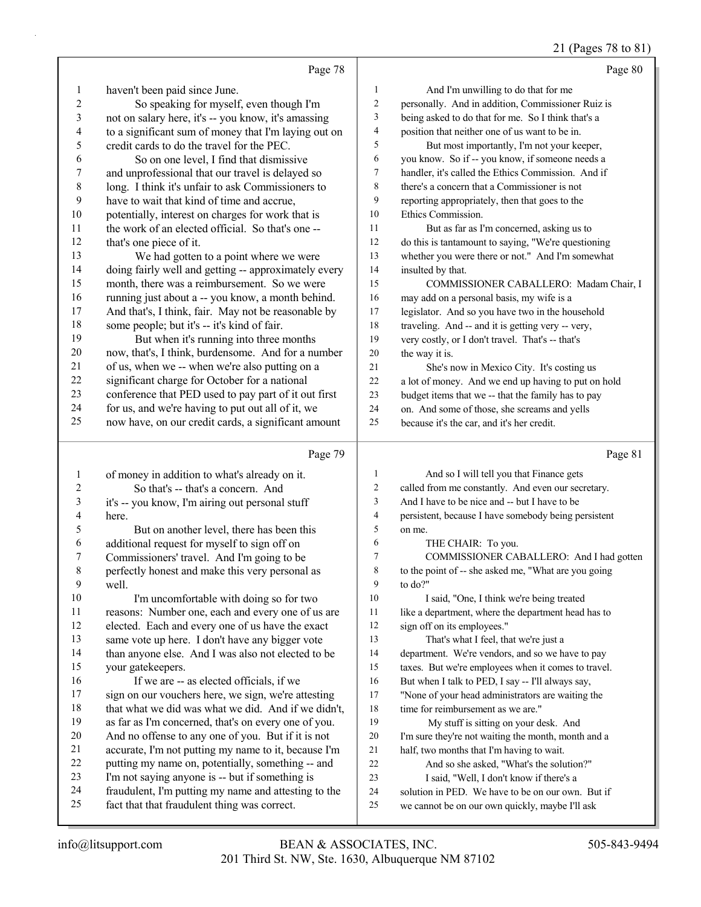# 21 (Pages 78 to 81)

|                | Page 78                                                                                              |                         | Page 80                                                                                              |
|----------------|------------------------------------------------------------------------------------------------------|-------------------------|------------------------------------------------------------------------------------------------------|
| $\mathbf{1}$   | haven't been paid since June.                                                                        | 1                       | And I'm unwilling to do that for me                                                                  |
| 2              | So speaking for myself, even though I'm                                                              | 2                       | personally. And in addition, Commissioner Ruiz is                                                    |
| $\mathfrak{Z}$ | not on salary here, it's -- you know, it's amassing                                                  | 3                       | being asked to do that for me. So I think that's a                                                   |
| 4              | to a significant sum of money that I'm laying out on                                                 | $\overline{\mathbf{4}}$ | position that neither one of us want to be in.                                                       |
| 5              | credit cards to do the travel for the PEC.                                                           | 5                       | But most importantly, I'm not your keeper,                                                           |
| 6              | So on one level, I find that dismissive                                                              | 6                       | you know. So if -- you know, if someone needs a                                                      |
| 7              | and unprofessional that our travel is delayed so                                                     | 7                       | handler, it's called the Ethics Commission. And if                                                   |
| $\,$ $\,$      | long. I think it's unfair to ask Commissioners to                                                    | 8                       | there's a concern that a Commissioner is not                                                         |
| 9              | have to wait that kind of time and accrue,                                                           | 9                       | reporting appropriately, then that goes to the                                                       |
| 10             | potentially, interest on charges for work that is                                                    | 10                      | Ethics Commission.                                                                                   |
| 11             | the work of an elected official. So that's one --                                                    | 11                      | But as far as I'm concerned, asking us to                                                            |
| 12             | that's one piece of it.                                                                              | 12                      | do this is tantamount to saying, "We're questioning                                                  |
| 13             | We had gotten to a point where we were                                                               | 13                      | whether you were there or not." And I'm somewhat                                                     |
| 14             | doing fairly well and getting -- approximately every                                                 | 14                      | insulted by that.                                                                                    |
| 15             | month, there was a reimbursement. So we were                                                         | 15                      | COMMISSIONER CABALLERO: Madam Chair, I                                                               |
| 16             | running just about a -- you know, a month behind.                                                    | 16                      | may add on a personal basis, my wife is a                                                            |
| 17             | And that's, I think, fair. May not be reasonable by                                                  | 17                      | legislator. And so you have two in the household                                                     |
| 18             | some people; but it's -- it's kind of fair.                                                          | 18                      | traveling. And -- and it is getting very -- very,                                                    |
| 19             | But when it's running into three months                                                              | 19                      | very costly, or I don't travel. That's -- that's                                                     |
| 20             | now, that's, I think, burdensome. And for a number                                                   | 20                      | the way it is.                                                                                       |
| 21             | of us, when we -- when we're also putting on a                                                       | 21                      | She's now in Mexico City. It's costing us                                                            |
| 22             | significant charge for October for a national                                                        | 22                      | a lot of money. And we end up having to put on hold                                                  |
| 23             | conference that PED used to pay part of it out first                                                 | 23                      | budget items that we -- that the family has to pay                                                   |
| 24             | for us, and we're having to put out all of it, we                                                    | 24                      | on. And some of those, she screams and yells                                                         |
| 25             | now have, on our credit cards, a significant amount                                                  | 25                      | because it's the car, and it's her credit.                                                           |
|                |                                                                                                      |                         |                                                                                                      |
|                | Page 79                                                                                              |                         | Page 81                                                                                              |
| $\mathbf{1}$   |                                                                                                      | 1                       | And so I will tell you that Finance gets                                                             |
| 2              | of money in addition to what's already on it.<br>So that's -- that's a concern. And                  | $\overline{c}$          | called from me constantly. And even our secretary.                                                   |
| 3              | it's -- you know, I'm airing out personal stuff                                                      | 3                       | And I have to be nice and -- but I have to be                                                        |
| 4              | here.                                                                                                | 4                       | persistent, because I have somebody being persistent                                                 |
| 5              | But on another level, there has been this                                                            | 5                       | on me.                                                                                               |
| 6              | additional request for myself to sign off on                                                         | 6                       | THE CHAIR: To you.                                                                                   |
| 7              | Commissioners' travel. And I'm going to be                                                           | 7                       | COMMISSIONER CABALLERO: And I had gotten                                                             |
| 8              | perfectly honest and make this very personal as                                                      | 8                       | to the point of -- she asked me, "What are you going                                                 |
| 9              | well.                                                                                                | 9                       | to do?"                                                                                              |
| 10             | I'm uncomfortable with doing so for two                                                              | 10                      | I said, "One, I think we're being treated                                                            |
| 11             | reasons: Number one, each and every one of us are                                                    | 11                      | like a department, where the department head has to                                                  |
| 12             | elected. Each and every one of us have the exact                                                     | 12                      | sign off on its employees."                                                                          |
| 13             | same vote up here. I don't have any bigger vote                                                      | 13                      | That's what I feel, that we're just a                                                                |
| 14             | than anyone else. And I was also not elected to be                                                   | 14                      | department. We're vendors, and so we have to pay                                                     |
| 15             | your gatekeepers.                                                                                    | 15                      | taxes. But we're employees when it comes to travel.                                                  |
| 16             | If we are -- as elected officials, if we                                                             | 16                      | But when I talk to PED, I say -- I'll always say,                                                    |
| 17             | sign on our vouchers here, we sign, we're attesting                                                  | 17                      | "None of your head administrators are waiting the                                                    |
| 18             | that what we did was what we did. And if we didn't,                                                  | 18                      | time for reimbursement as we are."                                                                   |
| 19             | as far as I'm concerned, that's on every one of you.                                                 | 19                      | My stuff is sitting on your desk. And                                                                |
| 20             | And no offense to any one of you. But if it is not                                                   | 20                      | I'm sure they're not waiting the month, month and a                                                  |
| 21             | accurate, I'm not putting my name to it, because I'm                                                 | 21                      | half, two months that I'm having to wait.                                                            |
| 22             | putting my name on, potentially, something -- and                                                    | 22                      | And so she asked, "What's the solution?"                                                             |
| 23             | I'm not saying anyone is -- but if something is                                                      | 23                      | I said, "Well, I don't know if there's a                                                             |
| 24<br>25       | fraudulent, I'm putting my name and attesting to the<br>fact that that fraudulent thing was correct. | 24<br>25                | solution in PED. We have to be on our own. But if<br>we cannot be on our own quickly, maybe I'll ask |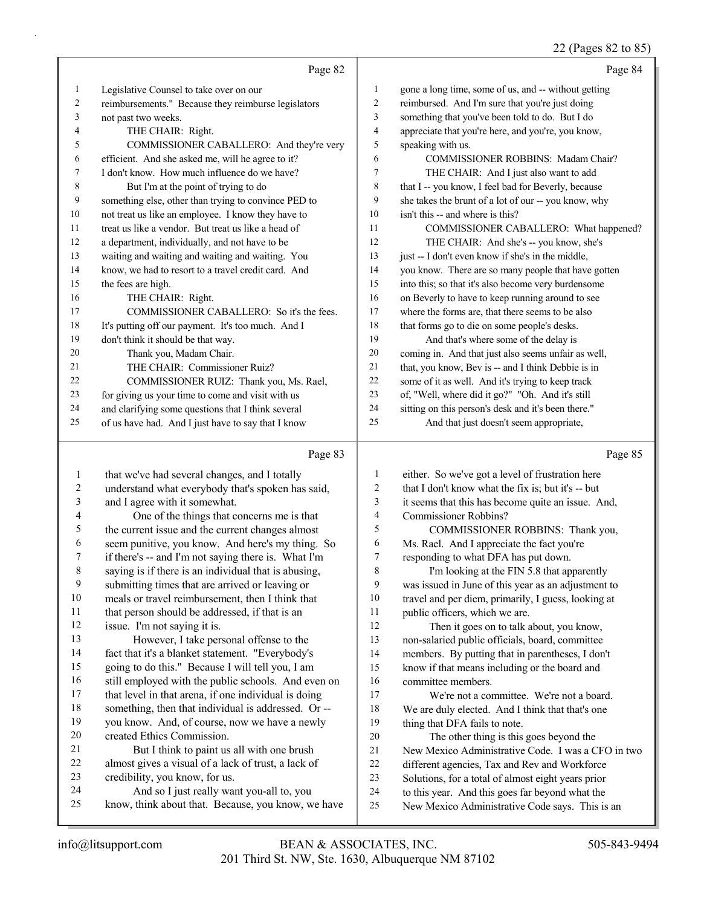# 22 (Pages 82 to 85)

|    | Page 82                                              |                | Page 84                                              |
|----|------------------------------------------------------|----------------|------------------------------------------------------|
| 1  | Legislative Counsel to take over on our              | 1              | gone a long time, some of us, and -- without getting |
| 2  | reimbursements." Because they reimburse legislators  | 2              | reimbursed. And I'm sure that you're just doing      |
| 3  | not past two weeks.                                  | 3              | something that you've been told to do. But I do      |
| 4  | THE CHAIR: Right.                                    | $\overline{4}$ | appreciate that you're here, and you're, you know,   |
| 5  | COMMISSIONER CABALLERO: And they're very             | 5              | speaking with us.                                    |
| 6  | efficient. And she asked me, will he agree to it?    | 6              | COMMISSIONER ROBBINS: Madam Chair?                   |
| 7  | I don't know. How much influence do we have?         | 7              | THE CHAIR: And I just also want to add               |
| 8  | But I'm at the point of trying to do                 | 8              | that I -- you know, I feel bad for Beverly, because  |
| 9  | something else, other than trying to convince PED to | 9              | she takes the brunt of a lot of our -- you know, why |
| 10 | not treat us like an employee. I know they have to   | 10             | isn't this -- and where is this?                     |
| 11 | treat us like a vendor. But treat us like a head of  | 11             | COMMISSIONER CABALLERO: What happened?               |
| 12 | a department, individually, and not have to be       | 12             | THE CHAIR: And she's -- you know, she's              |
| 13 | waiting and waiting and waiting and waiting. You     | 13             | just -- I don't even know if she's in the middle,    |
| 14 | know, we had to resort to a travel credit card. And  | 14             | you know. There are so many people that have gotten  |
| 15 | the fees are high.                                   | 15             | into this; so that it's also become very burdensome  |
| 16 | THE CHAIR: Right.                                    | 16             | on Beverly to have to keep running around to see     |
| 17 | COMMISSIONER CABALLERO: So it's the fees.            | 17             | where the forms are, that there seems to be also     |
| 18 | It's putting off our payment. It's too much. And I   | 18             | that forms go to die on some people's desks.         |
| 19 | don't think it should be that way.                   | 19             | And that's where some of the delay is                |
| 20 | Thank you, Madam Chair.                              | 20             | coming in. And that just also seems unfair as well,  |
| 21 | THE CHAIR: Commissioner Ruiz?                        | 21             | that, you know, Bev is -- and I think Debbie is in   |
| 22 | COMMISSIONER RUIZ: Thank you, Ms. Rael,              | 22             | some of it as well. And it's trying to keep track    |
| 23 | for giving us your time to come and visit with us    | 23             | of, "Well, where did it go?" "Oh. And it's still     |
| 24 | and clarifying some questions that I think several   | 24             | sitting on this person's desk and it's been there."  |
| 25 | of us have had. And I just have to say that I know   | 25             | And that just doesn't seem appropriate,              |
|    | Page 83                                              |                | Page 85                                              |

|                | rage 85                                              |    | Page 85                                             |
|----------------|------------------------------------------------------|----|-----------------------------------------------------|
| $\mathbf{1}$   | that we've had several changes, and I totally        | 1  | either. So we've got a level of frustration here    |
| $\overline{c}$ | understand what everybody that's spoken has said,    | 2  | that I don't know what the fix is; but it's -- but  |
| 3              | and I agree with it somewhat.                        | 3  | it seems that this has become quite an issue. And,  |
| 4              | One of the things that concerns me is that           | 4  | Commissioner Robbins?                               |
| 5              | the current issue and the current changes almost     | 5  | COMMISSIONER ROBBINS: Thank you,                    |
| 6              | seem punitive, you know. And here's my thing. So     | 6  | Ms. Rael. And I appreciate the fact you're          |
| 7              | if there's -- and I'm not saying there is. What I'm  | 7  | responding to what DFA has put down.                |
| 8              | saying is if there is an individual that is abusing, | 8  | I'm looking at the FIN 5.8 that apparently          |
| 9              | submitting times that are arrived or leaving or      | 9  | was issued in June of this year as an adjustment to |
| 10             | meals or travel reimbursement, then I think that     | 10 | travel and per diem, primarily, I guess, looking at |
| 11             | that person should be addressed, if that is an       | 11 | public officers, which we are.                      |
| 12             | issue. I'm not saying it is.                         | 12 | Then it goes on to talk about, you know,            |
| 13             | However, I take personal offense to the              | 13 | non-salaried public officials, board, committee     |
| 14             | fact that it's a blanket statement. "Everybody's     | 14 | members. By putting that in parentheses, I don't    |
| 15             | going to do this." Because I will tell you, I am     | 15 | know if that means including or the board and       |
| 16             | still employed with the public schools. And even on  | 16 | committee members.                                  |
| 17             | that level in that arena, if one individual is doing | 17 | We're not a committee. We're not a board.           |
| 18             | something, then that individual is addressed. Or --  | 18 | We are duly elected. And I think that that's one    |
| 19             | you know. And, of course, now we have a newly        | 19 | thing that DFA fails to note.                       |
| 20             | created Ethics Commission.                           | 20 | The other thing is this goes beyond the             |
| 21             | But I think to paint us all with one brush           | 21 | New Mexico Administrative Code. I was a CFO in two  |
| 22             | almost gives a visual of a lack of trust, a lack of  | 22 | different agencies, Tax and Rev and Workforce       |
| 23             | credibility, you know, for us.                       | 23 | Solutions, for a total of almost eight years prior  |
| 24             | And so I just really want you-all to, you            | 24 | to this year. And this goes far beyond what the     |
| 25             | know, think about that. Because, you know, we have   | 25 | New Mexico Administrative Code says. This is an     |
|                |                                                      |    |                                                     |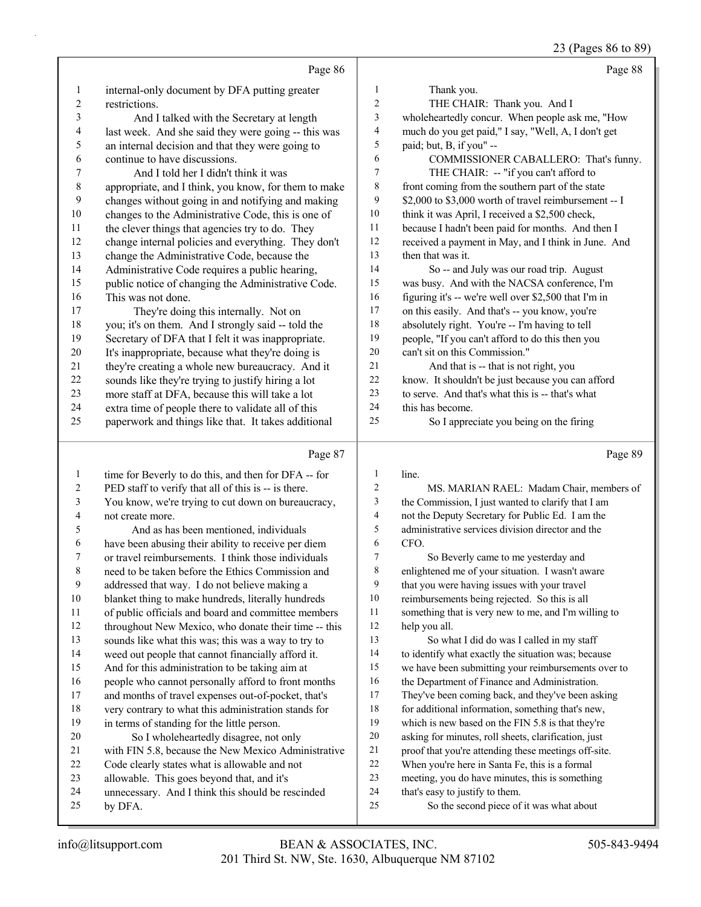23 (Pages 86 to 89)

|                |                                                              |                  | $-5(10)$<br>$\sim$ 00 $\sim$ 02                                             |
|----------------|--------------------------------------------------------------|------------------|-----------------------------------------------------------------------------|
|                | Page 86                                                      |                  | Page 88                                                                     |
| 1              | internal-only document by DFA putting greater                | 1                | Thank you.                                                                  |
| $\overline{c}$ | restrictions.                                                | 2                | THE CHAIR: Thank you. And I                                                 |
| 3              | And I talked with the Secretary at length                    | 3                | wholeheartedly concur. When people ask me, "How                             |
| 4              | last week. And she said they were going -- this was          | 4                | much do you get paid," I say, "Well, A, I don't get                         |
| 5              | an internal decision and that they were going to             | 5                | paid; but, B, if you" --                                                    |
| 6              | continue to have discussions.                                | 6                | COMMISSIONER CABALLERO: That's funny.                                       |
| 7              | And I told her I didn't think it was                         | $\boldsymbol{7}$ | THE CHAIR: -- "if you can't afford to                                       |
| $\,$ $\,$      | appropriate, and I think, you know, for them to make         | $\,$ $\,$        | front coming from the southern part of the state                            |
| 9              | changes without going in and notifying and making            | 9                | \$2,000 to \$3,000 worth of travel reimbursement -- I                       |
| 10             | changes to the Administrative Code, this is one of           | 10               | think it was April, I received a \$2,500 check,                             |
| 11             | the clever things that agencies try to do. They              | 11               | because I hadn't been paid for months. And then I                           |
| 12             | change internal policies and everything. They don't          | 12               | received a payment in May, and I think in June. And                         |
| 13             | change the Administrative Code, because the                  | 13               | then that was it.                                                           |
| 14             | Administrative Code requires a public hearing,               | 14               | So -- and July was our road trip. August                                    |
| 15             | public notice of changing the Administrative Code.           | 15               | was busy. And with the NACSA conference, I'm                                |
| 16             | This was not done.                                           | 16               | figuring it's -- we're well over \$2,500 that I'm in                        |
| 17             | They're doing this internally. Not on                        | 17               | on this easily. And that's -- you know, you're                              |
| 18             | you; it's on them. And I strongly said -- told the           | 18               | absolutely right. You're -- I'm having to tell                              |
| 19             | Secretary of DFA that I felt it was inappropriate.           | 19               | people, "If you can't afford to do this then you                            |
| 20             | It's inappropriate, because what they're doing is            | 20               | can't sit on this Commission."                                              |
| 21             | they're creating a whole new bureaucracy. And it             | 21               | And that is -- that is not right, you                                       |
| 22             | sounds like they're trying to justify hiring a lot           | $22\,$           | know. It shouldn't be just because you can afford                           |
| 23             | more staff at DFA, because this will take a lot              | 23               | to serve. And that's what this is -- that's what                            |
| 24             | extra time of people there to validate all of this           | 24<br>25         | this has become.                                                            |
| 25             | paperwork and things like that. It takes additional          |                  | So I appreciate you being on the firing                                     |
|                |                                                              |                  |                                                                             |
|                | Page 87                                                      |                  | Page 89                                                                     |
| 1              | time for Beverly to do this, and then for DFA -- for         | $\mathbf{1}$     | line.                                                                       |
| 2              | PED staff to verify that all of this is -- is there.         | 2                | MS. MARIAN RAEL: Madam Chair, members of                                    |
| 3              | You know, we're trying to cut down on bureaucracy,           | 3                | the Commission, I just wanted to clarify that I am                          |
| 4              | not create more.                                             | 4                | not the Deputy Secretary for Public Ed. I am the                            |
| 5              | And as has been mentioned, individuals                       | 5                | administrative services division director and the                           |
| 6              | have been abusing their ability to receive per diem          | 6                | CFO.                                                                        |
| 7              | or travel reimbursements. I think those individuals          | 7                | So Beverly came to me yesterday and                                         |
| 8              | need to be taken before the Ethics Commission and            | $\,$ 8 $\,$      | enlightened me of your situation. I wasn't aware                            |
| 9              | addressed that way. I do not believe making a                | 9                | that you were having issues with your travel                                |
| 10             | blanket thing to make hundreds, literally hundreds           | 10               | reimbursements being rejected. So this is all                               |
| 11             | of public officials and board and committee members          | 11               | something that is very new to me, and I'm willing to                        |
| 12             | throughout New Mexico, who donate their time -- this         | 12               | help you all.                                                               |
| 13             | sounds like what this was; this was a way to try to          | 13               | So what I did do was I called in my staff                                   |
| 14             | weed out people that cannot financially afford it.           | 14               | to identify what exactly the situation was; because                         |
| 15             | And for this administration to be taking aim at              | 15               | we have been submitting your reimbursements over to                         |
| 16             | people who cannot personally afford to front months          | 16               | the Department of Finance and Administration.                               |
| 17             | and months of travel expenses out-of-pocket, that's          | 17               | They've been coming back, and they've been asking                           |
| 18             | very contrary to what this administration stands for         | $18\,$           | for additional information, something that's new,                           |
| 19             | in terms of standing for the little person.                  | 19               | which is new based on the FIN 5.8 is that they're                           |
| 20             | So I wholeheartedly disagree, not only                       | $20\,$           | asking for minutes, roll sheets, clarification, just                        |
| 21             | with FIN 5.8, because the New Mexico Administrative          | $21\,$           | proof that you're attending these meetings off-site.                        |
| 22             | Code clearly states what is allowable and not                | 22               | When you're here in Santa Fe, this is a formal                              |
| 23             | allowable. This goes beyond that, and it's                   | 23               | meeting, you do have minutes, this is something                             |
| 24<br>25       | unnecessary. And I think this should be rescinded<br>by DFA. | 24<br>25         | that's easy to justify to them.<br>So the second piece of it was what about |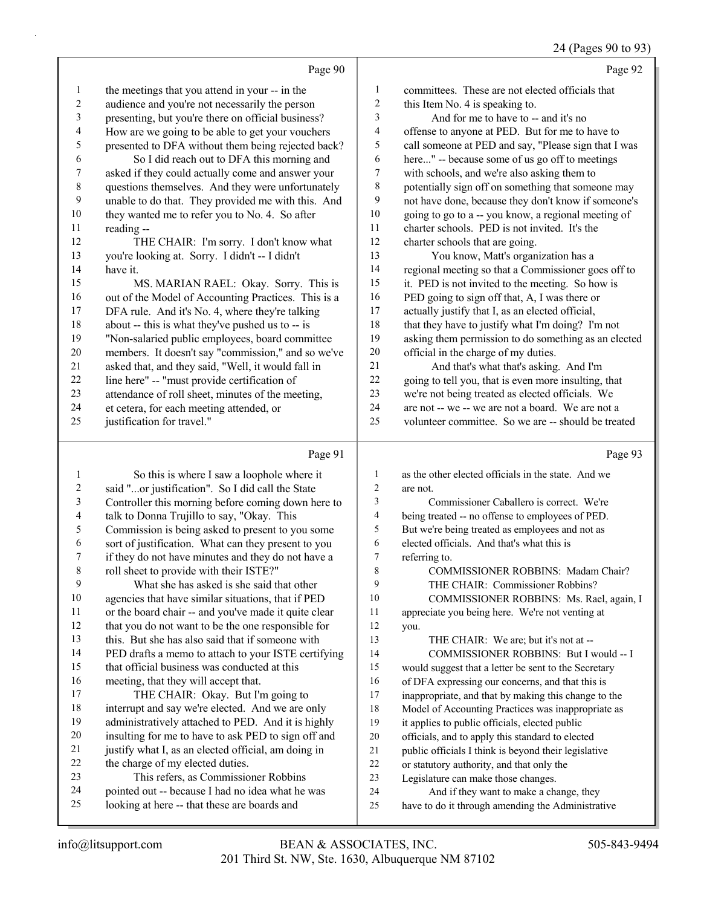|                | Page 90                                             |                | Page 92                                              |
|----------------|-----------------------------------------------------|----------------|------------------------------------------------------|
| 1              | the meetings that you attend in your -- in the      | 1              | committees. These are not elected officials that     |
| $\overline{c}$ | audience and you're not necessarily the person      | $\overline{2}$ | this Item No. 4 is speaking to.                      |
| 3              | presenting, but you're there on official business?  | 3              | And for me to have to -- and it's no                 |
| 4              | How are we going to be able to get your vouchers    | 4              | offense to anyone at PED. But for me to have to      |
| 5              | presented to DFA without them being rejected back?  | 5              | call someone at PED and say, "Please sign that I was |
| 6              | So I did reach out to DFA this morning and          | 6              | here" -- because some of us go off to meetings       |
| 7              | asked if they could actually come and answer your   | 7              | with schools, and we're also asking them to          |
| 8              | questions themselves. And they were unfortunately   | 8              | potentially sign off on something that someone may   |
| 9              | unable to do that. They provided me with this. And  | 9              | not have done, because they don't know if someone's  |
| 10             | they wanted me to refer you to No. 4. So after      | 10             | going to go to a -- you know, a regional meeting of  |
| 11             | reading --                                          | 11             | charter schools. PED is not invited. It's the        |
| 12             | THE CHAIR: I'm sorry. I don't know what             | 12             | charter schools that are going.                      |
| 13             | you're looking at. Sorry. I didn't -- I didn't      | 13             | You know, Matt's organization has a                  |
| 14             | have it.                                            | 14             | regional meeting so that a Commissioner goes off to  |
| 15             | MS. MARIAN RAEL: Okay. Sorry. This is               | 15             | it. PED is not invited to the meeting. So how is     |
| 16             | out of the Model of Accounting Practices. This is a | 16             | PED going to sign off that, A, I was there or        |
| 17             | DFA rule. And it's No. 4, where they're talking     | 17             | actually justify that I, as an elected official,     |
| 18             | about -- this is what they've pushed us to -- is    | 18             | that they have to justify what I'm doing? I'm not    |
| 19             | "Non-salaried public employees, board committee     | 19             | asking them permission to do something as an elected |
| 20             | members. It doesn't say "commission," and so we've  | 20             | official in the charge of my duties.                 |
| 21             | asked that, and they said, "Well, it would fall in  | 21             | And that's what that's asking. And I'm               |
| 22             | line here" -- "must provide certification of        | 22             | going to tell you, that is even more insulting, that |
| 23             | attendance of roll sheet, minutes of the meeting,   | 23             | we're not being treated as elected officials. We     |
| 24             | et cetera, for each meeting attended, or            | 24             | are not -- we -- we are not a board. We are not a    |
| 25             | justification for travel."                          | 25             | volunteer committee. So we are -- should be treated  |
|                | Page 91                                             |                | Page 93                                              |
| 1              | So this is where I saw a loophole where it          |                | as the other elected officials in the state. And we  |

|    | So this is where I saw a loophole where it           | 1  | as the other elected officials in the state. And we  |
|----|------------------------------------------------------|----|------------------------------------------------------|
| 2  | said "or justification". So I did call the State     | 2  | are not.                                             |
| 3  | Controller this morning before coming down here to   | 3  | Commissioner Caballero is correct. We're             |
| 4  | talk to Donna Trujillo to say, "Okay. This           | 4  | being treated -- no offense to employees of PED.     |
| 5  | Commission is being asked to present to you some     | 5  | But we're being treated as employees and not as      |
| 6  | sort of justification. What can they present to you  | 6  | elected officials. And that's what this is           |
| 7  | if they do not have minutes and they do not have a   | 7  | referring to.                                        |
| 8  | roll sheet to provide with their ISTE?"              | 8  | <b>COMMISSIONER ROBBINS: Madam Chair?</b>            |
| 9  | What she has asked is she said that other            | 9  | THE CHAIR: Commissioner Robbins?                     |
| 10 | agencies that have similar situations, that if PED   | 10 | COMMISSIONER ROBBINS: Ms. Rael, again, I             |
| 11 | or the board chair -- and you've made it quite clear | 11 | appreciate you being here. We're not venting at      |
| 12 | that you do not want to be the one responsible for   | 12 | you.                                                 |
| 13 | this. But she has also said that if someone with     | 13 | THE CHAIR: We are; but it's not at --                |
| 14 | PED drafts a memo to attach to your ISTE certifying  | 14 | COMMISSIONER ROBBINS: But I would -- I               |
| 15 | that official business was conducted at this         | 15 | would suggest that a letter be sent to the Secretary |
| 16 | meeting, that they will accept that.                 | 16 | of DFA expressing our concerns, and that this is     |
| 17 | THE CHAIR: Okay. But I'm going to                    | 17 | inappropriate, and that by making this change to the |
| 18 | interrupt and say we're elected. And we are only     | 18 | Model of Accounting Practices was inappropriate as   |
| 19 | administratively attached to PED. And it is highly   | 19 | it applies to public officials, elected public       |
| 20 | insulting for me to have to ask PED to sign off and  | 20 | officials, and to apply this standard to elected     |
| 21 | justify what I, as an elected official, am doing in  | 21 | public officials I think is beyond their legislative |
| 22 | the charge of my elected duties.                     | 22 | or statutory authority, and that only the            |
| 23 | This refers, as Commissioner Robbins                 | 23 | Legislature can make those changes.                  |
| 24 | pointed out -- because I had no idea what he was     | 24 | And if they want to make a change, they              |
| 25 | looking at here -- that these are boards and         | 25 | have to do it through amending the Administrative    |
|    |                                                      |    |                                                      |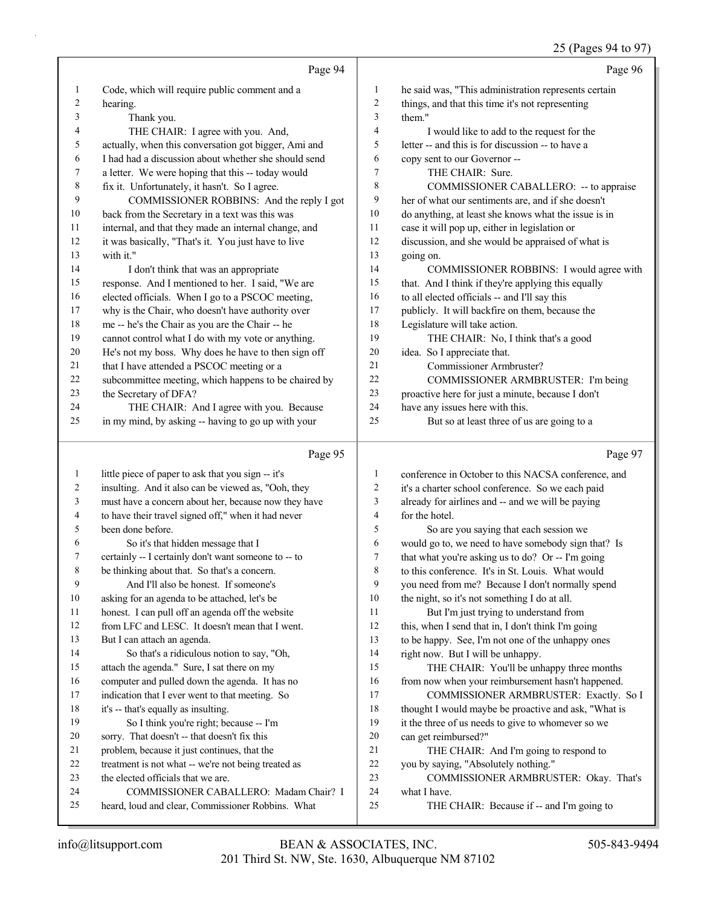# 25 (Pages 94 to 97)

|          | Page 94                                                                                        |                         | Page 96                                                                              |
|----------|------------------------------------------------------------------------------------------------|-------------------------|--------------------------------------------------------------------------------------|
| 1        | Code, which will require public comment and a                                                  | 1                       | he said was, "This administration represents certain                                 |
| 2        | hearing.                                                                                       | 2                       | things, and that this time it's not representing                                     |
| 3        | Thank you.                                                                                     | 3                       | them."                                                                               |
| 4        | THE CHAIR: I agree with you. And,                                                              | 4                       | I would like to add to the request for the                                           |
| 5        | actually, when this conversation got bigger, Ami and                                           | 5                       | letter -- and this is for discussion -- to have a                                    |
| 6        | I had had a discussion about whether she should send                                           | 6                       | copy sent to our Governor --                                                         |
| 7        | a letter. We were hoping that this -- today would                                              | 7                       | THE CHAIR: Sure.                                                                     |
| 8        | fix it. Unfortunately, it hasn't. So I agree.                                                  | 8                       | COMMISSIONER CABALLERO: -- to appraise                                               |
| 9        | COMMISSIONER ROBBINS: And the reply I got                                                      | 9                       | her of what our sentiments are, and if she doesn't                                   |
| 10       | back from the Secretary in a text was this was                                                 | 10                      | do anything, at least she knows what the issue is in                                 |
| 11       | internal, and that they made an internal change, and                                           | 11                      | case it will pop up, either in legislation or                                        |
| 12       | it was basically, "That's it. You just have to live                                            | 12                      | discussion, and she would be appraised of what is                                    |
| 13       | with it."                                                                                      | 13                      | going on.                                                                            |
| 14       | I don't think that was an appropriate                                                          | 14                      | COMMISSIONER ROBBINS: I would agree with                                             |
| 15       | response. And I mentioned to her. I said, "We are                                              | 15                      | that. And I think if they're applying this equally                                   |
| 16       | elected officials. When I go to a PSCOC meeting,                                               | 16                      | to all elected officials -- and I'll say this                                        |
| 17       | why is the Chair, who doesn't have authority over                                              | 17                      | publicly. It will backfire on them, because the                                      |
| 18       | me -- he's the Chair as you are the Chair -- he                                                | 18                      | Legislature will take action.                                                        |
| 19       | cannot control what I do with my vote or anything.                                             | 19                      | THE CHAIR: No, I think that's a good                                                 |
| 20       | He's not my boss. Why does he have to then sign off                                            | 20<br>21                | idea. So I appreciate that.                                                          |
| 21       | that I have attended a PSCOC meeting or a                                                      | 22                      | Commissioner Armbruster?                                                             |
| 22<br>23 | subcommittee meeting, which happens to be chaired by                                           | 23                      | COMMISSIONER ARMBRUSTER: I'm being                                                   |
| 24       | the Secretary of DFA?                                                                          | 24                      | proactive here for just a minute, because I don't<br>have any issues here with this. |
| 25       | THE CHAIR: And I agree with you. Because<br>in my mind, by asking -- having to go up with your | 25                      | But so at least three of us are going to a                                           |
|          |                                                                                                |                         |                                                                                      |
|          |                                                                                                |                         |                                                                                      |
|          | Page 95                                                                                        |                         | Page 97                                                                              |
| 1        | little piece of paper to ask that you sign -- it's                                             | 1                       | conference in October to this NACSA conference, and                                  |
| 2        | insulting. And it also can be viewed as, "Ooh, they                                            | 2                       | it's a charter school conference. So we each paid                                    |
| 3        | must have a concern about her, because now they have                                           | 3                       | already for airlines and -- and we will be paying                                    |
| 4        | to have their travel signed off," when it had never                                            | $\overline{\mathbf{4}}$ | for the hotel.                                                                       |
| 5        | been done before.                                                                              | 5                       | So are you saying that each session we                                               |
| 6        | So it's that hidden message that I                                                             | 6                       | would go to, we need to have somebody sign that? Is                                  |
| 7        | certainly -- I certainly don't want someone to -- to                                           | $\overline{7}$          | that what you're asking us to do? Or -- I'm going                                    |
| 8        | be thinking about that. So that's a concern.                                                   | 8                       | to this conference. It's in St. Louis. What would                                    |
| 9        | And I'll also be honest. If someone's                                                          | 9                       | you need from me? Because I don't normally spend                                     |
| 10       | asking for an agenda to be attached, let's be                                                  | 10                      | the night, so it's not something I do at all.                                        |
| 11       | honest. I can pull off an agenda off the website                                               | 11                      | But I'm just trying to understand from                                               |
| 12       | from LFC and LESC. It doesn't mean that I went.                                                | 12                      | this, when I send that in, I don't think I'm going                                   |
| 13       | But I can attach an agenda.                                                                    | 13                      | to be happy. See, I'm not one of the unhappy ones                                    |
| 14       | So that's a ridiculous notion to say, "Oh,                                                     | 14                      | right now. But I will be unhappy.                                                    |
| 15       | attach the agenda." Sure, I sat there on my                                                    | 15                      | THE CHAIR: You'll be unhappy three months                                            |
| 16       | computer and pulled down the agenda. It has no                                                 | 16                      | from now when your reimbursement hasn't happened.                                    |
| 17       | indication that I ever went to that meeting. So                                                | 17                      | COMMISSIONER ARMBRUSTER: Exactly. So I                                               |
| 18       | it's -- that's equally as insulting.                                                           | 18                      | thought I would maybe be proactive and ask, "What is                                 |
| 19       | So I think you're right; because -- I'm                                                        | 19                      | it the three of us needs to give to whomever so we                                   |
| 20       | sorry. That doesn't -- that doesn't fix this                                                   | 20                      | can get reimbursed?"                                                                 |
| 21       | problem, because it just continues, that the                                                   | 21                      | THE CHAIR: And I'm going to respond to                                               |
| 22       | treatment is not what -- we're not being treated as                                            | 22<br>23                | you by saying, "Absolutely nothing."                                                 |
| 23<br>24 | the elected officials that we are.                                                             | 24                      | COMMISSIONER ARMBRUSTER: Okay. That's                                                |
| 25       | COMMISSIONER CABALLERO: Madam Chair? I<br>heard, loud and clear, Commissioner Robbins. What    | 25                      | what I have.<br>THE CHAIR: Because if -- and I'm going to                            |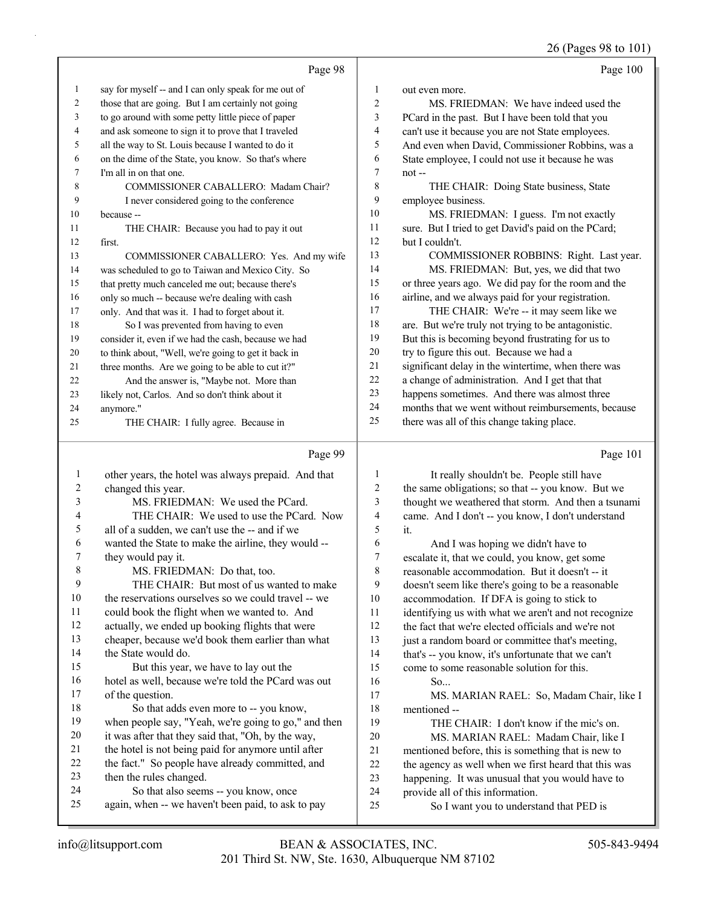26 (Pages 98 to 101)

|    | Page 98                                              |                | Page 100                                            |
|----|------------------------------------------------------|----------------|-----------------------------------------------------|
| 1  | say for myself -- and I can only speak for me out of | 1              | out even more.                                      |
| 2  | those that are going. But I am certainly not going   | $\overline{2}$ | MS. FRIEDMAN: We have indeed used the               |
| 3  | to go around with some petty little piece of paper   | 3              | PCard in the past. But I have been told that you    |
| 4  | and ask someone to sign it to prove that I traveled  | $\overline{4}$ | can't use it because you are not State employees.   |
| 5  | all the way to St. Louis because I wanted to do it   | 5              | And even when David, Commissioner Robbins, was a    |
| 6  | on the dime of the State, you know. So that's where  | 6              | State employee, I could not use it because he was   |
| 7  | I'm all in on that one.                              | $\overline{7}$ | $not$ --                                            |
| 8  | COMMISSIONER CABALLERO: Madam Chair?                 | 8              | THE CHAIR: Doing State business, State              |
| 9  | I never considered going to the conference           | 9              | employee business.                                  |
| 10 | because --                                           | 10             | MS. FRIEDMAN: I guess. I'm not exactly              |
| 11 | THE CHAIR: Because you had to pay it out             | 11             | sure. But I tried to get David's paid on the PCard; |
| 12 | first.                                               | 12             | but I couldn't.                                     |
| 13 | COMMISSIONER CABALLERO: Yes. And my wife             | 13             | COMMISSIONER ROBBINS: Right. Last year.             |
| 14 | was scheduled to go to Taiwan and Mexico City. So    | 14             | MS. FRIEDMAN: But, yes, we did that two             |
| 15 | that pretty much canceled me out; because there's    | 15             | or three years ago. We did pay for the room and the |
| 16 | only so much -- because we're dealing with cash      | 16             | airline, and we always paid for your registration.  |
| 17 | only. And that was it. I had to forget about it.     | 17             | THE CHAIR: We're -- it may seem like we             |
| 18 | So I was prevented from having to even               | 18             | are. But we're truly not trying to be antagonistic. |
| 19 | consider it, even if we had the cash, because we had | 19             | But this is becoming beyond frustrating for us to   |
| 20 | to think about, "Well, we're going to get it back in | 20             | try to figure this out. Because we had a            |
| 21 | three months. Are we going to be able to cut it?"    | 21             | significant delay in the wintertime, when there was |
| 22 | And the answer is, "Maybe not. More than             | 22             | a change of administration. And I get that that     |
| 23 | likely not, Carlos. And so don't think about it      | 23             | happens sometimes. And there was almost three       |
| 24 | anymore."                                            | 24             | months that we went without reimbursements, because |
| 25 | THE CHAIR: I fully agree. Because in                 | 25             | there was all of this change taking place.          |

|    | Page 99                                              |    | Page 101                                             |
|----|------------------------------------------------------|----|------------------------------------------------------|
| 1  | other years, the hotel was always prepaid. And that  | 1  | It really shouldn't be. People still have            |
| 2  | changed this year.                                   | 2  | the same obligations; so that -- you know. But we    |
| 3  | MS. FRIEDMAN: We used the PCard.                     | 3  | thought we weathered that storm. And then a tsunami  |
| 4  | THE CHAIR: We used to use the PCard. Now             | 4  | came. And I don't -- you know, I don't understand    |
| 5  | all of a sudden, we can't use the -- and if we       | 5  | it.                                                  |
| 6  | wanted the State to make the airline, they would --  | 6  | And I was hoping we didn't have to                   |
| 7  | they would pay it.                                   | 7  | escalate it, that we could, you know, get some       |
| 8  | MS. FRIEDMAN: Do that, too.                          | 8  | reasonable accommodation. But it doesn't -- it       |
| 9  | THE CHAIR: But most of us wanted to make             | 9  | doesn't seem like there's going to be a reasonable   |
| 10 | the reservations ourselves so we could travel -- we  | 10 | accommodation. If DFA is going to stick to           |
| 11 | could book the flight when we wanted to. And         | 11 | identifying us with what we aren't and not recognize |
| 12 | actually, we ended up booking flights that were      | 12 | the fact that we're elected officials and we're not  |
| 13 | cheaper, because we'd book them earlier than what    | 13 | just a random board or committee that's meeting,     |
| 14 | the State would do.                                  | 14 | that's -- you know, it's unfortunate that we can't   |
| 15 | But this year, we have to lay out the                | 15 | come to some reasonable solution for this.           |
| 16 | hotel as well, because we're told the PCard was out  | 16 | So                                                   |
| 17 | of the question.                                     | 17 | MS. MARIAN RAEL: So, Madam Chair, like I             |
| 18 | So that adds even more to -- you know,               | 18 | mentioned --                                         |
| 19 | when people say, "Yeah, we're going to go," and then | 19 | THE CHAIR: I don't know if the mic's on.             |
| 20 | it was after that they said that, "Oh, by the way,   | 20 | MS. MARIAN RAEL: Madam Chair, like I                 |
| 21 | the hotel is not being paid for anymore until after  | 21 | mentioned before, this is something that is new to   |
| 22 | the fact." So people have already committed, and     | 22 | the agency as well when we first heard that this was |
| 23 | then the rules changed.                              | 23 | happening. It was unusual that you would have to     |
| 24 | So that also seems -- you know, once                 | 24 | provide all of this information.                     |
| 25 | again, when -- we haven't been paid, to ask to pay   | 25 | So I want you to understand that PED is              |
|    |                                                      |    |                                                      |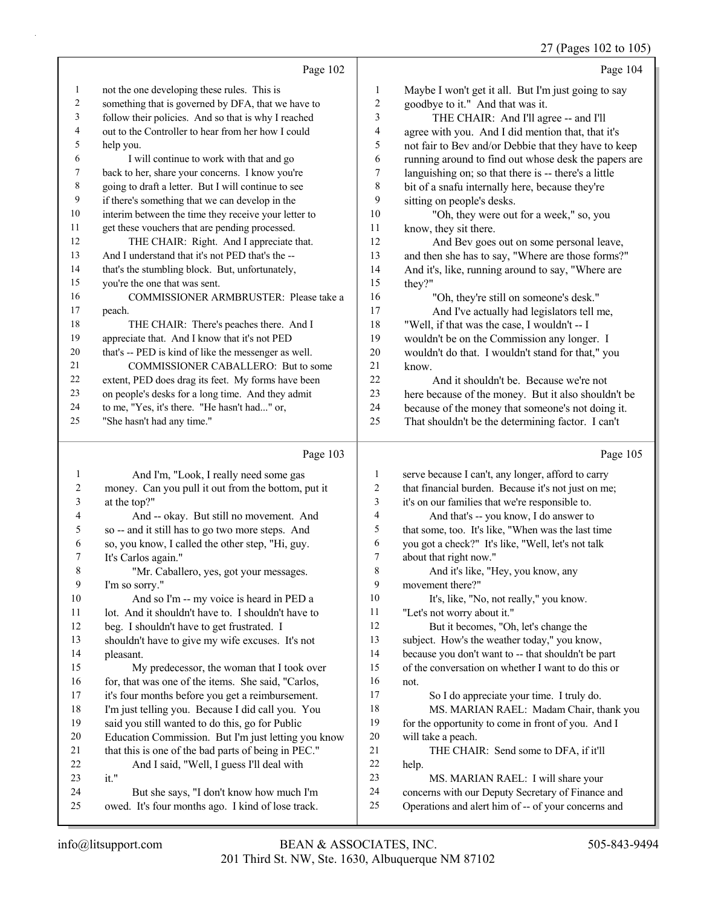|                |                                                      |                | 27 (Pages 102 to 105)                                |
|----------------|------------------------------------------------------|----------------|------------------------------------------------------|
|                | Page 102                                             |                | Page 104                                             |
| $\mathbf{1}$   | not the one developing these rules. This is          | 1              | Maybe I won't get it all. But I'm just going to say  |
| $\overline{c}$ | something that is governed by DFA, that we have to   | 2              | goodbye to it." And that was it.                     |
| 3              | follow their policies. And so that is why I reached  | 3              | THE CHAIR: And I'll agree -- and I'll                |
| 4              | out to the Controller to hear from her how I could   | 4              | agree with you. And I did mention that, that it's    |
| 5              | help you.                                            | 5              | not fair to Bev and/or Debbie that they have to keep |
| 6              | I will continue to work with that and go             | 6              | running around to find out whose desk the papers are |
| $\tau$         | back to her, share your concerns. I know you're      | 7              | languishing on; so that there is -- there's a little |
| 8              | going to draft a letter. But I will continue to see  | 8              | bit of a snafu internally here, because they're      |
| 9              | if there's something that we can develop in the      | 9              | sitting on people's desks.                           |
| 10             | interim between the time they receive your letter to | 10             | "Oh, they were out for a week," so, you              |
| 11             | get these vouchers that are pending processed.       | 11             | know, they sit there.                                |
| 12             | THE CHAIR: Right. And I appreciate that.             | 12             | And Bev goes out on some personal leave,             |
| 13             | And I understand that it's not PED that's the --     | 13             | and then she has to say, "Where are those forms?"    |
| 14             | that's the stumbling block. But, unfortunately,      | 14             | And it's, like, running around to say, "Where are    |
| 15             | you're the one that was sent.                        | 15             | they?"                                               |
| 16             | COMMISSIONER ARMBRUSTER: Please take a               | 16             | "Oh, they're still on someone's desk."               |
| 17             | peach.                                               | 17             | And I've actually had legislators tell me,           |
| 18             | THE CHAIR: There's peaches there. And I              | 18             | "Well, if that was the case, I wouldn't -- I         |
| 19             | appreciate that. And I know that it's not PED        | 19             | wouldn't be on the Commission any longer. I          |
| 20             | that's -- PED is kind of like the messenger as well. | 20             | wouldn't do that. I wouldn't stand for that," you    |
| 21             | COMMISSIONER CABALLERO: But to some                  | 21             | know.                                                |
| 22             | extent, PED does drag its feet. My forms have been   | 22             | And it shouldn't be. Because we're not               |
| 23             | on people's desks for a long time. And they admit    | 23             | here because of the money. But it also shouldn't be  |
| 24             | to me, "Yes, it's there. "He hasn't had" or,         | 24             | because of the money that someone's not doing it.    |
| 25             | "She hasn't had any time."                           | 25             | That shouldn't be the determining factor. I can't    |
|                |                                                      |                |                                                      |
|                | Page 103                                             |                | Page 105                                             |
| 1              | And I'm, "Look, I really need some gas               | 1              | serve because I can't, any longer, afford to carry   |
| $\overline{c}$ | money. Can you pull it out from the bottom, put it   | $\overline{2}$ | that financial burden. Because it's not just on me;  |
| 3              | at the top?"                                         | $\mathfrak{Z}$ | it's on our families that we're responsible to.      |
| 4              | And -- okay. But still no movement. And              | $\overline{4}$ | And that's -- you know, I do answer to               |
| 5              | so -- and it still has to go two more steps. And     | 5              | that some, too. It's like, "When was the last time   |
| 6              | so, you know, I called the other step, "Hi, guy.     | 6              | you got a check?" It's like, "Well, let's not talk   |
| Τ              | It's Carlos again."                                  | 7              | about that right now."                               |
| $8\,$          | "Mr. Caballero, yes, got your messages.              | $\,8\,$        | And it's like, "Hey, you know, any                   |
| 9              | I'm so sorry."                                       | $\overline{9}$ | movement there?"                                     |
| $10\,$         | And so I'm -- my voice is heard in PED a             | $10\,$         | It's, like, "No, not really," you know.              |
| 11             | lot. And it shouldn't have to. I shouldn't have to   | 11             | "Let's not worry about it."                          |
| 12             | beg. I shouldn't have to get frustrated. I           | $12\,$         | But it becomes, "Oh, let's change the                |
| 13             | shouldn't have to give my wife excuses. It's not     | 13             | subject. How's the weather today," you know,         |

 shouldn't have to give my wife excuses. It's not pleasant.

15 My predecessor, the woman that I took over 16 for, that was one of the items. She said, "Carlos, it's four months before you get a reimbursement. I'm just telling you. Because I did call you. You said you still wanted to do this, go for Public Education Commission. But I'm just letting you know 21 that this is one of the bad parts of being in PEC." 22 And I said, "Well, I guess I'll deal with it."

24 But she says, "I don't know how much I'm owed. It's four months ago. I kind of lose track.

21 THE CHAIR: Send some to DFA, if it'll help.

18 MS. MARIAN RAEL: Madam Chair, thank you 19 for the opportunity to come in front of you. And I

23 MS. MARIAN RAEL: I will share your

 because you don't want to -- that shouldn't be part of the conversation on whether I want to do this or

17 So I do appreciate your time. I truly do.

 concerns with our Deputy Secretary of Finance and Operations and alert him of -- of your concerns and

not.

will take a peach.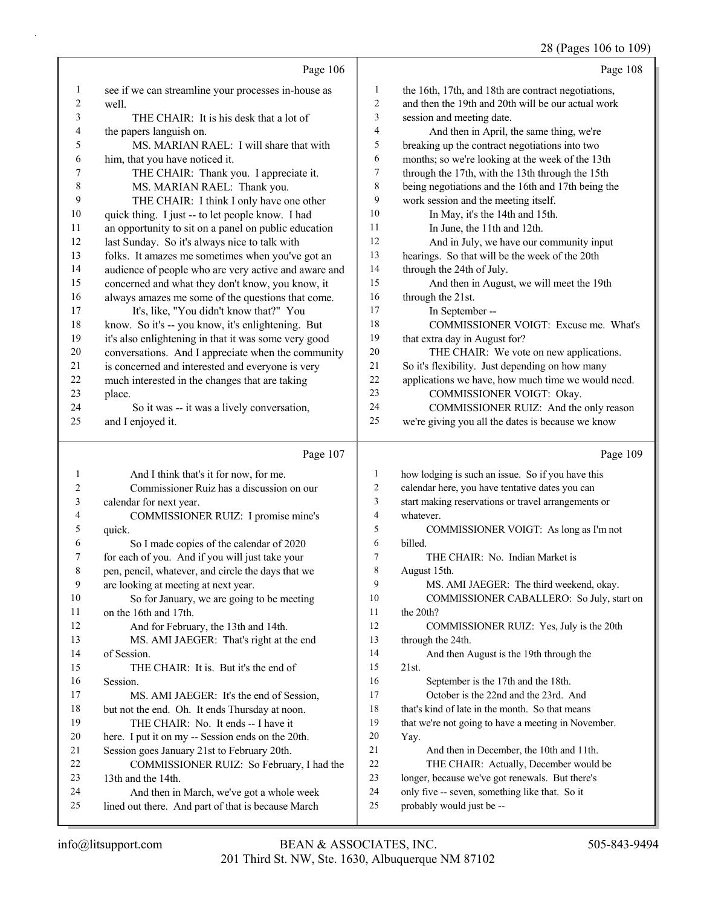# 28 (Pages 106 to 109)

|                          | Page 106                                                                                         |                  | Page 108                                                                                 |
|--------------------------|--------------------------------------------------------------------------------------------------|------------------|------------------------------------------------------------------------------------------|
| $\mathbf{1}$             | see if we can streamline your processes in-house as                                              | $\mathbf{1}$     | the 16th, 17th, and 18th are contract negotiations,                                      |
| 2                        | well.                                                                                            | 2                | and then the 19th and 20th will be our actual work                                       |
| 3                        | THE CHAIR: It is his desk that a lot of                                                          | 3                | session and meeting date.                                                                |
| $\overline{\mathcal{A}}$ | the papers languish on.                                                                          | 4                | And then in April, the same thing, we're                                                 |
| 5                        | MS. MARIAN RAEL: I will share that with                                                          | 5                | breaking up the contract negotiations into two                                           |
| 6                        | him, that you have noticed it.                                                                   | 6                | months; so we're looking at the week of the 13th                                         |
| 7                        | THE CHAIR: Thank you. I appreciate it.                                                           | 7                | through the 17th, with the 13th through the 15th                                         |
| $\,$ $\,$                | MS. MARIAN RAEL: Thank you.                                                                      | 8                | being negotiations and the 16th and 17th being the                                       |
| 9                        | THE CHAIR: I think I only have one other                                                         | 9                | work session and the meeting itself.                                                     |
| $10\,$                   | quick thing. I just -- to let people know. I had                                                 | 10               | In May, it's the 14th and 15th.                                                          |
| 11                       | an opportunity to sit on a panel on public education                                             | 11               | In June, the 11th and 12th.                                                              |
| 12                       | last Sunday. So it's always nice to talk with                                                    | 12               | And in July, we have our community input                                                 |
| 13                       | folks. It amazes me sometimes when you've got an                                                 | 13               | hearings. So that will be the week of the 20th                                           |
| 14                       | audience of people who are very active and aware and                                             | 14               | through the 24th of July.                                                                |
| 15                       | concerned and what they don't know, you know, it                                                 | 15               | And then in August, we will meet the 19th                                                |
| 16                       | always amazes me some of the questions that come.                                                | 16               | through the 21st.                                                                        |
| 17                       | It's, like, "You didn't know that?" You                                                          | 17               | In September --                                                                          |
| 18                       | know. So it's -- you know, it's enlightening. But                                                | 18               | COMMISSIONER VOIGT: Excuse me. What's                                                    |
| 19                       | it's also enlightening in that it was some very good                                             | 19               | that extra day in August for?                                                            |
| 20                       | conversations. And I appreciate when the community                                               | 20               | THE CHAIR: We vote on new applications.                                                  |
| 21                       | is concerned and interested and everyone is very                                                 | 21<br>22         | So it's flexibility. Just depending on how many                                          |
| $22\,$<br>23             | much interested in the changes that are taking                                                   | 23               | applications we have, how much time we would need.                                       |
| 24                       | place.                                                                                           | 24               | COMMISSIONER VOIGT: Okay.<br>COMMISSIONER RUIZ: And the only reason                      |
| 25                       | So it was -- it was a lively conversation,<br>and I enjoyed it.                                  | 25               | we're giving you all the dates is because we know                                        |
|                          |                                                                                                  |                  |                                                                                          |
|                          |                                                                                                  |                  |                                                                                          |
|                          | Page 107                                                                                         |                  | Page 109                                                                                 |
| $\mathbf{1}$             | And I think that's it for now, for me.                                                           | $\mathbf{1}$     | how lodging is such an issue. So if you have this                                        |
| 2                        | Commissioner Ruiz has a discussion on our                                                        | $\boldsymbol{2}$ | calendar here, you have tentative dates you can                                          |
| 3                        | calendar for next year.                                                                          | 3                | start making reservations or travel arrangements or                                      |
| 4                        | COMMISSIONER RUIZ: I promise mine's                                                              | $\overline{4}$   | whatever.                                                                                |
| 5                        | quick.                                                                                           | 5                | COMMISSIONER VOIGT: As long as I'm not                                                   |
| 6                        | So I made copies of the calendar of 2020                                                         | 6                | billed.                                                                                  |
| 7                        | for each of you. And if you will just take your                                                  | $\overline{7}$   | THE CHAIR: No. Indian Market is                                                          |
| 8                        | pen, pencil, whatever, and circle the days that we                                               | $\,$ 8 $\,$      | August 15th.                                                                             |
| 9                        | are looking at meeting at next year.                                                             | 9                | MS. AMI JAEGER: The third weekend, okay.                                                 |
| 10                       | So for January, we are going to be meeting                                                       | 10               | COMMISSIONER CABALLERO: So July, start on                                                |
| 11                       | on the 16th and 17th.                                                                            | 11               | the 20th?                                                                                |
| 12                       | And for February, the 13th and 14th.                                                             | 12               | COMMISSIONER RUIZ: Yes, July is the 20th                                                 |
| 13                       | MS. AMI JAEGER: That's right at the end                                                          | 13               | through the 24th.                                                                        |
| 14                       | of Session.                                                                                      | 14               | And then August is the 19th through the                                                  |
| 15                       | THE CHAIR: It is. But it's the end of                                                            | 15<br>16         | 21st.                                                                                    |
| 16                       | Session.                                                                                         | 17               | September is the 17th and the 18th.                                                      |
| 17<br>18                 | MS. AMI JAEGER: It's the end of Session,                                                         | 18               | October is the 22nd and the 23rd. And<br>that's kind of late in the month. So that means |
| 19                       | but not the end. Oh. It ends Thursday at noon.<br>THE CHAIR: No. It ends -- I have it            | 19               |                                                                                          |
| 20                       |                                                                                                  | 20               | that we're not going to have a meeting in November.<br>Yay.                              |
| 21                       | here. I put it on my -- Session ends on the 20th.<br>Session goes January 21st to February 20th. | 21               | And then in December, the 10th and 11th.                                                 |
| 22                       | COMMISSIONER RUIZ: So February, I had the                                                        | 22               | THE CHAIR: Actually, December would be                                                   |
| 23                       | 13th and the 14th.                                                                               | 23               | longer, because we've got renewals. But there's                                          |
| 24                       | And then in March, we've got a whole week                                                        | $24\,$           | only five -- seven, something like that. So it                                           |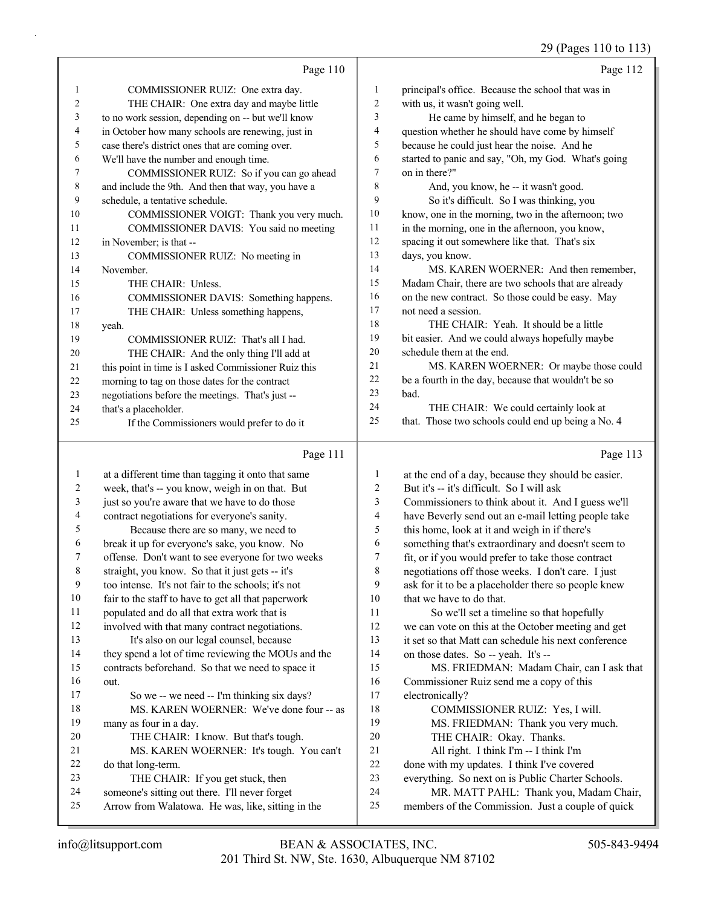29 (Pages 110 to 113)

|                |                                                      |                | 29 (Pages 110 to 113)                                |
|----------------|------------------------------------------------------|----------------|------------------------------------------------------|
|                | Page 110                                             |                | Page 112                                             |
| 1              | COMMISSIONER RUIZ: One extra day.                    | $\mathbf{1}$   | principal's office. Because the school that was in   |
| $\overline{c}$ | THE CHAIR: One extra day and maybe little            | $\overline{2}$ | with us, it wasn't going well.                       |
| 3              | to no work session, depending on -- but we'll know   | 3              | He came by himself, and he began to                  |
| 4              | in October how many schools are renewing, just in    | $\overline{4}$ | question whether he should have come by himself      |
| 5              | case there's district ones that are coming over.     | 5              | because he could just hear the noise. And he         |
| 6              | We'll have the number and enough time.               | 6              | started to panic and say, "Oh, my God. What's going  |
| 7              | COMMISSIONER RUIZ: So if you can go ahead            | $\tau$         | on in there?"                                        |
| 8              | and include the 9th. And then that way, you have a   | 8              | And, you know, he -- it wasn't good.                 |
| 9              | schedule, a tentative schedule.                      | 9              | So it's difficult. So I was thinking, you            |
| 10             | COMMISSIONER VOIGT: Thank you very much.             | 10             | know, one in the morning, two in the afternoon; two  |
| 11             | COMMISSIONER DAVIS: You said no meeting              | 11             | in the morning, one in the afternoon, you know,      |
| 12             | in November; is that --                              | 12             | spacing it out somewhere like that. That's six       |
| 13             | COMMISSIONER RUIZ: No meeting in                     | 13             | days, you know.                                      |
| 14             | November.                                            | 14             | MS. KAREN WOERNER: And then remember,                |
| 15             | THE CHAIR: Unless.                                   | 15             | Madam Chair, there are two schools that are already  |
| 16             | COMMISSIONER DAVIS: Something happens.               | 16             | on the new contract. So those could be easy. May     |
| 17             | THE CHAIR: Unless something happens,                 | 17             | not need a session.                                  |
| 18             | yeah.                                                | 18             | THE CHAIR: Yeah. It should be a little               |
| 19             | COMMISSIONER RUIZ: That's all I had.                 | 19             | bit easier. And we could always hopefully maybe      |
| 20             | THE CHAIR: And the only thing I'll add at            | 20             | schedule them at the end.                            |
| 21             | this point in time is I asked Commissioner Ruiz this | 21             | MS. KAREN WOERNER: Or maybe those could              |
| 22             | morning to tag on those dates for the contract       | 22             | be a fourth in the day, because that wouldn't be so  |
| 23             | negotiations before the meetings. That's just --     | 23             | bad.                                                 |
| 24             | that's a placeholder.                                | 24             | THE CHAIR: We could certainly look at                |
| 25             | If the Commissioners would prefer to do it           | 25             | that. Those two schools could end up being a No. 4   |
|                | Page 111                                             |                | Page 113                                             |
| $\mathbf{1}$   | at a different time than tagging it onto that same   | $\mathbf{1}$   | at the end of a day, because they should be easier.  |
| $\overline{2}$ | week, that's -- you know, weigh in on that. But      | $\overline{c}$ | But it's -- it's difficult. So I will ask            |
| 3              | just so you're aware that we have to do those        | 3              | Commissioners to think about it. And I guess we'll   |
| 4              | contract negotiations for everyone's sanity.         | $\overline{4}$ | have Beverly send out an e-mail letting people take  |
| 5              | Because there are so many, we need to                | 5              | this home, look at it and weigh in if there's        |
| 6              | break it up for everyone's sake, you know. No        | 6              | something that's extraordinary and doesn't seem to   |
| 7              | offense. Don't want to see everyone for two weeks    | 7              | fit, or if you would prefer to take those contract   |
| 8              | straight, you know. So that it just gets -- it's     | 8              | negotiations off those weeks. I don't care. I just   |
| 9              | too intense. It's not fair to the schools; it's not  | 9              | ask for it to be a placeholder there so people knew  |
| 10             | fair to the staff to have to get all that paperwork  | 10             | that we have to do that.                             |
| 11             | populated and do all that extra work that is         | 11             | So we'll set a timeline so that hopefully            |
| 12             | involved with that many contract negotiations.       | 12             | we can vote on this at the October meeting and get   |
| 13             | It's also on our legal counsel, because              | 13             | it set so that Matt can schedule his next conference |
| 14             | they spend a lot of time reviewing the MOUs and the  | 14             | on those dates. So -- yeah. It's --                  |
| 15             | contracts beforehand. So that we need to space it    | 15             | MS. FRIEDMAN: Madam Chair, can I ask that            |
| 16             | out.                                                 | 16             | Commissioner Ruiz send me a copy of this             |
| 17             | So we -- we need -- I'm thinking six days?           | 17             | electronically?                                      |
| 18             | MS. KAREN WOERNER: We've done four -- as             | 18             | COMMISSIONER RUIZ: Yes, I will.                      |
| 19             | many as four in a day.                               | 19             | MS. FRIEDMAN: Thank you very much.                   |
| 20             | THE CHAIR: I know. But that's tough.                 | 20             | THE CHAIR: Okay. Thanks.                             |
| 21             | MS. KAREN WOERNER: It's tough. You can't             | 21<br>22       | All right. I think I'm -- I think I'm                |
| 22             | do that long-term.                                   |                | done with my updates. I think I've covered           |

done with my updates. I think I've covered

everything. So next on is Public Charter Schools.

- 24 MR. MATT PAHL: Thank you, Madam Chair,
- members of the Commission. Just a couple of quick

23 THE CHAIR: If you get stuck, then someone's sitting out there. I'll never forget Arrow from Walatowa. He was, like, sitting in the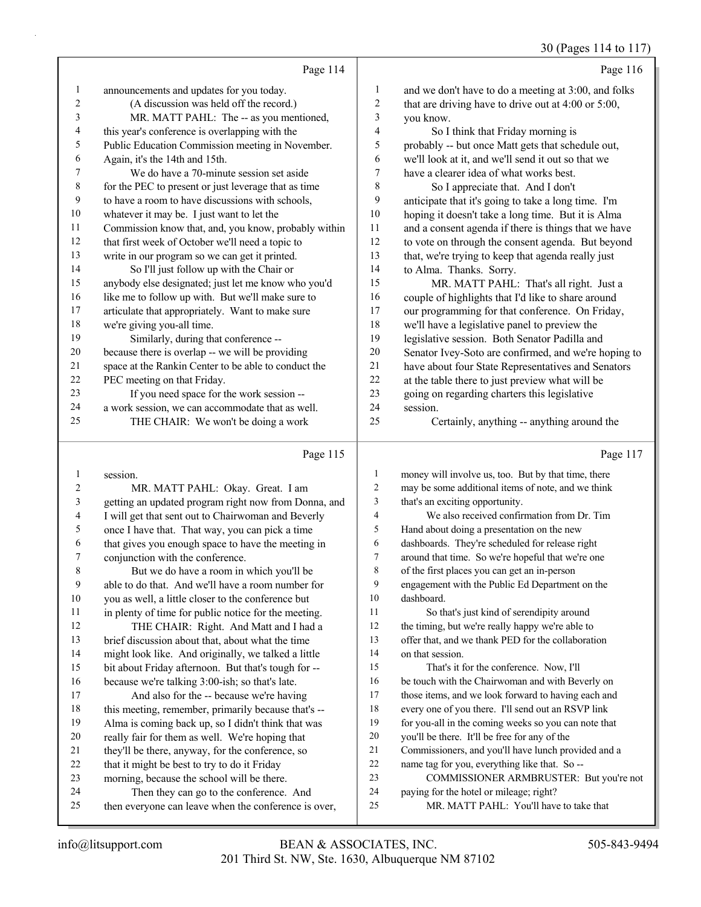30 (Pages 114 to 117)

|    | Page 114                                             |    | Page 116                                             |
|----|------------------------------------------------------|----|------------------------------------------------------|
| 1  | announcements and updates for you today.             | 1  | and we don't have to do a meeting at 3:00, and folks |
| 2  | (A discussion was held off the record.)              | 2  | that are driving have to drive out at 4:00 or 5:00,  |
| 3  | MR. MATT PAHL: The -- as you mentioned,              | 3  | you know.                                            |
| 4  | this year's conference is overlapping with the       | 4  | So I think that Friday morning is                    |
| 5  | Public Education Commission meeting in November.     | 5  | probably -- but once Matt gets that schedule out,    |
| 6  | Again, it's the 14th and 15th.                       | 6  | we'll look at it, and we'll send it out so that we   |
| 7  | We do have a 70-minute session set aside             | 7  | have a clearer idea of what works best.              |
| 8  | for the PEC to present or just leverage that as time | 8  | So I appreciate that. And I don't                    |
| 9  | to have a room to have discussions with schools,     | 9  | anticipate that it's going to take a long time. I'm  |
| 10 | whatever it may be. I just want to let the           | 10 | hoping it doesn't take a long time. But it is Alma   |
| 11 | Commission know that, and, you know, probably within | 11 | and a consent agenda if there is things that we have |
| 12 | that first week of October we'll need a topic to     | 12 | to vote on through the consent agenda. But beyond    |
| 13 | write in our program so we can get it printed.       | 13 | that, we're trying to keep that agenda really just   |
| 14 | So I'll just follow up with the Chair or             | 14 | to Alma. Thanks. Sorry.                              |
| 15 | anybody else designated; just let me know who you'd  | 15 | MR. MATT PAHL: That's all right. Just a              |
| 16 | like me to follow up with. But we'll make sure to    | 16 | couple of highlights that I'd like to share around   |
| 17 | articulate that appropriately. Want to make sure     | 17 | our programming for that conference. On Friday,      |
| 18 | we're giving you-all time.                           | 18 | we'll have a legislative panel to preview the        |
| 19 | Similarly, during that conference --                 | 19 | legislative session. Both Senator Padilla and        |
| 20 | because there is overlap -- we will be providing     | 20 | Senator Ivey-Soto are confirmed, and we're hoping to |
| 21 | space at the Rankin Center to be able to conduct the | 21 | have about four State Representatives and Senators   |
| 22 | PEC meeting on that Friday.                          | 22 | at the table there to just preview what will be      |
| 23 | If you need space for the work session --            | 23 | going on regarding charters this legislative         |
| 24 | a work session, we can accommodate that as well.     | 24 | session.                                             |
| 25 | THE CHAIR: We won't be doing a work                  | 25 | Certainly, anything -- anything around the           |
|    | Page 115                                             |    | Page 117                                             |

# Page 115 |

|    | session.                                             | $\mathbf{1}$   | money will involve us, too. But by that time, there  |
|----|------------------------------------------------------|----------------|------------------------------------------------------|
| 2  | MR. MATT PAHL: Okay. Great. I am                     | $\overline{c}$ | may be some additional items of note, and we think   |
| 3  | getting an updated program right now from Donna, and | 3              | that's an exciting opportunity.                      |
| 4  | I will get that sent out to Chairwoman and Beverly   | 4              | We also received confirmation from Dr. Tim           |
| 5  | once I have that. That way, you can pick a time      | 5              | Hand about doing a presentation on the new           |
| 6  | that gives you enough space to have the meeting in   | 6              | dashboards. They're scheduled for release right      |
| 7  | conjunction with the conference.                     | 7              | around that time. So we're hopeful that we're one    |
| 8  | But we do have a room in which you'll be             | 8              | of the first places you can get an in-person         |
| 9  | able to do that. And we'll have a room number for    | 9              | engagement with the Public Ed Department on the      |
| 10 | you as well, a little closer to the conference but   | 10             | dashboard.                                           |
| 11 | in plenty of time for public notice for the meeting. | 11             | So that's just kind of serendipity around            |
| 12 | THE CHAIR: Right. And Matt and I had a               | 12             | the timing, but we're really happy we're able to     |
| 13 | brief discussion about that, about what the time     | 13             | offer that, and we thank PED for the collaboration   |
| 14 | might look like. And originally, we talked a little  | 14             | on that session.                                     |
| 15 | bit about Friday afternoon. But that's tough for --  | 15             | That's it for the conference. Now, I'll              |
| 16 | because we're talking 3:00-ish; so that's late.      | 16             | be touch with the Chairwoman and with Beverly on     |
| 17 | And also for the -- because we're having             | 17             | those items, and we look forward to having each and  |
| 18 | this meeting, remember, primarily because that's --  | 18             | every one of you there. I'll send out an RSVP link   |
| 19 | Alma is coming back up, so I didn't think that was   | 19             | for you-all in the coming weeks so you can note that |
| 20 | really fair for them as well. We're hoping that      | 20             | you'll be there. It'll be free for any of the        |
| 21 | they'll be there, anyway, for the conference, so     | 21             | Commissioners, and you'll have lunch provided and a  |
| 22 | that it might be best to try to do it Friday         | 22             | name tag for you, everything like that. So --        |
| 23 | morning, because the school will be there.           | 23             | COMMISSIONER ARMBRUSTER: But you're not              |
| 24 | Then they can go to the conference. And              | 24             | paying for the hotel or mileage; right?              |
| 25 | then everyone can leave when the conference is over, | 25             | MR. MATT PAHL: You'll have to take that              |
|    |                                                      |                |                                                      |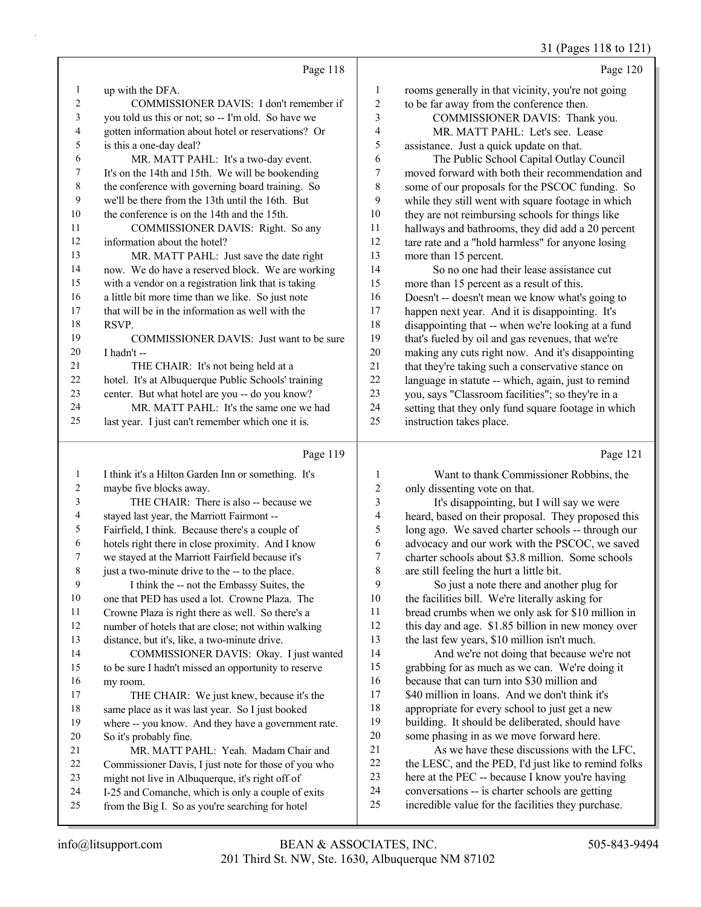### 31 (Pages 118 to 121)

|                |                                                     |                  | 21 (1 ages 110 ω 12                                 |
|----------------|-----------------------------------------------------|------------------|-----------------------------------------------------|
|                | Page 118                                            |                  | Page 120                                            |
| $\mathbf{1}$   | up with the DFA.                                    | $\mathbf{1}$     | rooms generally in that vicinity, you're not going  |
| $\overline{2}$ | COMMISSIONER DAVIS: I don't remember if             | 2                | to be far away from the conference then.            |
| 3              | you told us this or not; so -- I'm old. So have we  | 3                | COMMISSIONER DAVIS: Thank you.                      |
| 4              | gotten information about hotel or reservations? Or  | $\overline{4}$   | MR. MATT PAHL: Let's see. Lease                     |
| 5              | is this a one-day deal?                             | 5                | assistance. Just a quick update on that.            |
| 6              | MR. MATT PAHL: It's a two-day event.                | 6                | The Public School Capital Outlay Council            |
| 7              | It's on the 14th and 15th. We will be bookending    | $\boldsymbol{7}$ | moved forward with both their recommendation and    |
| $\,8\,$        | the conference with governing board training. So    | 8                | some of our proposals for the PSCOC funding. So     |
| 9              | we'll be there from the 13th until the 16th. But    | 9                | while they still went with square footage in which  |
| $10\,$         | the conference is on the 14th and the 15th.         | 10               | they are not reimbursing schools for things like    |
| 11             | COMMISSIONER DAVIS: Right. So any                   | 11               | hallways and bathrooms, they did add a 20 percent   |
| 12             | information about the hotel?                        | 12               | tare rate and a "hold harmless" for anyone losing   |
| 13             | MR. MATT PAHL: Just save the date right             | 13               | more than 15 percent.                               |
| 14             | now. We do have a reserved block. We are working    | 14               | So no one had their lease assistance cut            |
| 15             | with a vendor on a registration link that is taking | 15               | more than 15 percent as a result of this.           |
| 16             | a little bit more time than we like. So just note   | 16               | Doesn't -- doesn't mean we know what's going to     |
| 17             | that will be in the information as well with the    | 17               | happen next year. And it is disappointing. It's     |
| 18             | RSVP.                                               | 18               | disappointing that -- when we're looking at a fund  |
| 19             | COMMISSIONER DAVIS: Just want to be sure            | 19               | that's fueled by oil and gas revenues, that we're   |
| 20             | I hadn't --                                         | 20               | making any cuts right now. And it's disappointing   |
| 21             | THE CHAIR: It's not being held at a                 | 21               | that they're taking such a conservative stance on   |
| 22             | hotel. It's at Albuquerque Public Schools' training | 22               | language in statute -- which, again, just to remind |
| 23             | center. But what hotel are you -- do you know?      | 23               | you, says "Classroom facilities"; so they're in a   |
| 24             | MR. MATT PAHL: It's the same one we had             | 24               | setting that they only fund square footage in which |
| 25             | last year. I just can't remember which one it is.   | 25               | instruction takes place.                            |
|                | Page 119                                            |                  | Page 121                                            |
| $\mathbf{1}$   | I think it's a Hilton Garden Inn or something. It's | 1                | Want to thank Commissioner Robbins, the             |
| $\overline{c}$ | maybe five blocks away.                             | $\overline{c}$   | only dissenting vote on that.                       |
| 3              | THE CHAIR: There is also -- because we              | 3                | It's disappointing, but I will say we were          |
| 4              | stayed last year, the Marriott Fairmont --          | 4                | heard, based on their proposal. They proposed this  |
| 5              | Fairfield, I think. Because there's a couple of     | 5                | long ago. We saved charter schools -- through our   |
| 6              | hotels right there in close proximity. And I know   | 6                | advocacy and our work with the PSCOC, we saved      |
| 7              | we stayed at the Marriott Fairfield because it's    | $\tau$           | charter schools about \$3.8 million. Some schools   |
| $\,$ 8 $\,$    | just a two-minute drive to the -- to the place.     | $\,$ 8 $\,$      | are still feeling the hurt a little bit.            |
| $\mathbf{9}$   | I think the -- not the Embassy Suites, the          | 9                | So just a note there and another plug for           |
| 10             | one that PED has used a lot. Crowne Plaza. The      | 10               | the facilities bill. We're literally asking for     |

Crowne Plaza is right there as well. So there's a

number of hotels that are close; not within walking

 distance, but it's, like, a two-minute drive. 14 COMMISSIONER DAVIS: Okay. I just wanted to be sure I hadn't missed an opportunity to reserve

 my room. 17 THE CHAIR: We just knew, because it's the

 same place as it was last year. So I just booked where -- you know. And they have a government rate. So it's probably fine.

21 MR. MATT PAHL: Yeah. Madam Chair and

- Commissioner Davis, I just note for those of you who
- might not live in Albuquerque, it's right off of
- I-25 and Comanche, which is only a couple of exits from the Big I. So as you're searching for hotel

 the facilities bill. We're literally asking for bread crumbs when we only ask for \$10 million in this day and age. \$1.85 billion in new money over the last few years, \$10 million isn't much.

14 And we're not doing that because we're not grabbing for as much as we can. We're doing it because that can turn into \$30 million and 17 \$40 million in loans. And we don't think it's appropriate for every school to just get a new building. It should be deliberated, should have some phasing in as we move forward here.

21 As we have these discussions with the LFC, 22 the LESC, and the PED, I'd just like to remind folks here at the PEC -- because I know you're having

 conversations -- is charter schools are getting incredible value for the facilities they purchase.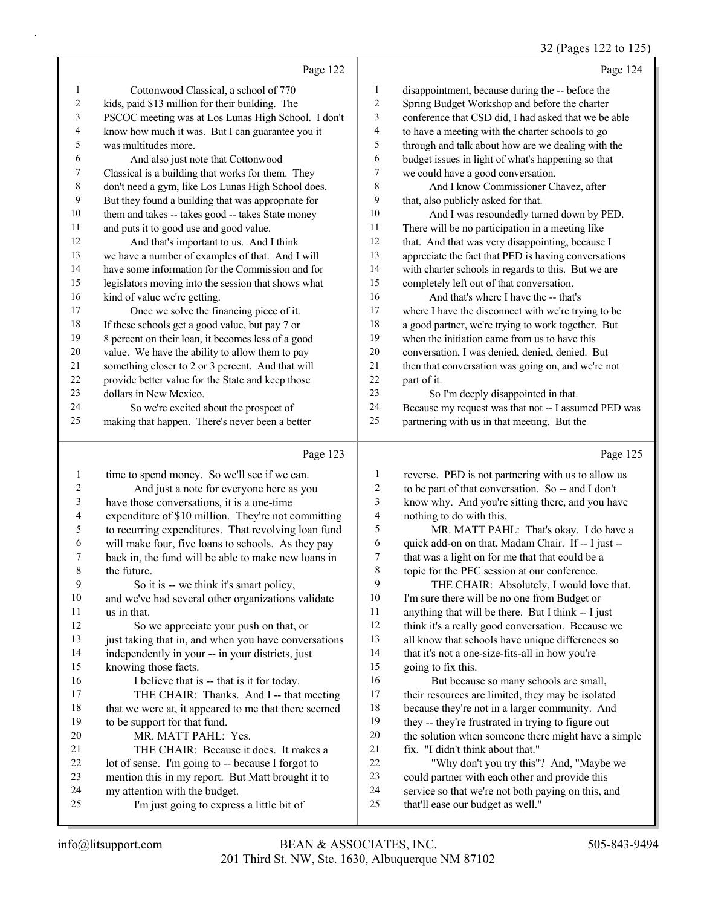# 32 (Pages 122 to 125)

| Page 124                                             |                | Page 122                                            |                |
|------------------------------------------------------|----------------|-----------------------------------------------------|----------------|
| disappointment, because during the -- before the     | 1              | Cottonwood Classical, a school of 770               | $\mathbf{1}$   |
| Spring Budget Workshop and before the charter        | 2              | kids, paid \$13 million for their building. The     | 2              |
| conference that CSD did, I had asked that we be able | 3              | PSCOC meeting was at Los Lunas High School. I don't | 3              |
| to have a meeting with the charter schools to go     | $\overline{4}$ | know how much it was. But I can guarantee you it    | $\overline{4}$ |
| through and talk about how are we dealing with the   | 5              | was multitudes more.                                | 5              |
| budget issues in light of what's happening so that   | 6              | And also just note that Cottonwood                  | 6              |
| we could have a good conversation.                   | $\tau$         | Classical is a building that works for them. They   | 7              |
| And I know Commissioner Chavez, after                | 8              | don't need a gym, like Los Lunas High School does.  | $\,8\,$        |
| that, also publicly asked for that.                  | 9              | But they found a building that was appropriate for  | 9              |
| And I was resoundedly turned down by PED.            | 10             | them and takes -- takes good -- takes State money   | 10             |
| There will be no participation in a meeting like     | 11             | and puts it to good use and good value.             | 11             |
| that. And that was very disappointing, because I     | 12             | And that's important to us. And I think             | 12             |
| appreciate the fact that PED is having conversations | 13             | we have a number of examples of that. And I will    | 13             |
| with charter schools in regards to this. But we are  | 14             | have some information for the Commission and for    | 14             |
| completely left out of that conversation.            | 15             | legislators moving into the session that shows what | 15             |
| And that's where I have the -- that's                | 16             | kind of value we're getting.                        | 16             |
| where I have the disconnect with we're trying to be  | 17             | Once we solve the financing piece of it.            | 17             |
| a good partner, we're trying to work together. But   | 18             | If these schools get a good value, but pay 7 or     | 18             |
| when the initiation came from us to have this        | 19             | 8 percent on their loan, it becomes less of a good  | 19             |
| conversation, I was denied, denied, denied. But      | 20             | value. We have the ability to allow them to pay     | 20             |
| then that conversation was going on, and we're not   | 21             | something closer to 2 or 3 percent. And that will   | 21             |
| part of it.                                          | 22             | provide better value for the State and keep those   | 22             |
| So I'm deeply disappointed in that.                  | 23             | dollars in New Mexico.                              | 23             |
| Because my request was that not -- I assumed PED was | 24             | So we're excited about the prospect of              | 24             |
| partnering with us in that meeting. But the          | 25             | making that happen. There's never been a better     | 25             |
| Page 125                                             |                | Page 123                                            |                |

### Page 123 |

| 1  | time to spend money. So we'll see if we can.         | 1  | reverse. PED is not partnering with us to allow us  |
|----|------------------------------------------------------|----|-----------------------------------------------------|
| 2  | And just a note for everyone here as you             | 2  | to be part of that conversation. So -- and I don't  |
| 3  | have those conversations, it is a one-time           | 3  | know why. And you're sitting there, and you have    |
| 4  | expenditure of \$10 million. They're not committing  | 4  | nothing to do with this.                            |
| 5  | to recurring expenditures. That revolving loan fund  | 5  | MR. MATT PAHL: That's okay. I do have a             |
| 6  | will make four, five loans to schools. As they pay   | 6  | quick add-on on that, Madam Chair. If -- I just --  |
| 7  | back in, the fund will be able to make new loans in  | 7  | that was a light on for me that that could be a     |
| 8  | the future.                                          | 8  | topic for the PEC session at our conference.        |
| 9  | So it is -- we think it's smart policy,              | 9  | THE CHAIR: Absolutely, I would love that.           |
| 10 | and we've had several other organizations validate   | 10 | I'm sure there will be no one from Budget or        |
| 11 | us in that.                                          | 11 | anything that will be there. But I think -- I just  |
| 12 | So we appreciate your push on that, or               | 12 | think it's a really good conversation. Because we   |
| 13 | just taking that in, and when you have conversations | 13 | all know that schools have unique differences so    |
| 14 | independently in your -- in your districts, just     | 14 | that it's not a one-size-fits-all in how you're     |
| 15 | knowing those facts.                                 | 15 | going to fix this.                                  |
| 16 | I believe that is -- that is it for today.           | 16 | But because so many schools are small,              |
| 17 | THE CHAIR: Thanks. And I -- that meeting             | 17 | their resources are limited, they may be isolated   |
| 18 | that we were at, it appeared to me that there seemed | 18 | because they're not in a larger community. And      |
| 19 | to be support for that fund.                         | 19 | they -- they're frustrated in trying to figure out  |
| 20 | MR. MATT PAHL: Yes.                                  | 20 | the solution when someone there might have a simple |
| 21 | THE CHAIR: Because it does. It makes a               | 21 | fix. "I didn't think about that."                   |
| 22 | lot of sense. I'm going to -- because I forgot to    | 22 | "Why don't you try this"? And, "Maybe we            |
| 23 | mention this in my report. But Matt brought it to    | 23 | could partner with each other and provide this      |
| 24 | my attention with the budget.                        | 24 | service so that we're not both paying on this, and  |
| 25 | I'm just going to express a little bit of            | 25 | that'll ease our budget as well."                   |
|    |                                                      |    |                                                     |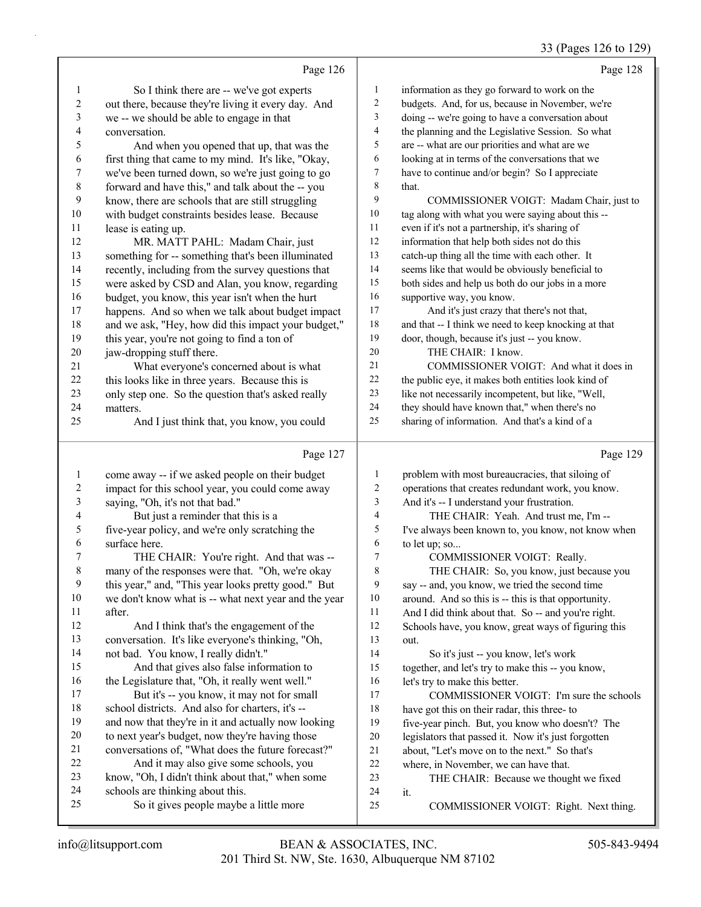# 33 (Pages 126 to 129)

|                | Page 126                                                                                       |              | Page 128                                                                                             |
|----------------|------------------------------------------------------------------------------------------------|--------------|------------------------------------------------------------------------------------------------------|
| 1              | So I think there are -- we've got experts                                                      | $\mathbf{1}$ | information as they go forward to work on the                                                        |
| $\overline{c}$ | out there, because they're living it every day. And                                            | 2            | budgets. And, for us, because in November, we're                                                     |
| 3              | we -- we should be able to engage in that                                                      | 3            | doing -- we're going to have a conversation about                                                    |
| 4              | conversation.                                                                                  | 4            | the planning and the Legislative Session. So what                                                    |
| 5              | And when you opened that up, that was the                                                      | 5            | are -- what are our priorities and what are we                                                       |
| 6              | first thing that came to my mind. It's like, "Okay,                                            | 6            | looking at in terms of the conversations that we                                                     |
| 7              | we've been turned down, so we're just going to go                                              | 7            | have to continue and/or begin? So I appreciate                                                       |
| 8              | forward and have this," and talk about the -- you                                              | 8            | that.                                                                                                |
| 9              | know, there are schools that are still struggling                                              | 9            | COMMISSIONER VOIGT: Madam Chair, just to                                                             |
| 10             | with budget constraints besides lease. Because                                                 | $10\,$       | tag along with what you were saying about this --                                                    |
| 11             | lease is eating up.                                                                            | 11           | even if it's not a partnership, it's sharing of                                                      |
| 12             | MR. MATT PAHL: Madam Chair, just                                                               | $12\,$       | information that help both sides not do this                                                         |
| 13             | something for -- something that's been illuminated                                             | 13           | catch-up thing all the time with each other. It                                                      |
| 14             | recently, including from the survey questions that                                             | 14           | seems like that would be obviously beneficial to                                                     |
| 15             | were asked by CSD and Alan, you know, regarding                                                | 15           | both sides and help us both do our jobs in a more                                                    |
| 16             | budget, you know, this year isn't when the hurt                                                | 16           | supportive way, you know.                                                                            |
| 17             | happens. And so when we talk about budget impact                                               | 17           | And it's just crazy that there's not that,                                                           |
| 18             | and we ask, "Hey, how did this impact your budget,"                                            | 18           | and that -- I think we need to keep knocking at that                                                 |
| 19             | this year, you're not going to find a ton of                                                   | 19           | door, though, because it's just -- you know.                                                         |
| 20             | jaw-dropping stuff there.                                                                      | 20           | THE CHAIR: I know.                                                                                   |
| 21             | What everyone's concerned about is what                                                        | 21           | COMMISSIONER VOIGT: And what it does in                                                              |
| 22             | this looks like in three years. Because this is                                                | 22           | the public eye, it makes both entities look kind of                                                  |
| 23             | only step one. So the question that's asked really                                             | 23           | like not necessarily incompetent, but like, "Well,                                                   |
| 24             | matters.                                                                                       | $24\,$       | they should have known that," when there's no                                                        |
| 25             | And I just think that, you know, you could                                                     | 25           | sharing of information. And that's a kind of a                                                       |
|                |                                                                                                |              |                                                                                                      |
|                | Page 127                                                                                       |              | Page 129                                                                                             |
|                |                                                                                                |              |                                                                                                      |
| $\mathbf{1}$   | come away -- if we asked people on their budget                                                | 1            | problem with most bureaucracies, that siloing of                                                     |
| 2              | impact for this school year, you could come away                                               | 2            | operations that creates redundant work, you know.                                                    |
| 3              | saying, "Oh, it's not that bad."                                                               | 3            | And it's -- I understand your frustration.                                                           |
| 4              | But just a reminder that this is a                                                             | 4<br>5       | THE CHAIR: Yeah. And trust me, I'm --                                                                |
| 5              | five-year policy, and we're only scratching the                                                |              | I've always been known to, you know, not know when                                                   |
| 6<br>7         | surface here.                                                                                  | 6<br>7       | to let up; so                                                                                        |
| 8              | THE CHAIR: You're right. And that was --                                                       | 8            | COMMISSIONER VOIGT: Really.                                                                          |
| 9              | many of the responses were that. "Oh, we're okay                                               | 9            | THE CHAIR: So, you know, just because you                                                            |
| 10             | this year," and, "This year looks pretty good." But                                            | 10           | say -- and, you know, we tried the second time                                                       |
| 11             | we don't know what is -- what next year and the year<br>after.                                 | 11           | around. And so this is -- this is that opportunity.                                                  |
| 12             |                                                                                                | 12           | And I did think about that. So -- and you're right.                                                  |
| 13             | And I think that's the engagement of the                                                       | 13           | Schools have, you know, great ways of figuring this<br>out.                                          |
| 14             | conversation. It's like everyone's thinking, "Oh,                                              | 14           |                                                                                                      |
| 15             | not bad. You know, I really didn't."                                                           | 15           | So it's just -- you know, let's work                                                                 |
| 16             | And that gives also false information to<br>the Legislature that, "Oh, it really went well."   | 16           | together, and let's try to make this -- you know,                                                    |
| 17             |                                                                                                | 17           | let's try to make this better.                                                                       |
| 18             | But it's -- you know, it may not for small<br>school districts. And also for charters, it's -- | 18           | COMMISSIONER VOIGT: I'm sure the schools<br>have got this on their radar, this three- to             |
| 19             | and now that they're in it and actually now looking                                            | 19           | five-year pinch. But, you know who doesn't? The                                                      |
| 20             | to next year's budget, now they're having those                                                | 20           |                                                                                                      |
| 21             | conversations of, "What does the future forecast?"                                             | 21           | legislators that passed it. Now it's just forgotten<br>about, "Let's move on to the next." So that's |
| 22             | And it may also give some schools, you                                                         | $22\,$       | where, in November, we can have that.                                                                |
| 23             | know, "Oh, I didn't think about that," when some                                               | 23           | THE CHAIR: Because we thought we fixed                                                               |
| 24             | schools are thinking about this.                                                               | 24           | it.                                                                                                  |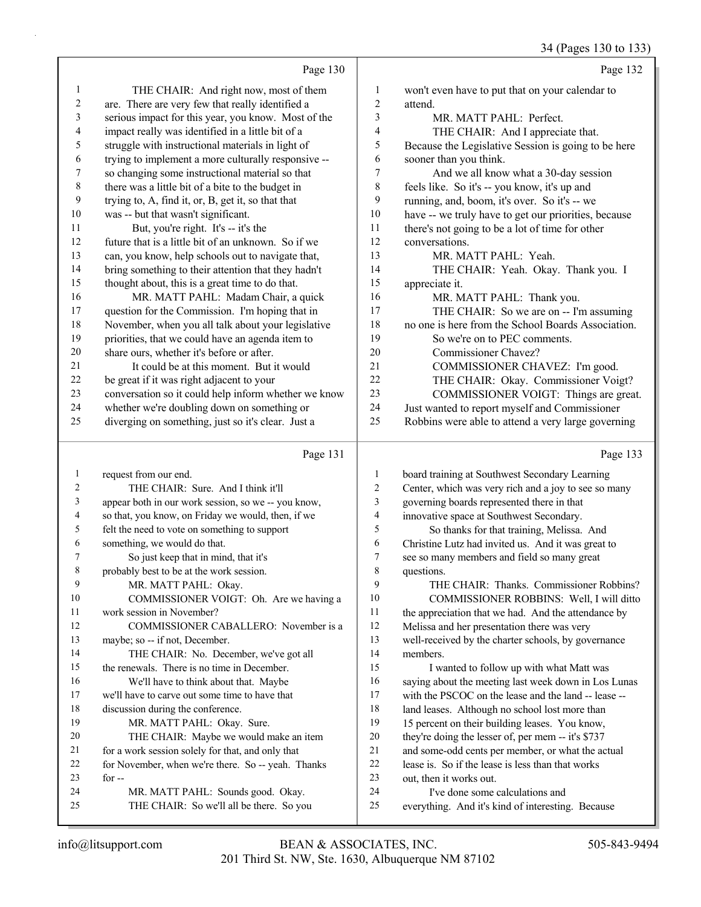|                          |                                                      |              | 34 (Pages 130 to 133)                                |
|--------------------------|------------------------------------------------------|--------------|------------------------------------------------------|
|                          | Page 130                                             |              | Page 132                                             |
| $\mathbf{1}$             | THE CHAIR: And right now, most of them               | 1            | won't even have to put that on your calendar to      |
| $\overline{c}$           | are. There are very few that really identified a     | 2            | attend.                                              |
| 3                        | serious impact for this year, you know. Most of the  | 3            | MR. MATT PAHL: Perfect.                              |
| $\overline{\mathcal{L}}$ | impact really was identified in a little bit of a    | 4            | THE CHAIR: And I appreciate that.                    |
| 5                        | struggle with instructional materials in light of    | 5            | Because the Legislative Session is going to be here  |
| 6                        | trying to implement a more culturally responsive --  | 6            | sooner than you think.                               |
| 7                        | so changing some instructional material so that      | 7            | And we all know what a 30-day session                |
| $\,$ $\,$                | there was a little bit of a bite to the budget in    | $\,$ $\,$    | feels like. So it's -- you know, it's up and         |
| 9                        | trying to, A, find it, or, B, get it, so that that   | 9            | running, and, boom, it's over. So it's -- we         |
| $10\,$                   | was -- but that wasn't significant.                  | 10           | have -- we truly have to get our priorities, because |
| 11                       | But, you're right. It's -- it's the                  | 11           | there's not going to be a lot of time for other      |
| 12                       | future that is a little bit of an unknown. So if we  | 12           | conversations.                                       |
| 13                       | can, you know, help schools out to navigate that,    | 13           | MR. MATT PAHL: Yeah.                                 |
| 14                       | bring something to their attention that they hadn't  | 14           | THE CHAIR: Yeah. Okay. Thank you. I                  |
| 15                       | thought about, this is a great time to do that.      | 15           | appreciate it.                                       |
| 16                       | MR. MATT PAHL: Madam Chair, a quick                  | 16           | MR. MATT PAHL: Thank you.                            |
| 17                       | question for the Commission. I'm hoping that in      | 17           | THE CHAIR: So we are on -- I'm assuming              |
| 18                       | November, when you all talk about your legislative   | 18           | no one is here from the School Boards Association.   |
| 19                       | priorities, that we could have an agenda item to     | 19           | So we're on to PEC comments.                         |
| $20\,$                   | share ours, whether it's before or after.            | 20           | Commissioner Chavez?                                 |
| 21                       | It could be at this moment. But it would             | 21           | COMMISSIONER CHAVEZ: I'm good.                       |
| 22                       | be great if it was right adjacent to your            | 22           | THE CHAIR: Okay. Commissioner Voigt?                 |
| 23                       | conversation so it could help inform whether we know | 23           | COMMISSIONER VOIGT: Things are great.                |
| 24                       | whether we're doubling down on something or          | 24           | Just wanted to report myself and Commissioner        |
| 25                       | diverging on something, just so it's clear. Just a   | 25           | Robbins were able to attend a very large governing   |
|                          | Page 131                                             |              | Page 133                                             |
| $\mathbf{1}$             | request from our end.                                | $\mathbf{1}$ | board training at Southwest Secondary Learning       |
| 2                        | THE CHAIR: Sure. And I think it'll                   | 2            | Center, which was very rich and a joy to see so many |
| 3                        | appear both in our work session, so we -- you know,  | 3            | governing boards represented there in that           |
| 4                        | so that, you know, on Friday we would, then, if we   | 4            | innovative space at Southwest Secondary.             |
| 5                        | felt the need to vote on something to support        | 5            | So thanks for that training, Melissa. And            |
| 6                        | something, we would do that.                         | 6            | Christine Lutz had invited us. And it was great to   |
| 7                        | So just keep that in mind, that it's                 | 7            | see so many members and field so many great          |
| 8                        | probably best to be at the work session.             | 8            | questions.                                           |
| 9                        | MR. MATT PAHL: Okay.                                 | 9            | THE CHAIR: Thanks. Commissioner Robbins?             |
| 10                       | COMMISSIONER VOIGT: Oh. Are we having a              | 10           | COMMISSIONER ROBBINS: Well, I will ditto             |
| 11                       | work session in November?                            | 11           | the appreciation that we had. And the attendance by  |
| 12                       | COMMISSIONER CABALLERO: November is a                | 12           | Melissa and her presentation there was very          |
| 13                       | maybe; so -- if not, December.                       | 13           | well-received by the charter schools, by governance  |
| 14                       | THE CHAIR: No. December, we've got all               | 14           | members.                                             |

 discussion during the conference. 19 MR. MATT PAHL: Okay. Sure. 20 THE CHAIR: Maybe we would make an item for a work session solely for that, and only that for November, when we're there. So -- yeah. Thanks for -- 24 MR. MATT PAHL: Sounds good. Okay. 25 THE CHAIR: So we'll all be there. So you

 the renewals. There is no time in December. 16 We'll have to think about that. Maybe we'll have to carve out some time to have that

- 15 I wanted to follow up with what Matt was saying about the meeting last week down in Los Lunas with the PSCOC on the lease and the land -- lease -- 18 land leases. Although no school lost more than 15 percent on their building leases. You know, they're doing the lesser of, per mem -- it's \$737 and some-odd cents per member, or what the actual
- lease is. So if the lease is less than that works
- out, then it works out.
- 24 I've done some calculations and
- everything. And it's kind of interesting. Because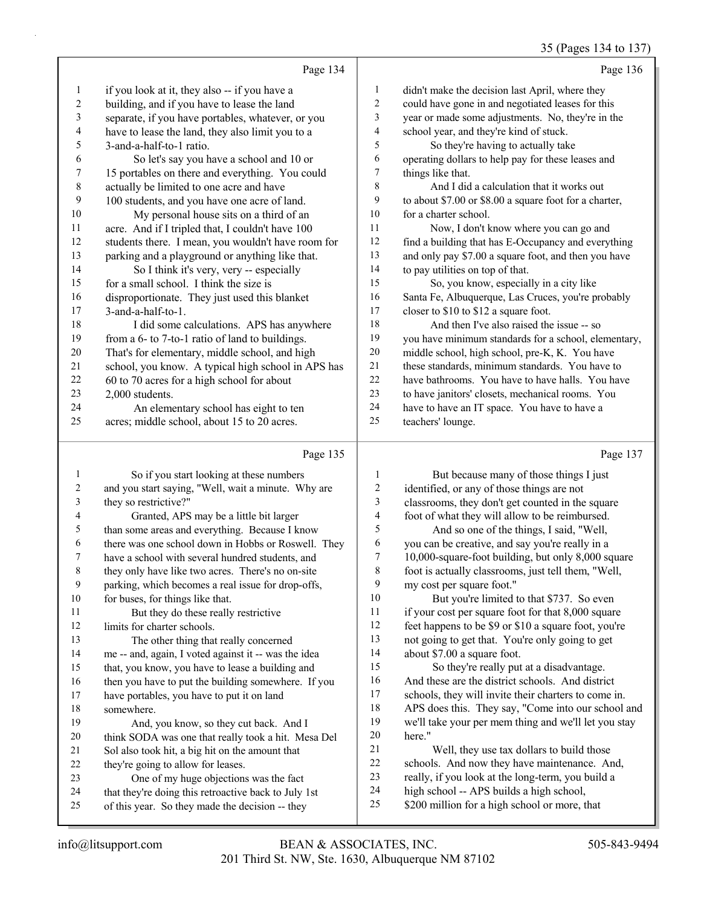35 (Pages 134 to 137)

|                | Page 134                                           |    | Page 136                                               |
|----------------|----------------------------------------------------|----|--------------------------------------------------------|
| -1             | if you look at it, they also -- if you have a      | 1  | didn't make the decision last April, where they        |
| $\overline{2}$ | building, and if you have to lease the land        | 2  | could have gone in and negotiated leases for this      |
| 3              | separate, if you have portables, whatever, or you  | 3  | year or made some adjustments. No, they're in the      |
| $\overline{4}$ | have to lease the land, they also limit you to a   | 4  | school year, and they're kind of stuck.                |
| 5              | 3-and-a-half-to-1 ratio.                           | 5  | So they're having to actually take                     |
| 6              | So let's say you have a school and 10 or           | 6  | operating dollars to help pay for these leases and     |
| 7              | 15 portables on there and everything. You could    | 7  | things like that.                                      |
| $\,8\,$        | actually be limited to one acre and have           | 8  | And I did a calculation that it works out              |
| 9              | 100 students, and you have one acre of land.       | 9  | to about \$7.00 or \$8.00 a square foot for a charter, |
| 10             | My personal house sits on a third of an            | 10 | for a charter school.                                  |
| 11             | acre. And if I tripled that, I couldn't have 100   | 11 | Now, I don't know where you can go and                 |
| 12             | students there. I mean, you wouldn't have room for | 12 | find a building that has E-Occupancy and everything    |
| 13             | parking and a playground or anything like that.    | 13 | and only pay \$7.00 a square foot, and then you have   |
| 14             | So I think it's very, very -- especially           | 14 | to pay utilities on top of that.                       |
| 15             | for a small school. I think the size is            | 15 | So, you know, especially in a city like                |
| 16             | disproportionate. They just used this blanket      | 16 | Santa Fe, Albuquerque, Las Cruces, you're probably     |
| 17             | $3$ -and-a-half-to-1.                              | 17 | closer to \$10 to \$12 a square foot.                  |
| 18             | I did some calculations. APS has anywhere          | 18 | And then I've also raised the issue -- so              |
| 19             | from a 6- to 7-to-1 ratio of land to buildings.    | 19 | you have minimum standards for a school, elementary,   |
| 20             | That's for elementary, middle school, and high     | 20 | middle school, high school, pre-K, K. You have         |
| 21             | school, you know. A typical high school in APS has | 21 | these standards, minimum standards. You have to        |
| 22             | 60 to 70 acres for a high school for about         | 22 | have bathrooms. You have to have halls. You have       |
| 23             | 2,000 students.                                    | 23 | to have janitors' closets, mechanical rooms. You       |
| 24             | An elementary school has eight to ten              | 24 | have to have an IT space. You have to have a           |
| 25             | acres; middle school, about 15 to 20 acres.        | 25 | teachers' lounge.                                      |
|                |                                                    |    |                                                        |

# Page 135 |

| 1  | So if you start looking at these numbers             |
|----|------------------------------------------------------|
| 2  | and you start saying, "Well, wait a minute. Why are  |
| 3  | they so restrictive?"                                |
| 4  | Granted, APS may be a little bit larger              |
| 5  | than some areas and everything. Because I know       |
| 6  | there was one school down in Hobbs or Roswell. They  |
| 7  | have a school with several hundred students, and     |
| 8  | they only have like two acres. There's no on-site    |
| 9  | parking, which becomes a real issue for drop-offs,   |
| 10 | for buses, for things like that.                     |
| 11 | But they do these really restrictive                 |
| 12 | limits for charter schools.                          |
| 13 | The other thing that really concerned                |
| 14 | me -- and, again, I voted against it -- was the idea |
| 15 | that, you know, you have to lease a building and     |
| 16 | then you have to put the building somewhere. If you  |
| 17 | have portables, you have to put it on land           |
| 18 | somewhere.                                           |
| 19 | And, you know, so they cut back. And I               |
| 20 | think SODA was one that really took a hit. Mesa Del  |
| 21 | Sol also took hit, a big hit on the amount that      |
| 22 | they're going to allow for leases.                   |
| 23 | One of my huge objections was the fact               |
| 24 | that they're doing this retroactive back to July 1st |
| 25 | of this year. So they made the decision -- they      |
|    |                                                      |

Page 137

| $\mathbf{1}$   | But because many of those things I just              |
|----------------|------------------------------------------------------|
| 2              | identified, or any of those things are not           |
| 3              | classrooms, they don't get counted in the square     |
| $\overline{4}$ | foot of what they will allow to be reimbursed.       |
| 5              | And so one of the things, I said, "Well,             |
| 6              | you can be creative, and say you're really in a      |
| $\overline{7}$ | 10,000-square-foot building, but only 8,000 square   |
| 8              | foot is actually classrooms, just tell them, "Well,  |
| 9              | my cost per square foot."                            |
| 10             | But you're limited to that \$737. So even            |
| 11             | if your cost per square foot for that 8,000 square   |
| 12             | feet happens to be \$9 or \$10 a square foot, you're |
| 13             | not going to get that. You're only going to get      |
| 14             | about \$7.00 a square foot.                          |
| 15             | So they're really put at a disadvantage.             |
| 16             | And these are the district schools. And district     |
| 17             | schools, they will invite their charters to come in. |
| 18             | APS does this. They say, "Come into our school and   |
| 19             | we'll take your per mem thing and we'll let you stay |
| 20             | here."                                               |
| 21             | Well, they use tax dollars to build those            |
| 22             | schools. And now they have maintenance. And,         |
| 23             | really, if you look at the long-term, you build a    |
| 24             | high school -- APS builds a high school,             |
| 25             | \$200 million for a high school or more, that        |
|                |                                                      |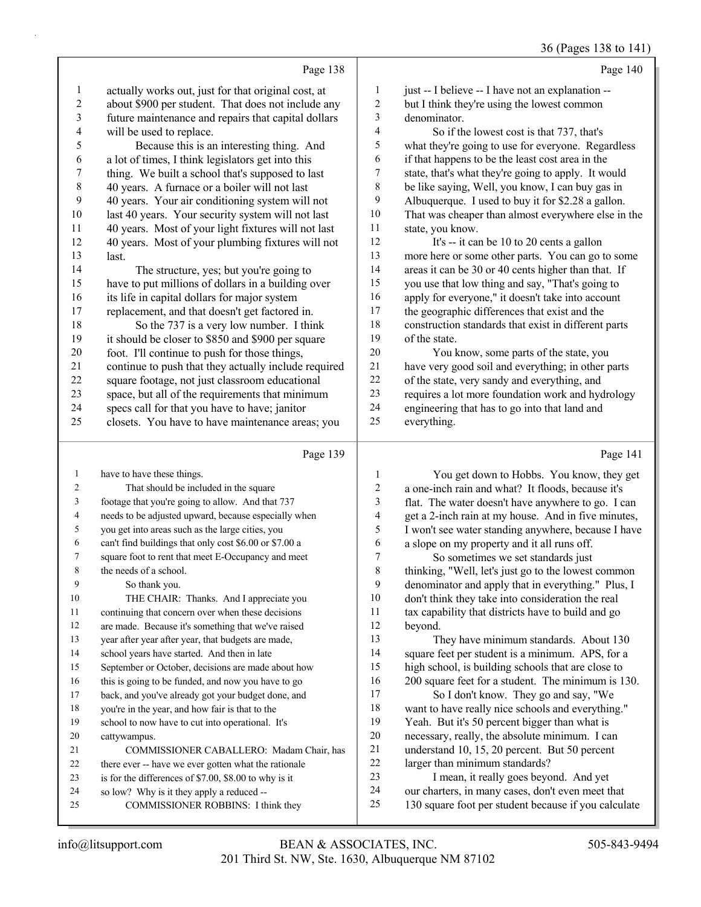#### 36 (Pages 138 to 141)

|    | Page 138                                             |    | Page 140                                             |
|----|------------------------------------------------------|----|------------------------------------------------------|
| 1  | actually works out, just for that original cost, at  | 1  | just -- I believe -- I have not an explanation --    |
| 2  | about \$900 per student. That does not include any   | 2  | but I think they're using the lowest common          |
| 3  | future maintenance and repairs that capital dollars  | 3  | denominator.                                         |
| 4  | will be used to replace.                             | 4  | So if the lowest cost is that 737, that's            |
| 5  | Because this is an interesting thing. And            | 5  | what they're going to use for everyone. Regardless   |
| 6  | a lot of times, I think legislators get into this    | 6  | if that happens to be the least cost area in the     |
| 7  | thing. We built a school that's supposed to last     | 7  | state, that's what they're going to apply. It would  |
| 8  | 40 years. A furnace or a boiler will not last        | 8  | be like saying, Well, you know, I can buy gas in     |
| 9  | 40 years. Your air conditioning system will not      | 9  | Albuquerque. I used to buy it for \$2.28 a gallon.   |
| 10 | last 40 years. Your security system will not last    | 10 | That was cheaper than almost everywhere else in the  |
| 11 | 40 years. Most of your light fixtures will not last  | 11 | state, you know.                                     |
| 12 | 40 years. Most of your plumbing fixtures will not    | 12 | It's -- it can be 10 to 20 cents a gallon            |
| 13 | last.                                                | 13 | more here or some other parts. You can go to some    |
| 14 | The structure, yes; but you're going to              | 14 | areas it can be 30 or 40 cents higher than that. If  |
| 15 | have to put millions of dollars in a building over   | 15 | you use that low thing and say, "That's going to     |
| 16 | its life in capital dollars for major system         | 16 | apply for everyone," it doesn't take into account    |
| 17 | replacement, and that doesn't get factored in.       | 17 | the geographic differences that exist and the        |
| 18 | So the 737 is a very low number. I think             | 18 | construction standards that exist in different parts |
| 19 | it should be closer to \$850 and \$900 per square    | 19 | of the state.                                        |
| 20 | foot. I'll continue to push for those things,        | 20 | You know, some parts of the state, you               |
| 21 | continue to push that they actually include required | 21 | have very good soil and everything; in other parts   |
| 22 | square footage, not just classroom educational       | 22 | of the state, very sandy and everything, and         |
| 23 | space, but all of the requirements that minimum      | 23 | requires a lot more foundation work and hydrology    |
| 24 | specs call for that you have to have; janitor        | 24 | engineering that has to go into that land and        |
| 25 | closets. You have to have maintenance areas; you     | 25 | everything.                                          |
|    | Page 139                                             |    | Page 141                                             |
| 1  | have to have these things.                           | 1  | You get down to Hobbs. You know, they get            |
|    | That should be included in the square                | C  | a one inch rain and what? It floods because it's     |

| $\overline{c}$ | That should be included in the square                  | $\overline{2}$ | a one-inch rain and what? It floods, because it's   |
|----------------|--------------------------------------------------------|----------------|-----------------------------------------------------|
| 3              | footage that you're going to allow. And that 737       | 3              | flat. The water doesn't have anywhere to go. I can  |
| 4              | needs to be adjusted upward, because especially when   | 4              | get a 2-inch rain at my house. And in five minutes, |
| 5              | you get into areas such as the large cities, you       | 5              | I won't see water standing anywhere, because I have |
| 6              | can't find buildings that only cost \$6.00 or \$7.00 a | 6              | a slope on my property and it all runs off.         |
| 7              | square foot to rent that meet E-Occupancy and meet     | 7              | So sometimes we set standards just                  |
| 8              | the needs of a school.                                 | 8              | thinking, "Well, let's just go to the lowest common |
| 9              | So thank you.                                          | 9              | denominator and apply that in everything." Plus, I  |
| 10             | THE CHAIR: Thanks. And I appreciate you                | 10             | don't think they take into consideration the real   |
| 11             | continuing that concern over when these decisions      | 11             | tax capability that districts have to build and go  |
| 12             | are made. Because it's something that we've raised     | 12             | beyond.                                             |
| 13             | year after year after year, that budgets are made,     | 13             | They have minimum standards. About 130              |
| 14             | school years have started. And then in late            | 14             | square feet per student is a minimum. APS, for a    |
| 15             | September or October, decisions are made about how     | 15             | high school, is building schools that are close to  |
| 16             | this is going to be funded, and now you have to go     | 16             | 200 square feet for a student. The minimum is 130.  |
| 17             | back, and you've already got your budget done, and     | 17             | So I don't know. They go and say, "We               |
| 18             | you're in the year, and how fair is that to the        | 18             | want to have really nice schools and everything."   |
| 19             | school to now have to cut into operational. It's       | 19             | Yeah. But it's 50 percent bigger than what is       |
| 20             | cattywampus.                                           | 20             | necessary, really, the absolute minimum. I can      |
| 21             | COMMISSIONER CABALLERO: Madam Chair, has               | 21             | understand 10, 15, 20 percent. But 50 percent       |
| 22             | there ever -- have we ever gotten what the rationale   | 22             | larger than minimum standards?                      |
| 23             | is for the differences of \$7.00, \$8.00 to why is it  | 23             | I mean, it really goes beyond. And yet              |
| 24             | so low? Why is it they apply a reduced --              | 24             | our charters, in many cases, don't even meet that   |
|                |                                                        |                |                                                     |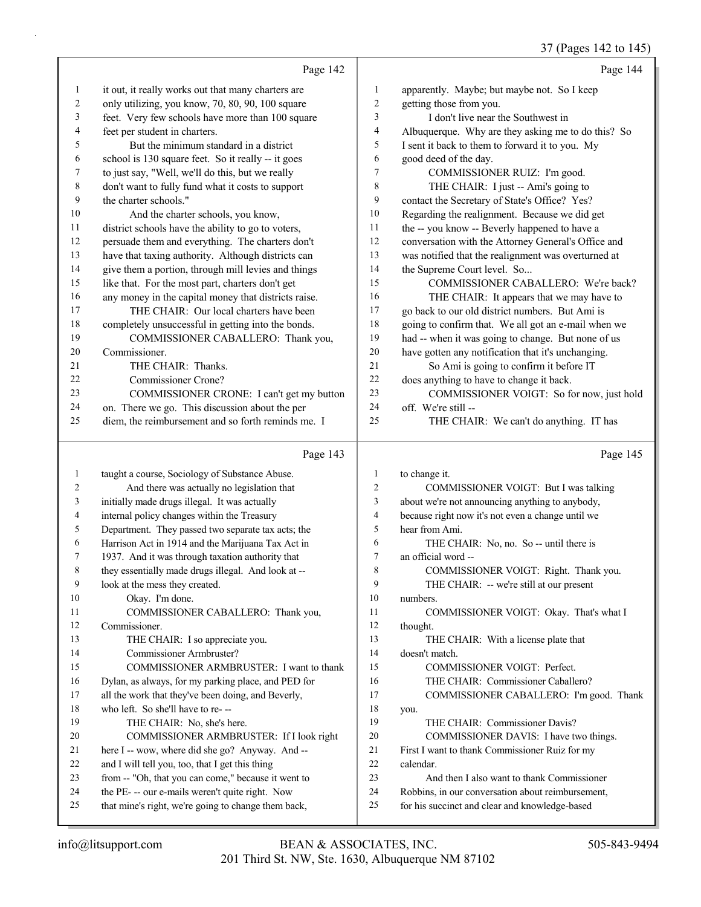|              |                                                      |                         | 3/ (Pages 142 to 143)                               |
|--------------|------------------------------------------------------|-------------------------|-----------------------------------------------------|
|              | Page 142                                             |                         | Page 144                                            |
| 1            | it out, it really works out that many charters are   | $\mathbf{1}$            | apparently. Maybe; but maybe not. So I keep         |
| 2            | only utilizing, you know, 70, 80, 90, 100 square     | $\overline{2}$          | getting those from you.                             |
| 3            | feet. Very few schools have more than 100 square     | 3                       | I don't live near the Southwest in                  |
| 4            | feet per student in charters.                        | 4                       | Albuquerque. Why are they asking me to do this? So  |
| 5            | But the minimum standard in a district               | 5                       | I sent it back to them to forward it to you. My     |
| 6            | school is 130 square feet. So it really -- it goes   | 6                       | good deed of the day.                               |
| 7            | to just say, "Well, we'll do this, but we really     | $\overline{7}$          | COMMISSIONER RUIZ: I'm good.                        |
| $\,$ $\,$    | don't want to fully fund what it costs to support    | $\,$ 8 $\,$             | THE CHAIR: I just -- Ami's going to                 |
| 9            | the charter schools."                                | $\boldsymbol{9}$        | contact the Secretary of State's Office? Yes?       |
| 10           | And the charter schools, you know,                   | 10                      | Regarding the realignment. Because we did get       |
| 11           | district schools have the ability to go to voters,   | 11                      | the -- you know -- Beverly happened to have a       |
| 12           | persuade them and everything. The charters don't     | 12                      | conversation with the Attorney General's Office and |
| 13           | have that taxing authority. Although districts can   | 13                      | was notified that the realignment was overturned at |
| 14           | give them a portion, through mill levies and things  | 14                      | the Supreme Court level. So                         |
| 15           | like that. For the most part, charters don't get     | 15                      | COMMISSIONER CABALLERO: We're back?                 |
| 16           | any money in the capital money that districts raise. | 16                      | THE CHAIR: It appears that we may have to           |
| 17           | THE CHAIR: Our local charters have been              | 17                      | go back to our old district numbers. But Ami is     |
| 18           | completely unsuccessful in getting into the bonds.   | 18                      | going to confirm that. We all got an e-mail when we |
| 19           | COMMISSIONER CABALLERO: Thank you,                   | 19                      | had -- when it was going to change. But none of us  |
| 20           | Commissioner.                                        | 20                      | have gotten any notification that it's unchanging.  |
| 21           | THE CHAIR: Thanks.                                   | 21                      | So Ami is going to confirm it before IT             |
| 22           | Commissioner Crone?                                  | 22                      | does anything to have to change it back.            |
| 23           | COMMISSIONER CRONE: I can't get my button            | 23                      | COMMISSIONER VOIGT: So for now, just hold           |
| 24           | on. There we go. This discussion about the per       | 24                      | off. We're still --                                 |
| 25           | diem, the reimbursement and so forth reminds me. I   | 25                      | THE CHAIR: We can't do anything. IT has             |
|              |                                                      |                         |                                                     |
|              | Page 143                                             |                         | Page 145                                            |
| $\mathbf{1}$ | taught a course, Sociology of Substance Abuse.       | $\mathbf{1}$            | to change it.                                       |
| 2            | And there was actually no legislation that           | $\overline{c}$          | COMMISSIONER VOIGT: But I was talking               |
| 3            | initially made drugs illegal. It was actually        | 3                       | about we're not announcing anything to anybody,     |
| 4            | internal policy changes within the Treasury          | $\overline{\mathbf{4}}$ | because right now it's not even a change until we   |
| 5            | Department. They passed two separate tax acts; the   | 5                       | hear from Ami.                                      |
| 6            | Harrison Act in 1914 and the Marijuana Tax Act in    | 6                       | THE CHAIR: No, no. So -- until there is             |
| 7            | 1937. And it was through taxation authority that     | $\tau$                  | an official word --                                 |
| 8            | they essentially made drugs illegal. And look at --  | 8                       | COMMISSIONER VOIGT: Right. Thank you.               |
| 9            | look at the mess they created.                       | $\mathbf{Q}$            | THE CHAIR: -- we're still at our present            |

- numbers.
- 11 COMMISSIONER VOIGT: Okay. That's what I thought.
- 13 THE CHAIR: With a license plate that doesn't match.
- 15 COMMISSIONER VOIGT: Perfect. 16 THE CHAIR: Commissioner Caballero?
- 17 COMMISSIONER CABALLERO: I'm good. Thank
- you. 19 THE CHAIR: Commissioner Davis?
- 20 COMMISSIONER DAVIS: I have two things.
- First I want to thank Commissioner Ruiz for my
- calendar.
- 23 And then I also want to thank Commissioner
- Robbins, in our conversation about reimbursement,
- for his succinct and clear and knowledge-based

10 Okay. I'm done.

Commissioner.

11 COMMISSIONER CABALLERO: Thank you,

15 COMMISSIONER ARMBRUSTER: I want to thank Dylan, as always, for my parking place, and PED for all the work that they've been doing, and Beverly,

20 COMMISSIONER ARMBRUSTER: If I look right here I -- wow, where did she go? Anyway. And -- and I will tell you, too, that I get this thing from -- "Oh, that you can come," because it went to the PE- -- our e-mails weren't quite right. Now that mine's right, we're going to change them back,

13 THE CHAIR: I so appreciate you. 14 Commissioner Armbruster?

 who left. So she'll have to re- -- 19 THE CHAIR: No, she's here.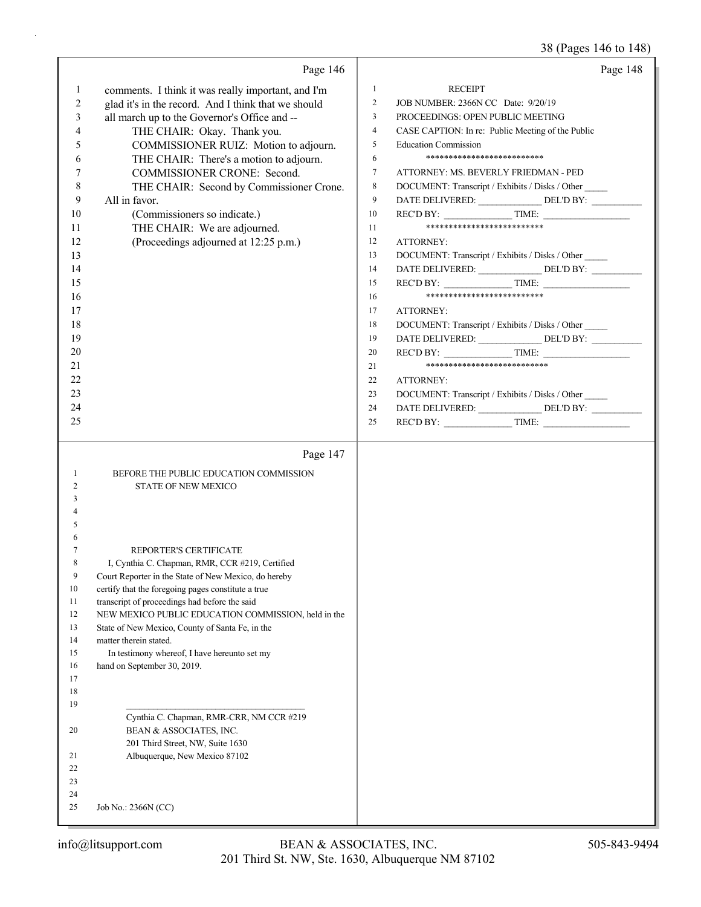38 (Pages 146 to 148)

|                | Page 146                                                                                                | Page 148                                                                                                             |
|----------------|---------------------------------------------------------------------------------------------------------|----------------------------------------------------------------------------------------------------------------------|
| $\mathbf{1}$   | comments. I think it was really important, and I'm                                                      | $\mathbf{1}$<br><b>RECEIPT</b>                                                                                       |
| 2              | glad it's in the record. And I think that we should                                                     | $\overline{2}$<br>JOB NUMBER: 2366N CC Date: 9/20/19                                                                 |
| 3              | all march up to the Governor's Office and --                                                            | $\overline{3}$<br>PROCEEDINGS: OPEN PUBLIC MEETING                                                                   |
| 4              | THE CHAIR: Okay. Thank you.                                                                             | $\overline{4}$<br>CASE CAPTION: In re: Public Meeting of the Public                                                  |
| 5              | COMMISSIONER RUIZ: Motion to adjourn.                                                                   | 5<br><b>Education Commission</b>                                                                                     |
| 6              | THE CHAIR: There's a motion to adjourn.                                                                 | **************************<br>6                                                                                      |
| 7              | COMMISSIONER CRONE: Second.                                                                             | $\tau$<br>ATTORNEY: MS. BEVERLY FRIEDMAN - PED                                                                       |
| 8              | THE CHAIR: Second by Commissioner Crone.                                                                | $\,$ 8 $\,$<br>DOCUMENT: Transcript / Exhibits / Disks / Other                                                       |
| 9              | All in favor.                                                                                           | DATE DELIVERED: _________________ DEL'D BY: ___________<br>9                                                         |
| 10             | (Commissioners so indicate.)                                                                            | $RECD BY:$ TIME:<br>10                                                                                               |
| 11             | THE CHAIR: We are adjourned.                                                                            | **************************<br>11                                                                                     |
| 12             | (Proceedings adjourned at 12:25 p.m.)                                                                   | 12<br><b>ATTORNEY:</b>                                                                                               |
| 13             |                                                                                                         | 13<br>DOCUMENT: Transcript / Exhibits / Disks / Other                                                                |
| 14             |                                                                                                         | DATE DELIVERED: ________________ DEL'D BY: __________<br>14                                                          |
| 15             |                                                                                                         | $RECD BY:$ TIME:<br>15<br>**************************                                                                 |
| 16<br>17       |                                                                                                         | 16<br>17                                                                                                             |
| 18             |                                                                                                         | ATTORNEY:                                                                                                            |
| 19             |                                                                                                         | DOCUMENT: Transcript / Exhibits / Disks / Other<br>18<br>DATE DELIVERED: ________________ DEL'D BY: __________<br>19 |
| 20             |                                                                                                         | $RECD BY:$ TIME:<br>20                                                                                               |
| 21             |                                                                                                         | ***************************<br>21                                                                                    |
| 22             |                                                                                                         | 22<br>ATTORNEY:                                                                                                      |
| 23             |                                                                                                         | 23<br>DOCUMENT: Transcript / Exhibits / Disks / Other                                                                |
| 24             |                                                                                                         | DATE DELIVERED: ________________DEL'D BY: ____________<br>24                                                         |
| 25             |                                                                                                         | $RECD BY:$ TIME:<br>25                                                                                               |
|                |                                                                                                         |                                                                                                                      |
|                |                                                                                                         |                                                                                                                      |
|                | Page 147                                                                                                |                                                                                                                      |
| 1              | BEFORE THE PUBLIC EDUCATION COMMISSION                                                                  |                                                                                                                      |
| 2              | <b>STATE OF NEW MEXICO</b>                                                                              |                                                                                                                      |
| 3              |                                                                                                         |                                                                                                                      |
|                |                                                                                                         |                                                                                                                      |
| 5              |                                                                                                         |                                                                                                                      |
| 6              |                                                                                                         |                                                                                                                      |
| 7<br>8         | REPORTER'S CERTIFICATE                                                                                  |                                                                                                                      |
| $\overline{9}$ | I, Cynthia C. Chapman, RMR, CCR #219, Certified<br>Court Reporter in the State of New Mexico, do hereby |                                                                                                                      |
| 10             | certify that the foregoing pages constitute a true                                                      |                                                                                                                      |
| 11             | transcript of proceedings had before the said                                                           |                                                                                                                      |
| 12             | NEW MEXICO PUBLIC EDUCATION COMMISSION, held in the                                                     |                                                                                                                      |
| 13             | State of New Mexico, County of Santa Fe, in the                                                         |                                                                                                                      |
| 14             | matter therein stated.                                                                                  |                                                                                                                      |
| 15             | In testimony whereof, I have hereunto set my                                                            |                                                                                                                      |
| 16<br>17       | hand on September 30, 2019.                                                                             |                                                                                                                      |
| 18             |                                                                                                         |                                                                                                                      |
| 19             |                                                                                                         |                                                                                                                      |
|                | Cynthia C. Chapman, RMR-CRR, NM CCR #219                                                                |                                                                                                                      |
| 20             | BEAN & ASSOCIATES, INC.                                                                                 |                                                                                                                      |
|                | 201 Third Street, NW, Suite 1630                                                                        |                                                                                                                      |
| 21             | Albuquerque, New Mexico 87102                                                                           |                                                                                                                      |
| 22             |                                                                                                         |                                                                                                                      |
| 23<br>24       |                                                                                                         |                                                                                                                      |
| 25             | Job No.: 2366N (CC)                                                                                     |                                                                                                                      |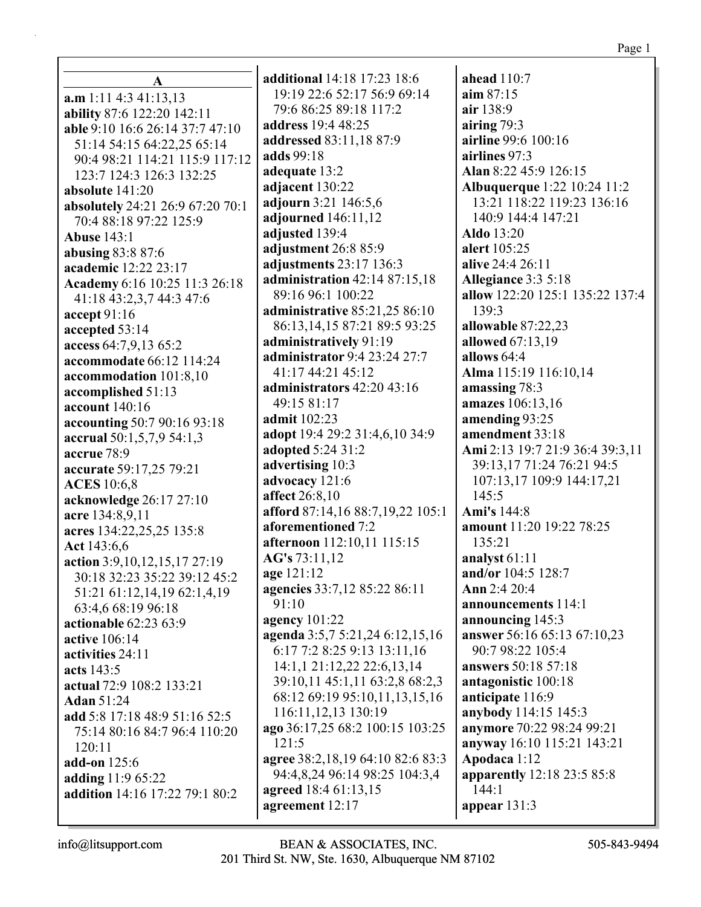| 19:19 22:6 52:17 56:9 69:14          | aim $87:15$                        |
|--------------------------------------|------------------------------------|
| 79:6 86:25 89:18 117:2               | air 138:9                          |
| <b>address</b> 19:4 48:25            | airing 79:3                        |
| addressed 83:11,18 87:9              | airline 99:6 100:16                |
| adds 99:18                           | airlines 97:3                      |
| adequate 13:2                        | Alan 8:22 45:9 126:15              |
| adjacent 130:22                      | <b>Albuquerque</b> 1:22 10:24 11:2 |
| adjourn 3:21 146:5,6                 | 13:21 118:22 119:23 136:16         |
| adjourned 146:11,12                  | 140:9 144:4 147:21                 |
| adjusted 139:4                       | <b>Aldo</b> 13:20                  |
| adjustment 26:8 85:9                 | alert 105:25                       |
| adjustments 23:17 136:3              | alive 24:4 26:11                   |
| administration $42:1487:15,18$       | Allegiance 3:3 5:18                |
| 89:16 96:1 100:22                    | allow 122:20 125:1 135:22 137:4    |
| <b>administrative 85:21,25 86:10</b> | 139:3                              |
| 86:13, 14, 15 87:21 89:5 93:25       | allowable 87:22,23                 |
| administratively 91:19               | <b>allowed</b> 67:13,19            |
| administrator 9:4 23:24 27:7         | allows $64:4$                      |
| 41:17 44:21 45:12                    | Alma 115:19 116:10,14              |
| administrators 42:20 43:16           | amassing 78:3                      |
| 49:15 81:17                          | amazes 106:13,16                   |
| admit 102:23                         | amending 93:25                     |
| adopt 19:4 29:2 31:4,6,10 34:9       | amendment 33:18                    |
| adopted 5:24 31:2                    | Ami 2:13 19:7 21:9 36:4 39:3,11    |
| advertising 10:3                     | 39:13,17 71:24 76:21 94:5          |
| advocacy 121:6<br>affect 26:8,10     | 107:13,17 109:9 144:17,21<br>145:5 |
| afford 87:14,16 88:7,19,22 105:1     | Ami's 144:8                        |
| aforementioned 7:2                   | amount 11:20 19:22 78:25           |
| afternoon 112:10,11 115:15           | 135:21                             |
| AG's 73:11,12                        | analyst 61:11                      |
| age 121:12                           | and/or 104:5 128:7                 |
| agencies 33:7,12 85:22 86:11         | Ann 2:4 20:4                       |
| 91:10                                | announcements 114:1                |
| agency $101:22$                      | announcing 145:3                   |
| agenda 3:5,7 5:21,24 6:12,15,16      | answer 56:16 65:13 67:10,23        |
| 6:17 7:2 8:25 9:13 13:11,16          | 90:7 98:22 105:4                   |
| 14:1,1 21:12,22 22:6,13,14           | <b>answers</b> 50:18 57:18         |
| 39:10,11 45:1,11 63:2,8 68:2,3       | antagonistic 100:18                |
| 68:12 69:19 95:10,11,13,15,16        | anticipate 116:9                   |
| 116:11, 12, 13 130:19                | anybody 114:15 145:3               |
| ago 36:17,25 68:2 100:15 103:25      | anymore 70:22 98:24 99:21          |
| 121:5                                | anyway 16:10 115:21 143:21         |
| agree 38:2,18,19 64:10 82:6 83:3     | Apodaca 1:12                       |
| 94:4,8,24 96:14 98:25 104:3,4        | <b>apparently</b> 12:18 23:5 85:8  |
| agreed 18:4 61:13,15                 | 144:1                              |
| agreement 12:17                      | appear 131:3                       |

 $a$ head  $110:7$ 

 $\mathbf{A}$  $a.m 1:11 4:3 41:13.13$ ability 87:6 122:20 142:11 able 9:10 16:6 26:14 37:7 47:10 51:14 54:15 64:22,25 65:14 90:4 98:21 114:21 115:9 117:12 123:7 124:3 126:3 132:25 absolute  $141:20$ absolutely 24:21 26:9 67:20 70:1 70:4 88:18 97:22 125:9 **Abuse 143:1** abusing  $83:887:6$ academic 12:22 23:17 Academy 6:16 10:25 11:3 26:18 41:18 43:2,3,7 44:3 47:6 accept 91:16 accepted 53:14 access 64:7,9,13 65:2 accommodate 66:12 114:24 accommodation 101:8,10 accomplished 51:13 account 140:16 accounting 50:7 90:16 93:18 accrual 50:1,5,7,9 54:1,3 accrue 78:9 accurate 59:17,25 79:21 **ACES** 10:6,8 acknowledge 26:17 27:10 acre 134:8,9,11 acres 134:22,25,25 135:8 Act 143:6.6 action 3:9.10.12.15.17 27:19 30:18 32:23 35:22 39:12 45:2 51:21 61:12,14,19 62:1,4,19 63:4,6 68:19 96:18 actionable 62:23 63:9 active 106:14 activities 24:11 acts  $143:5$ actual 72:9 108:2 133:21 **Adan 51:24** add 5:8 17:18 48:9 51:16 52:5 75:14 80:16 84:7 96:4 110:20  $120:11$ add-on 125:6 adding 11:9 65:22 addition 14:16 17:22 79:1 80:2

additional 14:18 17:23 18:6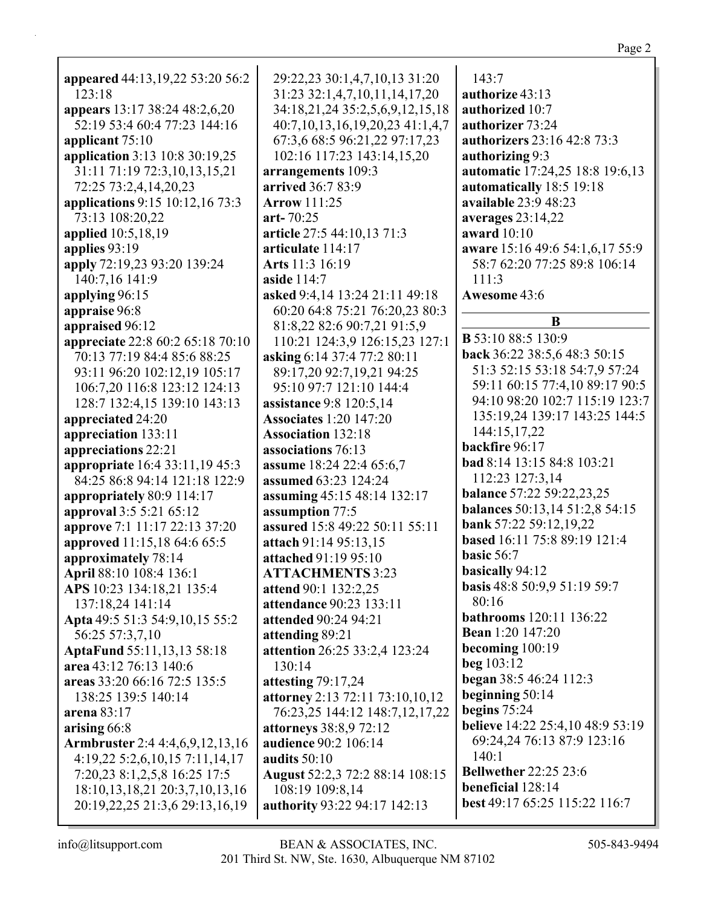| appeared 44:13,19,22 53:20 56:2        | 29:22,23 30:1,4,7,10,13 31:20          |
|----------------------------------------|----------------------------------------|
| 123:18                                 | 31:23 32:1,4,7,10,11,14,17,20          |
| appears 13:17 38:24 48:2,6,20          | 34:18,21,24 35:2,5,6,9,12,15,18        |
| 52:19 53:4 60:4 77:23 144:16           | 40:7,10,13,16,19,20,23 41:1,4,7        |
| applicant 75:10                        | 67:3,6 68:5 96:21,22 97:17,23          |
| application 3:13 10:8 30:19,25         | 102:16 117:23 143:14,15,20             |
| 31:11 71:19 72:3,10,13,15,21           | arrangements 109:3                     |
| 72:25 73:2,4,14,20,23                  | arrived 36:7 83:9                      |
| applications 9:15 10:12,16 73:3        | <b>Arrow</b> 111:25                    |
| 73:13 108:20,22                        | art- $70:25$                           |
| <b>applied</b> 10:5,18,19              | article 27:5 44:10,13 71:3             |
| applies 93:19                          | articulate 114:17                      |
| apply 72:19,23 93:20 139:24            | Arts 11:3 16:19                        |
| 140:7,16 141:9                         | aside 114:7                            |
| applying 96:15                         | asked 9:4,14 13:24 21:11 49:18         |
| appraise 96:8                          | 60:20 64:8 75:21 76:20,23 80:3         |
| appraised 96:12                        | 81:8,22 82:6 90:7,21 91:5,9            |
| appreciate 22:8 60:2 65:18 70:10       | 110:21 124:3,9 126:15,23 127:1         |
| 70:13 77:19 84:4 85:6 88:25            | asking 6:14 37:4 77:2 80:11            |
| 93:11 96:20 102:12,19 105:17           | 89:17,20 92:7,19,21 94:25              |
| 106:7,20 116:8 123:12 124:13           | 95:10 97:7 121:10 144:4                |
| 128:7 132:4,15 139:10 143:13           | <b>assistance</b> 9:8 120:5,14         |
| appreciated 24:20                      | <b>Associates</b> 1:20 147:20          |
| appreciation 133:11                    | <b>Association</b> 132:18              |
| appreciations 22:21                    | associations 76:13                     |
| appropriate 16:4 33:11,19 45:3         | assume 18:24 22:4 65:6,7               |
| 84:25 86:8 94:14 121:18 122:9          | assumed 63:23 124:24                   |
| appropriately 80:9 114:17              | assuming 45:15 48:14 132:17            |
| approval 3:5 5:21 65:12                | assumption 77:5                        |
| approve 7:1 11:17 22:13 37:20          | assured 15:8 49:22 50:11 55:11         |
| approved 11:15,18 64:6 65:5            | attach 91:14 95:13,15                  |
| approximately 78:14                    | attached 91:19 95:10                   |
| April 88:10 108:4 136:1                | <b>ATTACHMENTS 3:23</b>                |
| APS 10:23 134:18,21 135:4              | attend 90:1 132:2,25                   |
| 137:18,24 141:14                       | attendance 90:23 133:11                |
| Apta 49:5 51:3 54:9,10,15 55:2         | attended 90:24 94:21                   |
| 56:25 57:3,7,10                        | attending 89:21                        |
| <b>AptaFund 55:11,13,13 58:18</b>      | attention 26:25 33:2,4 123:24          |
| area 43:12 76:13 140:6                 | 130:14                                 |
| areas 33:20 66:16 72:5 135:5           | attesting 79:17,24                     |
| 138:25 139:5 140:14                    | <b>attorney</b> 2:13 72:11 73:10,10,12 |
| arena $83:17$                          | 76:23,25 144:12 148:7,12,17,22         |
| arising 66:8                           | attorneys 38:8,9 72:12                 |
| <b>Armbruster</b> 2:4 4:4,6,9,12,13,16 | audience 90:2 106:14                   |
| 4:19,22 5:2,6,10,15 7:11,14,17         | audits $50:10$                         |
| 7:20,23 8:1,2,5,8 16:25 17:5           | August 52:2,3 72:2 88:14 108:15        |
| 18:10, 13, 18, 21 20:3, 7, 10, 13, 16  | 108:19 109:8,14                        |
| 20:19,22,25 21:3,6 29:13,16,19         | authority 93:22 94:17 142:13           |
|                                        |                                        |

| 143:7<br>authorize 43:13<br>authorized 10:7<br>authorizer 73:24<br>authorizers 23:16 42:8 73:3<br>authorizing 9:3<br><b>automatic</b> 17:24,25 18:8 19:6,13<br>automatically 18:5 19:18<br>available 23:9 48:23<br>averages $23:14,22$<br>award 10:10<br>aware 15:16 49:6 54:1,6,17 55:9<br>58:7 62:20 77:25 89:8 106:14<br>111:3 |
|-----------------------------------------------------------------------------------------------------------------------------------------------------------------------------------------------------------------------------------------------------------------------------------------------------------------------------------|
| Awesome 43:6                                                                                                                                                                                                                                                                                                                      |
| B                                                                                                                                                                                                                                                                                                                                 |
| <b>B</b> 53:10 88:5 130:9<br>back 36:22 38:5,6 48:3 50:15<br>51:3 52:15 53:18 54:7,9 57:24<br>59:11 60:15 77:4,10 89:17 90:5<br>94:10 98:20 102:7 115:19 123:7<br>135:19,24 139:17 143:25 144:5                                                                                                                                   |
| 144:15,17,22<br>backfire 96:17                                                                                                                                                                                                                                                                                                    |
| <b>bad</b> 8:14 13:15 84:8 103:21<br>112:23 127:3,14<br><b>balance</b> 57:22 59:22,23,25<br>balances 50:13,14 51:2,8 54:15                                                                                                                                                                                                        |
| bank 57:22 59:12,19,22<br>based 16:11 75:8 89:19 121:4<br>basic 56:7                                                                                                                                                                                                                                                              |
| <b>basically 94:12</b><br><b>basis</b> 48:8 50:9,9 51:19 59:7<br>80:16<br><b>bathrooms</b> 120:11 136:22                                                                                                                                                                                                                          |
| <b>Bean</b> 1:20 147:20<br>becoming $100:19$<br>beg $103:12$                                                                                                                                                                                                                                                                      |
| began 38:5 46:24 112:3<br>beginning $50:14$<br>begins $75:24$                                                                                                                                                                                                                                                                     |
| believe 14:22 25:4,10 48:9 53:19<br>69:24,24 76:13 87:9 123:16<br>140:1                                                                                                                                                                                                                                                           |
| <b>Bellwether 22:25 23:6</b><br><b>beneficial</b> 128:14<br>best 49:17 65:25 115:22 116:7                                                                                                                                                                                                                                         |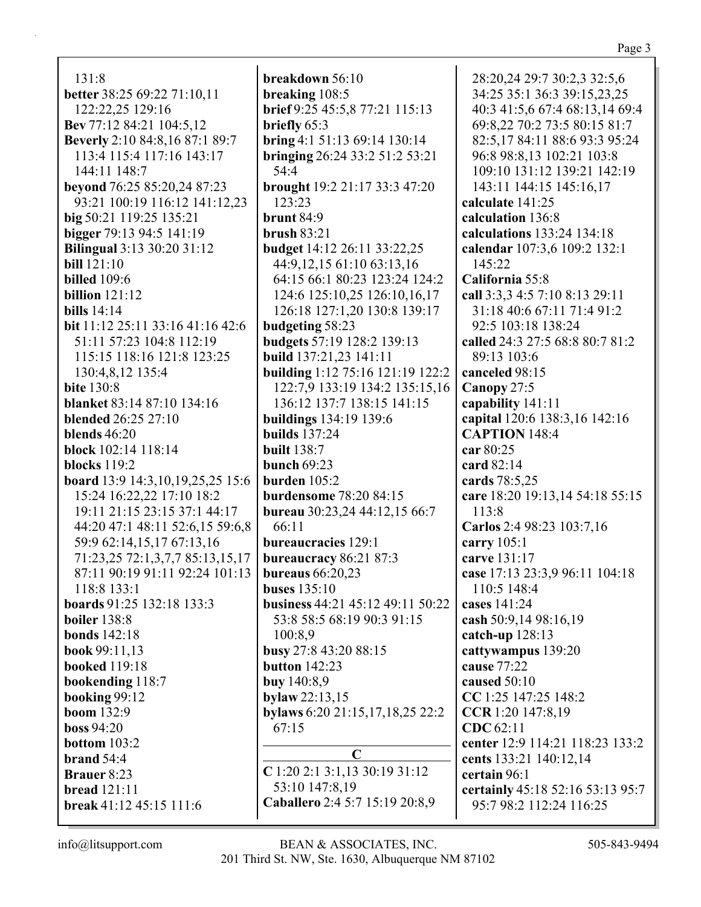131:8 **better** 38:25 69:22 71:10,11 122:22,25 129:16

**Bev** 77:12 84:21 104:5,12 **Beverly** 2:10 84:8,16 87:1 89:7 113:4 115:4 117:16 143:17 144:11 148:7 **beyond** 76:25 85:20,24 87:23 93:21 100:19 116:12 141:12,23 **big** 50:21 119:25 135:21 **bigger** 79:13 94:5 141:19 **Bilingual** 3:13 30:20 31:12 **bill** 121:10 **billed** 109:6 **billion** 121:12 **bills** 14:14 **bit** 11:12 25:11 33:16 41:16 42:6 51:11 57:23 104:8 112:19 115:15 118:16 121:8 123:25 130:4,8,12 135:4 **bite** 130:8 **blanket** 83:14 87:10 134:16 **blended** 26:25 27:10 **blends** 46:20 **block** 102:14 118:14 **blocks** 119:2 **board** 13:9 14:3,10,19,25,25 15:6 15:24 16:22,22 17:10 18:2 19:11 21:15 23:15 37:1 44:17 44:20 47:1 48:11 52:6,15 59:6,8 59:9 62:14,15,17 67:13,16 71:23,25 72:1,3,7,7 85:13,15,17 87:11 90:19 91:11 92:24 101:13 118:8 133:1 **boards** 91:25 132:18 133:3 **boiler** 138:8 **bonds** 142:18 **book** 99:11,13 **booked** 119:18 **bookending** 118:7 **booking** 99:12 **boom** 132:9 **boss** 94:20 **bottom** 103:2 **brand** 54:4 **Brauer** 8:23 **bread** 121:11 **break** 41:12 45:15 111:6

**breakdown** 56:10 **breaking** 108:5 **brief** 9:25 45:5,8 77:21 115:13 **briefly** 65:3 **bring** 4:1 51:13 69:14 130:14 **bringing** 26:24 33:2 51:2 53:21 54:4 **brought** 19:2 21:17 33:3 47:20 123:23 **brunt** 84:9 **brush** 83:21 **budget** 14:12 26:11 33:22,25 44:9,12,15 61:10 63:13,16 64:15 66:1 80:23 123:24 124:2 124:6 125:10,25 126:10,16,17 126:18 127:1,20 130:8 139:17 **budgeting** 58:23 **budgets** 57:19 128:2 139:13 **build** 137:21,23 141:11 **building** 1:12 75:16 121:19 122:2 122:7,9 133:19 134:2 135:15,16 136:12 137:7 138:15 141:15 **buildings** 134:19 139:6 **builds** 137:24 **built** 138:7 **bunch** 69:23 **burden** 105:2 **burdensome** 78:20 84:15 **bureau** 30:23,24 44:12,15 66:7 66:11 **bureaucracies** 129:1 **bureaucracy** 86:21 87:3 **bureaus** 66:20,23 **buses** 135:10 **business** 44:21 45:12 49:11 50:22 53:8 58:5 68:19 90:3 91:15 100:8,9 **busy** 27:8 43:20 88:15 **button** 142:23 **buy** 140:8,9 **bylaw** 22:13,15 **bylaws** 6:20 21:15,17,18,25 22:2 67:15 **C C** 1:20 2:1 3:1,13 30:19 31:12 53:10 147:8,19

28:20,24 29:7 30:2,3 32:5,6 34:25 35:1 36:3 39:15,23,25 40:3 41:5,6 67:4 68:13,14 69:4 69:8,22 70:2 73:5 80:15 81:7 82:5,17 84:11 88:6 93:3 95:24 96:8 98:8,13 102:21 103:8 109:10 131:12 139:21 142:19 143:11 144:15 145:16,17 **calculate** 141:25 **calculation** 136:8 **calculations** 133:24 134:18 **calendar** 107:3,6 109:2 132:1 145:22 **California** 55:8 **call** 3:3,3 4:5 7:10 8:13 29:11 31:18 40:6 67:11 71:4 91:2 92:5 103:18 138:24 **called** 24:3 27:5 68:8 80:7 81:2 89:13 103:6 **canceled** 98:15 **Canopy** 27:5 **capability** 141:11 **capital** 120:6 138:3,16 142:16 **CAPTION** 148:4 **car** 80:25 **card** 82:14 **cards** 78:5,25 **care** 18:20 19:13,14 54:18 55:15 113:8 **Carlos** 2:4 98:23 103:7,16 **carry** 105:1 **carve** 131:17 **case** 17:13 23:3,9 96:11 104:18 110:5 148:4 **cases** 141:24 **cash** 50:9,14 98:16,19 **catch-up** 128:13 **cattywampus** 139:20 **cause** 77:22 **caused** 50:10 **CC** 1:25 147:25 148:2 **CCR** 1:20 147:8,19 **CDC** 62:11 **center** 12:9 114:21 118:23 133:2 **cents** 133:21 140:12,14 **certain** 96:1 **certainly** 45:18 52:16 53:13 95:7 95:7 98:2 112:24 116:25

**Caballero** 2:4 5:7 15:19 20:8,9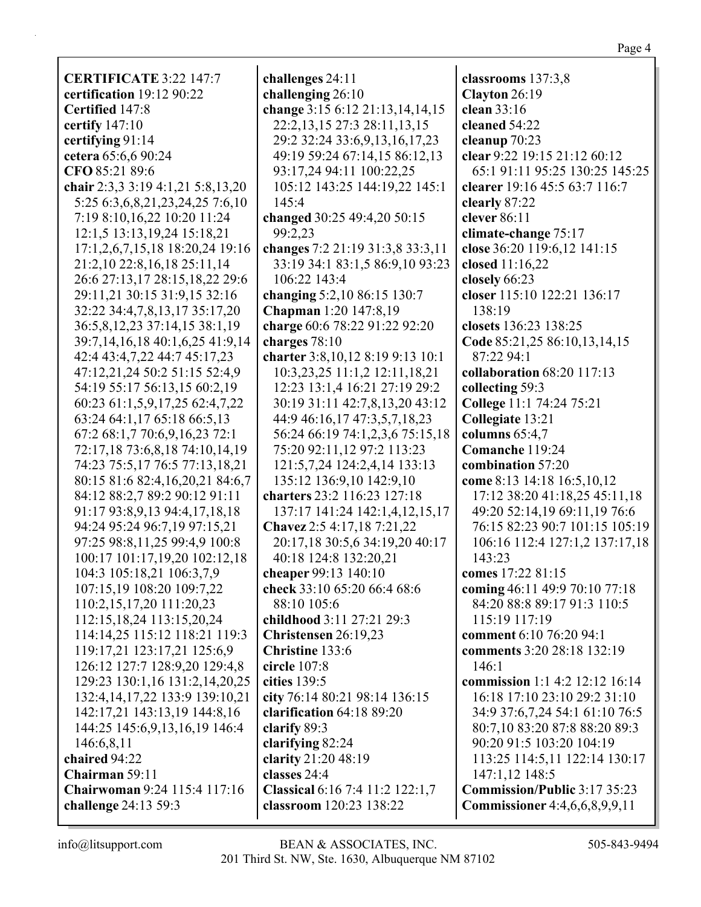| <b>CERTIFICATE 3:22 147:7</b>        | challenges 24:11                   | classrooms 137:3,8                   |
|--------------------------------------|------------------------------------|--------------------------------------|
| certification 19:12 90:22            | challenging 26:10                  | Clayton 26:19                        |
| Certified 147:8                      | change 3:15 6:12 21:13,14,14,15    | clean 33:16                          |
| certify 147:10                       | 22:2, 13, 15 27:3 28:11, 13, 15    | cleaned 54:22                        |
|                                      |                                    |                                      |
| certifying 91:14                     | 29:2 32:24 33:6, 9, 13, 16, 17, 23 | cleanup 70:23                        |
| cetera 65:6,6 90:24                  | 49:19 59:24 67:14,15 86:12,13      | clear 9:22 19:15 21:12 60:12         |
| CFO 85:21 89:6                       | 93:17,24 94:11 100:22,25           | 65:1 91:11 95:25 130:25 145:25       |
| chair 2:3,3 3:19 4:1,21 5:8,13,20    | 105:12 143:25 144:19,22 145:1      | clearer 19:16 45:5 63:7 116:7        |
| 5:25 6:3,6,8,21,23,24,25 7:6,10      | 145:4                              | clearly 87:22                        |
| 7:19 8:10,16,22 10:20 11:24          | changed 30:25 49:4,20 50:15        | clever 86:11                         |
| 12:1,5 13:13,19,24 15:18,21          | 99:2,23                            | climate-change 75:17                 |
| 17:1,2,6,7,15,18 18:20,24 19:16      | changes 7:2 21:19 31:3,8 33:3,11   | close 36:20 119:6,12 141:15          |
| 21:2,10 22:8,16,18 25:11,14          | 33:19 34:1 83:1,5 86:9,10 93:23    | closed 11:16,22                      |
| 26:6 27:13,17 28:15,18,22 29:6       | 106:22 143:4                       | closely 66:23                        |
| 29:11,21 30:15 31:9,15 32:16         | changing 5:2,10 86:15 130:7        | closer 115:10 122:21 136:17          |
| 32:22 34:4,7,8,13,17 35:17,20        | <b>Chapman</b> 1:20 147:8,19       | 138:19                               |
| 36:5,8,12,23 37:14,15 38:1,19        | charge 60:6 78:22 91:22 92:20      | closets 136:23 138:25                |
| 39:7,14,16,18 40:1,6,25 41:9,14      | charges 78:10                      | Code 85:21,25 86:10,13,14,15         |
| 42:4 43:4,7,22 44:7 45:17,23         | charter 3:8, 10, 12 8:19 9:13 10:1 | 87:22 94:1                           |
| 47:12,21,24 50:2 51:15 52:4,9        | 10:3,23,25 11:1,2 12:11,18,21      | collaboration 68:20 117:13           |
| 54:19 55:17 56:13,15 60:2,19         | 12:23 13:1,4 16:21 27:19 29:2      | collecting 59:3                      |
| 60:23 61:1,5,9,17,25 62:4,7,22       | 30:19 31:11 42:7,8,13,20 43:12     | College 11:1 74:24 75:21             |
| 63:24 64:1,17 65:18 66:5,13          | 44:9 46:16,17 47:3,5,7,18,23       | Collegiate 13:21                     |
| 67:2 68:1,7 70:6,9,16,23 72:1        | 56:24 66:19 74:1,2,3,6 75:15,18    | columns 65:4,7                       |
| 72:17,18 73:6,8,18 74:10,14,19       | 75:20 92:11,12 97:2 113:23         | Comanche 119:24                      |
| 74:23 75:5,17 76:5 77:13,18,21       | 121:5,7,24 124:2,4,14 133:13       | combination 57:20                    |
| 80:15 81:6 82:4,16,20,21 84:6,7      | 135:12 136:9,10 142:9,10           | come 8:13 14:18 16:5,10,12           |
| 84:12 88:2,7 89:2 90:12 91:11        | charters 23:2 116:23 127:18        | 17:12 38:20 41:18,25 45:11,18        |
| 91:17 93:8,9,13 94:4,17,18,18        | 137:17 141:24 142:1,4,12,15,17     | 49:20 52:14,19 69:11,19 76:6         |
| 94:24 95:24 96:7,19 97:15,21         | Chavez 2:5 4:17,18 7:21,22         | 76:15 82:23 90:7 101:15 105:19       |
| 97:25 98:8,11,25 99:4,9 100:8        | 20:17,18 30:5,6 34:19,20 40:17     | 106:16 112:4 127:1,2 137:17,18       |
| 100:17 101:17,19,20 102:12,18        | 40:18 124:8 132:20,21              | 143:23                               |
| 104:3 105:18,21 106:3,7,9            | cheaper 99:13 140:10               | comes 17:22 81:15                    |
| 107:15,19 108:20 109:7,22            | check 33:10 65:20 66:4 68:6        | coming 46:11 49:9 70:10 77:18        |
| 110:2,15,17,20 111:20,23             | 88:10 105:6                        | 84:20 88:8 89:17 91:3 110:5          |
| 112:15,18,24 113:15,20,24            | childhood 3:11 27:21 29:3          | 115:19 117:19                        |
|                                      |                                    | comment 6:10 76:20 94:1              |
| 114:14,25 115:12 118:21 119:3        | Christensen 26:19,23               |                                      |
| 119:17,21 123:17,21 125:6,9          | Christine 133:6                    | comments 3:20 28:18 132:19<br>146:1  |
| 126:12 127:7 128:9,20 129:4,8        | circle 107:8                       |                                      |
| 129:23 130:1,16 131:2,14,20,25       | cities 139:5                       | commission 1:1 4:2 12:12 16:14       |
| 132:4, 14, 17, 22 133: 9 139: 10, 21 | city 76:14 80:21 98:14 136:15      | 16:18 17:10 23:10 29:2 31:10         |
| 142:17,21 143:13,19 144:8,16         | clarification 64:18 89:20          | 34:9 37:6,7,24 54:1 61:10 76:5       |
| 144:25 145:6,9,13,16,19 146:4        | clarify 89:3                       | 80:7,10 83:20 87:8 88:20 89:3        |
| 146:6,8,11                           | clarifying 82:24                   | 90:20 91:5 103:20 104:19             |
| chaired 94:22                        | clarity 21:20 48:19                | 113:25 114:5,11 122:14 130:17        |
| Chairman 59:11                       | classes 24:4                       | 147:1,12 148:5                       |
| Chairwoman 9:24 115:4 117:16         | Classical 6:16 7:4 11:2 122:1,7    | Commission/Public 3:17 35:23         |
| challenge 24:13 59:3                 | classroom 120:23 138:22            | <b>Commissioner</b> 4:4,6,6,8,9,9,11 |

Page 4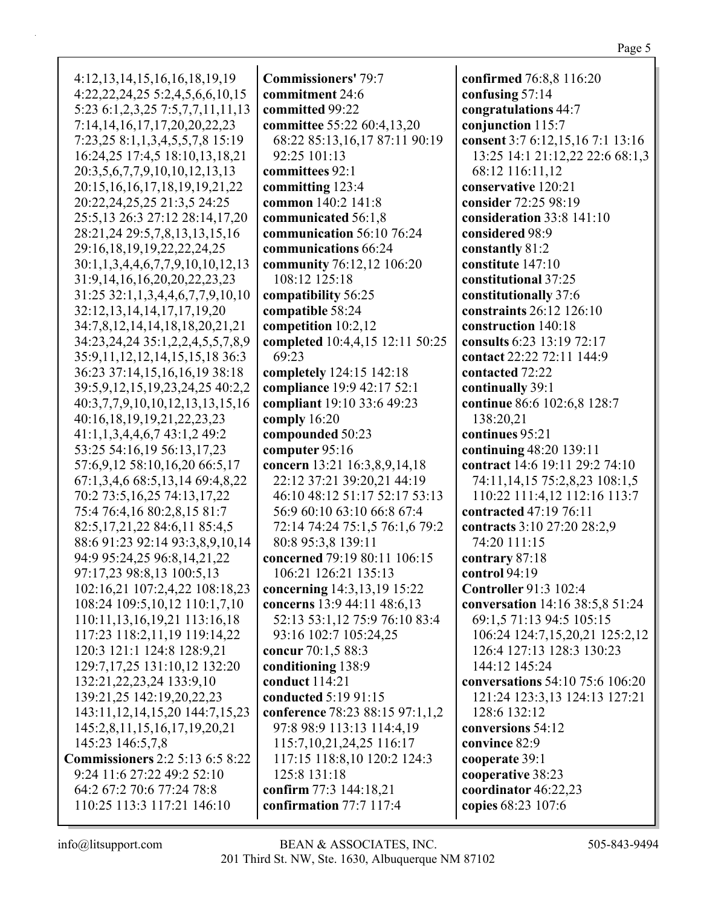| 4:12, 13, 14, 15, 16, 16, 18, 19, 19       | Cor            |
|--------------------------------------------|----------------|
| 4:22, 22, 24, 25 5:2, 4, 5, 6, 6, 10, 15   | con            |
| 5:23 6:1,2,3,25 7:5,7,7,11,11,13           | con            |
| 7:14, 14, 16, 17, 17, 20, 20, 22, 23       | con            |
| 7:23,25 8:1,1,3,4,5,5,7,8 15:19            | 68             |
| 16:24,25 17:4,5 18:10,13,18,21             | 92             |
| 20:3,5,6,7,7,9,10,10,12,13,13              | con            |
| 20:15, 16, 16, 17, 18, 19, 19, 21, 22      | con            |
| 20:22,24,25,25 21:3,5 24:25                | con            |
| 25:5,13 26:3 27:12 28:14,17,20             | con            |
| 28:21,24 29:5,7,8,13,13,15,16              | con            |
| 29:16,18,19,19,22,22,24,25                 | con            |
| 30:1,1,3,4,4,6,7,7,9,10,10,12,13           | con            |
| 31:9,14,16,16,20,20,22,23,23               | 1(             |
| 31:25 32:1,1,3,4,4,6,7,7,9,10,10           |                |
| 32:12, 13, 14, 14, 17, 17, 19, 20          | con<br>con     |
| 34:7,8,12,14,14,18,18,20,21,21             |                |
| 34:23, 24, 24 35:1, 2, 2, 4, 5, 5, 7, 8, 9 | con            |
| 35:9, 11, 12, 12, 14, 15, 15, 18 36: 3     | con<br>69      |
| 36:23 37:14,15,16,16,19 38:18              |                |
| 39:5,9,12,15,19,23,24,25 40:2,2            | con            |
| 40:3,7,7,9,10,10,12,13,13,15,16            | con<br>con     |
| 40:16,18,19,19,21,22,23,23                 | con            |
| 41:1,1,3,4,4,6,7 43:1,2 49:2               | con            |
| 53:25 54:16,19 56:13,17,23                 | con            |
| 57:6,9,12 58:10,16,20 66:5,17              | con            |
| 67:1,3,4,6 68:5,13,14 69:4,8,22            | $2^{\prime}$   |
| 70:2 73:5,16,25 74:13,17,22                | 46             |
| 75:4 76:4,16 80:2,8,15 81:7                | 56             |
| 82:5, 17, 21, 22 84: 6, 11 85: 4, 5        | 72             |
| 88:6 91:23 92:14 93:3,8,9,10,14            | 80             |
| 94:9 95:24,25 96:8,14,21,22                | con            |
| 97:17,23 98:8,13 100:5,13                  | 1 <sup>1</sup> |
| 102:16,21 107:2,4,22 108:18,23             | con            |
| 108:24 109:5,10,12 110:1,7,10              | con            |
| 110:11,13,16,19,21 113:16,18               | 52             |
| 117:23 118:2,11,19 119:14,22               | 93             |
| 120:3 121:1 124:8 128:9,21                 | con            |
| 129:7, 17, 25 131: 10, 12 132: 20          | con            |
| 132:21,22,23,24 133:9,10                   | con            |
| 139:21,25 142:19,20,22,23                  | con            |
| 143:11, 12, 14, 15, 20 144: 7, 15, 23      | con            |
| 145:2,8,11,15,16,17,19,20,21               | 97             |
| 145:23 146:5,7,8                           | 11             |
| <b>Commissioners</b> 2:2 5:13 6:5 8:22     | 11             |
| 9:24 11:6 27:22 49:2 52:10                 | 12             |
| 64:2 67:2 70:6 77:24 78:8                  | con            |
| 110:25 113:3 117:21 146:10                 | con            |
|                                            |                |

**Commissioners'** 79:7 **commitment** 24:6 **committed** 99:22 **committee** 55:22 60:4,13,20 68:22 85:13,16,17 87:11 90:19 92:25 101:13 **committees** 92:1 **committing** 123:4 **common** 140:2 141:8 **communicated** 56:1,8 **communication** 56:10 76:24 **communications** 66:24 **community** 76:12,12 106:20 108:12 125:18 **compatibility** 56:25 **compatible** 58:24 **competition** 10:2,12 **completed** 10:4,4,15 12:11 50:25 9:23 **completely** 124:15 142:18 **compliance** 19:9 42:17 52:1 **compliant** 19:10 33:6 49:23 **comply** 16:20 **compounded** 50:23 **computer** 95:16 **concern** 13:21 16:3,8,9,14,18 22:12 37:21 39:20,21 44:19 46:10 48:12 51:17 52:17 53:13 56:9 60:10 63:10 66:8 67:4 72:14 74:24 75:1,5 76:1,6 79:2 80:8 95:3,8 139:11 **concerned** 79:19 80:11 106:15 106:21 126:21 135:13 **concerning** 14:3,13,19 15:22 **concerns** 13:9 44:11 48:6,13 52:13 53:1,12 75:9 76:10 83:4 93:16 102:7 105:24,25 **concur** 70:1,5 88:3 **conditioning** 138:9 **conduct** 114:21 **conducted** 5:19 91:15 **conference** 78:23 88:15 97:1,1,2 97:8 98:9 113:13 114:4,19 115:7,10,21,24,25 116:17 117:15 118:8,10 120:2 124:3 125:8 131:18 **confirm** 77:3 144:18,21 **confirmation** 77:7 117:4

**confirmed** 76:8,8 116:20 **confusing** 57:14 **congratulations** 44:7 **conjunction** 115:7 **consent** 3:7 6:12,15,16 7:1 13:16 13:25 14:1 21:12,22 22:6 68:1,3 68:12 116:11,12 **conservative** 120:21 **consider** 72:25 98:19 **consideration** 33:8 141:10 **considered** 98:9 **constantly** 81:2 **constitute** 147:10 **constitutional** 37:25 **constitutionally** 37:6 **constraints** 26:12 126:10 **construction** 140:18 **consults** 6:23 13:19 72:17 **contact** 22:22 72:11 144:9 **contacted** 72:22 **continually** 39:1 **continue** 86:6 102:6,8 128:7 138:20,21 **continues** 95:21 **continuing** 48:20 139:11 **contract** 14:6 19:11 29:2 74:10 74:11,14,15 75:2,8,23 108:1,5 110:22 111:4,12 112:16 113:7 **contracted** 47:19 76:11 **contracts** 3:10 27:20 28:2,9 74:20 111:15 **contrary** 87:18 **control** 94:19 **Controller** 91:3 102:4 **conversation** 14:16 38:5,8 51:24 69:1,5 71:13 94:5 105:15 106:24 124:7,15,20,21 125:2,12 126:4 127:13 128:3 130:23 144:12 145:24 **conversations** 54:10 75:6 106:20 121:24 123:3,13 124:13 127:21 128:6 132:12 **conversions** 54:12 **convince** 82:9 **cooperate** 39:1 **cooperative** 38:23 **coordinator** 46:22,23 **copies** 68:23 107:6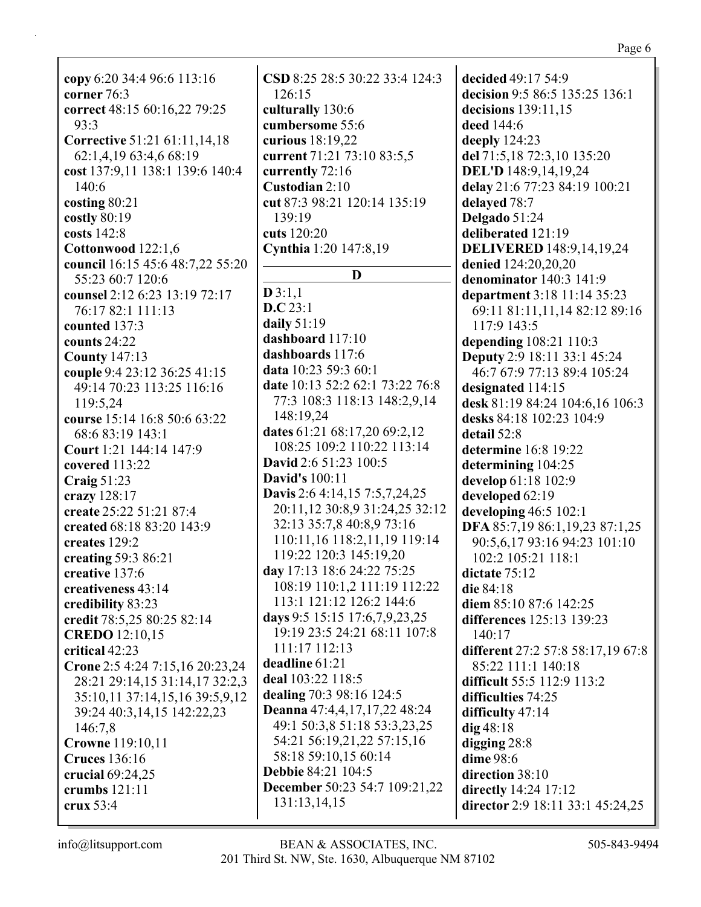**copy** 6:20 34:4 96:6 113:16 **corner** 76:3 **correct** 48:15 60:16,22 79:25 93:3 **Corrective** 51:21 61:11,14,18 62:1,4,19 63:4,6 68:19 **cost** 137:9,11 138:1 139:6 140:4 140:6 **costing** 80:21 **costly** 80:19 **costs** 142:8 **Cottonwood** 122:1,6 **council** 16:15 45:6 48:7,22 55:20 55:23 60:7 120:6 **counsel** 2:12 6:23 13:19 72:17 76:17 82:1 111:13 **counted** 137:3 **counts** 24:22 **County** 147:13 **couple** 9:4 23:12 36:25 41:15 49:14 70:23 113:25 116:16 119:5,24 **course** 15:14 16:8 50:6 63:22 68:6 83:19 143:1 **Court** 1:21 144:14 147:9 **covered** 113:22 **Craig** 51:23 **crazy** 128:17 **create** 25:22 51:21 87:4 **created** 68:18 83:20 143:9 **creates** 129:2 **creating** 59:3 86:21 **creative** 137:6 **creativeness** 43:14 **credibility** 83:23 **credit** 78:5,25 80:25 82:14 **CREDO** 12:10,15 **critical** 42:23 **Crone** 2:5 4:24 7:15,16 20:23,24 28:21 29:14,15 31:14,17 32:2,3 35:10,11 37:14,15,16 39:5,9,12 39:24 40:3,14,15 142:22,23 146:7,8 **Crowne** 119:10,11 **Cruces** 136:16 **crucial** 69:24,25 **crumbs** 121:11 **crux** 53:4

**CSD** 8:25 28:5 30:22 33:4 124:3 126:15 **culturally** 130:6 **cumbersome** 55:6 **curious** 18:19,22 **current** 71:21 73:10 83:5,5 **currently** 72:16 **Custodian** 2:10 **cut** 87:3 98:21 120:14 135:19 139:19 **cuts** 120:20 **Cynthia** 1:20 147:8,19 **D D** 3:1,1 **D.C** 23:1 **daily** 51:19 **dashboard** 117:10 **dashboards** 117:6 **data** 10:23 59:3 60:1 **date** 10:13 52:2 62:1 73:22 76:8 77:3 108:3 118:13 148:2,9,14 148:19,24 **dates** 61:21 68:17,20 69:2,12 108:25 109:2 110:22 113:14 **David** 2:6 51:23 100:5 **David's** 100:11 **Davis** 2:6 4:14,15 7:5,7,24,25 20:11,12 30:8,9 31:24,25 32:12 32:13 35:7,8 40:8,9 73:16 110:11,16 118:2,11,19 119:14 119:22 120:3 145:19,20 **day** 17:13 18:6 24:22 75:25 108:19 110:1,2 111:19 112:22 113:1 121:12 126:2 144:6 **days** 9:5 15:15 17:6,7,9,23,25 19:19 23:5 24:21 68:11 107:8 111:17 112:13 **deadline** 61:21 **deal** 103:22 118:5 **dealing** 70:3 98:16 124:5 **Deanna** 47:4,4,17,17,22 48:24 49:1 50:3,8 51:18 53:3,23,25 54:21 56:19,21,22 57:15,16 58:18 59:10,15 60:14 **Debbie** 84:21 104:5 **December** 50:23 54:7 109:21,22 131:13,14,15

**decided** 49:17 54:9 **decision** 9:5 86:5 135:25 136:1 **decisions** 139:11,15 **deed** 144:6 **deeply** 124:23 **del** 71:5,18 72:3,10 135:20 **DEL'D** 148:9,14,19,24 **delay** 21:6 77:23 84:19 100:21 **delayed** 78:7 **Delgado** 51:24 **deliberated** 121:19 **DELIVERED** 148:9,14,19,24 **denied** 124:20,20,20 **denominator** 140:3 141:9 **department** 3:18 11:14 35:23 69:11 81:11,11,14 82:12 89:16 117:9 143:5 **depending** 108:21 110:3 **Deputy** 2:9 18:11 33:1 45:24 46:7 67:9 77:13 89:4 105:24 **designated** 114:15 **desk** 81:19 84:24 104:6,16 106:3 **desks** 84:18 102:23 104:9 **detail** 52:8 **determine** 16:8 19:22 **determining** 104:25 **develop** 61:18 102:9 **developed** 62:19 **developing** 46:5 102:1 **DFA** 85:7,19 86:1,19,23 87:1,25 90:5,6,17 93:16 94:23 101:10 102:2 105:21 118:1 **dictate** 75:12 **die** 84:18 **diem** 85:10 87:6 142:25 **differences** 125:13 139:23 140:17 **different** 27:2 57:8 58:17,19 67:8 85:22 111:1 140:18 **difficult** 55:5 112:9 113:2 **difficulties** 74:25 **difficulty** 47:14 **dig** 48:18 **digging** 28:8 **dime** 98:6 **direction** 38:10 **directly** 14:24 17:12 **director** 2:9 18:11 33:1 45:24,25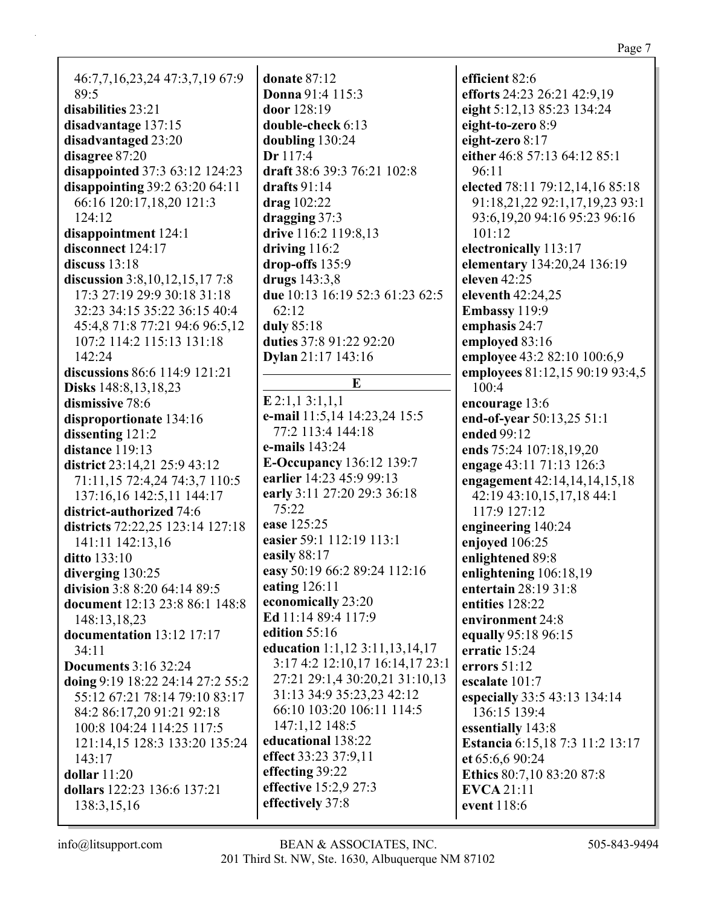46:7,7,16,23,24 47:3,7,19 67:9  $89:5$ disabilities 23:21 disadvantage 137:15 disadvantaged 23:20 disagree 87:20 disappointed 37:3 63:12 124:23 disappointing  $39:263:2064:11$ 66:16 120:17,18,20 121:3  $124:12$  $disappointment 124:1$ disconnect 124:17 discuss  $13:18$ discussion  $3:8,10,12,15,177:8$ 17:3 27:19 29:9 30:18 31:18 32:23 34:15 35:22 36:15 40:4 45:4,8 71:8 77:21 94:6 96:5,12 107:2 114:2 115:13 131:18  $142:24$ discussions 86:6 114:9 121:21 Disks 148:8,13,18,23 dismissive 78:6 disproportionate 134:16 dissenting 121:2 distance  $119:13$ district 23:14,21 25:9 43:12 71:11,15 72:4,24 74:3,7 110:5 137:16,16 142:5,11 144:17 district-authorized 74:6 districts 72:22,25 123:14 127:18 141:11 142:13,16 **ditto** 133:10 diverging  $130:25$ division  $3:88:2064:1489:5$ document 12:13 23:8 86:1 148:8 148:13.18.23 documentation  $13:12$  17:17  $34:11$ **Documents** 3:16 32:24 doing 9:19 18:22 24:14 27:2 55:2 55:12 67:21 78:14 79:10 83:17 84:2 86:17,20 91:21 92:18 100:8 104:24 114:25 117:5 121:14,15 128:3 133:20 135:24  $143:17$ dollar  $11:20$ dollars 122:23 136:6 137:21 138:3,15,16

donate  $87:12$ **Donna** 91:4 115:3 door  $128:19$ double-check 6:13 doubling 130:24  $Dr 117:4$ draft 38:6 39:3 76:21 102:8 drafts  $91:14$  $drag 102:22$  $dragging 37:3$ drive 116:2 119:8,13 driving  $116:2$  $drop-offs 135:9$ drugs  $143:3,8$ due 10:13 16:19 52:3 61:23 62:5  $62:12$ duly 85:18 duties 37:8 91:22 92:20 **Dylan** 21:17 143:16  $E$  $E 2:1,1 3:1,1,1$ e-mail 11:5,14 14:23,24 15:5 77:2 113:4 144:18 e-mails 143:24 **E-Occupancy** 136:12 139:7 earlier 14:23 45:9 99:13 early 3:11 27:20 29:3 36:18  $75:22$ ease 125:25 easier 59:1 112:19 113:1 easily  $88:17$ easy 50:19 66:2 89:24 112:16 eating 126:11 economically 23:20 Ed 11:14 89:4 117:9 edition  $55:16$ education 1:1,12 3:11,13,14,17 3:17 4:2 12:10,17 16:14,17 23:1 27:21 29:1,4 30:20,21 31:10,13 31:13 34:9 35:23.23 42:12 66:10 103:20 106:11 114:5 147:1.12 148:5 educational 138:22 effect 33:23 37:9,11 effecting 39:22 effective 15:2,9 27:3 effectively 37:8

efficient 82:6 efforts 24:23 26:21 42:9,19 eight 5:12,13 85:23 134:24 eight-to-zero 8:9 eight-zero  $8:17$ either 46:8 57:13 64:12 85:1 96:11 elected 78:11 79:12,14,16 85:18 91:18,21,22 92:1,17,19,23 93:1 93:6, 19, 20 94: 16 95: 23 96: 16  $101:12$ electronically 113:17 elementary 134:20,24 136:19 eleven  $42:25$ eleventh 42:24,25 Embassy 119:9 emphasis 24:7 employed 83:16 employee 43:2 82:10 100:6,9 employees 81:12,15 90:19 93:4,5  $100:4$ encourage 13:6 end-of-year 50:13,25 51:1 ended 99:12 ends 75:24 107:18.19.20 engage 43:11 71:13 126:3 engagement 42:14,14,14,15,18 42:19 43:10,15,17,18 44:1 117:9 127:12 engineering 140:24 enjoved 106:25 enlightened 89:8 enlightening 106:18,19 entertain 28:19 31:8 entities 128:22 environment 24:8 equally 95:18 96:15 erratic 15:24 errors  $51:12$ escalate 101:7 especially 33:5 43:13 134:14 136:15 139:4 essentially 143:8 **Estancia** 6:15,18 7:3 11:2 13:17 et 65:6.6 90:24 Ethics 80:7,10 83:20 87:8 **EVCA** 21:11 event 118:6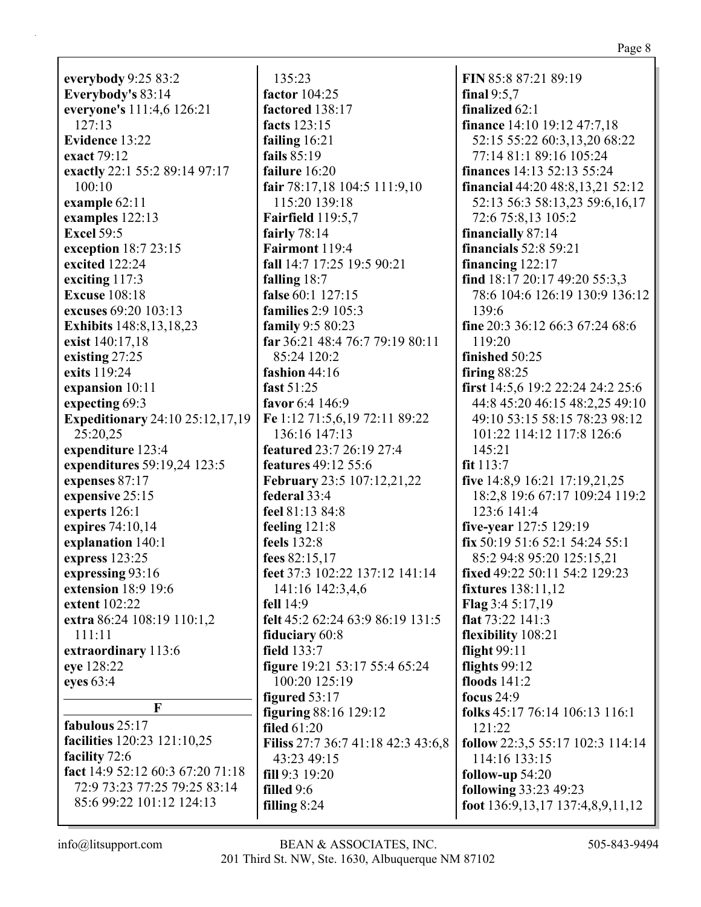**everybody** 9:25 83:2 **Everybody's** 83:14 **everyone's** 111:4,6 126:21 127:13 **Evidence** 13:22 **exact** 79:12 **exactly** 22:1 55:2 89:14 97:17 100:10 **example** 62:11 **examples** 122:13 **Excel** 59:5 **exception** 18:7 23:15 **excited** 122:24 **exciting** 117:3 **Excuse** 108:18 **excuses** 69:20 103:13 **Exhibits** 148:8,13,18,23 **exist** 140:17,18 **existing** 27:25 **exits** 119:24 **expansion** 10:11 **expecting** 69:3 **Expeditionary** 24:10 25:12,17,19 25:20,25 **expenditure** 123:4 **expenditures** 59:19,24 123:5 **expenses** 87:17 **expensive** 25:15 **experts** 126:1 **expires** 74:10,14 **explanation** 140:1 **express** 123:25 **expressing** 93:16 **extension** 18:9 19:6 **extent** 102:22 **extra** 86:24 108:19 110:1,2 111:11 **extraordinary** 113:6 **eye** 128:22 **eyes** 63:4 **F fabulous** 25:17 **facilities** 120:23 121:10,25

**facility** 72:6 **fact** 14:9 52:12 60:3 67:20 71:18 72:9 73:23 77:25 79:25 83:14 85:6 99:22 101:12 124:13

135:23 **factor** 104:25 **factored** 138:17 **facts** 123:15 **failing** 16:21 **fails** 85:19 **failure** 16:20 **fair** 78:17,18 104:5 111:9,10 115:20 139:18 **Fairfield** 119:5,7 **fairly** 78:14 **Fairmont** 119:4 **fall** 14:7 17:25 19:5 90:21 **falling** 18:7 **false** 60:1 127:15 **families** 2:9 105:3 **family** 9:5 80:23 **far** 36:21 48:4 76:7 79:19 80:11 85:24 120:2 **fashion** 44:16 **fast** 51:25 **favor** 6:4 146:9 **Fe** 1:12 71:5,6,19 72:11 89:22 136:16 147:13 **featured** 23:7 26:19 27:4 **features** 49:12 55:6 **February** 23:5 107:12,21,22 **federal** 33:4 **feel** 81:13 84:8 **feeling** 121:8 **feels** 132:8 **fees** 82:15,17 **feet** 37:3 102:22 137:12 141:14 141:16 142:3,4,6 **fell** 14:9 **felt** 45:2 62:24 63:9 86:19 131:5 **fiduciary** 60:8 **field** 133:7 **figure** 19:21 53:17 55:4 65:24 100:20 125:19 **figured** 53:17 **figuring** 88:16 129:12 **filed** 61:20 **Filiss** 27:7 36:7 41:18 42:3 43:6,8 43:23 49:15 **fill** 9:3 19:20 **filled** 9:6 **filling** 8:24

**FIN** 85:8 87:21 89:19 **final** 9:5,7 **finalized** 62:1 **finance** 14:10 19:12 47:7,18 52:15 55:22 60:3,13,20 68:22 77:14 81:1 89:16 105:24 **finances** 14:13 52:13 55:24 **financial** 44:20 48:8,13,21 52:12 52:13 56:3 58:13,23 59:6,16,17 72:6 75:8,13 105:2 **financially** 87:14 **financials** 52:8 59:21 **financing** 122:17 **find** 18:17 20:17 49:20 55:3,3 78:6 104:6 126:19 130:9 136:12 139:6 **fine** 20:3 36:12 66:3 67:24 68:6 119:20 **finished** 50:25 **firing** 88:25 **first** 14:5,6 19:2 22:24 24:2 25:6 44:8 45:20 46:15 48:2,25 49:10 49:10 53:15 58:15 78:23 98:12 101:22 114:12 117:8 126:6 145:21 **fit** 113:7 **five** 14:8,9 16:21 17:19,21,25 18:2,8 19:6 67:17 109:24 119:2 123:6 141:4 **five-year** 127:5 129:19 **fix** 50:19 51:6 52:1 54:24 55:1 85:2 94:8 95:20 125:15,21 **fixed** 49:22 50:11 54:2 129:23 **fixtures** 138:11,12 **Flag** 3:4 5:17,19 **flat** 73:22 141:3 **flexibility** 108:21 **flight** 99:11 **flights** 99:12 **floods** 141:2 **focus** 24:9 **folks** 45:17 76:14 106:13 116:1 121:22 **follow** 22:3,5 55:17 102:3 114:14 114:16 133:15 **follow-up** 54:20 **following** 33:23 49:23 **foot** 136:9,13,17 137:4,8,9,11,12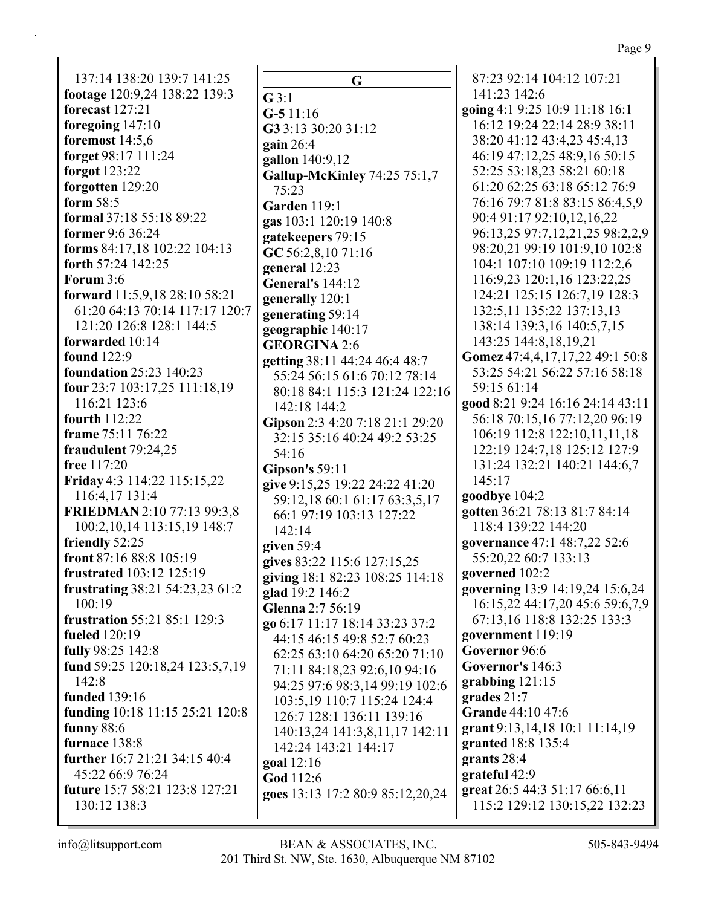Page 9

137:14 138:20 139:7 141:25 footage 120:9,24 138:22 139:3 forecast  $127:21$ foregoing  $147:10$ foremost  $14:5.6$ forget 98:17 111:24 forgot  $123:22$ forgotten 129:20 form  $58:5$ **formal** 37:18 55:18 89:22 former 9:6 36:24 forms 84:17,18 102:22 104:13 forth 57:24 142:25 Forum 3:6 forward 11:5,9,18 28:10 58:21 61:20 64:13 70:14 117:17 120:7 121:20 126:8 128:1 144:5 forwarded 10:14 **found** 122:9 **foundation** 25:23 140:23 **four** 23:7 103:17,25 111:18,19 116:21 123:6 fourth  $112:22$ frame 75:11 76:22 fraudulent 79:24.25 free 117:20 Friday 4:3 114:22 115:15,22 116:4,17 131:4 **FRIEDMAN** 2:10 77:13 99:3.8 100:2, 10, 14 113:15, 19 148:7 friendly 52:25 front 87:16 88:8 105:19 frustrated 103:12 125:19 frustrating 38:21 54:23,23 61:2  $100:19$ **frustration** 55:21 85:1 129:3 **fueled** 120:19 fully 98:25 142:8 fund 59:25 120:18,24 123:5,7,19 142:8 **funded** 139:16 funding 10:18 11:15 25:21 120:8 funny 88:6 furnace 138:8 further 16:7 21:21 34:15 40:4 45:22 66:9 76:24 future 15:7 58:21 123:8 127:21 130:12 138:3

 $\mathbf{G}$  $G$  3:1  $G-511:16$ G3 3:13 30:20 31:12 gain  $26:4$ gallon 140:9,12 **Gallup-McKinley 74:25 75:1,7**  $75:23$ Garden 119:1 gas 103:1 120:19 140:8 gatekeepers 79:15 GC 56:2,8,10 71:16 general 12:23 **General's 144:12** generally 120:1 generating 59:14 geographic 140:17 **GEORGINA 2:6** getting 38:11 44:24 46:4 48:7 55:24 56:15 61:6 70:12 78:14 80:18 84:1 115:3 121:24 122:16 142:18 144:2 Gipson 2:3 4:20 7:18 21:1 29:20 32:15 35:16 40:24 49:2 53:25  $54:16$ Gipson's  $59:11$ give 9:15,25 19:22 24:22 41:20 59:12,18 60:1 61:17 63:3,5,17 66:1 97:19 103:13 127:22  $142:14$ given  $59:4$ gives 83:22 115:6 127:15.25 giving 18:1 82:23 108:25 114:18 glad 19:2 146:2 Glenna  $2:7,56:19$ go 6:17 11:17 18:14 33:23 37:2 44:15 46:15 49:8 52:7 60:23 62:25 63:10 64:20 65:20 71:10 71:11 84:18.23 92:6.10 94:16 94:25 97:6 98:3,14 99:19 102:6 103:5.19 110:7 115:24 124:4 126:7 128:1 136:11 139:16 140:13.24 141:3.8.11.17 142:11 142:24 143:21 144:17 goal 12:16 God 112:6 goes 13:13 17:2 80:9 85:12,20,24

87:23 92:14 104:12 107:21 141:23 142:6 going 4:1 9:25 10:9 11:18 16:1 16:12 19:24 22:14 28:9 38:11 38:20 41:12 43:4,23 45:4,13 46:19 47:12,25 48:9,16 50:15 52:25 53:18.23 58:21 60:18 61:20 62:25 63:18 65:12 76:9 76:16 79:7 81:8 83:15 86:4,5,9 90:4 91:17 92:10,12,16,22 96:13,25 97:7,12,21,25 98:2,2,9 98:20,21 99:19 101:9,10 102:8 104:1 107:10 109:19 112:2,6 116:9,23 120:1,16 123:22,25 124:21 125:15 126:7,19 128:3 132:5.11 135:22 137:13.13 138:14 139:3,16 140:5,7,15 143:25 144:8.18.19.21 Gomez 47:4,4,17,17,22 49:1 50:8 53:25 54:21 56:22 57:16 58:18 59:15 61:14 good 8:21 9:24 16:16 24:14 43:11 56:18 70:15,16 77:12,20 96:19 106:19 112:8 122:10,11,11,18 122:19 124:7.18 125:12 127:9 131:24 132:21 140:21 144:6,7 145:17 goodbye 104:2 gotten 36:21 78:13 81:7 84:14 118:4 139:22 144:20 governance 47:1 48:7,22 52:6 55:20,22 60:7 133:13 governed 102:2 governing 13:9 14:19,24 15:6,24 16:15,22 44:17,20 45:6 59:6,7,9 67:13,16 118:8 132:25 133:3 government 119:19 Governor 96:6 Governor's 146:3 grabbing  $121:15$ grades  $21:7$ Grande 44:10 47:6 grant  $9:13,14,18$  10:1 11:14,19 granted 18:8 135:4 grants  $28:4$ grateful 42:9 great 26:5 44:3 51:17 66:6,11 115:2 129:12 130:15,22 132:23

 $info@$ litsupport.com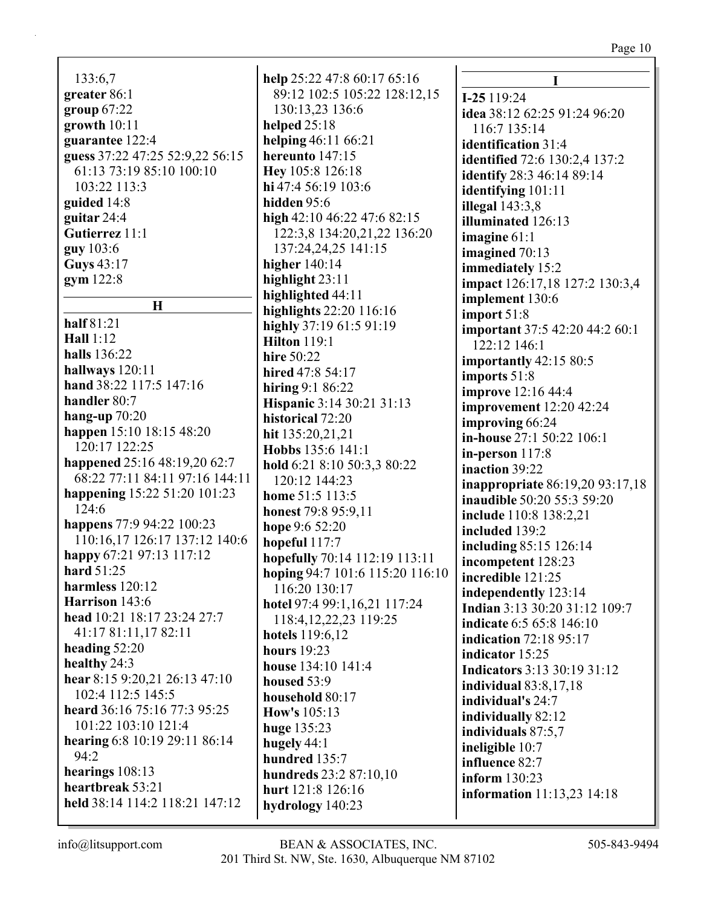| 133:6,7                         |  |
|---------------------------------|--|
| greater 86:1                    |  |
| group $67:22$                   |  |
|                                 |  |
| growth $10:11$                  |  |
| guarantee 122:4                 |  |
| guess 37:22 47:25 52:9,22 56:15 |  |
| 61:13 73:19 85:10 100:10        |  |
| 103:22 113:3                    |  |
| guided 14:8                     |  |
| guitar 24:4                     |  |
| Gutierrez 11:1                  |  |
| guy 103:6                       |  |
| Guys 43:17                      |  |
| gym 122:8                       |  |
|                                 |  |
| Н                               |  |
| half 81:21                      |  |
| Hall $1:12$                     |  |
|                                 |  |
| halls 136:22                    |  |
| hallways 120:11                 |  |
| hand 38:22 117:5 147:16         |  |
| handler 80:7                    |  |
| hang-up $70:20$                 |  |
| happen 15:10 18:15 48:20        |  |
| 120:17 122:25                   |  |
| happened 25:16 48:19,20 62:7    |  |
| 68:22 77:11 84:11 97:16 144:11  |  |
| happening 15:22 51:20 101:23    |  |
| 124:6                           |  |
| happens 77:9 94:22 100:23       |  |
| 110:16,17 126:17 137:12 140:6   |  |
|                                 |  |
| happy 67:21 97:13 117:12        |  |
| <b>hard</b> 51:25               |  |
| harmless 120:12                 |  |
| Harrison 143:6                  |  |
| head 10:21 18:17 23:24 27:7     |  |
| 41:17 81:11,17 82:11            |  |
| heading $52:20$                 |  |
| healthy 24:3                    |  |
| hear 8:15 9:20,21 26:13 47:10   |  |
| 102:4 112:5 145:5               |  |
| heard 36:16 75:16 77:3 95:25    |  |
| 101:22 103:10 121:4             |  |
| hearing 6:8 10:19 29:11 86:14   |  |
| 94:2                            |  |
|                                 |  |
| hearings $108:13$               |  |
| heartbreak 53:21                |  |
| held 38:14 114:2 118:21 147:12  |  |

help 25:22 47:8 60:17 65:16 89:12 102:5 105:22 128:12,15 130:13,23 136:6 helped  $25:18$ helping  $46:11\,66:21$ hereunto  $147:15$ Hev 105:8 126:18 hi 47:4 56:19 103:6 hidden 95:6 high 42:10 46:22 47:6 82:15 122:3,8 134:20,21,22 136:20 137:24,24,25 141:15 higher  $140:14$ highlight  $23:11$ highlighted 44:11 highlights  $22:20$   $116:16$ highly 37:19 61:5 91:19 **Hilton** 119:1 hire 50:22 hired 47:8 54:17 hiring  $9:186:22$ **Hispanic 3:14 30:21 31:13** historical 72:20 hit 135:20,21,21 Hobbs 135:6 141:1 hold 6:21 8:10 50:3,3 80:22  $120:12$  144:23 home 51:5 113:5 honest 79:8 95:9.11 hope 9:6 52:20 hopeful  $117:7$ hopefully 70:14 112:19 113:11 hoping 94:7 101:6 115:20 116:10 116:20 130:17 hotel 97:4 99:1,16,21 117:24 118:4.12.22.23 119:25 hotels 119:6,12 hours  $19:23$ house 134:10 141:4 housed  $53:9$ household  $80:17$ How's  $105:13$ huge  $135:23$ hugely  $44:1$ hundred  $135:7$ hundreds 23:2 87:10,10 hurt 121:8 126:16 hydrology 140:23

 $\mathbf I$  $I-25119:24$ idea 38:12 62:25 91:24 96:20 116:7 135:14 identification 31:4 **identified** 72:6 130:2.4 137:2 identify 28:3 46:14 89:14 identifying 101:11 illegal  $143:3.8$ illuminated 126:13 imagine  $61:1$ imagined  $70:13$ immediately 15:2 impact 126:17,18 127:2 130:3,4 implement 130:6  $import 51:8$ **important** 37:5 42:20 44:2 60:1 122:12 146:1 importantly  $42:1580:5$ imports 51:8 **improve** 12:16 44:4 **improvement** 12:20 42:24 improving 66:24 in-house 27:1 50:22 106:1 in-person  $117:8$ inaction 39:22 **inappropriate** 86:19,20 93:17,18 **inaudible** 50:20 55:3 59:20 include 110:8 138:2,21 included 139:2 including 85:15 126:14 incompetent 128:23 incredible 121:25 independently 123:14 Indian 3:13 30:20 31:12 109:7 indicate 6:5 65:8 146:10 **indication** 72:18 95:17 indicator 15:25 **Indicators** 3:13 30:19 31:12 **individual** 83:8,17,18 individual's 24:7 individually 82:12 individuals 87:5,7 ineligible 10:7 influence 82:7 inform  $130:23$ **information** 11:13,23 14:18

 $info@$ litsupport.com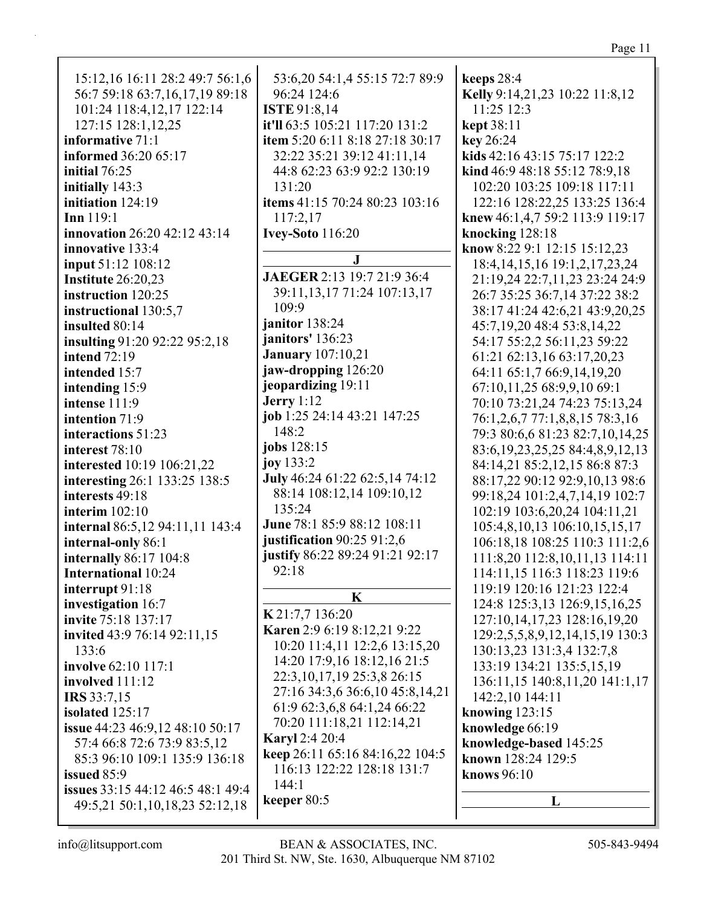| 15:12,16 16:11 28:2 49:7 56:1,6        | 53:6,20 54:1,4 55:15 72:7 89:9   | keeps 28:4                               |
|----------------------------------------|----------------------------------|------------------------------------------|
| 56:7 59:18 63:7,16,17,19 89:18         | 96:24 124:6                      | Kelly 9:14,21,23 10:22 11:8,12           |
| 101:24 118:4,12,17 122:14              | <b>ISTE</b> 91:8,14              | 11:25 12:3                               |
| 127:15 128:1,12,25                     | it'll 63:5 105:21 117:20 131:2   | kept 38:11                               |
| informative 71:1                       | item 5:20 6:11 8:18 27:18 30:17  | key 26:24                                |
| <b>informed</b> 36:20 65:17            | 32:22 35:21 39:12 41:11,14       | kids 42:16 43:15 75:17 122:2             |
| initial 76:25                          | 44:8 62:23 63:9 92:2 130:19      | kind 46:9 48:18 55:12 78:9,18            |
| initially 143:3                        | 131:20                           | 102:20 103:25 109:18 117:11              |
| initiation 124:19                      | items 41:15 70:24 80:23 103:16   | 122:16 128:22,25 133:25 136:4            |
| Inn 119:1                              | 117:2,17                         | knew 46:1,4,7 59:2 113:9 119:17          |
|                                        |                                  |                                          |
| innovation 26:20 42:12 43:14           | <b>Ivey-Soto</b> 116:20          | knocking 128:18                          |
| innovative 133:4                       | J                                | know 8:22 9:1 12:15 15:12,23             |
| input 51:12 108:12                     |                                  | 18:4, 14, 15, 16 19:1, 2, 17, 23, 24     |
| Institute 26:20,23                     | JAEGER 2:13 19:7 21:9 36:4       | 21:19,24 22:7,11,23 23:24 24:9           |
| instruction 120:25                     | 39:11, 13, 17 71: 24 107: 13, 17 | 26:7 35:25 36:7,14 37:22 38:2            |
| instructional 130:5,7                  | 109:9                            | 38:17 41:24 42:6,21 43:9,20,25           |
| insulted 80:14                         | janitor 138:24                   | 45:7,19,20 48:4 53:8,14,22               |
| insulting 91:20 92:22 95:2,18          | janitors' 136:23                 | 54:17 55:2,2 56:11,23 59:22              |
| <b>intend</b> 72:19                    | <b>January</b> 107:10,21         | 61:21 62:13,16 63:17,20,23               |
| intended 15:7                          | jaw-dropping 126:20              | 64:11 65:1,7 66:9,14,19,20               |
| intending 15:9                         | jeopardizing 19:11               | 67:10,11,25 68:9,9,10 69:1               |
| intense 111:9                          | <b>Jerry</b> 1:12                | 70:10 73:21,24 74:23 75:13,24            |
| intention 71:9                         | job 1:25 24:14 43:21 147:25      | 76:1,2,6,7 77:1,8,8,15 78:3,16           |
| interactions 51:23                     | 148:2                            | 79:3 80:6,6 81:23 82:7,10,14,25          |
| interest 78:10                         | jobs 128:15                      | 83:6, 19, 23, 25, 25 84: 4, 8, 9, 12, 13 |
| interested 10:19 106:21,22             | joy 133:2                        | 84:14,21 85:2,12,15 86:8 87:3            |
| interesting 26:1 133:25 138:5          | July 46:24 61:22 62:5,14 74:12   | 88:17,22 90:12 92:9,10,13 98:6           |
| interests 49:18                        | 88:14 108:12,14 109:10,12        | 99:18,24 101:2,4,7,14,19 102:7           |
| interim $102:10$                       | 135:24                           |                                          |
|                                        | June 78:1 85:9 88:12 108:11      | 102:19 103:6,20,24 104:11,21             |
| internal 86:5,12 94:11,11 143:4        | justification $90:2591:2,6$      | 105:4,8,10,13 106:10,15,15,17            |
| internal-only 86:1                     | justify 86:22 89:24 91:21 92:17  | 106:18,18 108:25 110:3 111:2,6           |
| internally 86:17 104:8                 |                                  | 111:8,20 112:8,10,11,13 114:11           |
| <b>International 10:24</b>             | 92:18                            | 114:11,15 116:3 118:23 119:6             |
| interrupt 91:18                        | K                                | 119:19 120:16 121:23 122:4               |
| investigation 16:7                     |                                  | 124:8 125:3,13 126:9,15,16,25            |
| invite 75:18 137:17                    | K 21:7,7 136:20                  | 127:10,14,17,23 128:16,19,20             |
| invited 43:9 76:14 92:11,15            | Karen 2:9 6:19 8:12,21 9:22      | 129:2,5,5,8,9,12,14,15,19 130:3          |
| 133:6                                  | 10:20 11:4,11 12:2,6 13:15,20    | 130:13,23 131:3,4 132:7,8                |
| involve 62:10 117:1                    | 14:20 17:9,16 18:12,16 21:5      | 133:19 134:21 135:5,15,19                |
| involved 111:12                        | 22:3, 10, 17, 19 25:3, 8 26:15   | 136:11,15 140:8,11,20 141:1,17           |
| <b>IRS</b> 33:7,15                     | 27:16 34:3,6 36:6,10 45:8,14,21  | 142:2,10 144:11                          |
| isolated 125:17                        | 61:9 62:3,6,8 64:1,24 66:22      | knowing $123:15$                         |
| <b>issue</b> 44:23 46:9,12 48:10 50:17 | 70:20 111:18,21 112:14,21        | knowledge 66:19                          |
| 57:4 66:8 72:6 73:9 83:5,12            | <b>Karyl</b> 2:4 20:4            | knowledge-based 145:25                   |
| 85:3 96:10 109:1 135:9 136:18          | keep 26:11 65:16 84:16,22 104:5  | known 128:24 129:5                       |
| issued 85:9                            | 116:13 122:22 128:18 131:7       | knows 96:10                              |
| issues 33:15 44:12 46:5 48:1 49:4      | 144:1                            |                                          |
|                                        | keeper $80:5$                    | L                                        |
| 49:5,21 50:1,10,18,23 52:12,18         |                                  |                                          |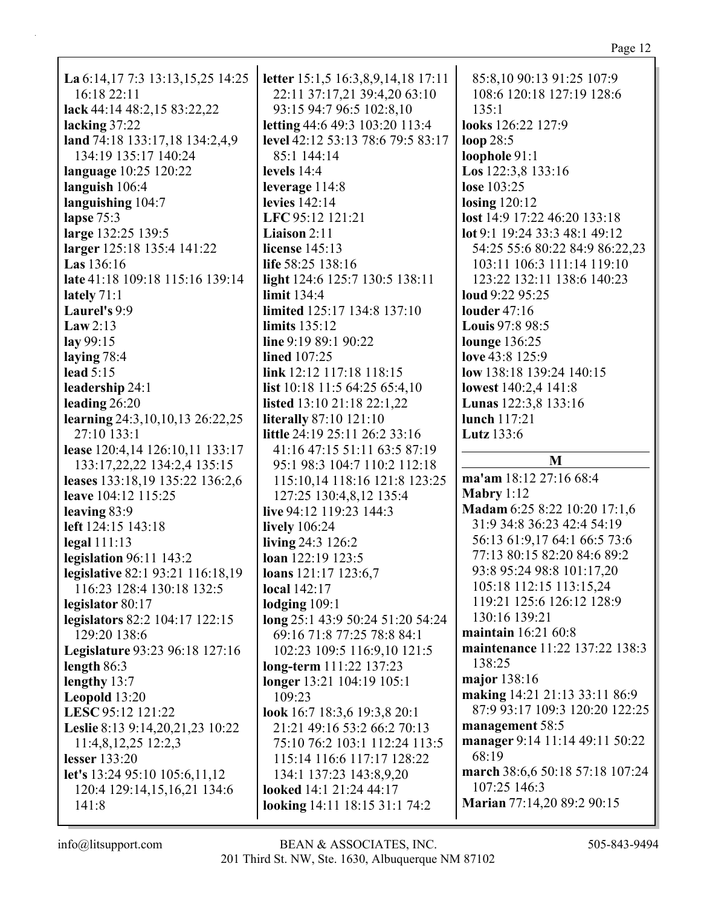| ш |  |
|---|--|
|   |  |

| La 6:14,17 7:3 13:13,15,25 14:25    | letter 15:1,5 16:3,8,9,14,18 17:11 | 85:8,10 90:13 91:25 107:9       |
|-------------------------------------|------------------------------------|---------------------------------|
| 16:18 22:11                         | 22:11 37:17,21 39:4,20 63:10       | 108:6 120:18 127:19 128:6       |
| lack 44:14 48:2,15 83:22,22         | 93:15 94:7 96:5 102:8,10           | 135:1                           |
| lacking 37:22                       | letting 44:6 49:3 103:20 113:4     | looks 126:22 127:9              |
| land 74:18 133:17,18 134:2,4,9      | level 42:12 53:13 78:6 79:5 83:17  | loop $28:5$                     |
| 134:19 135:17 140:24                | 85:1 144:14                        | loophole 91:1                   |
| language 10:25 120:22               | levels $14:4$                      | <b>Los</b> $122:3,8$ $133:16$   |
| languish 106:4                      | leverage $114:8$                   | lose 103:25                     |
| languishing 104:7                   | levies 142:14                      | <b>losing</b> 120:12            |
| lapse 75:3                          | LFC 95:12 121:21                   | lost 14:9 17:22 46:20 133:18    |
| large 132:25 139:5                  | Liaison 2:11                       | lot 9:1 19:24 33:3 48:1 49:12   |
| larger 125:18 135:4 141:22          | license $145:13$                   | 54:25 55:6 80:22 84:9 86:22,23  |
| <b>Las</b> 136:16                   | life 58:25 138:16                  | 103:11 106:3 111:14 119:10      |
| late 41:18 109:18 115:16 139:14     | light 124:6 125:7 130:5 138:11     | 123:22 132:11 138:6 140:23      |
|                                     | limit 134:4                        | loud 9:22 95:25                 |
| lately $71:1$<br>Laurel's 9:9       | limited 125:17 134:8 137:10        | louder $47:16$                  |
|                                     |                                    |                                 |
| Law $2:13$                          | limits $135:12$                    | <b>Louis</b> 97:8 98:5          |
| lay 99:15                           | line $9:1989:190:22$               | <b>lounge</b> 136:25            |
| laying 78:4                         | <b>lined</b> 107:25                | love 43:8 125:9                 |
| lead $5:15$                         | link 12:12 117:18 118:15           | low 138:18 139:24 140:15        |
| leadership 24:1                     | list $10:18$ 11:5 64:25 65:4,10    | lowest 140:2,4 141:8            |
| leading 26:20                       | listed 13:10 21:18 22:1,22         | Lunas 122:3,8 133:16            |
| learning 24:3, 10, 10, 13 26:22, 25 | <b>literally</b> 87:10 121:10      | lunch 117:21                    |
| 27:10 133:1                         | little 24:19 25:11 26:2 33:16      | Lutz 133:6                      |
| lease 120:4,14 126:10,11 133:17     | 41:16 47:15 51:11 63:5 87:19       | M                               |
| 133:17,22,22 134:2,4 135:15         | 95:1 98:3 104:7 110:2 112:18       |                                 |
| leases 133:18,19 135:22 136:2,6     | 115:10,14 118:16 121:8 123:25      | ma'am 18:12 27:16 68:4          |
| leave 104:12 115:25                 | 127:25 130:4,8,12 135:4            | Mabry $1:12$                    |
| leaving 83:9                        | live 94:12 119:23 144:3            | Madam 6:25 8:22 10:20 17:1,6    |
| left 124:15 143:18                  | lively 106:24                      | 31:9 34:8 36:23 42:4 54:19      |
| legal $111:13$                      | living 24:3 126:2                  | 56:13 61:9,17 64:1 66:5 73:6    |
| legislation 96:11 143:2             | loan 122:19 123:5                  | 77:13 80:15 82:20 84:6 89:2     |
| legislative 82:1 93:21 116:18,19    | loans $121:17$ $123:6,7$           | 93:8 95:24 98:8 101:17,20       |
| 116:23 128:4 130:18 132:5           | <b>local</b> 142:17                | 105:18 112:15 113:15,24         |
| legislator 80:17                    | lodging $109:1$                    | 119:21 125:6 126:12 128:9       |
| legislators 82:2 104:17 122:15      | long 25:1 43:9 50:24 51:20 54:24   | 130:16 139:21                   |
| 129:20 138:6                        | 69:16 71:8 77:25 78:8 84:1         | maintain 16:21 60:8             |
| Legislature 93:23 96:18 127:16      | 102:23 109:5 116:9,10 121:5        | maintenance 11:22 137:22 138:3  |
| length $86:3$                       | long-term 111:22 137:23            | 138:25                          |
| lengthy 13:7                        | longer 13:21 104:19 105:1          | major 138:16                    |
| Leopold 13:20                       | 109:23                             | making 14:21 21:13 33:11 86:9   |
| LESC 95:12 121:22                   | look 16:7 18:3,6 19:3,8 20:1       | 87:9 93:17 109:3 120:20 122:25  |
| Leslie 8:13 9:14,20,21,23 10:22     | 21:21 49:16 53:2 66:2 70:13        | management 58:5                 |
| $11:4,8,12,25$ 12:2,3               | 75:10 76:2 103:1 112:24 113:5      | manager 9:14 11:14 49:11 50:22  |
| <b>lesser</b> 133:20                | 115:14 116:6 117:17 128:22         | 68:19                           |
| let's 13:24 95:10 105:6,11,12       | 134:1 137:23 143:8,9,20            | march 38:6,6 50:18 57:18 107:24 |
| 120:4 129:14,15,16,21 134:6         | looked 14:1 21:24 44:17            | 107:25 146:3                    |
| 141:8                               | looking 14:11 18:15 31:1 74:2      | Marian 77:14,20 89:2 90:15      |
|                                     |                                    |                                 |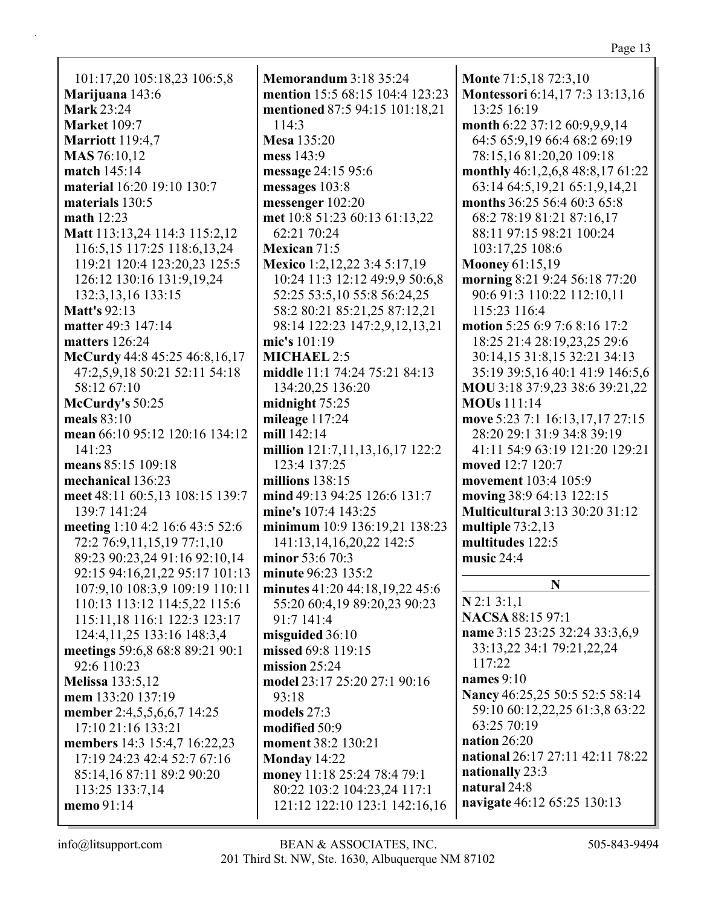101:17,20 105:18,23 106:5,8 **Marijuana** 143:6 **Mark** 23:24 **Market** 109:7 **Marriott** 119:4,7 **MAS** 76:10,12 **match** 145:14 **material** 16:20 19:10 130:7 **materials** 130:5 **math** 12:23 **Matt** 113:13,24 114:3 115:2,12 116:5,15 117:25 118:6,13,24 119:21 120:4 123:20,23 125:5 126:12 130:16 131:9,19,24 132:3,13,16 133:15 **Matt's** 92:13 **matter** 49:3 147:14 **matters** 126:24 **McCurdy** 44:8 45:25 46:8,16,17 47:2,5,9,18 50:21 52:11 54:18 58:12 67:10 **McCurdy's** 50:25 **meals** 83:10 **mean** 66:10 95:12 120:16 134:12 141:23 **means** 85:15 109:18 **mechanical** 136:23 **meet** 48:11 60:5,13 108:15 139:7 139:7 141:24 **meeting** 1:10 4:2 16:6 43:5 52:6 72:2 76:9,11,15,19 77:1,10 89:23 90:23,24 91:16 92:10,14 92:15 94:16,21,22 95:17 101:13 107:9,10 108:3,9 109:19 110:11 110:13 113:12 114:5,22 115:6 115:11,18 116:1 122:3 123:17 124:4,11,25 133:16 148:3,4 **meetings** 59:6,8 68:8 89:21 90:1 92:6 110:23 **Melissa** 133:5,12 **mem** 133:20 137:19 **member** 2:4,5,5,6,6,7 14:25 17:10 21:16 133:21 **members** 14:3 15:4,7 16:22,23 17:19 24:23 42:4 52:7 67:16 85:14,16 87:11 89:2 90:20 113:25 133:7,14 **memo** 91:14

**Memorandum** 3:18 35:24 **mention** 15:5 68:15 104:4 123:23 **mentioned** 87:5 94:15 101:18,21 114:3 **Mesa** 135:20 **mess** 143:9 **message** 24:15 95:6 **messages** 103:8 **messenger** 102:20 **met** 10:8 51:23 60:13 61:13,22 62:21 70:24 **Mexican** 71:5 **Mexico** 1:2,12,22 3:4 5:17,19 10:24 11:3 12:12 49:9,9 50:6,8 52:25 53:5,10 55:8 56:24,25 58:2 80:21 85:21,25 87:12,21 98:14 122:23 147:2,9,12,13,21 **mic's** 101:19 **MICHAEL** 2:5 **middle** 11:1 74:24 75:21 84:13 134:20,25 136:20 **midnight** 75:25 **mileage** 117:24 **mill** 142:14 **million** 121:7,11,13,16,17 122:2 123:4 137:25 **millions** 138:15 **mind** 49:13 94:25 126:6 131:7 **mine's** 107:4 143:25 **minimum** 10:9 136:19,21 138:23 141:13,14,16,20,22 142:5 **minor** 53:6 70:3 **minute** 96:23 135:2 **minutes** 41:20 44:18,19,22 45:6 55:20 60:4,19 89:20,23 90:23 91:7 141:4 **misguided** 36:10 **missed** 69:8 119:15 **mission** 25:24 **model** 23:17 25:20 27:1 90:16 93:18 **models** 27:3 **modified** 50:9 **moment** 38:2 130:21 **Monday** 14:22 **money** 11:18 25:24 78:4 79:1 80:22 103:2 104:23,24 117:1 121:12 122:10 123:1 142:16,16 **Monte** 71:5,18 72:3,10 **Montessori** 6:14,17 7:3 13:13,16 13:25 16:19 **month** 6:22 37:12 60:9,9,9,14 64:5 65:9,19 66:4 68:2 69:19 78:15,16 81:20,20 109:18 **monthly** 46:1,2,6,8 48:8,17 61:22 63:14 64:5,19,21 65:1,9,14,21 **months** 36:25 56:4 60:3 65:8 68:2 78:19 81:21 87:16,17 88:11 97:15 98:21 100:24 103:17,25 108:6 **Mooney** 61:15,19 **morning** 8:21 9:24 56:18 77:20 90:6 91:3 110:22 112:10,11 115:23 116:4 **motion** 5:25 6:9 7:6 8:16 17:2 18:25 21:4 28:19,23,25 29:6 30:14,15 31:8,15 32:21 34:13 35:19 39:5,16 40:1 41:9 146:5,6 **MOU** 3:18 37:9,23 38:6 39:21,22 **MOUs** 111:14 **move** 5:23 7:1 16:13,17,17 27:15 28:20 29:1 31:9 34:8 39:19 41:11 54:9 63:19 121:20 129:21 **moved** 12:7 120:7 **movement** 103:4 105:9 **moving** 38:9 64:13 122:15 **Multicultural** 3:13 30:20 31:12 **multiple** 73:2,13 **multitudes** 122:5 **music** 24:4 **N N** 2:1 3:1,1 **NACSA** 88:15 97:1 **name** 3:15 23:25 32:24 33:3,6,9 33:13,22 34:1 79:21,22,24 117:22 **names** 9:10 **Nancy** 46:25,25 50:5 52:5 58:14

59:10 60:12,22,25 61:3,8 63:22 63:25 70:19 **nation** 26:20 **national** 26:17 27:11 42:11 78:22 **nationally** 23:3 **natural** 24:8 **navigate** 46:12 65:25 130:13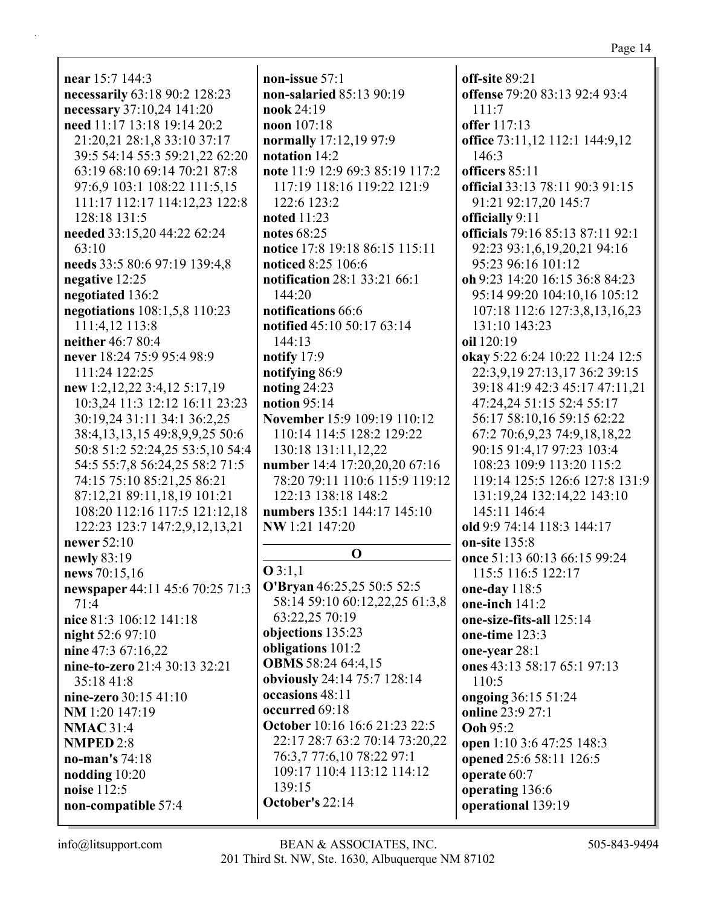near  $15:7$  144:3 necessarily 63:18 90:2 128:23 necessary 37:10,24 141:20 need 11:17 13:18 19:14 20:2 21:20,21 28:1,8 33:10 37:17 39:5 54:14 55:3 59:21,22 62:20 63:19 68:10 69:14 70:21 87:8 97:6,9 103:1 108:22 111:5,15 111:17 112:17 114:12,23 122:8 128:18 131:5 needed 33:15,20 44:22 62:24  $63:10$ needs 33:5 80:6 97:19 139:4,8 negative 12:25 negotiated 136:2 negotiations 108:1,5,8 110:23 111:4.12 113:8 neither 46:7 80:4 never 18:24 75:9 95:4 98:9 111:24 122:25 new 1:2,12,22 3:4,12 5:17,19 10:3,24 11:3 12:12 16:11 23:23 30:19,24 31:11 34:1 36:2,25 38:4,13,13,15 49:8,9,9,25 50:6 50:8 51:2 52:24.25 53:5.10 54:4 54:5 55:7,8 56:24,25 58:2 71:5 74:15 75:10 85:21,25 86:21 87:12,21 89:11,18,19 101:21 108:20 112:16 117:5 121:12,18 122:23 123:7 147:2,9,12,13,21 newer 52:10 newly 83:19 news 70:15,16 newspaper 44:11 45:6 70:25 71:3  $71:4$ nice 81:3 106:12 141:18 night 52:6 97:10 nine 47:3 67:16,22 nine-to-zero 21:4 30:13 32:21 35:18 41:8 nine-zero 30:15 41:10 NM 1:20 147:19  $NMAC$  31:4 **NMPED 2:8** no-man's  $74:18$ nodding 10:20 noise 112:5 October's 22:14 non-compatible 57:4

non-issue  $57:1$ non-salaried 85:13 90:19 nook  $24:19$ noon 107:18 normally 17:12,19 97:9 notation 14:2 note 11:9 12:9 69:3 85:19 117:2 117:19 118:16 119:22 121:9 122:6 123:2 noted  $11:23$ notes  $68:25$ notice 17:8 19:18 86:15 115:11 noticed 8:25 106:6 **notification** 28:1 33:21 66:1 144:20 notifications 66:6 notified 45:10 50:17 63:14 144:13 notify  $17:9$ notifying 86:9 noting  $24:23$ notion  $95:14$ November 15:9 109:19 110:12 110:14 114:5 128:2 129:22 130:18 131:11.12.22 number 14:4 17:20,20,20 67:16 78:20 79:11 110:6 115:9 119:12 122:13 138:18 148:2 numbers 135:1 144:17 145:10 NW 1:21 147:20  $\Omega$  $Q3:1,1$ O'Bryan 46:25,25 50:5 52:5 58:14 59:10 60:12,22,25 61:3,8 63:22,25 70:19 objections 135:23 obligations 101:2 **OBMS** 58:24 64:4,15 obviously 24:14 75:7 128:14 occasions 48:11 occurred 69:18 October 10:16 16:6 21:23 22:5 22:17 28:7 63:2 70:14 73:20.22 76:3,7 77:6,10 78:22 97:1 109:17 110:4 113:12 114:12  $139:15$ 

off-site 89:21 offense 79:20 83:13 92:4 93:4  $111:7$ **offer** 117:13 office 73:11,12 112:1 144:9,12 146:3 officers 85:11 official 33:13 78:11 90:3 91:15 91:21 92:17,20 145:7 officially 9:11 officials 79:16 85:13 87:11 92:1 92:23 93:1,6,19,20,21 94:16 95:23 96:16 101:12 **oh** 9:23 14:20 16:15 36:8 84:23 95:14 99:20 104:10,16 105:12 107:18 112:6 127:3,8,13,16,23 131:10 143:23 oil 120:19 **okay** 5:22 6:24 10:22 11:24 12:5 22:3,9,19 27:13,17 36:2 39:15 39:18 41:9 42:3 45:17 47:11,21 47:24,24 51:15 52:4 55:17 56:17 58:10,16 59:15 62:22 67:2 70:6,9,23 74:9,18,18,22 90:15 91:4.17 97:23 103:4 108:23 109:9 113:20 115:2 119:14 125:5 126:6 127:8 131:9 131:19,24 132:14,22 143:10 145:11 146:4 old 9:9 74:14 118:3 144:17 on-site 135:8 once 51:13 60:13 66:15 99:24 115:5 116:5 122:17 one-day 118:5 one-inch  $141:2$ one-size-fits-all 125:14 one-time 123:3 one-year 28:1 ones 43:13 58:17 65:1 97:13 110:5 ongoing 36:15 51:24 online 23:9 27:1 Ooh 95:2 open 1:10 3:6 47:25 148:3 opened 25:6 58:11 126:5 operate 60:7 operating 136:6 operational 139:19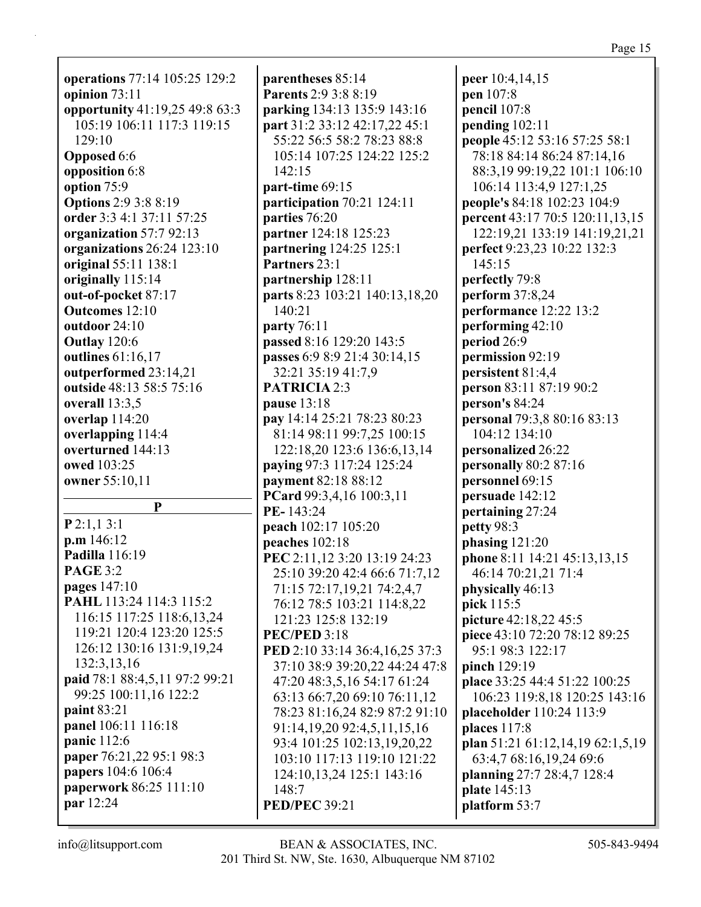#### Page 15

**operations** 77:14 105:25 129:2 **opinion** 73:11 **opportunity** 41:19,25 49:8 63:3 105:19 106:11 117:3 119:15 129:10 **Opposed** 6:6 **opposition** 6:8 **option** 75:9 **Options** 2:9 3:8 8:19 **order** 3:3 4:1 37:11 57:25 **organization** 57:7 92:13 **organizations** 26:24 123:10 **original** 55:11 138:1 **originally** 115:14 **out-of-pocket** 87:17 **Outcomes** 12:10 **outdoor** 24:10 **Outlay** 120:6 **outlines** 61:16,17 **outperformed** 23:14,21 **outside** 48:13 58:5 75:16 **overall** 13:3,5 **overlap** 114:20 **overlapping** 114:4 **overturned** 144:13 **owed** 103:25 **owner** 55:10,11 **P P** 2:1,1 3:1 **p.m** 146:12 **Padilla** 116:19 **PAGE** 3:2 **pages** 147:10 **PAHL** 113:24 114:3 115:2 116:15 117:25 118:6,13,24 119:21 120:4 123:20 125:5 126:12 130:16 131:9,19,24 132:3,13,16 **paid** 78:1 88:4,5,11 97:2 99:21 99:25 100:11,16 122:2 **paint** 83:21 **panel** 106:11 116:18 **panic** 112:6 **paper** 76:21,22 95:1 98:3 **papers** 104:6 106:4 **paperwork** 86:25 111:10 **par** 12:24

**parentheses** 85:14 **Parents** 2:9 3:8 8:19 **parking** 134:13 135:9 143:16 **part** 31:2 33:12 42:17,22 45:1 55:22 56:5 58:2 78:23 88:8 105:14 107:25 124:22 125:2 142:15 **part-time** 69:15 **participation** 70:21 124:11 **parties** 76:20 **partner** 124:18 125:23 **partnering** 124:25 125:1 **Partners** 23:1 **partnership** 128:11 **parts** 8:23 103:21 140:13,18,20 140:21 **party** 76:11 **passed** 8:16 129:20 143:5 **passes** 6:9 8:9 21:4 30:14,15 32:21 35:19 41:7,9 **PATRICIA** 2:3 **pause** 13:18 **pay** 14:14 25:21 78:23 80:23 81:14 98:11 99:7,25 100:15 122:18,20 123:6 136:6,13,14 **paying** 97:3 117:24 125:24 **payment** 82:18 88:12 **PCard** 99:3,4,16 100:3,11 **PE-** 143:24 **peach** 102:17 105:20 **peaches** 102:18 **PEC** 2:11,12 3:20 13:19 24:23 25:10 39:20 42:4 66:6 71:7,12 71:15 72:17,19,21 74:2,4,7 76:12 78:5 103:21 114:8,22 121:23 125:8 132:19 **PEC/PED** 3:18 **PED** 2:10 33:14 36:4,16,25 37:3 37:10 38:9 39:20,22 44:24 47:8 47:20 48:3,5,16 54:17 61:24 63:13 66:7,20 69:10 76:11,12 78:23 81:16,24 82:9 87:2 91:10 91:14,19,20 92:4,5,11,15,16 93:4 101:25 102:13,19,20,22 103:10 117:13 119:10 121:22 124:10,13,24 125:1 143:16 148:7 **PED/PEC** 39:21

**peer** 10:4,14,15 **pen** 107:8 **pencil** 107:8 **pending** 102:11 **people** 45:12 53:16 57:25 58:1 78:18 84:14 86:24 87:14,16 88:3,19 99:19,22 101:1 106:10 106:14 113:4,9 127:1,25 **people's** 84:18 102:23 104:9 **percent** 43:17 70:5 120:11,13,15 122:19,21 133:19 141:19,21,21 **perfect** 9:23,23 10:22 132:3 145:15 **perfectly** 79:8 **perform** 37:8,24 **performance** 12:22 13:2 **performing** 42:10 **period** 26:9 **permission** 92:19 **persistent** 81:4,4 **person** 83:11 87:19 90:2 **person's** 84:24 **personal** 79:3,8 80:16 83:13 104:12 134:10 **personalized** 26:22 **personally** 80:2 87:16 **personnel** 69:15 **persuade** 142:12 **pertaining** 27:24 **petty** 98:3 **phasing** 121:20 **phone** 8:11 14:21 45:13,13,15 46:14 70:21,21 71:4 **physically** 46:13 **pick** 115:5 **picture** 42:18,22 45:5 **piece** 43:10 72:20 78:12 89:25 95:1 98:3 122:17 **pinch** 129:19 **place** 33:25 44:4 51:22 100:25 106:23 119:8,18 120:25 143:16 **placeholder** 110:24 113:9 **places** 117:8 **plan** 51:21 61:12,14,19 62:1,5,19 63:4,7 68:16,19,24 69:6 **planning** 27:7 28:4,7 128:4 **plate** 145:13 **platform** 53:7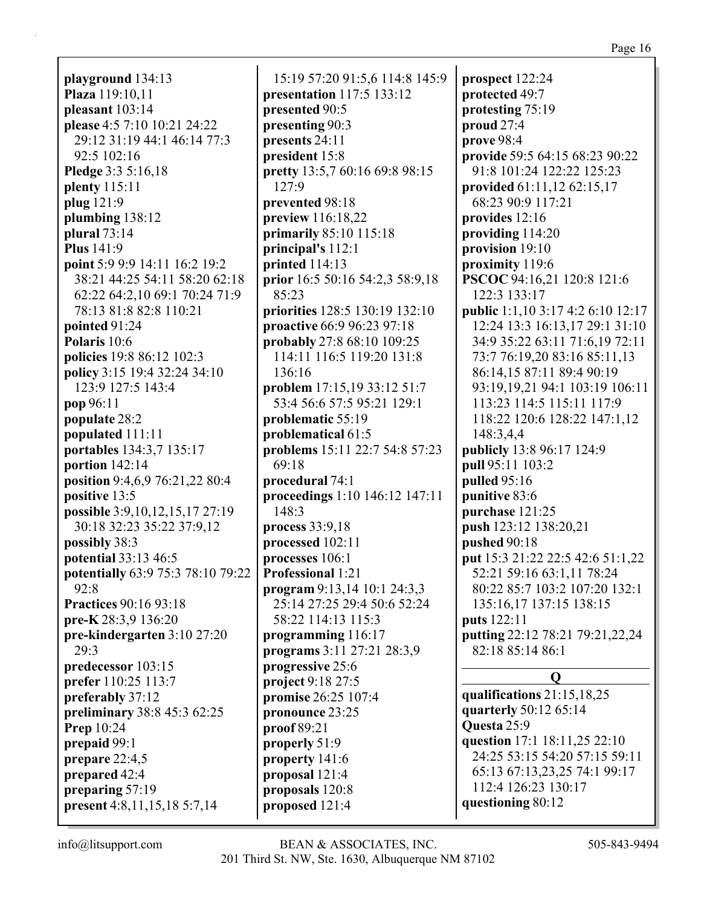Page 16

playground 134:13 Plaza 119:10,11 pleasant  $103:14$ please 4:5 7:10 10:21 24:22 29:12 31:19 44:1 46:14 77:3 92:5 102:16 Pledge 3:3 5:16,18 plenty  $115:11$ plug 121:9 plumbing  $138:12$ plural  $73:14$ **Plus** 141:9 point 5:9 9:9 14:11 16:2 19:2 38:21 44:25 54:11 58:20 62:18 62:22 64:2,10 69:1 70:24 71:9 78:13 81:8 82:8 110:21 pointed  $91:24$ Polaris 10:6 **policies** 19:8 86:12 102:3 **policy** 3:15 19:4 32:24 34:10 123:9 127:5 143:4 pop 96:11 populate 28:2 populated 111:11 portables 134:3,7 135:17 portion 142:14 position 9:4,6,9 76:21,22 80:4 positive 13:5 possible 3:9, 10, 12, 15, 17 27:19 30:18 32:23 35:22 37:9,12 possibly 38:3 potential 33:13 46:5 potentially 63:9 75:3 78:10 79:22  $92:8$ **Practices 90:16 93:18** pre-K 28:3,9 136:20 pre-kindergarten 3:10 27:20  $29:3$ predecessor 103:15 prefer 110:25 113:7 preferably 37:12 preliminary 38:8 45:3 62:25 Prep  $10:24$ prepaid 99:1 prepare  $22:4,5$ prepared 42:4 preparing 57:19 present 4:8,11,15,18 5:7,14

15:19 57:20 91:5.6 114:8 145:9 presentation 117:5 133:12 presented 90:5 presenting 90:3 presents  $24:11$ president 15:8 pretty 13:5,7 60:16 69:8 98:15  $127:9$ prevented 98:18 preview  $116:18,22$ **primarily** 85:10 115:18 principal's  $112:1$ printed  $114:13$ prior 16:5 50:16 54:2,3 58:9,18 85:23 priorities 128:5 130:19 132:10 **proactive** 66:9 96:23 97:18 **probably** 27:8 68:10 109:25 114:11 116:5 119:20 131:8  $136:16$ problem 17:15,19 33:12 51:7 53:4 56:6 57:5 95:21 129:1 problematic 55:19 problematical 61:5 **problems** 15:11 22:7 54:8 57:23 69:18 procedural 74:1 proceedings 1:10 146:12 147:11 148:3 process  $33:9,18$ processed 102:11 processes  $106:1$ **Professional 1:21** program  $9:13,14$  10:1 24:3,3 25:14 27:25 29:4 50:6 52:24 58:22 114:13 115:3 programming 116:17 programs 3:11 27:21 28:3,9 progressive 25:6 project 9:18 27:5 promise 26:25 107:4 pronounce 23:25  $proof 89:21$ properly  $51:9$ property  $141:6$ proposal 121:4 proposals 120:8 proposed 121:4

prospect 122:24 protected 49:7 protesting 75:19 proud  $27:4$  $prove 98:4$ provide 59:5 64:15 68:23 90:22 91:8 101:24 122:22 125:23 provided 61:11,12 62:15,17 68:23 90:9 117:21 provides  $12:16$ providing  $114:20$ provision 19:10 proximity  $119:6$ PSCOC 94:16,21 120:8 121:6 122:3 133:17 **public** 1:1,10 3:17 4:2 6:10 12:17 12:24 13:3 16:13,17 29:1 31:10 34:9 35:22 63:11 71:6.19 72:11 73:7 76:19,20 83:16 85:11,13 86:14,15 87:11 89:4 90:19 93:19,19,21 94:1 103:19 106:11 113:23 114:5 115:11 117:9 118:22 120:6 128:22 147:1,12 148:3,4,4 publicly 13:8 96:17 124:9 pull 95:11 103:2 **pulled**  $95:16$ punitive 83:6 purchase 121:25 push 123:12 138:20,21 pushed 90:18 put 15:3 21:22 22:5 42:6 51:1,22 52:21 59:16 63:1,11 78:24 80:22 85:7 103:2 107:20 132:1 135:16,17 137:15 138:15 **puts** 122:11 putting 22:12 78:21 79:21,22,24 82:18 85:14 86:1  $\mathbf{O}$ qualifications  $21:15,18,25$ quarterly 50:12 65:14 **Ouesta** 25:9 question 17:1 18:11,25 22:10 24:25 53:15 54:20 57:15 59:11 65:13 67:13,23,25 74:1 99:17 112:4 126:23 130:17

questioning 80:12

 $info@$ litsupport.com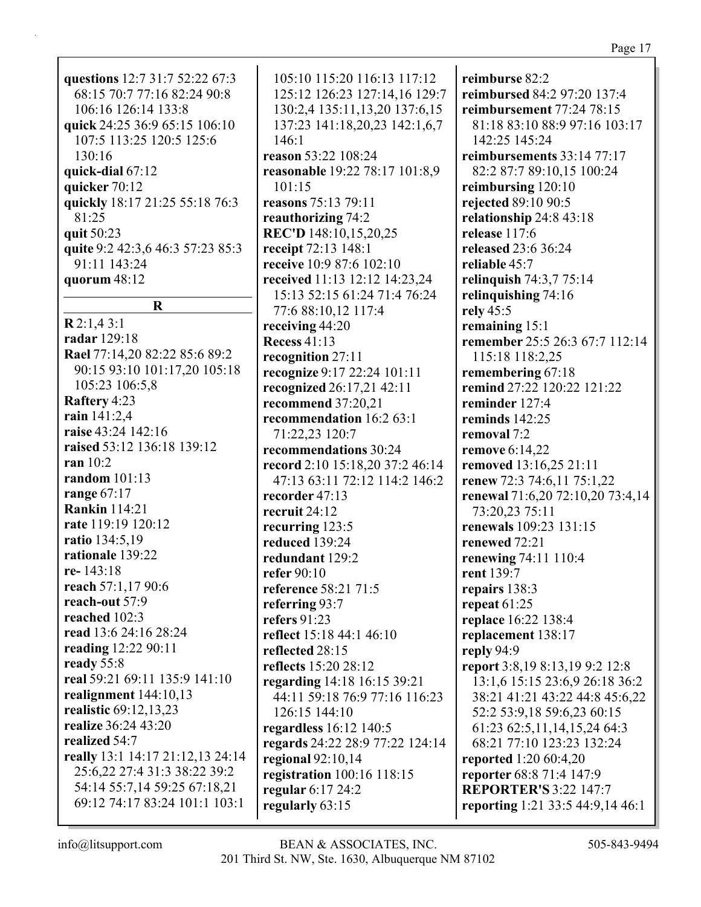| questions 12:7 31:7 52:22 67:3   |  |  |  |
|----------------------------------|--|--|--|
| 68:15 70:7 77:16 82:24 90:8      |  |  |  |
| 106:16 126:14 133:8              |  |  |  |
| quick 24:25 36:9 65:15 106:10    |  |  |  |
| 107:5 113:25 120:5 125:6         |  |  |  |
| 130:16                           |  |  |  |
| quick-dial 67:12                 |  |  |  |
| quicker 70:12                    |  |  |  |
| quickly 18:17 21:25 55:18 76:3   |  |  |  |
| 81:25                            |  |  |  |
| quit 50:23                       |  |  |  |
| quite 9:2 42:3,6 46:3 57:23 85:3 |  |  |  |
| 91:11 143:24                     |  |  |  |
| quorum $48:12$                   |  |  |  |
|                                  |  |  |  |
|                                  |  |  |  |
| $\bf R$                          |  |  |  |
| R2:1,43:1                        |  |  |  |
| radar 129:18                     |  |  |  |
| Rael 77:14,20 82:22 85:6 89:2    |  |  |  |
| 90:15 93:10 101:17,20 105:18     |  |  |  |
| 105:23 106:5,8                   |  |  |  |
| <b>Raftery 4:23</b>              |  |  |  |
| rain 141:2,4                     |  |  |  |
| raise 43:24 142:16               |  |  |  |
| raised 53:12 136:18 139:12       |  |  |  |
| ran $10:2$                       |  |  |  |
| random $101:13$                  |  |  |  |
| range 67:17                      |  |  |  |

105:10 115:20 116:13 117:12 125:12 126:23 127:14,16 129:7 130:2,4 135:11,13,20 137:6,15 137:23 141:18,20,23 142:1,6,7 146:1 **reason** 53:22 108:24 **reasonable** 19:22 78:17 101:8,9 101:15 **reasons** 75:13 79:11 **reauthorizing** 74:2 **REC'D** 148:10,15,20,25 **receipt** 72:13 148:1 **receive** 10:9 87:6 102:10 **received** 11:13 12:12 14:23,24 15:13 52:15 61:24 71:4 76:24 77:6 88:10,12 117:4 **receiving** 44:20 **Recess** 41:13 **recognition** 27:11 **recognize** 9:17 22:24 101:11 **recognized** 26:17,21 42:11 **recommend** 37:20,21 **recommendation** 16:2 63:1 71:22,23 120:7 **recommendations** 30:24 **record** 2:10 15:18,20 37:2 46:14 47:13 63:11 72:12 114:2 146:2 **recorder** 47:13 **recruit** 24:12 **recurring** 123:5 **reduced** 139:24 **redundant** 129:2 **refer** 90:10 **reference** 58:21 71:5 **referring** 93:7 **refers** 91:23 **reflect** 15:18 44:1 46:10 **reflected** 28:15 **reflects** 15:20 28:12 **regarding** 14:18 16:15 39:21 44:11 59:18 76:9 77:16 116:23 126:15 144:10 **regardless** 16:12 140:5 **regards** 24:22 28:9 77:22 124:14 **regional** 92:10,14 **registration** 100:16 118:15 **regular** 6:17 24:2 **regularly** 63:15

**reimburse** 82:2 **reimbursed** 84:2 97:20 137:4 **reimbursement** 77:24 78:15 81:18 83:10 88:9 97:16 103:17 142:25 145:24 **reimbursements** 33:14 77:17 82:2 87:7 89:10,15 100:24 **reimbursing** 120:10 **rejected** 89:10 90:5 **relationship** 24:8 43:18 **release** 117:6 **released** 23:6 36:24 **reliable** 45:7 **relinquish** 74:3,7 75:14 **relinquishing** 74:16 **rely** 45:5 **remaining** 15:1 **remember** 25:5 26:3 67:7 112:14 115:18 118:2,25 **remembering** 67:18 **remind** 27:22 120:22 121:22 **reminder** 127:4 **reminds** 142:25 **removal** 7:2 **remove** 6:14,22 **removed** 13:16,25 21:11 **renew** 72:3 74:6,11 75:1,22 **renewal** 71:6,20 72:10,20 73:4,14 73:20,23 75:11 **renewals** 109:23 131:15 **renewed** 72:21 **renewing** 74:11 110:4 **rent** 139:7 **repairs** 138:3 **repeat** 61:25 **replace** 16:22 138:4 **replacement** 138:17 **reply** 94:9 **report** 3:8,19 8:13,19 9:2 12:8 13:1,6 15:15 23:6,9 26:18 36:2 38:21 41:21 43:22 44:8 45:6,22 52:2 53:9,18 59:6,23 60:15 61:23 62:5,11,14,15,24 64:3 68:21 77:10 123:23 132:24 **reported** 1:20 60:4,20 **reporter** 68:8 71:4 147:9 **REPORTER'S** 3:22 147:7 **reporting** 1:21 33:5 44:9,14 46:1

**rate** 119:19 120:12 **ratio** 134:5,19 **rationale** 139:22

**reach** 57:1,17 90:6 **reach-out** 57:9 **reached** 102:3

**read** 13:6 24:16 28:24 **reading** 12:22 90:11

**realignment** 144:10,13 **realistic** 69:12,13,23 **realize** 36:24 43:20

**real** 59:21 69:11 135:9 141:10

**really** 13:1 14:17 21:12,13 24:14 25:6,22 27:4 31:3 38:22 39:2 54:14 55:7,14 59:25 67:18,21 69:12 74:17 83:24 101:1 103:1

**re-** 143:18

**ready** 55:8

**realized** 54:7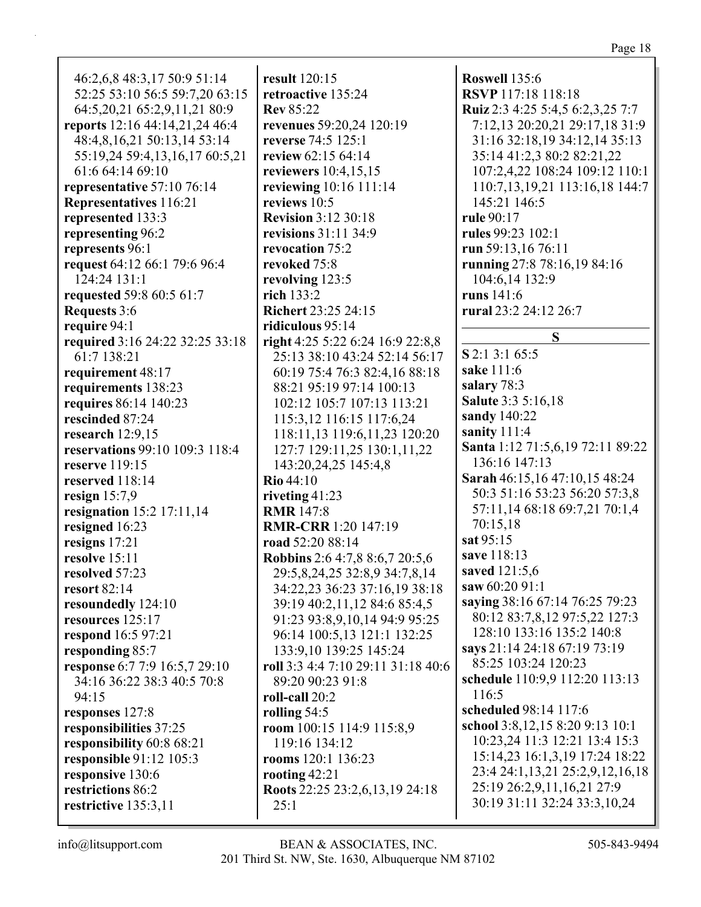46:2,6,8 48:3,17 50:9 51:14 52:25 53:10 56:5 59:7,20 63:15 64:5,20,21 65:2,9,11,21 80:9 **reports** 12:16 44:14,21,24 46:4 48:4,8,16,21 50:13,14 53:14 55:19,24 59:4,13,16,17 60:5,21 61:6 64:14 69:10 **representative** 57:10 76:14 **Representatives** 116:21 **represented** 133:3 **representing** 96:2 **represents** 96:1 **request** 64:12 66:1 79:6 96:4 124:24 131:1 **requested** 59:8 60:5 61:7 **Requests** 3:6 **require** 94:1 **required** 3:16 24:22 32:25 33:18 61:7 138:21 **requirement** 48:17 **requirements** 138:23 **requires** 86:14 140:23 **rescinded** 87:24 **research** 12:9,15 **reservations** 99:10 109:3 118:4 **reserve** 119:15 **reserved** 118:14 **resign** 15:7,9 **resignation** 15:2 17:11,14 **resigned** 16:23 **resigns** 17:21 **resolve** 15:11 **resolved** 57:23 **resort** 82:14 **resoundedly** 124:10 **resources** 125:17 **respond** 16:5 97:21 **responding** 85:7 **response** 6:7 7:9 16:5,7 29:10 34:16 36:22 38:3 40:5 70:8 94:15 **responses** 127:8 **responsibilities** 37:25 **responsibility** 60:8 68:21 **responsible** 91:12 105:3 **responsive** 130:6 **restrictions** 86:2 **restrictive** 135:3,11 **result** 120:15 **retroactive** 135:24 **Rev** 85:22 **revenues** 59:20,24 120:19 **reverse** 74:5 125:1 **review** 62:15 64:14 **reviewers** 10:4,15,15 **reviewing** 10:16 111:14 **reviews** 10:5 **Revision** 3:12 30:18 **revisions** 31:11 34:9 **revocation** 75:2 **revoked** 75:8 **revolving** 123:5 **rich** 133:2 **Richert** 23:25 24:15 **ridiculous** 95:14 **right** 4:25 5:22 6:24 16:9 22:8,8 25:13 38:10 43:24 52:14 56:17 60:19 75:4 76:3 82:4,16 88:18 88:21 95:19 97:14 100:13 102:12 105:7 107:13 113:21 115:3,12 116:15 117:6,24 118:11,13 119:6,11,23 120:20 127:7 129:11,25 130:1,11,22 143:20,24,25 145:4,8 **Rio** 44:10 **riveting** 41:23 **RMR** 147:8 **RMR-CRR** 1:20 147:19 **road** 52:20 88:14 **Robbins** 2:6 4:7,8 8:6,7 20:5,6 29:5,8,24,25 32:8,9 34:7,8,14 34:22,23 36:23 37:16,19 38:18 39:19 40:2,11,12 84:6 85:4,5 91:23 93:8,9,10,14 94:9 95:25 96:14 100:5,13 121:1 132:25 133:9,10 139:25 145:24 **roll** 3:3 4:4 7:10 29:11 31:18 40:6 89:20 90:23 91:8 **roll-call** 20:2 **rolling** 54:5 **room** 100:15 114:9 115:8,9 119:16 134:12 **rooms** 120:1 136:23 **rooting** 42:21 **Roots** 22:25 23:2,6,13,19 24:18 25:1 116:5

**Roswell** 135:6 **RSVP** 117:18 118:18 **Ruiz** 2:3 4:25 5:4,5 6:2,3,25 7:7 7:12,13 20:20,21 29:17,18 31:9 31:16 32:18,19 34:12,14 35:13 35:14 41:2,3 80:2 82:21,22 107:2,4,22 108:24 109:12 110:1 110:7,13,19,21 113:16,18 144:7 145:21 146:5 **rule** 90:17 **rules** 99:23 102:1 **run** 59:13,16 76:11 **running** 27:8 78:16,19 84:16 104:6,14 132:9 **runs** 141:6 **rural** 23:2 24:12 26:7 **S S** 2:1 3:1 65:5 **sake** 111:6 **salary** 78:3 **Salute** 3:3 5:16,18 **sandy** 140:22 **sanity** 111:4 **Santa** 1:12 71:5,6,19 72:11 89:22 136:16 147:13 **Sarah** 46:15,16 47:10,15 48:24 50:3 51:16 53:23 56:20 57:3,8 57:11,14 68:18 69:7,21 70:1,4 70:15,18 **sat** 95:15 **save** 118:13 **saved** 121:5,6 **saw** 60:20 91:1 **saying** 38:16 67:14 76:25 79:23 80:12 83:7,8,12 97:5,22 127:3 128:10 133:16 135:2 140:8 **says** 21:14 24:18 67:19 73:19 85:25 103:24 120:23 **schedule** 110:9,9 112:20 113:13 **scheduled** 98:14 117:6 **school** 3:8,12,15 8:20 9:13 10:1 10:23,24 11:3 12:21 13:4 15:3 15:14,23 16:1,3,19 17:24 18:22 23:4 24:1,13,21 25:2,9,12,16,18 25:19 26:2,9,11,16,21 27:9 30:19 31:11 32:24 33:3,10,24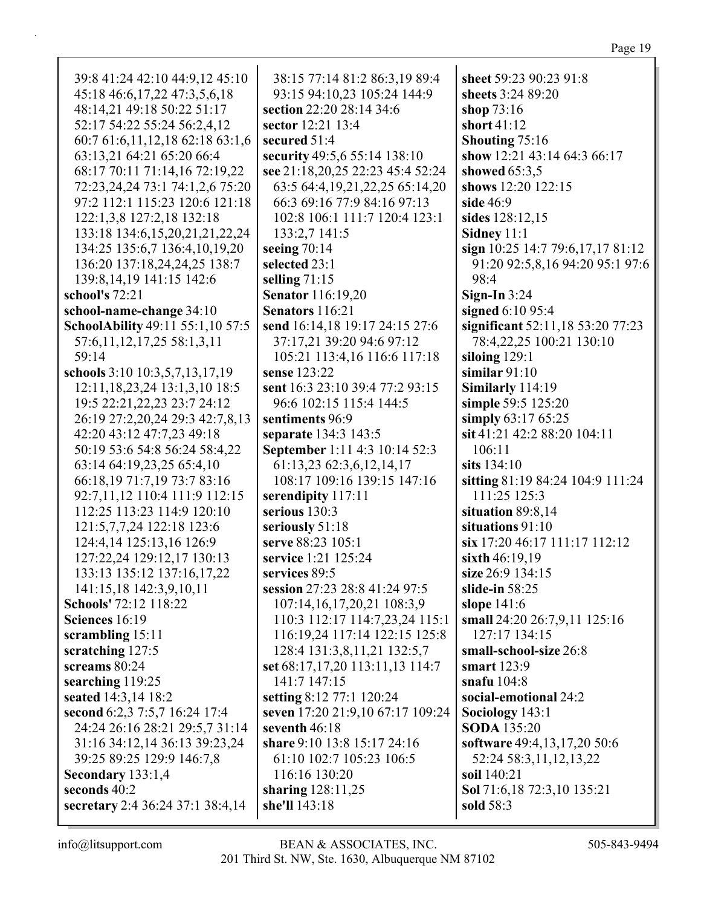| 39:8 41:24 42:10 44:9,12 45:10       | 38:15 77:14 81:2 86:3,19 89:4        | sheet 59:23 90:23 91:8             |
|--------------------------------------|--------------------------------------|------------------------------------|
| 45:18 46:6,17,22 47:3,5,6,18         | 93:15 94:10,23 105:24 144:9          | sheets 3:24 89:20                  |
| 48:14,21 49:18 50:22 51:17           | section 22:20 28:14 34:6             | shop $73:16$                       |
| 52:17 54:22 55:24 56:2,4,12          | sector 12:21 13:4                    | short 41:12                        |
| 60:7 61:6,11,12,18 62:18 63:1,6      | secured 51:4                         | <b>Shouting 75:16</b>              |
| 63:13,21 64:21 65:20 66:4            | security 49:5,6 55:14 138:10         | show 12:21 43:14 64:3 66:17        |
| 68:17 70:11 71:14,16 72:19,22        | see 21:18,20,25 22:23 45:4 52:24     | showed $65:3,5$                    |
| 72:23,24,24 73:1 74:1,2,6 75:20      | 63:5 64:4, 19, 21, 22, 25 65: 14, 20 | shows 12:20 122:15                 |
| 97:2 112:1 115:23 120:6 121:18       | 66:3 69:16 77:9 84:16 97:13          | side 46:9                          |
| 122:1,3,8 127:2,18 132:18            | 102:8 106:1 111:7 120:4 123:1        | sides 128:12,15                    |
| 133:18 134:6, 15, 20, 21, 21, 22, 24 | 133:2,7 141:5                        | Sidney 11:1                        |
| 134:25 135:6,7 136:4,10,19,20        | seeing $70:14$                       | sign 10:25 14:7 79:6,17,17 81:12   |
| 136:20 137:18,24,24,25 138:7         | selected 23:1                        | 91:20 92:5,8,16 94:20 95:1 97:6    |
| 139:8, 14, 19 141: 15 142: 6         | selling $71:15$                      | 98:4                               |
| school's 72:21                       | <b>Senator</b> 116:19,20             | Sign-In $3:24$                     |
|                                      | Senators 116:21                      |                                    |
| school-name-change 34:10             |                                      | signed 6:10 95:4                   |
| SchoolAbility 49:11 55:1,10 57:5     | send 16:14,18 19:17 24:15 27:6       | significant 52:11,18 53:20 77:23   |
| 57:6, 11, 12, 17, 25 58:1, 3, 11     | 37:17,21 39:20 94:6 97:12            | 78:4,22,25 100:21 130:10           |
| 59:14                                | 105:21 113:4,16 116:6 117:18         | siloing $129:1$<br>similar $91:10$ |
| schools 3:10 10:3,5,7,13,17,19       | sense 123:22                         |                                    |
| 12:11, 18, 23, 24 13:1, 3, 10 18:5   | sent 16:3 23:10 39:4 77:2 93:15      | Similarly 114:19                   |
| 19:5 22:21, 22, 23 23:7 24:12        | 96:6 102:15 115:4 144:5              | simple 59:5 125:20                 |
| 26:19 27:2,20,24 29:3 42:7,8,13      | sentiments 96:9                      | simply 63:17 65:25                 |
| 42:20 43:12 47:7,23 49:18            | separate 134:3 143:5                 | sit 41:21 42:2 88:20 104:11        |
| 50:19 53:6 54:8 56:24 58:4,22        | September 1:11 4:3 10:14 52:3        | 106:11                             |
| 63:14 64:19,23,25 65:4,10            | 61:13,23 62:3,6,12,14,17             | sits $134:10$                      |
| 66:18,19 71:7,19 73:7 83:16          | 108:17 109:16 139:15 147:16          | sitting 81:19 84:24 104:9 111:24   |
| 92:7,11,12 110:4 111:9 112:15        | serendipity 117:11                   | 111:25 125:3                       |
| 112:25 113:23 114:9 120:10           | serious 130:3                        | situation 89:8,14                  |
| 121:5,7,7,24 122:18 123:6            | seriously 51:18                      | situations 91:10                   |
| 124:4,14 125:13,16 126:9             | serve 88:23 105:1                    | six 17:20 46:17 111:17 112:12      |
| 127:22,24 129:12,17 130:13           | service 1:21 125:24                  | sixth 46:19,19                     |
| 133:13 135:12 137:16,17,22           | services 89:5                        | size 26:9 134:15                   |
| 141:15,18 142:3,9,10,11              | session 27:23 28:8 41:24 97:5        | slide-in $58:25$                   |
| Schools' 72:12 118:22                | 107:14,16,17,20,21 108:3,9           | slope $141:6$                      |
| Sciences 16:19                       | 110:3 112:17 114:7,23,24 115:1       | small 24:20 26:7,9,11 125:16       |
| scrambling 15:11                     | 116:19,24 117:14 122:15 125:8        | 127:17 134:15                      |
| scratching 127:5                     | 128:4 131:3,8,11,21 132:5,7          | small-school-size 26:8             |
| screams 80:24                        | set 68:17,17,20 113:11,13 114:7      | smart 123:9                        |
| searching 119:25                     | 141:7 147:15                         | snafu $104:8$                      |
| seated 14:3,14 18:2                  | setting 8:12 77:1 120:24             | social-emotional 24:2              |
| second 6:2,3 7:5,7 16:24 17:4        | seven 17:20 21:9,10 67:17 109:24     | Sociology 143:1                    |
| 24:24 26:16 28:21 29:5,7 31:14       | seventh 46:18                        | <b>SODA</b> 135:20                 |
| 31:16 34:12,14 36:13 39:23,24        | share 9:10 13:8 15:17 24:16          | software 49:4,13,17,20 50:6        |
| 39:25 89:25 129:9 146:7,8            | 61:10 102:7 105:23 106:5             | 52:24 58:3,11,12,13,22             |
| Secondary 133:1,4                    | 116:16 130:20                        | soil 140:21                        |
| seconds 40:2                         | sharing $128:11,25$                  | Sol 71:6,18 72:3,10 135:21         |
| secretary 2:4 36:24 37:1 38:4,14     | she'll 143:18                        | sold 58:3                          |
|                                      |                                      |                                    |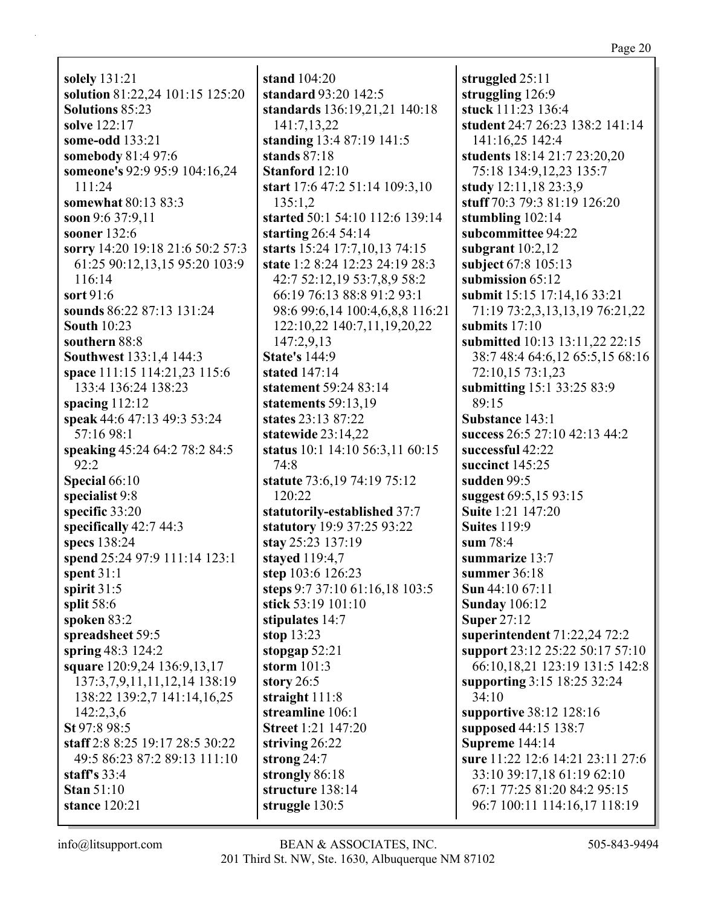**solely** 131:21 **solution** 81:22,24 101:15 125:20 **Solutions** 85:23 **solve** 122:17 **some-odd** 133:21 **somebody** 81:4 97:6 **someone's** 92:9 95:9 104:16,24 111:24 **somewhat** 80:13 83:3 **soon** 9:6 37:9,11 **sooner** 132:6 **sorry** 14:20 19:18 21:6 50:2 57:3 61:25 90:12,13,15 95:20 103:9 116:14 **sort** 91:6 **sounds** 86:22 87:13 131:24 **South** 10:23 **southern** 88:8 **Southwest** 133:1,4 144:3 **space** 111:15 114:21,23 115:6 133:4 136:24 138:23 **spacing** 112:12 **speak** 44:6 47:13 49:3 53:24 57:16 98:1 **speaking** 45:24 64:2 78:2 84:5 92:2 **Special** 66:10 **specialist** 9:8 **specific** 33:20 **specifically** 42:7 44:3 **specs** 138:24 **spend** 25:24 97:9 111:14 123:1 **spent** 31:1 **spirit** 31:5 **split** 58:6 **spoken** 83:2 **spreadsheet** 59:5 **spring** 48:3 124:2 **square** 120:9,24 136:9,13,17 137:3,7,9,11,11,12,14 138:19 138:22 139:2,7 141:14,16,25 142:2,3,6 **St** 97:8 98:5 **staff** 2:8 8:25 19:17 28:5 30:22 49:5 86:23 87:2 89:13 111:10 **staff's** 33:4 **Stan** 51:10 **stance** 120:21

**stand** 104:20 **standard** 93:20 142:5 **standards** 136:19,21,21 140:18 141:7,13,22 **standing** 13:4 87:19 141:5 **stands** 87:18 **Stanford** 12:10 **start** 17:6 47:2 51:14 109:3,10 135:1,2 **started** 50:1 54:10 112:6 139:14 **starting** 26:4 54:14 **starts** 15:24 17:7,10,13 74:15 **state** 1:2 8:24 12:23 24:19 28:3 42:7 52:12,19 53:7,8,9 58:2 66:19 76:13 88:8 91:2 93:1 98:6 99:6,14 100:4,6,8,8 116:21 122:10,22 140:7,11,19,20,22 147:2,9,13 **State's** 144:9 **stated** 147:14 **statement** 59:24 83:14 **statements** 59:13,19 **states** 23:13 87:22 **statewide** 23:14,22 **status** 10:1 14:10 56:3,11 60:15 74:8 **statute** 73:6,19 74:19 75:12 120:22 **statutorily-established** 37:7 **statutory** 19:9 37:25 93:22 **stay** 25:23 137:19 **stayed** 119:4,7 **step** 103:6 126:23 **steps** 9:7 37:10 61:16,18 103:5 **stick** 53:19 101:10 **stipulates** 14:7 **stop** 13:23 **stopgap** 52:21 **storm** 101:3 **story** 26:5 **straight** 111:8 **streamline** 106:1 **Street** 1:21 147:20 **striving** 26:22 **strong** 24:7 **strongly** 86:18 **structure** 138:14 **struggle** 130:5

**struggled** 25:11 **struggling** 126:9 **stuck** 111:23 136:4 **student** 24:7 26:23 138:2 141:14 141:16,25 142:4 **students** 18:14 21:7 23:20,20 75:18 134:9,12,23 135:7 **study** 12:11,18 23:3,9 **stuff** 70:3 79:3 81:19 126:20 **stumbling** 102:14 **subcommittee** 94:22 **subgrant** 10:2,12 **subject** 67:8 105:13 **submission** 65:12 **submit** 15:15 17:14,16 33:21 71:19 73:2,3,13,13,19 76:21,22 **submits** 17:10 **submitted** 10:13 13:11,22 22:15 38:7 48:4 64:6,12 65:5,15 68:16 72:10,15 73:1,23 **submitting** 15:1 33:25 83:9 89:15 **Substance** 143:1 **success** 26:5 27:10 42:13 44:2 **successful** 42:22 **succinct** 145:25 **sudden** 99:5 **suggest** 69:5,15 93:15 **Suite** 1:21 147:20 **Suites** 119:9 **sum** 78:4 **summarize** 13:7 **summer** 36:18 **Sun** 44:10 67:11 **Sunday** 106:12 **Super** 27:12 **superintendent** 71:22,24 72:2 **support** 23:12 25:22 50:17 57:10 66:10,18,21 123:19 131:5 142:8 **supporting** 3:15 18:25 32:24 34:10 **supportive** 38:12 128:16 **supposed** 44:15 138:7 **Supreme** 144:14 **sure** 11:22 12:6 14:21 23:11 27:6 33:10 39:17,18 61:19 62:10 67:1 77:25 81:20 84:2 95:15 96:7 100:11 114:16,17 118:19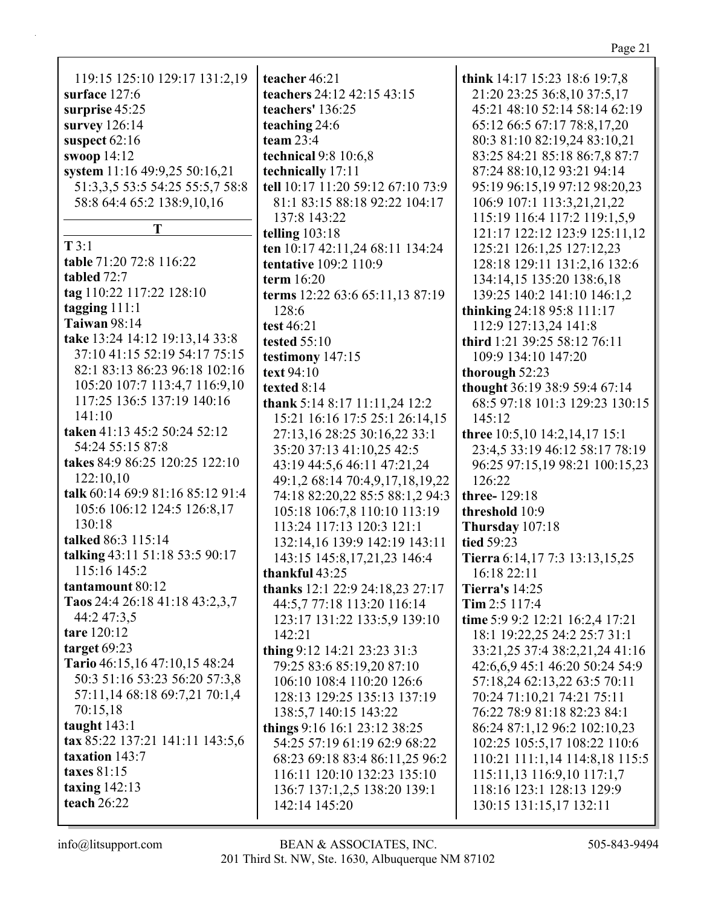| 119:15 125:10 129:17 131:2,19    | teacher 46:21                     | think 14:17 15:23 18:6 19:7,8   |
|----------------------------------|-----------------------------------|---------------------------------|
| surface 127:6                    | teachers 24:12 42:15 43:15        | 21:20 23:25 36:8,10 37:5,17     |
|                                  | teachers' 136:25                  | 45:21 48:10 52:14 58:14 62:19   |
| surprise 45:25                   |                                   |                                 |
| survey 126:14                    | teaching 24:6                     | 65:12 66:5 67:17 78:8,17,20     |
| suspect 62:16                    | team $23:4$                       | 80:3 81:10 82:19,24 83:10,21    |
| swoop 14:12                      | technical 9:8 10:6,8              | 83:25 84:21 85:18 86:7,8 87:7   |
| system 11:16 49:9,25 50:16,21    | technically 17:11                 | 87:24 88:10,12 93:21 94:14      |
| 51:3,3,5 53:5 54:25 55:5,7 58:8  | tell 10:17 11:20 59:12 67:10 73:9 | 95:19 96:15,19 97:12 98:20,23   |
| 58:8 64:4 65:2 138:9,10,16       | 81:1 83:15 88:18 92:22 104:17     | 106:9 107:1 113:3,21,21,22      |
|                                  | 137:8 143:22                      | 115:19 116:4 117:2 119:1,5,9    |
| Т                                | telling $103:18$                  | 121:17 122:12 123:9 125:11,12   |
| T3:1                             | ten 10:17 42:11,24 68:11 134:24   | 125:21 126:1,25 127:12,23       |
| table 71:20 72:8 116:22          | tentative 109:2 110:9             | 128:18 129:11 131:2,16 132:6    |
| tabled 72:7                      | term $16:20$                      | 134:14,15 135:20 138:6,18       |
| tag 110:22 117:22 128:10         | terms 12:22 63:6 65:11,13 87:19   | 139:25 140:2 141:10 146:1,2     |
| tagging $111:1$                  | 128:6                             | thinking 24:18 95:8 111:17      |
| <b>Taiwan</b> 98:14              | test 46:21                        | 112:9 127:13,24 141:8           |
| take 13:24 14:12 19:13,14 33:8   | <b>tested 55:10</b>               | third 1:21 39:25 58:12 76:11    |
| 37:10 41:15 52:19 54:17 75:15    | testimony 147:15                  | 109:9 134:10 147:20             |
| 82:1 83:13 86:23 96:18 102:16    | text 94:10                        | thorough 52:23                  |
| 105:20 107:7 113:4,7 116:9,10    | texted 8:14                       | thought 36:19 38:9 59:4 67:14   |
| 117:25 136:5 137:19 140:16       |                                   | 68:5 97:18 101:3 129:23 130:15  |
| 141:10                           | thank 5:14 8:17 11:11,24 12:2     |                                 |
| taken 41:13 45:2 50:24 52:12     | 15:21 16:16 17:5 25:1 26:14,15    | 145:12                          |
| 54:24 55:15 87:8                 | 27:13,16 28:25 30:16,22 33:1      | three 10:5,10 14:2,14,17 15:1   |
|                                  | 35:20 37:13 41:10,25 42:5         | 23:4,5 33:19 46:12 58:17 78:19  |
| takes 84:9 86:25 120:25 122:10   | 43:19 44:5,6 46:11 47:21,24       | 96:25 97:15,19 98:21 100:15,23  |
| 122:10,10                        | 49:1,2 68:14 70:4,9,17,18,19,22   | 126:22                          |
| talk 60:14 69:9 81:16 85:12 91:4 | 74:18 82:20,22 85:5 88:1,2 94:3   | three-129:18                    |
| 105:6 106:12 124:5 126:8,17      | 105:18 106:7,8 110:10 113:19      | threshold 10:9                  |
| 130:18                           | 113:24 117:13 120:3 121:1         | Thursday 107:18                 |
| talked 86:3 115:14               | 132:14,16 139:9 142:19 143:11     | tied 59:23                      |
| talking 43:11 51:18 53:5 90:17   | 143:15 145:8,17,21,23 146:4       | Tierra 6:14,17 7:3 13:13,15,25  |
| 115:16 145:2                     | thankful 43:25                    | 16:18 22:11                     |
| tantamount 80:12                 | thanks 12:1 22:9 24:18,23 27:17   | <b>Tierra's</b> 14:25           |
| Taos 24:4 26:18 41:18 43:2,3,7   | 44:5,7 77:18 113:20 116:14        | Tim $2:5$ 117:4                 |
| 44:2 47:3,5                      | 123:17 131:22 133:5,9 139:10      | time 5:9 9:2 12:21 16:2,4 17:21 |
| tare 120:12                      | 142:21                            | 18:1 19:22,25 24:2 25:7 31:1    |
| target $69:23$                   | thing 9:12 14:21 23:23 31:3       | 33:21,25 37:4 38:2,21,24 41:16  |
| Tario 46:15,16 47:10,15 48:24    | 79:25 83:6 85:19,20 87:10         | 42:6,6,9 45:1 46:20 50:24 54:9  |
| 50:3 51:16 53:23 56:20 57:3,8    | 106:10 108:4 110:20 126:6         | 57:18,24 62:13,22 63:5 70:11    |
| 57:11,14 68:18 69:7,21 70:1,4    | 128:13 129:25 135:13 137:19       | 70:24 71:10,21 74:21 75:11      |
| 70:15,18                         | 138:5,7 140:15 143:22             | 76:22 78:9 81:18 82:23 84:1     |
| taught $143:1$                   |                                   |                                 |
| tax 85:22 137:21 141:11 143:5,6  | things 9:16 16:1 23:12 38:25      | 86:24 87:1,12 96:2 102:10,23    |
| taxation 143:7                   | 54:25 57:19 61:19 62:9 68:22      | 102:25 105:5,17 108:22 110:6    |
|                                  | 68:23 69:18 83:4 86:11,25 96:2    | 110:21 111:1,14 114:8,18 115:5  |
| taxes 81:15                      | 116:11 120:10 132:23 135:10       | 115:11,13 116:9,10 117:1,7      |
| taxing $142:13$                  | 136:7 137:1,2,5 138:20 139:1      | 118:16 123:1 128:13 129:9       |
| teach $26:22$                    | 142:14 145:20                     | 130:15 131:15,17 132:11         |
|                                  |                                   |                                 |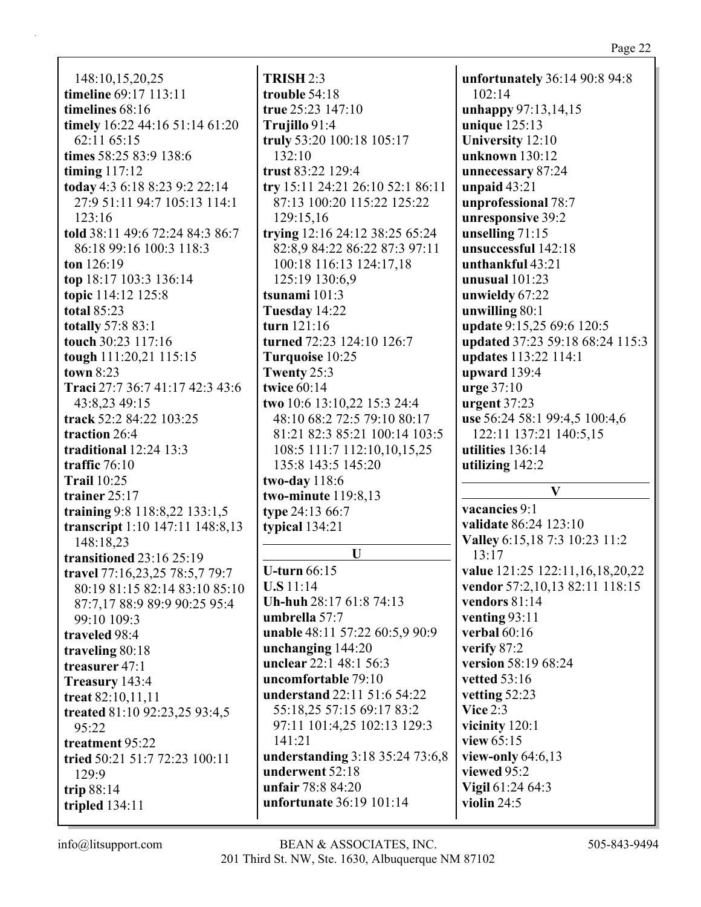### Page 22

148:10,15,20,25 **timeline** 69:17 113:11 **timelines** 68:16 **timely** 16:22 44:16 51:14 61:20 62:11 65:15 **times** 58:25 83:9 138:6 **timing** 117:12 **today** 4:3 6:18 8:23 9:2 22:14 27:9 51:11 94:7 105:13 114:1 123:16 **told** 38:11 49:6 72:24 84:3 86:7 86:18 99:16 100:3 118:3 **ton** 126:19 **top** 18:17 103:3 136:14 **topic** 114:12 125:8 **total** 85:23 **totally** 57:8 83:1 **touch** 30:23 117:16 **tough** 111:20,21 115:15 **town** 8:23 **Traci** 27:7 36:7 41:17 42:3 43:6 43:8,23 49:15 **track** 52:2 84:22 103:25 **traction** 26:4 **traditional** 12:24 13:3 **traffic** 76:10 **Trail** 10:25 **trainer** 25:17 **training** 9:8 118:8,22 133:1,5 **transcript** 1:10 147:11 148:8,13 148:18,23 **transitioned** 23:16 25:19 **travel** 77:16,23,25 78:5,7 79:7 80:19 81:15 82:14 83:10 85:10 87:7,17 88:9 89:9 90:25 95:4 99:10 109:3 **traveled** 98:4 **traveling** 80:18 **treasurer** 47:1 **Treasury** 143:4 **treat** 82:10,11,11 **treated** 81:10 92:23,25 93:4,5 95:22 **treatment** 95:22 **tried** 50:21 51:7 72:23 100:11 129:9 **trip** 88:14 **tripled** 134:11

**TRISH** 2:3 **trouble** 54:18 **true** 25:23 147:10 **Trujillo** 91:4 **truly** 53:20 100:18 105:17 132:10 **trust** 83:22 129:4 **try** 15:11 24:21 26:10 52:1 86:11 87:13 100:20 115:22 125:22 129:15,16 **trying** 12:16 24:12 38:25 65:24 82:8,9 84:22 86:22 87:3 97:11 100:18 116:13 124:17,18 125:19 130:6,9 **tsunami** 101:3 **Tuesday** 14:22 **turn** 121:16 **turned** 72:23 124:10 126:7 **Turquoise** 10:25 **Twenty** 25:3 **twice** 60:14 **two** 10:6 13:10,22 15:3 24:4 48:10 68:2 72:5 79:10 80:17 81:21 82:3 85:21 100:14 103:5 108:5 111:7 112:10,10,15,25 135:8 143:5 145:20 **two-day** 118:6 **two-minute** 119:8,13 **type** 24:13 66:7 **typical** 134:21 **U U-turn** 66:15 **U.S** 11:14 **Uh-huh** 28:17 61:8 74:13 **umbrella** 57:7 **unable** 48:11 57:22 60:5,9 90:9 **unchanging** 144:20 **unclear** 22:1 48:1 56:3 **uncomfortable** 79:10 **understand** 22:11 51:6 54:22 55:18,25 57:15 69:17 83:2 97:11 101:4,25 102:13 129:3 141:21

**understanding** 3:18 35:24 73:6,8 **underwent** 52:18 **unfair** 78:8 84:20 **unfortunate** 36:19 101:14

**unfortunately** 36:14 90:8 94:8 102:14 **unhappy** 97:13,14,15 **unique** 125:13 **University** 12:10 **unknown** 130:12 **unnecessary** 87:24 **unpaid** 43:21 **unprofessional** 78:7 **unresponsive** 39:2 **unselling** 71:15 **unsuccessful** 142:18 **unthankful** 43:21 **unusual** 101:23 **unwieldy** 67:22 **unwilling** 80:1 **update** 9:15,25 69:6 120:5 **updated** 37:23 59:18 68:24 115:3 **updates** 113:22 114:1 **upward** 139:4 **urge** 37:10 **urgent** 37:23 **use** 56:24 58:1 99:4,5 100:4,6 122:11 137:21 140:5,15 **utilities** 136:14 **utilizing** 142:2 **V**

**vacancies** 9:1 **validate** 86:24 123:10 **Valley** 6:15,18 7:3 10:23 11:2 13:17 **value** 121:25 122:11,16,18,20,22 **vendor** 57:2,10,13 82:11 118:15 **vendors** 81:14 **venting** 93:11 **verbal** 60:16 **verify** 87:2 **version** 58:19 68:24 **vetted** 53:16 **vetting** 52:23 **Vice** 2:3 **vicinity** 120:1 **view** 65:15 **view-only** 64:6,13 **viewed** 95:2 **Vigil** 61:24 64:3 **violin** 24:5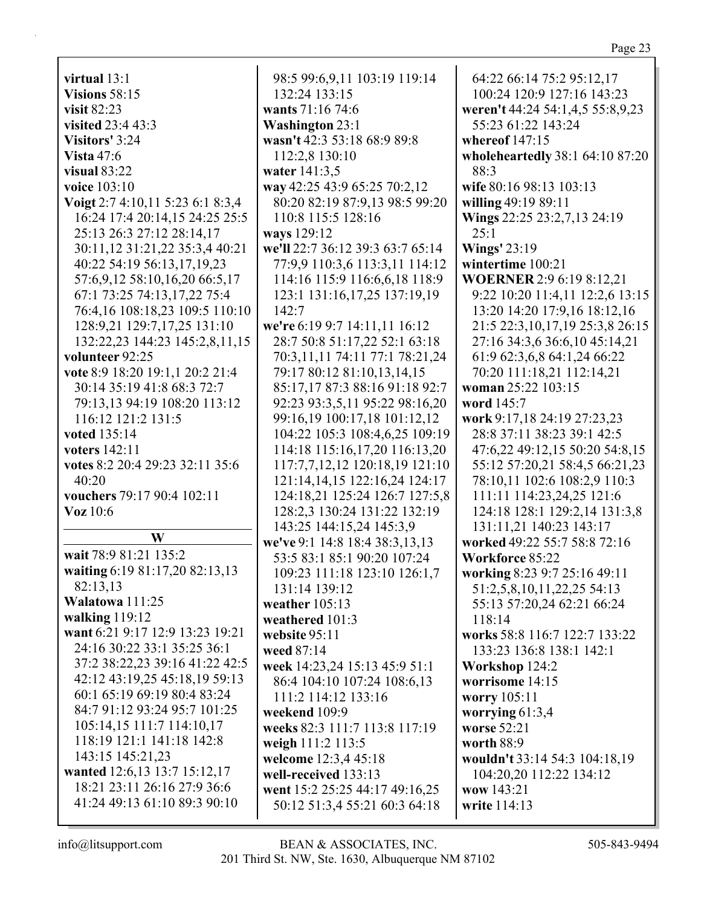**virtual** 13:1 **Visions** 58:15 **visit** 82:23 **visited** 23:4 43:3 **Visitors'** 3:24 **Vista** 47:6 **visual** 83:22 **voice** 103:10 **Voigt** 2:7 4:10,11 5:23 6:1 8:3,4 16:24 17:4 20:14,15 24:25 25:5 25:13 26:3 27:12 28:14,17 30:11,12 31:21,22 35:3,4 40:21 40:22 54:19 56:13,17,19,23 57:6,9,12 58:10,16,20 66:5,17 67:1 73:25 74:13,17,22 75:4 76:4,16 108:18,23 109:5 110:10 128:9,21 129:7,17,25 131:10 132:22,23 144:23 145:2,8,11,15 **volunteer** 92:25 **vote** 8:9 18:20 19:1,1 20:2 21:4 30:14 35:19 41:8 68:3 72:7 79:13,13 94:19 108:20 113:12 116:12 121:2 131:5 **voted** 135:14 **voters** 142:11 **votes** 8:2 20:4 29:23 32:11 35:6 40:20 **vouchers** 79:17 90:4 102:11 **Voz** 10:6 **W wait** 78:9 81:21 135:2 **waiting** 6:19 81:17,20 82:13,13 82:13,13 **Walatowa** 111:25 **walking** 119:12 **want** 6:21 9:17 12:9 13:23 19:21 24:16 30:22 33:1 35:25 36:1 37:2 38:22,23 39:16 41:22 42:5 42:12 43:19,25 45:18,19 59:13 60:1 65:19 69:19 80:4 83:24 84:7 91:12 93:24 95:7 101:25 105:14,15 111:7 114:10,17 118:19 121:1 141:18 142:8 143:15 145:21,23 **wanted** 12:6,13 13:7 15:12,17 18:21 23:11 26:16 27:9 36:6 41:24 49:13 61:10 89:3 90:10

98:5 99:6,9,11 103:19 119:14 132:24 133:15 **wants** 71:16 74:6 **Washington** 23:1 **wasn't** 42:3 53:18 68:9 89:8 112:2,8 130:10 **water** 141:3,5 **way** 42:25 43:9 65:25 70:2,12 80:20 82:19 87:9,13 98:5 99:20 110:8 115:5 128:16 **ways** 129:12 **we'll** 22:7 36:12 39:3 63:7 65:14 77:9,9 110:3,6 113:3,11 114:12 114:16 115:9 116:6,6,18 118:9 123:1 131:16,17,25 137:19,19 142:7 **we're** 6:19 9:7 14:11,11 16:12 28:7 50:8 51:17,22 52:1 63:18 70:3,11,11 74:11 77:1 78:21,24 79:17 80:12 81:10,13,14,15 85:17,17 87:3 88:16 91:18 92:7 92:23 93:3,5,11 95:22 98:16,20 99:16,19 100:17,18 101:12,12 104:22 105:3 108:4,6,25 109:19 114:18 115:16,17,20 116:13,20 117:7,7,12,12 120:18,19 121:10 121:14,14,15 122:16,24 124:17 124:18,21 125:24 126:7 127:5,8 128:2,3 130:24 131:22 132:19 143:25 144:15,24 145:3,9 **we've** 9:1 14:8 18:4 38:3,13,13 53:5 83:1 85:1 90:20 107:24 109:23 111:18 123:10 126:1,7 131:14 139:12 **weather** 105:13 **weathered** 101:3 **website** 95:11 **weed** 87:14 **week** 14:23,24 15:13 45:9 51:1 86:4 104:10 107:24 108:6,13 111:2 114:12 133:16 **weekend** 109:9 **weeks** 82:3 111:7 113:8 117:19 **weigh** 111:2 113:5 **welcome** 12:3,4 45:18 **well-received** 133:13 **went** 15:2 25:25 44:17 49:16,25 50:12 51:3,4 55:21 60:3 64:18

64:22 66:14 75:2 95:12,17 100:24 120:9 127:16 143:23 **weren't** 44:24 54:1,4,5 55:8,9,23 55:23 61:22 143:24 **whereof** 147:15 **wholeheartedly** 38:1 64:10 87:20 88:3 **wife** 80:16 98:13 103:13 **willing** 49:19 89:11 **Wings** 22:25 23:2,7,13 24:19 25:1 **Wings'** 23:19 **wintertime** 100:21 **WOERNER** 2:9 6:19 8:12,21 9:22 10:20 11:4,11 12:2,6 13:15 13:20 14:20 17:9,16 18:12,16 21:5 22:3,10,17,19 25:3,8 26:15 27:16 34:3,6 36:6,10 45:14,21 61:9 62:3,6,8 64:1,24 66:22 70:20 111:18,21 112:14,21 **woman** 25:22 103:15 **word** 145:7 **work** 9:17,18 24:19 27:23,23 28:8 37:11 38:23 39:1 42:5 47:6,22 49:12,15 50:20 54:8,15 55:12 57:20,21 58:4,5 66:21,23 78:10,11 102:6 108:2,9 110:3 111:11 114:23,24,25 121:6 124:18 128:1 129:2,14 131:3,8 131:11,21 140:23 143:17 **worked** 49:22 55:7 58:8 72:16 **Workforce** 85:22 **working** 8:23 9:7 25:16 49:11 51:2,5,8,10,11,22,25 54:13 55:13 57:20,24 62:21 66:24 118:14 **works** 58:8 116:7 122:7 133:22 133:23 136:8 138:1 142:1 **Workshop** 124:2 **worrisome** 14:15 **worry** 105:11 **worrying** 61:3,4 **worse** 52:21 **worth** 88:9 **wouldn't** 33:14 54:3 104:18,19 104:20,20 112:22 134:12 **wow** 143:21 **write** 114:13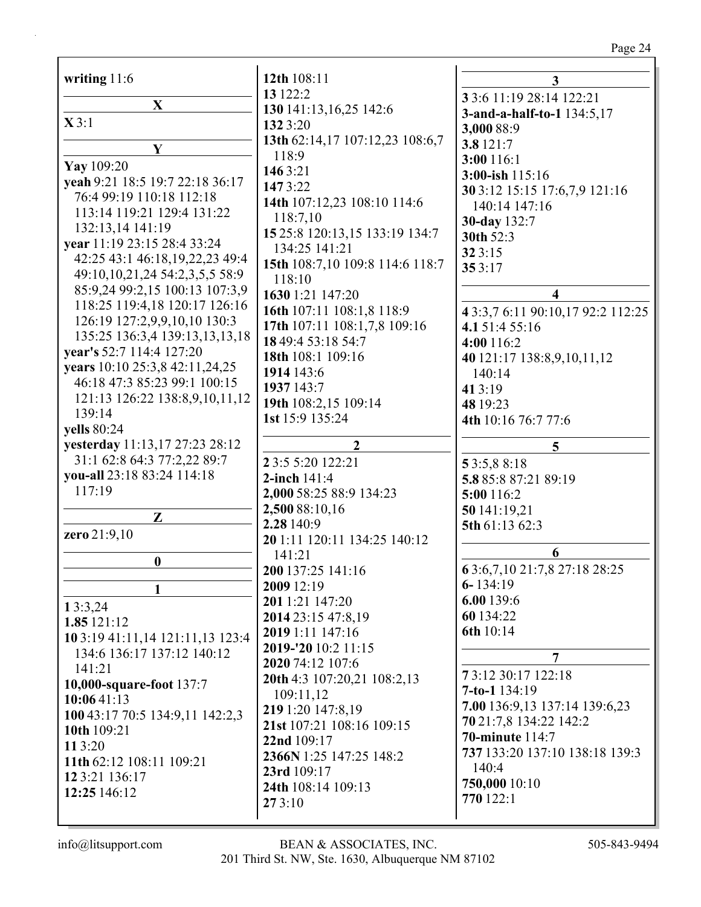# Page 24

| writing 11:6                                              | 12th 108:11                     |                                                         |
|-----------------------------------------------------------|---------------------------------|---------------------------------------------------------|
|                                                           | 13 122:2                        | 3<br>3 3:6 11:19 28:14 122:21                           |
| $\mathbf X$                                               | 130 141:13,16,25 142:6          |                                                         |
| X3:1                                                      | 132 3:20                        | 3-and-a-half-to-1 134:5,17                              |
|                                                           | 13th 62:14,17 107:12,23 108:6,7 | 3,000 88:9<br>3.8 121:7                                 |
| Y                                                         | 118:9                           | 3:00 116:1                                              |
| Yay 109:20                                                | 1463:21                         | 3:00-ish 115:16                                         |
| yeah 9:21 18:5 19:7 22:18 36:17                           | 1473:22                         | 30 3:12 15:15 17:6,7,9 121:16                           |
| 76:4 99:19 110:18 112:18                                  | 14th 107:12,23 108:10 114:6     | 140:14 147:16                                           |
| 113:14 119:21 129:4 131:22                                | 118:7,10                        | 30-day 132:7                                            |
| 132:13,14 141:19                                          | 15 25:8 120:13,15 133:19 134:7  | 30th 52:3                                               |
| year 11:19 23:15 28:4 33:24                               | 134:25 141:21                   | 323:15                                                  |
| 42:25 43:1 46:18,19,22,23 49:4                            | 15th 108:7,10 109:8 114:6 118:7 | 353:17                                                  |
| 49:10,10,21,24 54:2,3,5,5 58:9                            | 118:10                          |                                                         |
| 85:9,24 99:2,15 100:13 107:3,9                            | 1630 1:21 147:20                | 4                                                       |
| 118:25 119:4,18 120:17 126:16                             | 16th 107:11 108:1,8 118:9       | 4 3:3,7 6:11 90:10,17 92:2 112:25                       |
| 126:19 127:2,9,9,10,10 130:3                              | 17th 107:11 108:1,7,8 109:16    | 4.1 51:4 55:16                                          |
| 135:25 136:3,4 139:13,13,13,18                            | 18 49:4 53:18 54:7              | 4:00 116:2                                              |
| year's 52:7 114:4 127:20                                  | 18th 108:1 109:16               | 40 121:17 138:8,9,10,11,12                              |
| years 10:10 25:3,8 42:11,24,25                            | 1914 143:6                      | 140:14                                                  |
| 46:18 47:3 85:23 99:1 100:15                              | 1937 143:7                      | 41 3:19                                                 |
| 121:13 126:22 138:8,9,10,11,12                            | 19th 108:2,15 109:14            | 48 19:23                                                |
| 139:14                                                    | 1st 15:9 135:24                 | 4th 10:16 76:7 77:6                                     |
| yells 80:24                                               |                                 |                                                         |
| yesterday 11:13,17 27:23 28:12                            | $\boldsymbol{2}$                | 5                                                       |
| 31:1 62:8 64:3 77:2,22 89:7<br>you-all 23:18 83:24 114:18 | 2 3:5 5:20 122:21               | 53:5,88:18                                              |
|                                                           |                                 |                                                         |
|                                                           | 2-inch 141:4                    | 5.8 85:8 87:21 89:19                                    |
| 117:19                                                    | 2,000 58:25 88:9 134:23         | 5:00 116:2                                              |
|                                                           | 2,500 88:10,16                  | 50 141:19,21                                            |
| Z                                                         | 2.28 140:9                      | 5th 61:13 62:3                                          |
| zero 21:9,10                                              | 20 1:11 120:11 134:25 140:12    |                                                         |
| $\boldsymbol{0}$                                          | 141:21                          | 6                                                       |
|                                                           | 200 137:25 141:16               | 63:6,7,1021:7,827:1828:25                               |
| 1                                                         | 2009 12:19                      | $6 - 134:19$                                            |
| 13:3,24                                                   | 201 1:21 147:20                 | 6.00 139:6                                              |
| 1.85 121:12                                               | 2014 23:15 47:8,19              | 60 134:22                                               |
| 10 3:19 41:11,14 121:11,13 123:4                          | 2019 1:11 147:16                | 6th 10:14                                               |
| 134:6 136:17 137:12 140:12                                | 2019-'20 10:2 11:15             | 7                                                       |
| 141:21                                                    | 2020 74:12 107:6                |                                                         |
| 10,000-square-foot 137:7                                  | 20th 4:3 107:20,21 108:2,13     | 73:12 30:17 122:18                                      |
| 10:0641:13                                                | 109:11,12                       | $7-to-1$ 134:19                                         |
| 100 43:17 70:5 134:9,11 142:2,3                           | 219 1:20 147:8,19               | 7.00 136:9,13 137:14 139:6,23<br>70 21:7,8 134:22 142:2 |
| 10th 109:21                                               | 21st 107:21 108:16 109:15       | <b>70-minute</b> 114:7                                  |
| 11 3:20                                                   | 22nd 109:17                     | 737 133:20 137:10 138:18 139:3                          |
| 11th 62:12 108:11 109:21                                  | 2366N 1:25 147:25 148:2         | 140:4                                                   |
| 12 3:21 136:17                                            | 23rd 109:17                     | 750,000 10:10                                           |
| 12:25 146:12                                              | 24th 108:14 109:13<br>273:10    | 770 122:1                                               |